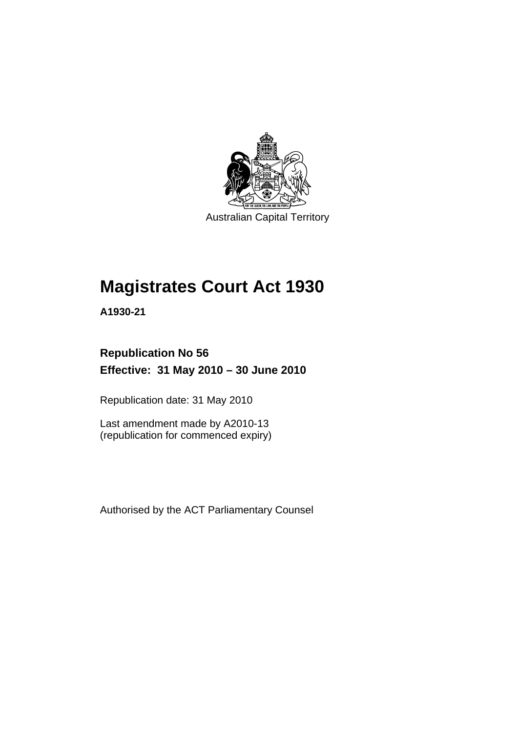

Australian Capital Territory

# **[Magistrates Court Act 1930](#page-16-0)**

**A1930-21** 

### **Republication No 56 Effective: 31 May 2010 – 30 June 2010**

Republication date: 31 May 2010

Last amendment made by A2010-13 (republication for commenced expiry)

Authorised by the ACT Parliamentary Counsel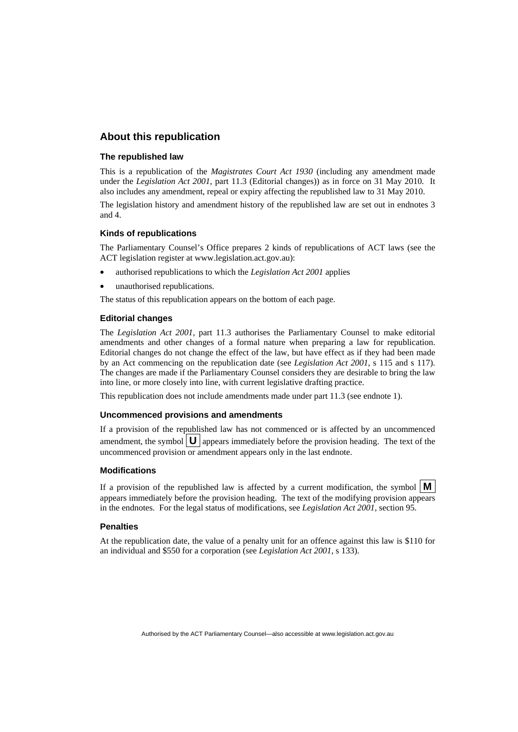#### **About this republication**

#### **The republished law**

This is a republication of the *Magistrates Court Act 1930* (including any amendment made under the *Legislation Act 2001*, part 11.3 (Editorial changes)) as in force on 31 May 2010*.* It also includes any amendment, repeal or expiry affecting the republished law to 31 May 2010.

The legislation history and amendment history of the republished law are set out in endnotes 3 and 4.

#### **Kinds of republications**

The Parliamentary Counsel's Office prepares 2 kinds of republications of ACT laws (see the ACT legislation register at www.legislation.act.gov.au):

- authorised republications to which the *Legislation Act 2001* applies
- unauthorised republications.

The status of this republication appears on the bottom of each page.

#### **Editorial changes**

The *Legislation Act 2001*, part 11.3 authorises the Parliamentary Counsel to make editorial amendments and other changes of a formal nature when preparing a law for republication. Editorial changes do not change the effect of the law, but have effect as if they had been made by an Act commencing on the republication date (see *Legislation Act 2001*, s 115 and s 117). The changes are made if the Parliamentary Counsel considers they are desirable to bring the law into line, or more closely into line, with current legislative drafting practice.

This republication does not include amendments made under part 11.3 (see endnote 1).

#### **Uncommenced provisions and amendments**

If a provision of the republished law has not commenced or is affected by an uncommenced amendment, the symbol  $\mathbf{U}$  appears immediately before the provision heading. The text of the uncommenced provision or amendment appears only in the last endnote.

#### **Modifications**

If a provision of the republished law is affected by a current modification, the symbol  $\vert \mathbf{M} \vert$ appears immediately before the provision heading. The text of the modifying provision appears in the endnotes. For the legal status of modifications, see *Legislation Act 2001*, section 95.

#### **Penalties**

At the republication date, the value of a penalty unit for an offence against this law is \$110 for an individual and \$550 for a corporation (see *Legislation Act 2001*, s 133).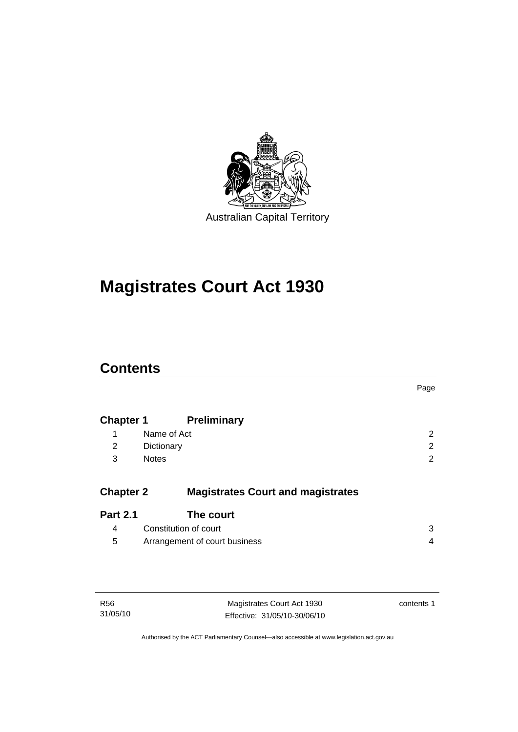

# **[Magistrates Court Act 1930](#page-16-0)**

### **Contents**

|                  |                                          | Page |
|------------------|------------------------------------------|------|
| <b>Chapter 1</b> | <b>Preliminary</b>                       |      |
| 1                | Name of Act                              | 2    |
| 2                | Dictionary                               | 2    |
| 3                | <b>Notes</b>                             | 2    |
| <b>Chapter 2</b> | <b>Magistrates Court and magistrates</b> |      |
| <b>Part 2.1</b>  | The court                                |      |
| 4                | Constitution of court                    | 3    |
| 5                | Arrangement of court business            | 4    |

| <b>R56</b> |
|------------|
| 31/05/10   |

Magistrates Court Act 1930 Effective: 31/05/10-30/06/10 contents 1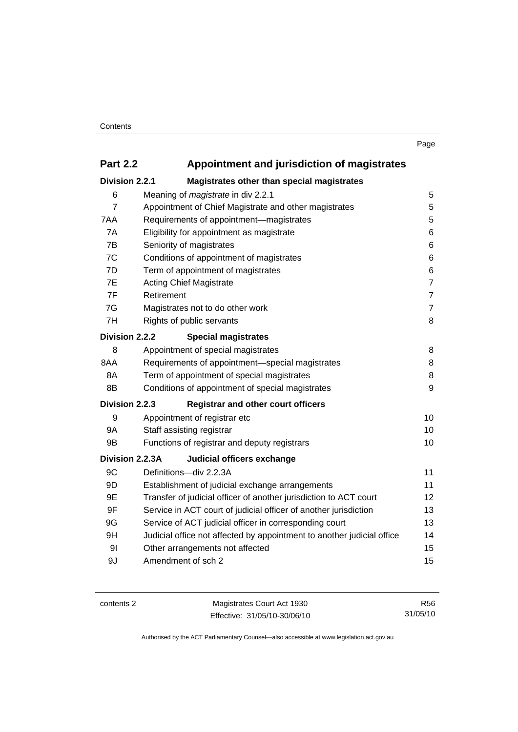### **Part 2.2 Appointment and jurisdiction of magistrates**

| Division 2.2.1 | Magistrates other than special magistrates                             |                |  |
|----------------|------------------------------------------------------------------------|----------------|--|
| 6              | Meaning of <i>magistrate</i> in div 2.2.1                              | 5              |  |
| $\overline{7}$ | Appointment of Chief Magistrate and other magistrates                  | 5              |  |
| 7AA            | Requirements of appointment-magistrates                                | 5              |  |
| 7A             | Eligibility for appointment as magistrate                              | 6              |  |
| 7B             | Seniority of magistrates                                               | 6              |  |
| 7C             | Conditions of appointment of magistrates                               | 6              |  |
| 7D             | Term of appointment of magistrates                                     | 6              |  |
| 7E             | <b>Acting Chief Magistrate</b>                                         | $\overline{7}$ |  |
| 7F             | Retirement                                                             | $\overline{7}$ |  |
| 7G             | Magistrates not to do other work                                       | $\overline{7}$ |  |
| 7H             | Rights of public servants                                              | 8              |  |
| Division 2.2.2 | <b>Special magistrates</b>                                             |                |  |
| 8              | Appointment of special magistrates                                     | 8              |  |
| 8AA            | Requirements of appointment-special magistrates                        | 8              |  |
| 8A             | Term of appointment of special magistrates                             | 8              |  |
| 8B             | Conditions of appointment of special magistrates                       | 9              |  |
| Division 2.2.3 | <b>Registrar and other court officers</b>                              |                |  |
| 9              | Appointment of registrar etc                                           | 10             |  |
| 9Α             | Staff assisting registrar                                              | 10             |  |
| 9B             | Functions of registrar and deputy registrars                           | 10             |  |
|                | Division 2.2.3A<br>Judicial officers exchange                          |                |  |
| 9C             | Definitions-div 2.2.3A                                                 | 11             |  |
| 9D             | Establishment of judicial exchange arrangements                        | 11             |  |
| 9E             | Transfer of judicial officer of another jurisdiction to ACT court      | 12             |  |
| 9F             | Service in ACT court of judicial officer of another jurisdiction       | 13             |  |
| 9G             | Service of ACT judicial officer in corresponding court                 |                |  |
| 9H             | Judicial office not affected by appointment to another judicial office | 14             |  |
| 9 <sub>l</sub> | Other arrangements not affected                                        | 15             |  |
| 9J             | Amendment of sch 2                                                     | 15             |  |
|                |                                                                        |                |  |

contents 2 Magistrates Court Act 1930 Effective: 31/05/10-30/06/10

R56 31/05/10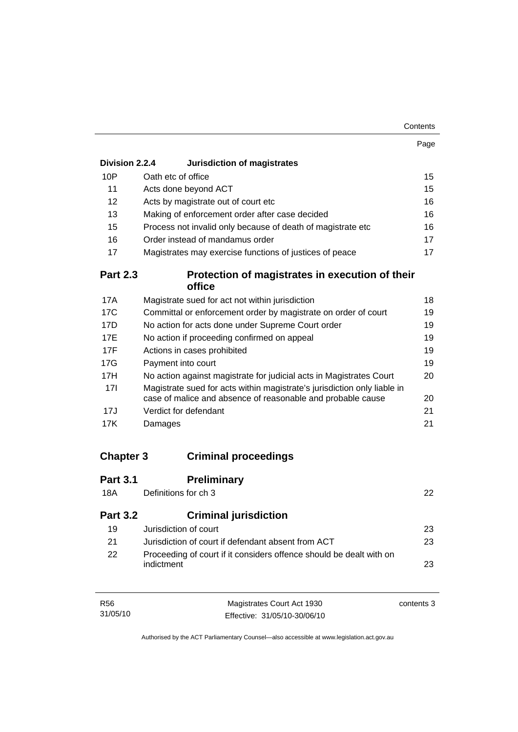| Contents |
|----------|
|----------|

|                  |                                                                                                                                               | Page |  |
|------------------|-----------------------------------------------------------------------------------------------------------------------------------------------|------|--|
| Division 2.2.4   | <b>Jurisdiction of magistrates</b>                                                                                                            |      |  |
| 10P              | Oath etc of office                                                                                                                            | 15   |  |
| 11               | Acts done beyond ACT                                                                                                                          | 15   |  |
| 12               | Acts by magistrate out of court etc                                                                                                           | 16   |  |
| 13               | Making of enforcement order after case decided                                                                                                | 16   |  |
| 15               | Process not invalid only because of death of magistrate etc                                                                                   | 16   |  |
| 16               | Order instead of mandamus order                                                                                                               | 17   |  |
| 17               | Magistrates may exercise functions of justices of peace                                                                                       | 17   |  |
| <b>Part 2.3</b>  | Protection of magistrates in execution of their<br>office                                                                                     |      |  |
| 17A              | Magistrate sued for act not within jurisdiction                                                                                               | 18   |  |
| 17C              | Committal or enforcement order by magistrate on order of court                                                                                | 19   |  |
| 17D              | No action for acts done under Supreme Court order                                                                                             | 19   |  |
| 17E              | No action if proceeding confirmed on appeal<br>19                                                                                             |      |  |
| 17F              | Actions in cases prohibited<br>19                                                                                                             |      |  |
| 17G              | Payment into court<br>19                                                                                                                      |      |  |
| 17H              | No action against magistrate for judicial acts in Magistrates Court<br>20                                                                     |      |  |
| 17I              | Magistrate sued for acts within magistrate's jurisdiction only liable in<br>case of malice and absence of reasonable and probable cause<br>20 |      |  |
| 17J              | Verdict for defendant                                                                                                                         | 21   |  |
| <b>17K</b>       | Damages                                                                                                                                       | 21   |  |
| <b>Chapter 3</b> | <b>Criminal proceedings</b>                                                                                                                   |      |  |
|                  |                                                                                                                                               |      |  |
| <b>Part 3.1</b>  | <b>Preliminary</b>                                                                                                                            |      |  |
| <b>18A</b>       | Definitions for ch 3                                                                                                                          | 22   |  |
| <b>Part 3.2</b>  | <b>Criminal jurisdiction</b>                                                                                                                  |      |  |
| 19               | Jurisdiction of court                                                                                                                         | 23   |  |

| -21 | Jurisdiction of court if defendant absent from ACT                  | 23 |
|-----|---------------------------------------------------------------------|----|
| -22 | Proceeding of court if it considers offence should be dealt with on |    |
|     | indictment                                                          | 23 |

| R56      | Magistrates Court Act 1930   | contents 3 |
|----------|------------------------------|------------|
| 31/05/10 | Effective: 31/05/10-30/06/10 |            |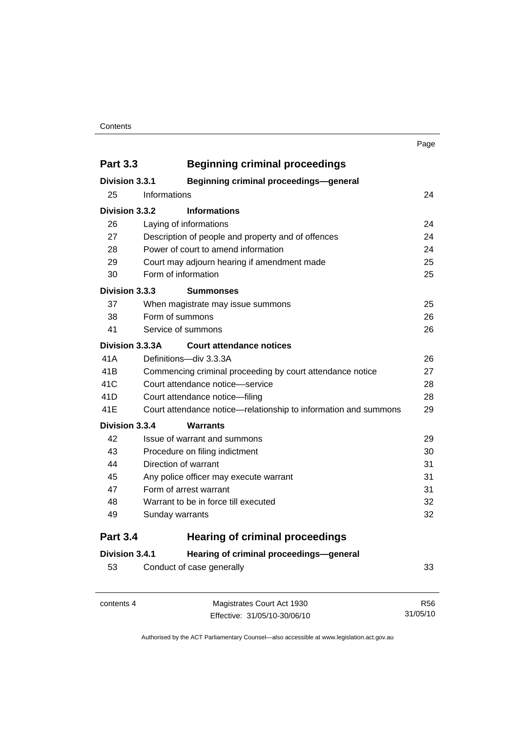#### **Contents**

| <b>Part 3.3</b> | <b>Beginning criminal proceedings</b>                           |    |  |
|-----------------|-----------------------------------------------------------------|----|--|
| Division 3.3.1  | <b>Beginning criminal proceedings-general</b>                   |    |  |
| 25              | Informations                                                    | 24 |  |
| Division 3.3.2  | <b>Informations</b>                                             |    |  |
| 26              | Laying of informations                                          | 24 |  |
| 27              | Description of people and property and of offences<br>24        |    |  |
| 28              | Power of court to amend information                             |    |  |
| 29              | Court may adjourn hearing if amendment made                     | 25 |  |
| 30              | Form of information                                             | 25 |  |
| Division 3.3.3  | <b>Summonses</b>                                                |    |  |
| 37              | When magistrate may issue summons                               | 25 |  |
| 38              | Form of summons                                                 | 26 |  |
| 41              | Service of summons                                              | 26 |  |
| Division 3.3.3A | <b>Court attendance notices</b>                                 |    |  |
| 41A             | Definitions-div 3.3.3A                                          | 26 |  |
| 41B             | Commencing criminal proceeding by court attendance notice       | 27 |  |
| 41C             | Court attendance notice-service                                 |    |  |
| 41D             | Court attendance notice-filing                                  | 28 |  |
| 41E             | Court attendance notice—relationship to information and summons | 29 |  |
| Division 3.3.4  | <b>Warrants</b>                                                 |    |  |
| 42              | Issue of warrant and summons                                    | 29 |  |
| 43              | Procedure on filing indictment                                  | 30 |  |

| 40. | <b>FIGURE OFFICIAL CONTROLLER</b>      | υu |
|-----|----------------------------------------|----|
| 44  | Direction of warrant                   | 31 |
| 45  | Any police officer may execute warrant | 31 |
| 47  | Form of arrest warrant                 | 31 |
| 48  | Warrant to be in force till executed   | 32 |
| 49  | Sunday warrants                        | 32 |
|     |                                        |    |

### **Part 3.4 Hearing of criminal proceedings**

| Division 3.4.1 | Hearing of criminal proceedings-general |  |
|----------------|-----------------------------------------|--|
| 53             | Conduct of case generally               |  |

| contents 4 | Magistrates Court Act 1930   | R56      |
|------------|------------------------------|----------|
|            | Effective: 31/05/10-30/06/10 | 31/05/10 |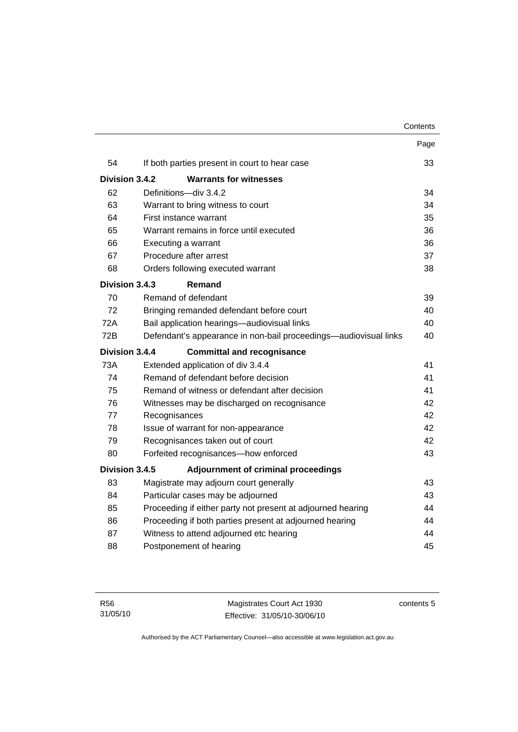|                                                                         |                                                                   | Page |  |  |
|-------------------------------------------------------------------------|-------------------------------------------------------------------|------|--|--|
| 54                                                                      | If both parties present in court to hear case                     | 33   |  |  |
| Division 3.4.2                                                          | <b>Warrants for witnesses</b>                                     |      |  |  |
| 62                                                                      | Definitions-div 3.4.2                                             | 34   |  |  |
| 63                                                                      | Warrant to bring witness to court                                 | 34   |  |  |
| 64                                                                      | First instance warrant                                            | 35   |  |  |
| 65                                                                      | Warrant remains in force until executed                           | 36   |  |  |
| 66                                                                      | Executing a warrant                                               | 36   |  |  |
| 67                                                                      | Procedure after arrest                                            |      |  |  |
| 68                                                                      | Orders following executed warrant                                 | 38   |  |  |
| Division 3.4.3                                                          | Remand                                                            |      |  |  |
| 70                                                                      | Remand of defendant                                               | 39   |  |  |
| 72                                                                      | Bringing remanded defendant before court                          |      |  |  |
| <b>72A</b>                                                              | Bail application hearings-audiovisual links                       |      |  |  |
| 72B<br>Defendant's appearance in non-bail proceedings—audiovisual links |                                                                   |      |  |  |
| Division 3.4.4<br><b>Committal and recognisance</b>                     |                                                                   |      |  |  |
| <b>73A</b>                                                              | Extended application of div 3.4.4                                 | 41   |  |  |
| 74                                                                      | Remand of defendant before decision                               | 41   |  |  |
| 75                                                                      | Remand of witness or defendant after decision                     |      |  |  |
| 76                                                                      | Witnesses may be discharged on recognisance                       |      |  |  |
| 77                                                                      | Recognisances                                                     |      |  |  |
| 78                                                                      | Issue of warrant for non-appearance                               |      |  |  |
| 79                                                                      | Recognisances taken out of court                                  |      |  |  |
| 80                                                                      | Forfeited recognisances-how enforced<br>43                        |      |  |  |
| Division 3.4.5                                                          | Adjournment of criminal proceedings                               |      |  |  |
| 83                                                                      | Magistrate may adjourn court generally                            | 43   |  |  |
| 84                                                                      | Particular cases may be adjourned                                 | 43   |  |  |
| 85                                                                      | Proceeding if either party not present at adjourned hearing<br>44 |      |  |  |
| 86                                                                      | Proceeding if both parties present at adjourned hearing<br>44     |      |  |  |
| 87                                                                      | Witness to attend adjourned etc hearing                           |      |  |  |
| 88                                                                      | Postponement of hearing                                           | 45   |  |  |
|                                                                         |                                                                   |      |  |  |

contents 5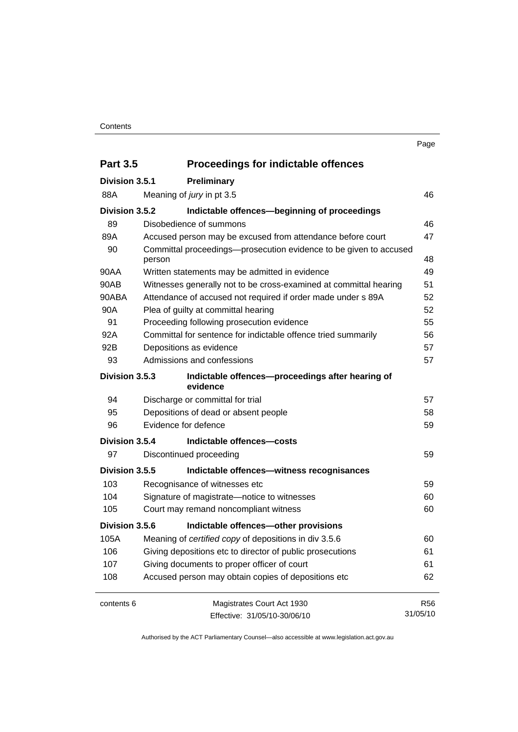#### **Contents**

| <b>Part 3.5</b> | <b>Proceedings for indictable offences</b>                                  |                 |  |
|-----------------|-----------------------------------------------------------------------------|-----------------|--|
| Division 3.5.1  | Preliminary                                                                 |                 |  |
| 88A             | Meaning of jury in pt 3.5                                                   | 46              |  |
| Division 3.5.2  | Indictable offences-beginning of proceedings                                |                 |  |
| 89              | Disobedience of summons                                                     | 46              |  |
| 89A             | Accused person may be excused from attendance before court                  | 47              |  |
| 90              | Committal proceedings-prosecution evidence to be given to accused<br>person | 48              |  |
| 90AA            | Written statements may be admitted in evidence                              | 49              |  |
| 90AB            | Witnesses generally not to be cross-examined at committal hearing           | 51              |  |
| 90ABA           | Attendance of accused not required if order made under s 89A                | 52              |  |
| 90A             | Plea of guilty at committal hearing                                         | 52              |  |
| 91              | Proceeding following prosecution evidence                                   | 55              |  |
| 92A             | Committal for sentence for indictable offence tried summarily               | 56              |  |
| 92B             | Depositions as evidence                                                     |                 |  |
| 93              | Admissions and confessions                                                  | 57              |  |
| Division 3.5.3  | Indictable offences-proceedings after hearing of<br>evidence                |                 |  |
| 94              | Discharge or committal for trial                                            | 57              |  |
| 95              | Depositions of dead or absent people                                        | 58              |  |
| 96              | Evidence for defence                                                        | 59              |  |
| Division 3.5.4  | Indictable offences-costs                                                   |                 |  |
| 97              | Discontinued proceeding                                                     | 59              |  |
| Division 3.5.5  | Indictable offences-witness recognisances                                   |                 |  |
| 103             | Recognisance of witnesses etc                                               | 59              |  |
| 104             | Signature of magistrate-notice to witnesses<br>60                           |                 |  |
| 105             | Court may remand noncompliant witness                                       | 60              |  |
| Division 3.5.6  | Indictable offences-other provisions                                        |                 |  |
| 105A            | Meaning of certified copy of depositions in div 3.5.6                       | 60              |  |
| 106             | Giving depositions etc to director of public prosecutions                   | 61              |  |
| 107             | Giving documents to proper officer of court<br>61                           |                 |  |
| 108             | Accused person may obtain copies of depositions etc<br>62                   |                 |  |
| contents 6      | Magistrates Court Act 1930                                                  | R <sub>56</sub> |  |
|                 | Effective: 31/05/10-30/06/10                                                | 31/05/10        |  |

Authorised by the ACT Parliamentary Counsel—also accessible at www.legislation.act.gov.au

Page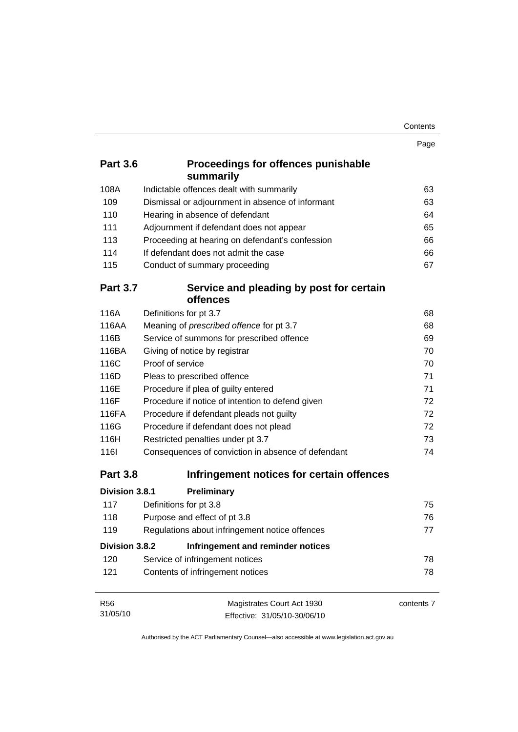| Contents |
|----------|
|----------|

|                 |                                                         | Page       |  |  |
|-----------------|---------------------------------------------------------|------------|--|--|
| <b>Part 3.6</b> | <b>Proceedings for offences punishable</b><br>summarily |            |  |  |
| 108A            | Indictable offences dealt with summarily                | 63         |  |  |
| 109             | Dismissal or adjournment in absence of informant        | 63         |  |  |
| 110             | Hearing in absence of defendant                         | 64         |  |  |
| 111             | Adjournment if defendant does not appear                | 65         |  |  |
| 113             | Proceeding at hearing on defendant's confession         | 66         |  |  |
| 114             | If defendant does not admit the case                    | 66         |  |  |
| 115             | Conduct of summary proceeding                           | 67         |  |  |
| <b>Part 3.7</b> | Service and pleading by post for certain<br>offences    |            |  |  |
| 116A            | Definitions for pt 3.7                                  | 68         |  |  |
| 116AA           | Meaning of prescribed offence for pt 3.7                | 68         |  |  |
| 116B            | Service of summons for prescribed offence               | 69         |  |  |
| 116BA           | Giving of notice by registrar                           |            |  |  |
| 116C            | Proof of service                                        |            |  |  |
| 116D            | Pleas to prescribed offence                             |            |  |  |
| 116E            | Procedure if plea of guilty entered                     |            |  |  |
| 116F            | Procedure if notice of intention to defend given        |            |  |  |
| 116FA           | Procedure if defendant pleads not guilty                | 72         |  |  |
| 116G            | Procedure if defendant does not plead                   | 72         |  |  |
| 116H            | Restricted penalties under pt 3.7                       | 73         |  |  |
| <b>1161</b>     | Consequences of conviction in absence of defendant      | 74         |  |  |
| <b>Part 3.8</b> | Infringement notices for certain offences               |            |  |  |
| Division 3.8.1  | Preliminary                                             |            |  |  |
| 117             | Definitions for pt 3.8                                  | 75         |  |  |
| 118             | Purpose and effect of pt 3.8                            | 76         |  |  |
| 119             | Regulations about infringement notice offences          | 77         |  |  |
| Division 3.8.2  | Infringement and reminder notices                       |            |  |  |
| 120             | Service of infringement notices                         | 78         |  |  |
| 121             | Contents of infringement notices                        | 78         |  |  |
| <b>R56</b>      | Magistrates Court Act 1930                              | contents 7 |  |  |

Effective: 31/05/10-30/06/10

31/05/10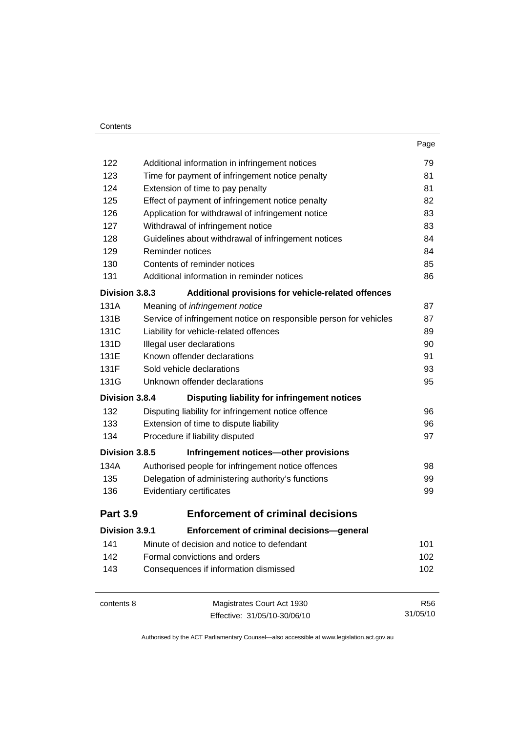|                 |                                                                               | 79         |  |  |
|-----------------|-------------------------------------------------------------------------------|------------|--|--|
| 122             | Additional information in infringement notices                                |            |  |  |
| 123             | Time for payment of infringement notice penalty                               |            |  |  |
| 124             | Extension of time to pay penalty                                              |            |  |  |
| 125             | Effect of payment of infringement notice penalty                              | 82         |  |  |
| 126             | Application for withdrawal of infringement notice                             | 83         |  |  |
| 127             | Withdrawal of infringement notice                                             | 83         |  |  |
| 128             | Guidelines about withdrawal of infringement notices                           | 84         |  |  |
| 129             | Reminder notices                                                              | 84         |  |  |
| 130             | Contents of reminder notices                                                  | 85         |  |  |
| 131             | Additional information in reminder notices                                    | 86         |  |  |
| Division 3.8.3  | Additional provisions for vehicle-related offences                            |            |  |  |
| 131A            | Meaning of infringement notice                                                | 87         |  |  |
| 131B            | Service of infringement notice on responsible person for vehicles             | 87         |  |  |
| 131C            | Liability for vehicle-related offences                                        | 89         |  |  |
| 131D            | Illegal user declarations                                                     |            |  |  |
| 131E            | Known offender declarations                                                   |            |  |  |
| 131F            | Sold vehicle declarations                                                     |            |  |  |
| 131G            | Unknown offender declarations                                                 |            |  |  |
| Division 3.8.4  | Disputing liability for infringement notices                                  |            |  |  |
| 132             | Disputing liability for infringement notice offence                           | 96         |  |  |
| 133             | Extension of time to dispute liability                                        | 96         |  |  |
| 134             | Procedure if liability disputed                                               | 97         |  |  |
| Division 3.8.5  | Infringement notices-other provisions                                         |            |  |  |
| 134A            | Authorised people for infringement notice offences                            | 98         |  |  |
| 135             | Delegation of administering authority's functions<br>Evidentiary certificates |            |  |  |
| 136             |                                                                               |            |  |  |
| <b>Part 3.9</b> | <b>Enforcement of criminal decisions</b>                                      |            |  |  |
| Division 3.9.1  | Enforcement of criminal decisions-general                                     |            |  |  |
| 141             | Minute of decision and notice to defendant                                    | 101        |  |  |
| 142             | Formal convictions and orders                                                 | 102        |  |  |
| 143             | Consequences if information dismissed                                         | 102        |  |  |
| contents 8      | Magistrates Court Act 1930                                                    | <b>R56</b> |  |  |
|                 | Effective: 31/05/10-30/06/10                                                  | 31/05/10   |  |  |

Effective: 31/05/10-30/06/10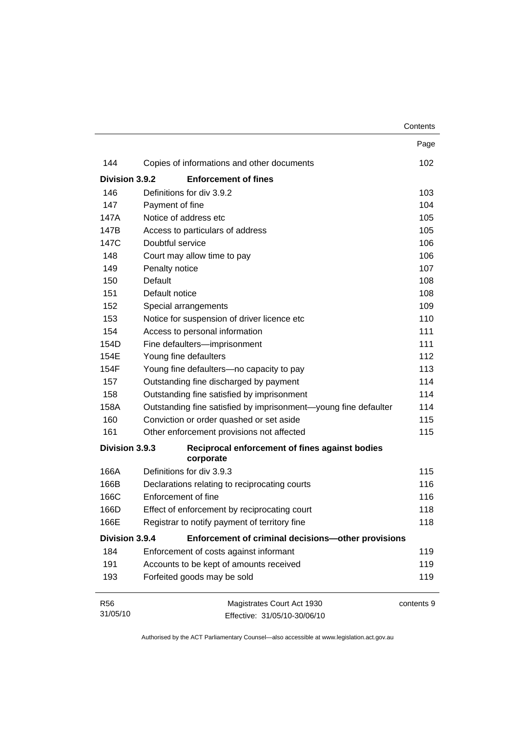|                |                                                                 | Contents   |
|----------------|-----------------------------------------------------------------|------------|
|                |                                                                 | Page       |
| 144            | Copies of informations and other documents                      | 102        |
| Division 3.9.2 | <b>Enforcement of fines</b>                                     |            |
| 146            | Definitions for div 3.9.2                                       | 103        |
| 147            | Payment of fine                                                 | 104        |
| 147A           | Notice of address etc                                           | 105        |
| 147B           | Access to particulars of address                                | 105        |
| 147C           | Doubtful service                                                | 106        |
| 148            | Court may allow time to pay                                     | 106        |
| 149            | Penalty notice                                                  | 107        |
| 150            | Default                                                         | 108        |
| 151            | Default notice                                                  | 108        |
| 152            | Special arrangements                                            | 109        |
| 153            | Notice for suspension of driver licence etc                     | 110        |
| 154            | Access to personal information                                  | 111        |
| 154D           | Fine defaulters-imprisonment                                    | 111        |
| 154E           | Young fine defaulters                                           | 112        |
| 154F           | Young fine defaulters-no capacity to pay                        | 113        |
| 157            | Outstanding fine discharged by payment                          | 114        |
| 158            | Outstanding fine satisfied by imprisonment                      | 114        |
| 158A           | Outstanding fine satisfied by imprisonment-young fine defaulter | 114        |
| 160            | Conviction or order quashed or set aside                        | 115        |
| 161            | Other enforcement provisions not affected                       | 115        |
| Division 3.9.3 | Reciprocal enforcement of fines against bodies<br>corporate     |            |
| 166A           | Definitions for div 3.9.3                                       | 115        |
| 166B           | Declarations relating to reciprocating courts                   | 116        |
| 166C           | Enforcement of fine                                             | 116        |
| 166D           | Effect of enforcement by reciprocating court                    | 118        |
| 166E           | Registrar to notify payment of territory fine                   | 118        |
| Division 3.9.4 | Enforcement of criminal decisions-other provisions              |            |
| 184            | Enforcement of costs against informant                          | 119        |
| 191            | Accounts to be kept of amounts received                         | 119        |
| 193            | Forfeited goods may be sold                                     | 119        |
| <b>R56</b>     | Magistrates Court Act 1930                                      | contents 9 |
| 31/05/10       | Effective: 31/05/10-30/06/10                                    |            |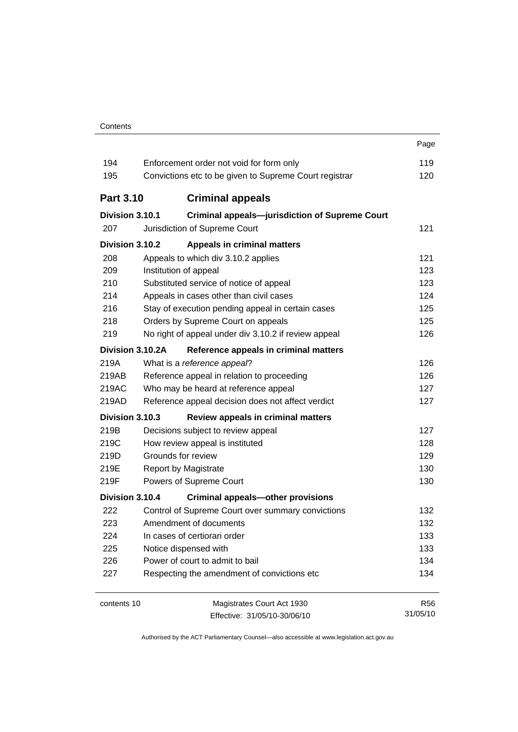|                  |                                                        | Page       |  |
|------------------|--------------------------------------------------------|------------|--|
| 194              | Enforcement order not void for form only               |            |  |
| 195              | Convictions etc to be given to Supreme Court registrar |            |  |
|                  |                                                        |            |  |
| <b>Part 3.10</b> | <b>Criminal appeals</b>                                |            |  |
| Division 3.10.1  | <b>Criminal appeals-jurisdiction of Supreme Court</b>  |            |  |
| 207              | Jurisdiction of Supreme Court                          | 121        |  |
| Division 3.10.2  | <b>Appeals in criminal matters</b>                     |            |  |
| 208              | Appeals to which div 3.10.2 applies                    | 121        |  |
| 209              | Institution of appeal                                  | 123        |  |
| 210              | Substituted service of notice of appeal                | 123        |  |
| 214              | Appeals in cases other than civil cases                | 124        |  |
| 216              | Stay of execution pending appeal in certain cases      | 125        |  |
| 218              | Orders by Supreme Court on appeals                     | 125        |  |
| 219              | No right of appeal under div 3.10.2 if review appeal   | 126        |  |
| Division 3.10.2A | Reference appeals in criminal matters                  |            |  |
| 219A             | What is a reference appeal?                            | 126        |  |
| 219AB            | Reference appeal in relation to proceeding             | 126        |  |
| 219AC            | Who may be heard at reference appeal                   | 127        |  |
| 219AD            | Reference appeal decision does not affect verdict      | 127        |  |
| Division 3.10.3  | Review appeals in criminal matters                     |            |  |
| 219B             | Decisions subject to review appeal                     | 127        |  |
| 219C             | How review appeal is instituted                        | 128        |  |
| 219D             | Grounds for review                                     | 129        |  |
| 219E             | Report by Magistrate                                   | 130        |  |
| 219F             | Powers of Supreme Court                                | 130        |  |
| Division 3.10.4  | <b>Criminal appeals-other provisions</b>               |            |  |
| 222              | Control of Supreme Court over summary convictions      | 132        |  |
| 223              | Amendment of documents                                 | 132        |  |
| 224              | In cases of certiorari order                           | 133        |  |
| 225              | Notice dispensed with                                  | 133        |  |
| 226              | Power of court to admit to bail                        | 134        |  |
| 227              | Respecting the amendment of convictions etc            | 134        |  |
| contents 10      | Magistrates Court Act 1930                             | <b>R56</b> |  |
|                  | Effective: 31/05/10-30/06/10                           | 31/05/10   |  |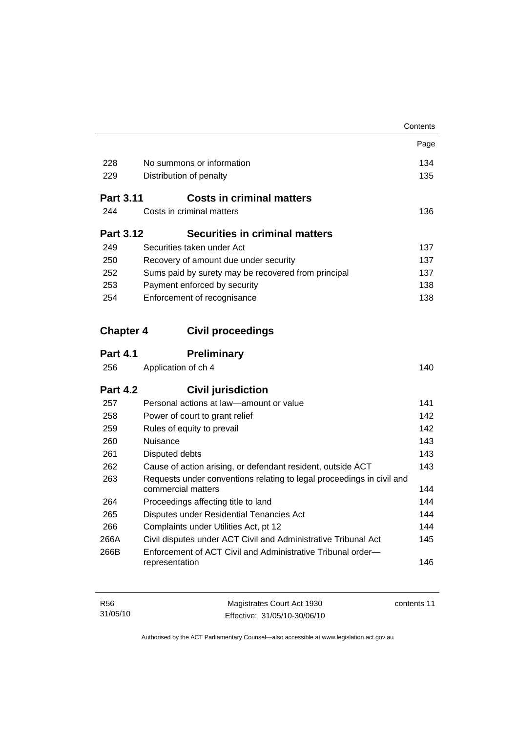|                  |                                                                                             | Contents |
|------------------|---------------------------------------------------------------------------------------------|----------|
|                  |                                                                                             | Page     |
| 228              | No summons or information                                                                   | 134      |
| 229              | Distribution of penalty                                                                     |          |
| <b>Part 3.11</b> | <b>Costs in criminal matters</b>                                                            |          |
| 244              | Costs in criminal matters                                                                   | 136      |
| <b>Part 3.12</b> | <b>Securities in criminal matters</b>                                                       |          |
| 249              | Securities taken under Act                                                                  | 137      |
| 250              | Recovery of amount due under security                                                       | 137      |
| 252              | Sums paid by surety may be recovered from principal                                         | 137      |
| 253              | Payment enforced by security                                                                | 138      |
| 254              | Enforcement of recognisance                                                                 | 138      |
| <b>Chapter 4</b> | <b>Civil proceedings</b>                                                                    |          |
| <b>Part 4.1</b>  | <b>Preliminary</b>                                                                          |          |
| 256              | Application of ch 4                                                                         | 140      |
| <b>Part 4.2</b>  | <b>Civil jurisdiction</b>                                                                   |          |
| 257              | Personal actions at law-amount or value                                                     | 141      |
| 258              | Power of court to grant relief                                                              | 142      |
| 259              | Rules of equity to prevail                                                                  | 142      |
| 260              | Nuisance                                                                                    | 143      |
| 261              | Disputed debts                                                                              | 143      |
| 262              | Cause of action arising, or defendant resident, outside ACT                                 | 143      |
| 263              | Requests under conventions relating to legal proceedings in civil and<br>commercial matters | 144      |
| 264              | Proceedings affecting title to land                                                         | 144      |
| 265              | Disputes under Residential Tenancies Act                                                    | 144      |
| 266              | Complaints under Utilities Act, pt 12                                                       | 144      |
| 266A             | Civil disputes under ACT Civil and Administrative Tribunal Act                              | 145      |
| 266B             | Enforcement of ACT Civil and Administrative Tribunal order-                                 |          |
|                  | representation                                                                              | 146      |
|                  |                                                                                             |          |
|                  |                                                                                             |          |

| R <sub>56</sub> | Magistrates Court Act 1930   | contents 11 |
|-----------------|------------------------------|-------------|
| 31/05/10        | Effective: 31/05/10-30/06/10 |             |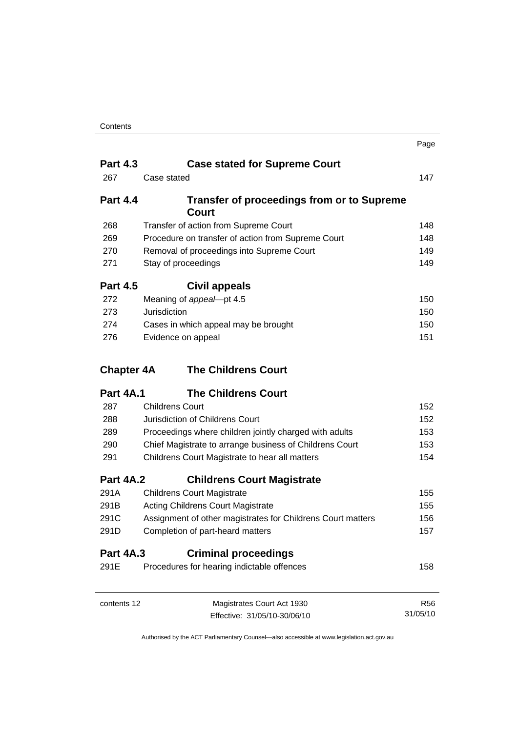|                   |                                                                                                           | Page       |
|-------------------|-----------------------------------------------------------------------------------------------------------|------------|
| <b>Part 4.3</b>   | <b>Case stated for Supreme Court</b>                                                                      |            |
| 267               | Case stated                                                                                               | 147        |
| <b>Part 4.4</b>   | <b>Transfer of proceedings from or to Supreme</b><br>Court                                                |            |
| 268               | Transfer of action from Supreme Court                                                                     | 148        |
| 269               | Procedure on transfer of action from Supreme Court                                                        | 148        |
| 270               | Removal of proceedings into Supreme Court                                                                 | 149        |
| 271               | Stay of proceedings                                                                                       | 149        |
| <b>Part 4.5</b>   | Civil appeals                                                                                             |            |
| 272               | Meaning of appeal-pt 4.5                                                                                  | 150        |
| 273               | Jurisdiction                                                                                              | 150        |
| 274               | Cases in which appeal may be brought                                                                      | 150        |
| 276               | Evidence on appeal                                                                                        | 151        |
| <b>Chapter 4A</b> | <b>The Childrens Court</b>                                                                                |            |
|                   |                                                                                                           |            |
| <b>Part 4A.1</b>  | <b>The Childrens Court</b>                                                                                |            |
| 287               | <b>Childrens Court</b>                                                                                    | 152        |
| 288               | Jurisdiction of Childrens Court                                                                           | 152        |
| 289               | Proceedings where children jointly charged with adults                                                    | 153        |
| 290               |                                                                                                           | 153        |
| 291               | Chief Magistrate to arrange business of Childrens Court<br>Childrens Court Magistrate to hear all matters | 154        |
| <b>Part 4A.2</b>  | <b>Childrens Court Magistrate</b>                                                                         |            |
| 291A              | <b>Childrens Court Magistrate</b>                                                                         | 155        |
| 291B              | <b>Acting Childrens Court Magistrate</b>                                                                  | 155        |
| 291C              | Assignment of other magistrates for Childrens Court matters                                               | 156        |
| 291D              | Completion of part-heard matters                                                                          | 157        |
| <b>Part 4A.3</b>  | <b>Criminal proceedings</b>                                                                               |            |
| 291E              | Procedures for hearing indictable offences                                                                | 158        |
| contents 12       | Magistrates Court Act 1930                                                                                | <b>R56</b> |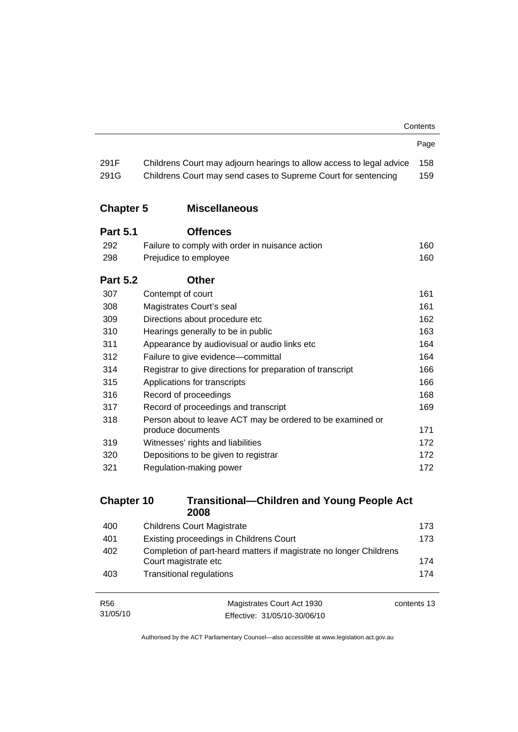|                   |                                                                                            | Contents   |
|-------------------|--------------------------------------------------------------------------------------------|------------|
|                   |                                                                                            | Page       |
| 291F              | Childrens Court may adjourn hearings to allow access to legal advice                       | 158        |
| 291G              | Childrens Court may send cases to Supreme Court for sentencing                             | 159        |
| <b>Chapter 5</b>  | <b>Miscellaneous</b>                                                                       |            |
| <b>Part 5.1</b>   | <b>Offences</b>                                                                            |            |
| 292               | Failure to comply with order in nuisance action                                            | 160        |
| 298               | Prejudice to employee                                                                      | 160        |
| <b>Part 5.2</b>   | <b>Other</b>                                                                               |            |
| 307               | Contempt of court                                                                          | 161        |
| 308               | Magistrates Court's seal                                                                   | 161        |
| 309               | Directions about procedure etc                                                             | 162        |
| 310               | Hearings generally to be in public                                                         | 163        |
| 311               | Appearance by audiovisual or audio links etc                                               | 164        |
| 312               | Failure to give evidence-committal                                                         |            |
| 314               | Registrar to give directions for preparation of transcript                                 |            |
| 315               | Applications for transcripts                                                               |            |
| 316               | Record of proceedings                                                                      |            |
| 317               | Record of proceedings and transcript                                                       |            |
| 318               | Person about to leave ACT may be ordered to be examined or<br>produce documents            |            |
| 319               | Witnesses' rights and liabilities                                                          | 171<br>172 |
| 320               | Depositions to be given to registrar                                                       | 172        |
| 321               | Regulation-making power                                                                    |            |
|                   |                                                                                            |            |
| <b>Chapter 10</b> | <b>Transitional-Children and Young People Act</b><br>2008                                  |            |
| 400               | <b>Childrens Court Magistrate</b>                                                          | 173        |
| 401               | Existing proceedings in Childrens Court                                                    | 173        |
| 402               | Completion of part-heard matters if magistrate no longer Childrens<br>Court magistrate etc | 174        |

| R56      | Magistrates Court Act 1930   | contents 13 |
|----------|------------------------------|-------------|
| 31/05/10 | Effective: 31/05/10-30/06/10 |             |

403 Transitional regulations [174](#page-189-0)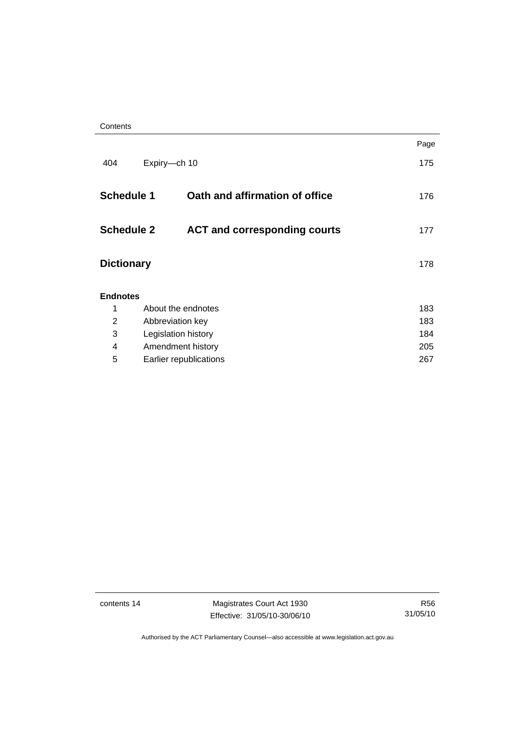**Contents** 

|                   |                     |                                     | Page |
|-------------------|---------------------|-------------------------------------|------|
| 404               | Expiry-ch 10        |                                     | 175  |
| <b>Schedule 1</b> |                     | Oath and affirmation of office      | 176  |
| <b>Schedule 2</b> |                     | <b>ACT and corresponding courts</b> | 177  |
| <b>Dictionary</b> |                     |                                     | 178  |
| <b>Endnotes</b>   |                     |                                     |      |
| 1                 | About the endnotes  |                                     | 183  |
| 2                 | Abbreviation key    |                                     | 183  |
| 3                 | Legislation history |                                     | 184  |
| 4                 | Amendment history   |                                     |      |
| 5                 |                     | Earlier republications              | 267  |
|                   |                     |                                     |      |

contents 14 Magistrates Court Act 1930 Effective: 31/05/10-30/06/10

R56 31/05/10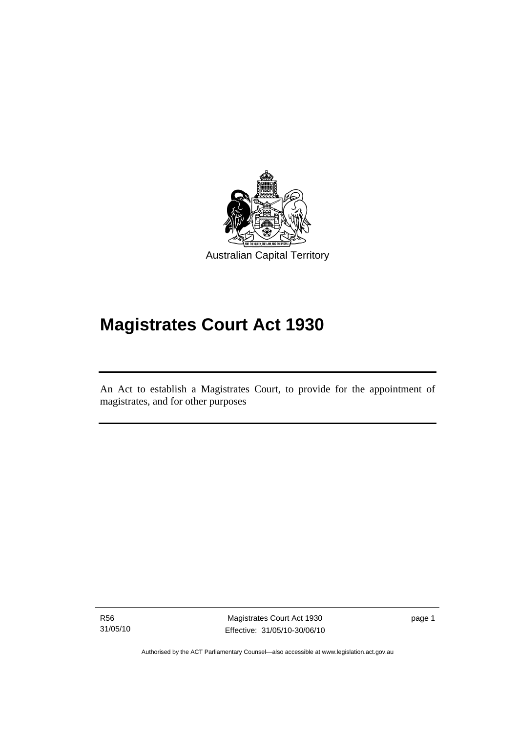<span id="page-16-0"></span>

# **Magistrates Court Act 1930**

An Act to establish a Magistrates Court, to provide for the appointment of magistrates, and for other purposes

R56 31/05/10

Ī

Magistrates Court Act 1930 Effective: 31/05/10-30/06/10 page 1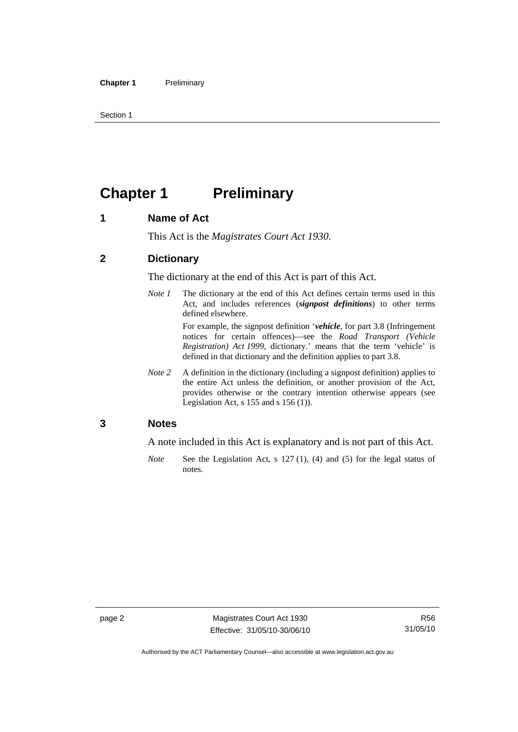<span id="page-17-0"></span>Section 1

### **Chapter 1** Preliminary

#### **1 Name of Act**

This Act is the *Magistrates Court Act 1930*.

#### **2 Dictionary**

The dictionary at the end of this Act is part of this Act.

*Note 1* The dictionary at the end of this Act defines certain terms used in this Act, and includes references (*signpost definitions*) to other terms defined elsewhere.

> For example, the signpost definition '*vehicle*, for part 3.8 (Infringement notices for certain offences)—see the *Road Transport (Vehicle Registration) Act 1999*, dictionary.' means that the term 'vehicle' is defined in that dictionary and the definition applies to part 3.8.

*Note 2* A definition in the dictionary (including a signpost definition) applies to the entire Act unless the definition, or another provision of the Act, provides otherwise or the contrary intention otherwise appears (see Legislation Act, s 155 and s 156 (1)).

#### **3 Notes**

A note included in this Act is explanatory and is not part of this Act.

*Note* See the Legislation Act, s 127 (1), (4) and (5) for the legal status of notes.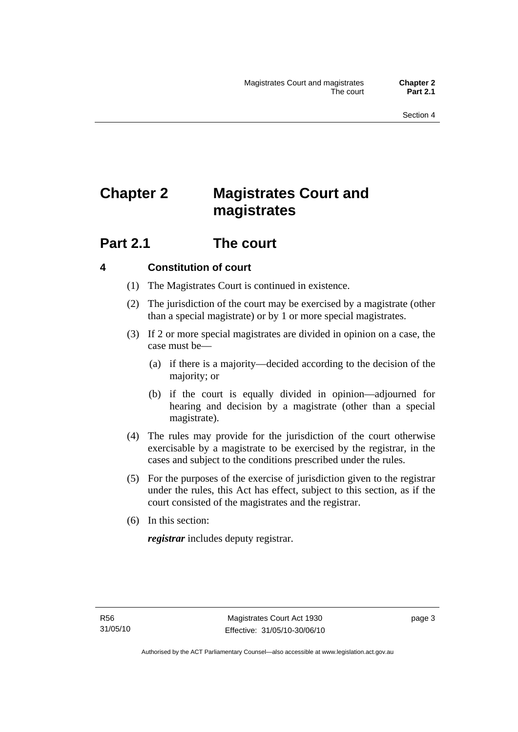## <span id="page-18-0"></span>**Chapter 2 Magistrates Court and magistrates**

### **Part 2.1 The court**

#### **4 Constitution of court**

- (1) The Magistrates Court is continued in existence.
- (2) The jurisdiction of the court may be exercised by a magistrate (other than a special magistrate) or by 1 or more special magistrates.
- (3) If 2 or more special magistrates are divided in opinion on a case, the case must be—
	- (a) if there is a majority—decided according to the decision of the majority; or
	- (b) if the court is equally divided in opinion—adjourned for hearing and decision by a magistrate (other than a special magistrate).
- (4) The rules may provide for the jurisdiction of the court otherwise exercisable by a magistrate to be exercised by the registrar, in the cases and subject to the conditions prescribed under the rules.
- (5) For the purposes of the exercise of jurisdiction given to the registrar under the rules, this Act has effect, subject to this section, as if the court consisted of the magistrates and the registrar.
- (6) In this section:

*registrar* includes deputy registrar.

page 3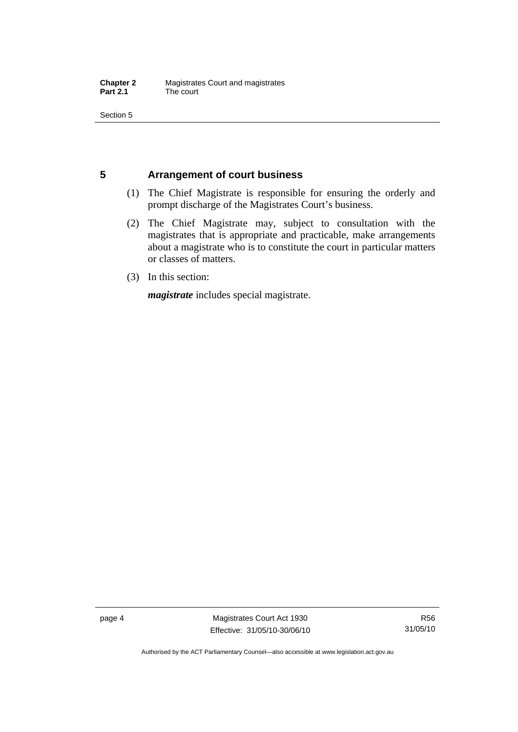<span id="page-19-0"></span>Section 5

#### **5 Arrangement of court business**

- (1) The Chief Magistrate is responsible for ensuring the orderly and prompt discharge of the Magistrates Court's business.
- (2) The Chief Magistrate may, subject to consultation with the magistrates that is appropriate and practicable, make arrangements about a magistrate who is to constitute the court in particular matters or classes of matters.
- (3) In this section:

*magistrate* includes special magistrate.

page 4 Magistrates Court Act 1930 Effective: 31/05/10-30/06/10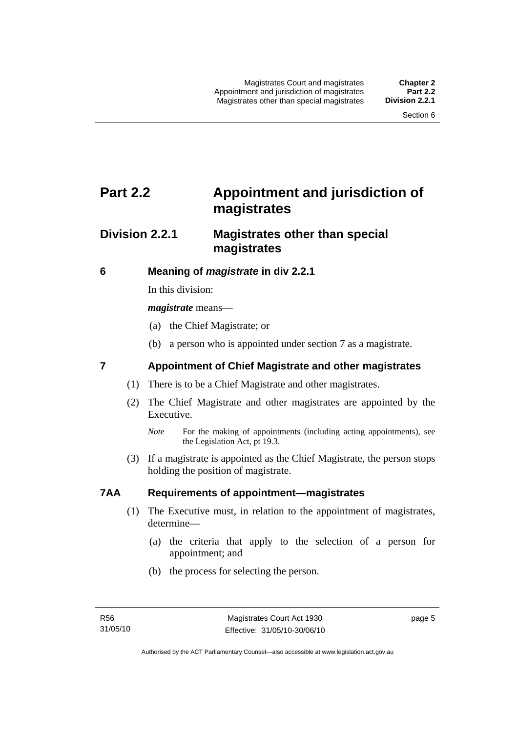### <span id="page-20-0"></span>**Part 2.2 Appointment and jurisdiction of magistrates**

### **Division 2.2.1 Magistrates other than special magistrates**

#### **6 Meaning of** *magistrate* **in div 2.2.1**

In this division:

*magistrate* means—

- (a) the Chief Magistrate; or
- (b) a person who is appointed under section 7 as a magistrate.

#### **7 Appointment of Chief Magistrate and other magistrates**

- (1) There is to be a Chief Magistrate and other magistrates.
- (2) The Chief Magistrate and other magistrates are appointed by the Executive.

 (3) If a magistrate is appointed as the Chief Magistrate, the person stops holding the position of magistrate.

#### **7AA Requirements of appointment—magistrates**

- (1) The Executive must, in relation to the appointment of magistrates, determine—
	- (a) the criteria that apply to the selection of a person for appointment; and
	- (b) the process for selecting the person.

*Note* For the making of appointments (including acting appointments), see the Legislation Act, pt 19.3.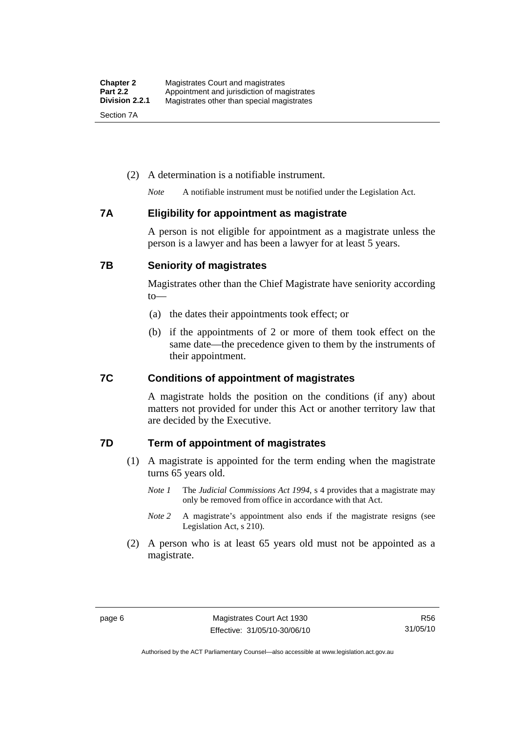#### <span id="page-21-0"></span>(2) A determination is a notifiable instrument.

*Note* A notifiable instrument must be notified under the Legislation Act.

#### **7A Eligibility for appointment as magistrate**

A person is not eligible for appointment as a magistrate unless the person is a lawyer and has been a lawyer for at least 5 years.

#### **7B Seniority of magistrates**

Magistrates other than the Chief Magistrate have seniority according to—

- (a) the dates their appointments took effect; or
- (b) if the appointments of 2 or more of them took effect on the same date—the precedence given to them by the instruments of their appointment.

#### **7C Conditions of appointment of magistrates**

A magistrate holds the position on the conditions (if any) about matters not provided for under this Act or another territory law that are decided by the Executive.

#### **7D Term of appointment of magistrates**

- (1) A magistrate is appointed for the term ending when the magistrate turns 65 years old.
	- *Note 1* The *Judicial Commissions Act 1994*, s 4 provides that a magistrate may only be removed from office in accordance with that Act.
	- *Note* 2 A magistrate's appointment also ends if the magistrate resigns (see Legislation Act, s 210).
- (2) A person who is at least 65 years old must not be appointed as a magistrate.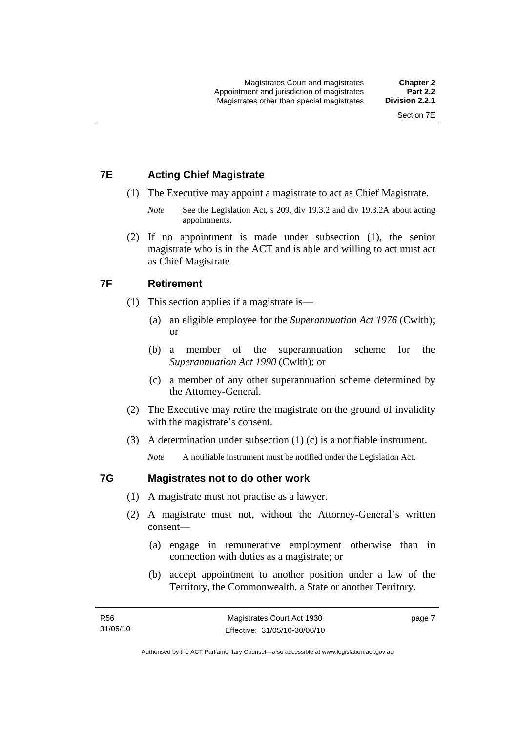#### <span id="page-22-0"></span>**7E Acting Chief Magistrate**

- (1) The Executive may appoint a magistrate to act as Chief Magistrate.
	- *Note* See the Legislation Act, s 209, div 19.3.2 and div 19.3.2A about acting appointments.
- (2) If no appointment is made under subsection (1), the senior magistrate who is in the ACT and is able and willing to act must act as Chief Magistrate.

#### **7F Retirement**

- (1) This section applies if a magistrate is—
	- (a) an eligible employee for the *Superannuation Act 1976* (Cwlth); or
	- (b) a member of the superannuation scheme for the *Superannuation Act 1990* (Cwlth); or
	- (c) a member of any other superannuation scheme determined by the Attorney-General.
- (2) The Executive may retire the magistrate on the ground of invalidity with the magistrate's consent.
- (3) A determination under subsection (1) (c) is a notifiable instrument.

*Note* A notifiable instrument must be notified under the Legislation Act.

#### **7G Magistrates not to do other work**

- (1) A magistrate must not practise as a lawyer.
- (2) A magistrate must not, without the Attorney-General's written consent—
	- (a) engage in remunerative employment otherwise than in connection with duties as a magistrate; or
	- (b) accept appointment to another position under a law of the Territory, the Commonwealth, a State or another Territory.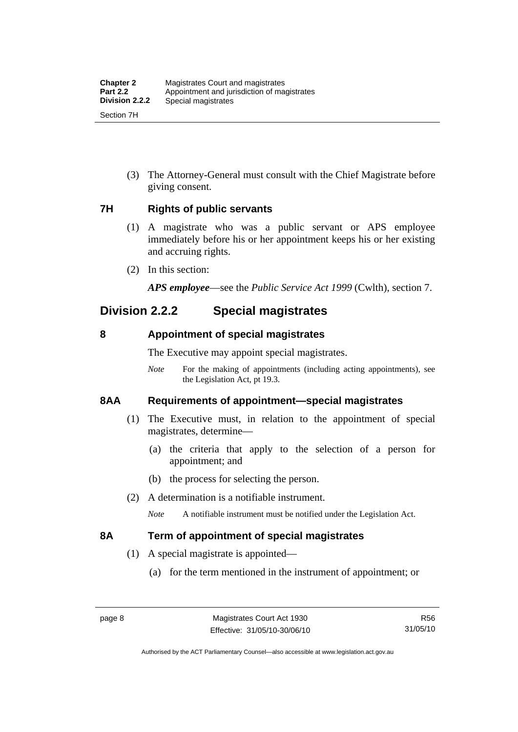<span id="page-23-0"></span> (3) The Attorney-General must consult with the Chief Magistrate before giving consent.

#### **7H Rights of public servants**

- (1) A magistrate who was a public servant or APS employee immediately before his or her appointment keeps his or her existing and accruing rights.
- (2) In this section:

*APS employee*—see the *Public Service Act 1999* (Cwlth), section 7.

### **Division 2.2.2 Special magistrates**

#### **8 Appointment of special magistrates**

The Executive may appoint special magistrates.

*Note* For the making of appointments (including acting appointments), see the Legislation Act, pt 19.3.

#### **8AA Requirements of appointment—special magistrates**

- (1) The Executive must, in relation to the appointment of special magistrates, determine—
	- (a) the criteria that apply to the selection of a person for appointment; and
	- (b) the process for selecting the person.
- (2) A determination is a notifiable instrument.

*Note* A notifiable instrument must be notified under the Legislation Act.

#### **8A Term of appointment of special magistrates**

- (1) A special magistrate is appointed—
	- (a) for the term mentioned in the instrument of appointment; or

Authorised by the ACT Parliamentary Counsel—also accessible at www.legislation.act.gov.au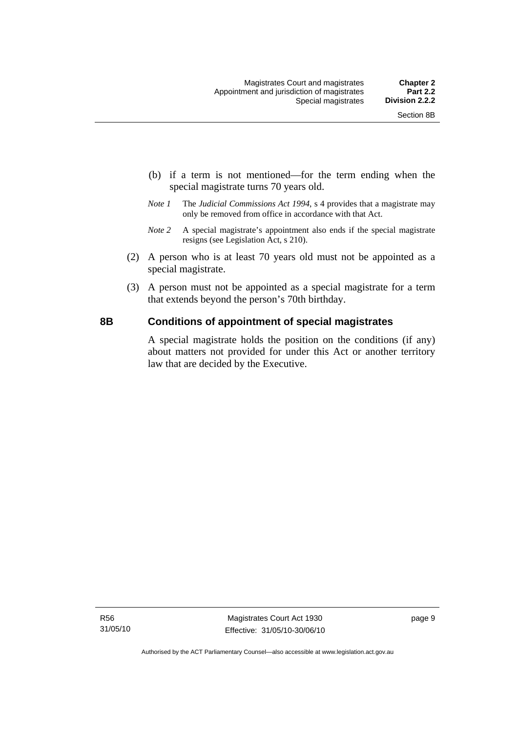- <span id="page-24-0"></span> (b) if a term is not mentioned—for the term ending when the special magistrate turns 70 years old.
- *Note 1* The *Judicial Commissions Act 1994*, s 4 provides that a magistrate may only be removed from office in accordance with that Act.
- *Note 2* A special magistrate's appointment also ends if the special magistrate resigns (see Legislation Act, s 210).
- (2) A person who is at least 70 years old must not be appointed as a special magistrate.
- (3) A person must not be appointed as a special magistrate for a term that extends beyond the person's 70th birthday.

#### **8B Conditions of appointment of special magistrates**

A special magistrate holds the position on the conditions (if any) about matters not provided for under this Act or another territory law that are decided by the Executive.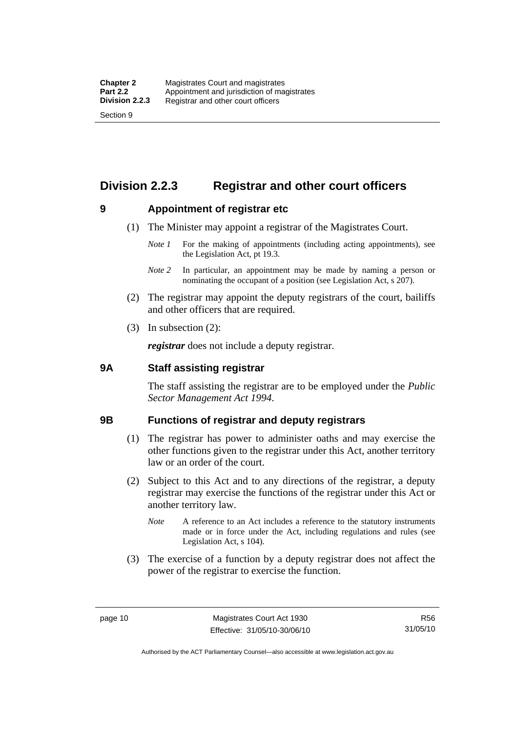### <span id="page-25-0"></span>**Division 2.2.3 Registrar and other court officers**

#### **9 Appointment of registrar etc**

- (1) The Minister may appoint a registrar of the Magistrates Court.
	- *Note 1* For the making of appointments (including acting appointments), see the Legislation Act, pt 19.3.
	- *Note 2* In particular, an appointment may be made by naming a person or nominating the occupant of a position (see Legislation Act, s 207).
- (2) The registrar may appoint the deputy registrars of the court, bailiffs and other officers that are required.
- (3) In subsection (2):

*registrar* does not include a deputy registrar.

#### **9A Staff assisting registrar**

The staff assisting the registrar are to be employed under the *Public Sector Management Act 1994*.

#### **9B Functions of registrar and deputy registrars**

- (1) The registrar has power to administer oaths and may exercise the other functions given to the registrar under this Act, another territory law or an order of the court.
- (2) Subject to this Act and to any directions of the registrar, a deputy registrar may exercise the functions of the registrar under this Act or another territory law.
	- *Note* A reference to an Act includes a reference to the statutory instruments made or in force under the Act, including regulations and rules (see Legislation Act, s 104).
- (3) The exercise of a function by a deputy registrar does not affect the power of the registrar to exercise the function.

R56 31/05/10

Authorised by the ACT Parliamentary Counsel—also accessible at www.legislation.act.gov.au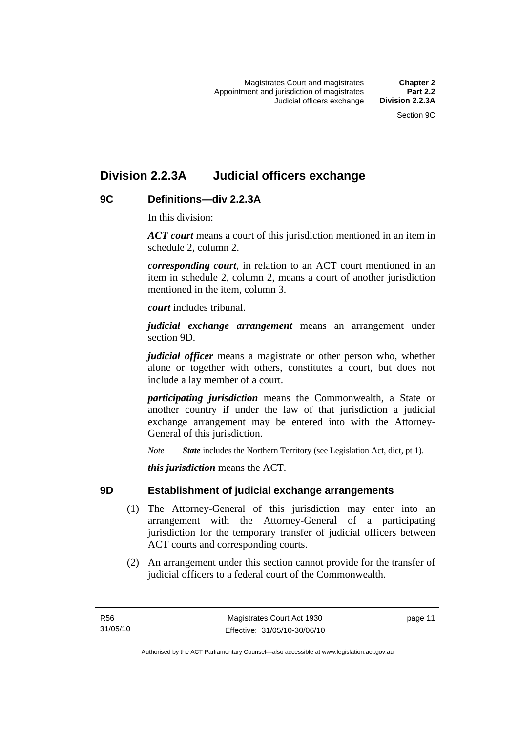### <span id="page-26-0"></span>**Division 2.2.3A Judicial officers exchange**

#### **9C Definitions—div 2.2.3A**

In this division:

*ACT court* means a court of this jurisdiction mentioned in an item in schedule 2, column 2.

*corresponding court*, in relation to an ACT court mentioned in an item in schedule 2, column 2, means a court of another jurisdiction mentioned in the item, column 3.

*court* includes tribunal.

*judicial exchange arrangement* means an arrangement under section 9D.

*judicial officer* means a magistrate or other person who, whether alone or together with others, constitutes a court, but does not include a lay member of a court.

*participating jurisdiction* means the Commonwealth, a State or another country if under the law of that jurisdiction a judicial exchange arrangement may be entered into with the Attorney-General of this jurisdiction.

*Note State* includes the Northern Territory (see Legislation Act, dict, pt 1).

*this jurisdiction* means the ACT.

#### **9D Establishment of judicial exchange arrangements**

- (1) The Attorney-General of this jurisdiction may enter into an arrangement with the Attorney-General of a participating jurisdiction for the temporary transfer of judicial officers between ACT courts and corresponding courts.
- (2) An arrangement under this section cannot provide for the transfer of judicial officers to a federal court of the Commonwealth.

page 11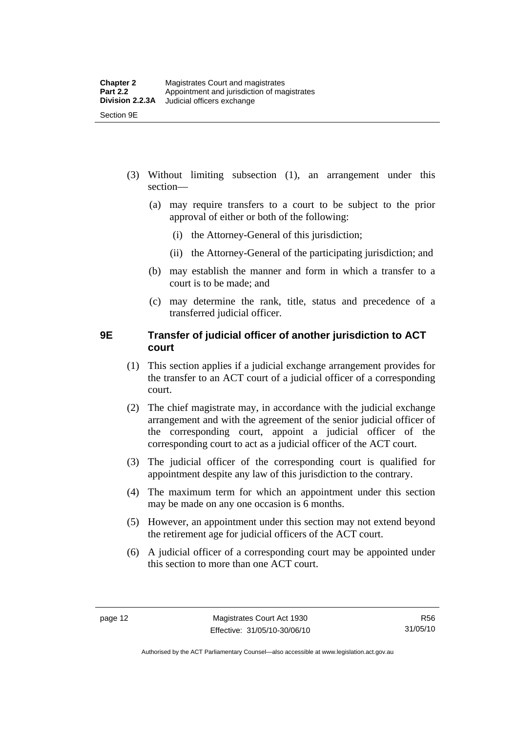- <span id="page-27-0"></span> (3) Without limiting subsection (1), an arrangement under this section—
	- (a) may require transfers to a court to be subject to the prior approval of either or both of the following:
		- (i) the Attorney-General of this jurisdiction;
		- (ii) the Attorney-General of the participating jurisdiction; and
	- (b) may establish the manner and form in which a transfer to a court is to be made; and
	- (c) may determine the rank, title, status and precedence of a transferred judicial officer.

#### **9E Transfer of judicial officer of another jurisdiction to ACT court**

- (1) This section applies if a judicial exchange arrangement provides for the transfer to an ACT court of a judicial officer of a corresponding court.
- (2) The chief magistrate may, in accordance with the judicial exchange arrangement and with the agreement of the senior judicial officer of the corresponding court, appoint a judicial officer of the corresponding court to act as a judicial officer of the ACT court.
- (3) The judicial officer of the corresponding court is qualified for appointment despite any law of this jurisdiction to the contrary.
- (4) The maximum term for which an appointment under this section may be made on any one occasion is 6 months.
- (5) However, an appointment under this section may not extend beyond the retirement age for judicial officers of the ACT court.
- (6) A judicial officer of a corresponding court may be appointed under this section to more than one ACT court.

Authorised by the ACT Parliamentary Counsel—also accessible at www.legislation.act.gov.au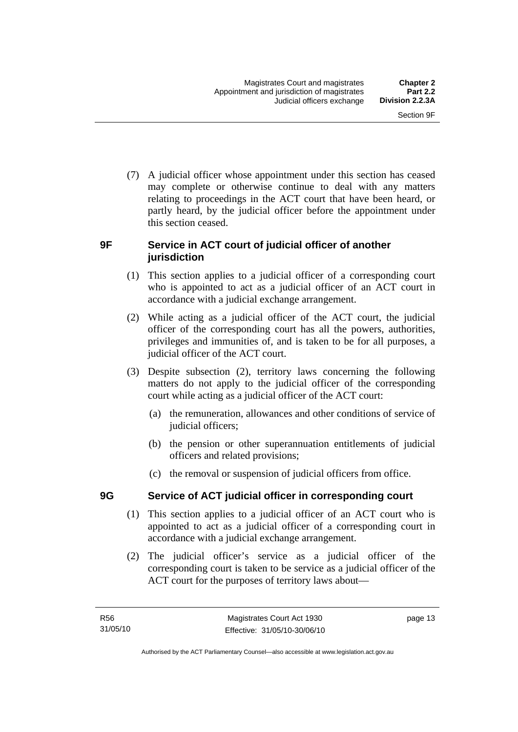<span id="page-28-0"></span> (7) A judicial officer whose appointment under this section has ceased may complete or otherwise continue to deal with any matters relating to proceedings in the ACT court that have been heard, or partly heard, by the judicial officer before the appointment under this section ceased.

#### **9F Service in ACT court of judicial officer of another jurisdiction**

- (1) This section applies to a judicial officer of a corresponding court who is appointed to act as a judicial officer of an ACT court in accordance with a judicial exchange arrangement.
- (2) While acting as a judicial officer of the ACT court, the judicial officer of the corresponding court has all the powers, authorities, privileges and immunities of, and is taken to be for all purposes, a judicial officer of the ACT court.
- (3) Despite subsection (2), territory laws concerning the following matters do not apply to the judicial officer of the corresponding court while acting as a judicial officer of the ACT court:
	- (a) the remuneration, allowances and other conditions of service of judicial officers;
	- (b) the pension or other superannuation entitlements of judicial officers and related provisions;
	- (c) the removal or suspension of judicial officers from office.

#### **9G Service of ACT judicial officer in corresponding court**

- (1) This section applies to a judicial officer of an ACT court who is appointed to act as a judicial officer of a corresponding court in accordance with a judicial exchange arrangement.
- (2) The judicial officer's service as a judicial officer of the corresponding court is taken to be service as a judicial officer of the ACT court for the purposes of territory laws about—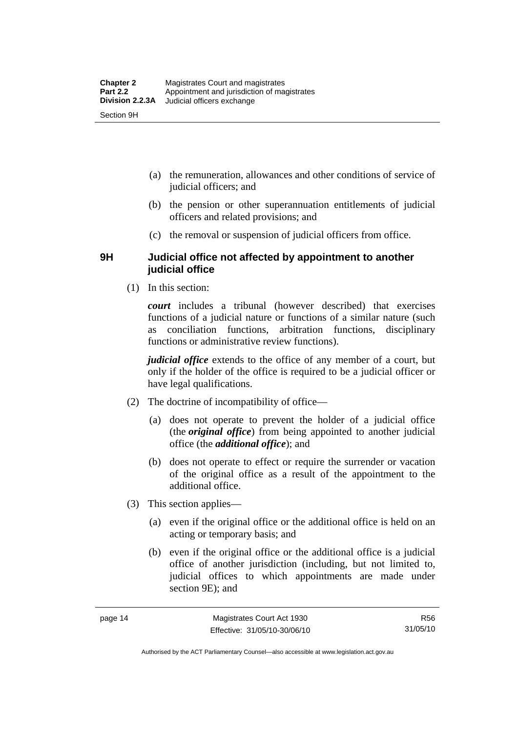- <span id="page-29-0"></span> (a) the remuneration, allowances and other conditions of service of judicial officers; and
- (b) the pension or other superannuation entitlements of judicial officers and related provisions; and
- (c) the removal or suspension of judicial officers from office.

#### **9H Judicial office not affected by appointment to another judicial office**

(1) In this section:

*court* includes a tribunal (however described) that exercises functions of a judicial nature or functions of a similar nature (such as conciliation functions, arbitration functions, disciplinary functions or administrative review functions).

*judicial office* extends to the office of any member of a court, but only if the holder of the office is required to be a judicial officer or have legal qualifications.

- (2) The doctrine of incompatibility of office—
	- (a) does not operate to prevent the holder of a judicial office (the *original office*) from being appointed to another judicial office (the *additional office*); and
	- (b) does not operate to effect or require the surrender or vacation of the original office as a result of the appointment to the additional office.
- (3) This section applies—
	- (a) even if the original office or the additional office is held on an acting or temporary basis; and
	- (b) even if the original office or the additional office is a judicial office of another jurisdiction (including, but not limited to, judicial offices to which appointments are made under section 9E); and

Authorised by the ACT Parliamentary Counsel—also accessible at www.legislation.act.gov.au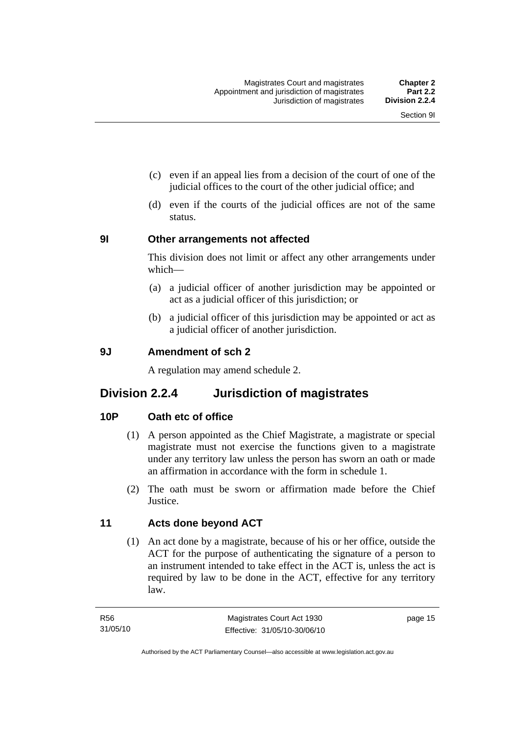- <span id="page-30-0"></span> (c) even if an appeal lies from a decision of the court of one of the judicial offices to the court of the other judicial office; and
- (d) even if the courts of the judicial offices are not of the same status.

#### **9I Other arrangements not affected**

This division does not limit or affect any other arrangements under which—

- (a) a judicial officer of another jurisdiction may be appointed or act as a judicial officer of this jurisdiction; or
- (b) a judicial officer of this jurisdiction may be appointed or act as a judicial officer of another jurisdiction.

#### **9J Amendment of sch 2**

A regulation may amend schedule 2.

#### **Division 2.2.4 Jurisdiction of magistrates**

#### **10P Oath etc of office**

- (1) A person appointed as the Chief Magistrate, a magistrate or special magistrate must not exercise the functions given to a magistrate under any territory law unless the person has sworn an oath or made an affirmation in accordance with the form in schedule 1.
- (2) The oath must be sworn or affirmation made before the Chief **Justice**

#### **11 Acts done beyond ACT**

 (1) An act done by a magistrate, because of his or her office, outside the ACT for the purpose of authenticating the signature of a person to an instrument intended to take effect in the ACT is, unless the act is required by law to be done in the ACT, effective for any territory law.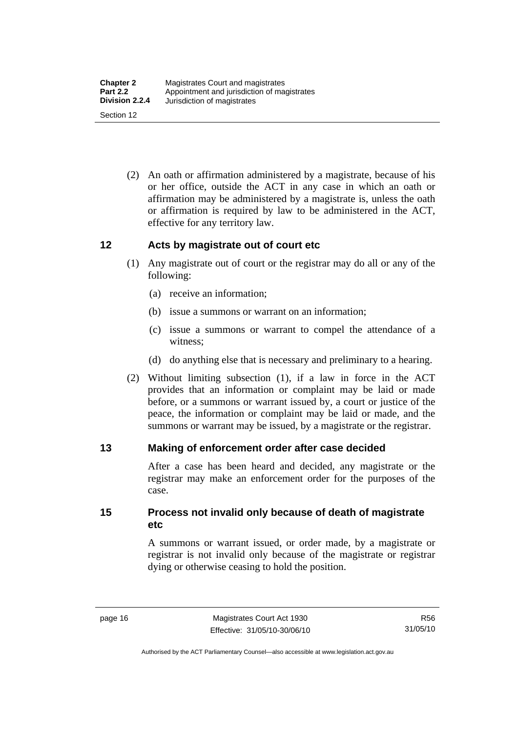<span id="page-31-0"></span> (2) An oath or affirmation administered by a magistrate, because of his or her office, outside the ACT in any case in which an oath or affirmation may be administered by a magistrate is, unless the oath or affirmation is required by law to be administered in the ACT, effective for any territory law.

#### **12 Acts by magistrate out of court etc**

- (1) Any magistrate out of court or the registrar may do all or any of the following:
	- (a) receive an information;
	- (b) issue a summons or warrant on an information;
	- (c) issue a summons or warrant to compel the attendance of a witness;
	- (d) do anything else that is necessary and preliminary to a hearing.
- (2) Without limiting subsection (1), if a law in force in the ACT provides that an information or complaint may be laid or made before, or a summons or warrant issued by, a court or justice of the peace, the information or complaint may be laid or made, and the summons or warrant may be issued, by a magistrate or the registrar.

#### **13 Making of enforcement order after case decided**

After a case has been heard and decided, any magistrate or the registrar may make an enforcement order for the purposes of the case.

**15 Process not invalid only because of death of magistrate etc** 

> A summons or warrant issued, or order made, by a magistrate or registrar is not invalid only because of the magistrate or registrar dying or otherwise ceasing to hold the position.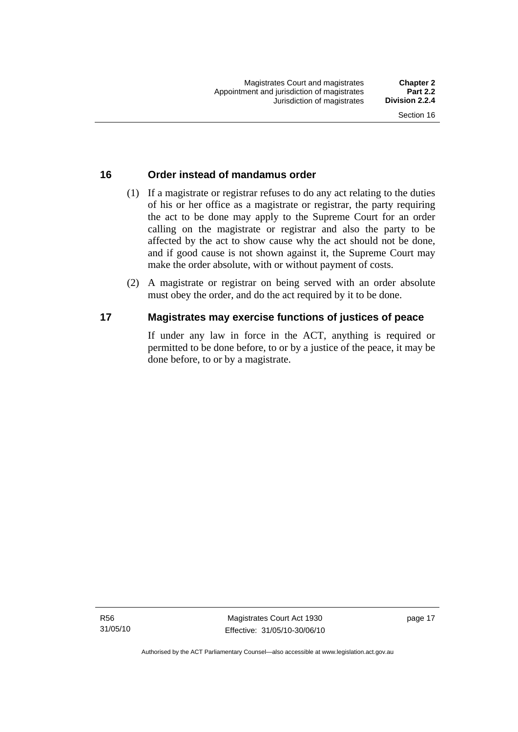#### <span id="page-32-0"></span>**16 Order instead of mandamus order**

- (1) If a magistrate or registrar refuses to do any act relating to the duties of his or her office as a magistrate or registrar, the party requiring the act to be done may apply to the Supreme Court for an order calling on the magistrate or registrar and also the party to be affected by the act to show cause why the act should not be done, and if good cause is not shown against it, the Supreme Court may make the order absolute, with or without payment of costs.
- (2) A magistrate or registrar on being served with an order absolute must obey the order, and do the act required by it to be done.

#### **17 Magistrates may exercise functions of justices of peace**

If under any law in force in the ACT, anything is required or permitted to be done before, to or by a justice of the peace, it may be done before, to or by a magistrate.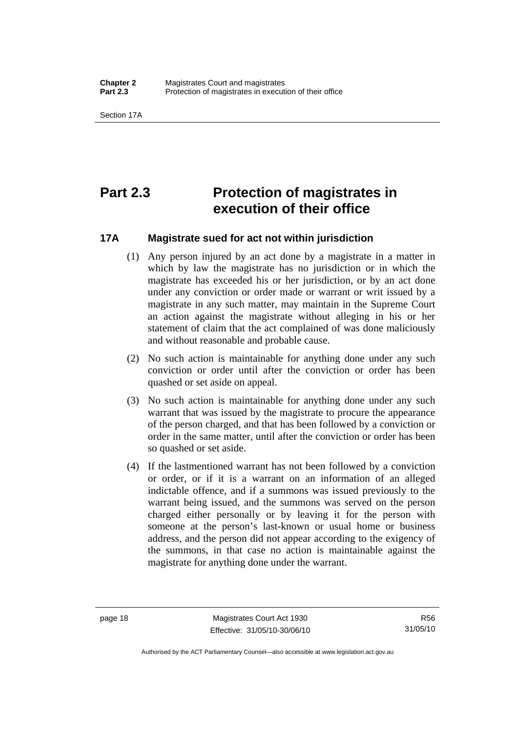<span id="page-33-0"></span>Section 17A

### **Part 2.3 Protection of magistrates in execution of their office**

#### **17A Magistrate sued for act not within jurisdiction**

- (1) Any person injured by an act done by a magistrate in a matter in which by law the magistrate has no jurisdiction or in which the magistrate has exceeded his or her jurisdiction, or by an act done under any conviction or order made or warrant or writ issued by a magistrate in any such matter, may maintain in the Supreme Court an action against the magistrate without alleging in his or her statement of claim that the act complained of was done maliciously and without reasonable and probable cause.
- (2) No such action is maintainable for anything done under any such conviction or order until after the conviction or order has been quashed or set aside on appeal.
- (3) No such action is maintainable for anything done under any such warrant that was issued by the magistrate to procure the appearance of the person charged, and that has been followed by a conviction or order in the same matter, until after the conviction or order has been so quashed or set aside.
- (4) If the lastmentioned warrant has not been followed by a conviction or order, or if it is a warrant on an information of an alleged indictable offence, and if a summons was issued previously to the warrant being issued, and the summons was served on the person charged either personally or by leaving it for the person with someone at the person's last-known or usual home or business address, and the person did not appear according to the exigency of the summons, in that case no action is maintainable against the magistrate for anything done under the warrant.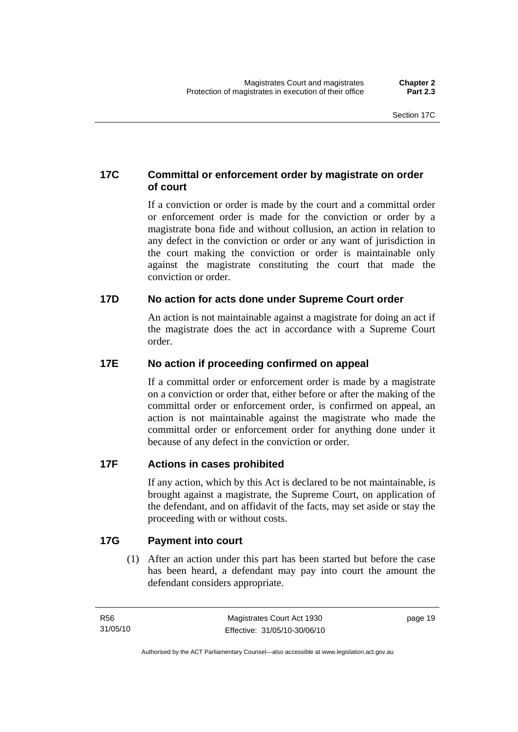#### <span id="page-34-0"></span>**17C Committal or enforcement order by magistrate on order of court**

If a conviction or order is made by the court and a committal order or enforcement order is made for the conviction or order by a magistrate bona fide and without collusion, an action in relation to any defect in the conviction or order or any want of jurisdiction in the court making the conviction or order is maintainable only against the magistrate constituting the court that made the conviction or order.

#### **17D No action for acts done under Supreme Court order**

An action is not maintainable against a magistrate for doing an act if the magistrate does the act in accordance with a Supreme Court order.

#### **17E No action if proceeding confirmed on appeal**

If a committal order or enforcement order is made by a magistrate on a conviction or order that, either before or after the making of the committal order or enforcement order, is confirmed on appeal, an action is not maintainable against the magistrate who made the committal order or enforcement order for anything done under it because of any defect in the conviction or order.

#### **17F Actions in cases prohibited**

If any action, which by this Act is declared to be not maintainable, is brought against a magistrate, the Supreme Court, on application of the defendant, and on affidavit of the facts, may set aside or stay the proceeding with or without costs.

#### **17G Payment into court**

 (1) After an action under this part has been started but before the case has been heard, a defendant may pay into court the amount the defendant considers appropriate.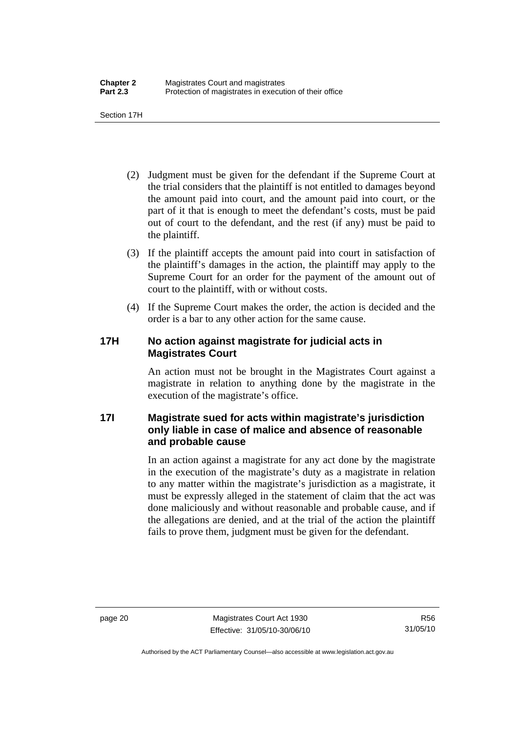<span id="page-35-0"></span>Section 17H

- (2) Judgment must be given for the defendant if the Supreme Court at the trial considers that the plaintiff is not entitled to damages beyond the amount paid into court, and the amount paid into court, or the part of it that is enough to meet the defendant's costs, must be paid out of court to the defendant, and the rest (if any) must be paid to the plaintiff.
- (3) If the plaintiff accepts the amount paid into court in satisfaction of the plaintiff's damages in the action, the plaintiff may apply to the Supreme Court for an order for the payment of the amount out of court to the plaintiff, with or without costs.
- (4) If the Supreme Court makes the order, the action is decided and the order is a bar to any other action for the same cause.

#### **17H No action against magistrate for judicial acts in Magistrates Court**

An action must not be brought in the Magistrates Court against a magistrate in relation to anything done by the magistrate in the execution of the magistrate's office.

#### **17I Magistrate sued for acts within magistrate's jurisdiction only liable in case of malice and absence of reasonable and probable cause**

In an action against a magistrate for any act done by the magistrate in the execution of the magistrate's duty as a magistrate in relation to any matter within the magistrate's jurisdiction as a magistrate, it must be expressly alleged in the statement of claim that the act was done maliciously and without reasonable and probable cause, and if the allegations are denied, and at the trial of the action the plaintiff fails to prove them, judgment must be given for the defendant.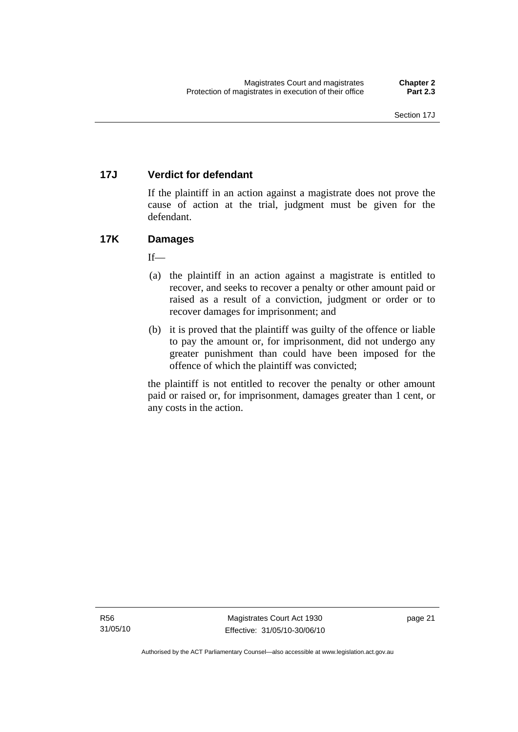# **17J Verdict for defendant**

If the plaintiff in an action against a magistrate does not prove the cause of action at the trial, judgment must be given for the defendant.

# **17K Damages**

 $If$ —

- (a) the plaintiff in an action against a magistrate is entitled to recover, and seeks to recover a penalty or other amount paid or raised as a result of a conviction, judgment or order or to recover damages for imprisonment; and
- (b) it is proved that the plaintiff was guilty of the offence or liable to pay the amount or, for imprisonment, did not undergo any greater punishment than could have been imposed for the offence of which the plaintiff was convicted;

the plaintiff is not entitled to recover the penalty or other amount paid or raised or, for imprisonment, damages greater than 1 cent, or any costs in the action.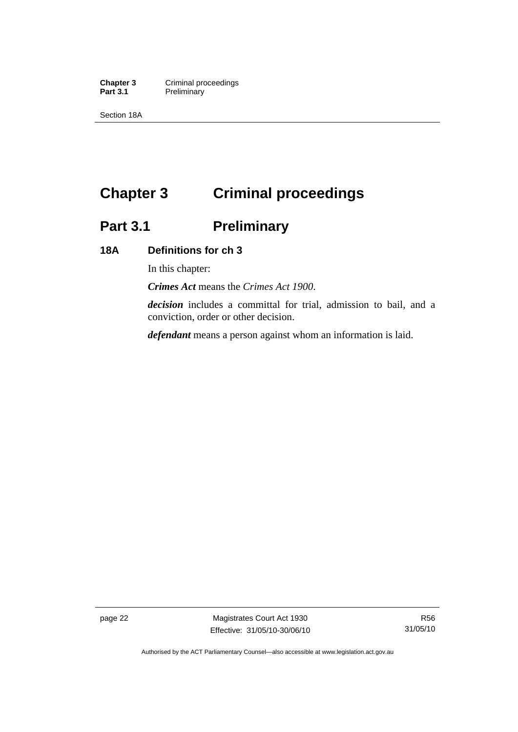**Chapter 3 Criminal proceedings**<br> **Part 3.1 Preliminary Preliminary** 

Section 18A

# **Chapter 3 Criminal proceedings**

# **Part 3.1 Preliminary**

# **18A Definitions for ch 3**

In this chapter:

*Crimes Act* means the *Crimes Act 1900*.

*decision* includes a committal for trial, admission to bail, and a conviction, order or other decision.

*defendant* means a person against whom an information is laid.

page 22 Magistrates Court Act 1930 Effective: 31/05/10-30/06/10

R56 31/05/10

Authorised by the ACT Parliamentary Counsel—also accessible at www.legislation.act.gov.au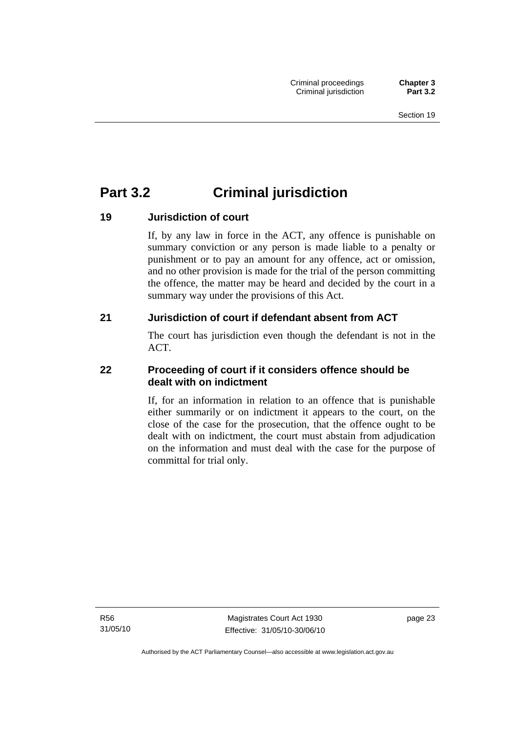# **Part 3.2 Criminal jurisdiction**

# **19 Jurisdiction of court**

If, by any law in force in the ACT, any offence is punishable on summary conviction or any person is made liable to a penalty or punishment or to pay an amount for any offence, act or omission, and no other provision is made for the trial of the person committing the offence, the matter may be heard and decided by the court in a summary way under the provisions of this Act.

# **21 Jurisdiction of court if defendant absent from ACT**

The court has jurisdiction even though the defendant is not in the ACT.

# **22 Proceeding of court if it considers offence should be dealt with on indictment**

If, for an information in relation to an offence that is punishable either summarily or on indictment it appears to the court, on the close of the case for the prosecution, that the offence ought to be dealt with on indictment, the court must abstain from adjudication on the information and must deal with the case for the purpose of committal for trial only.

R56 31/05/10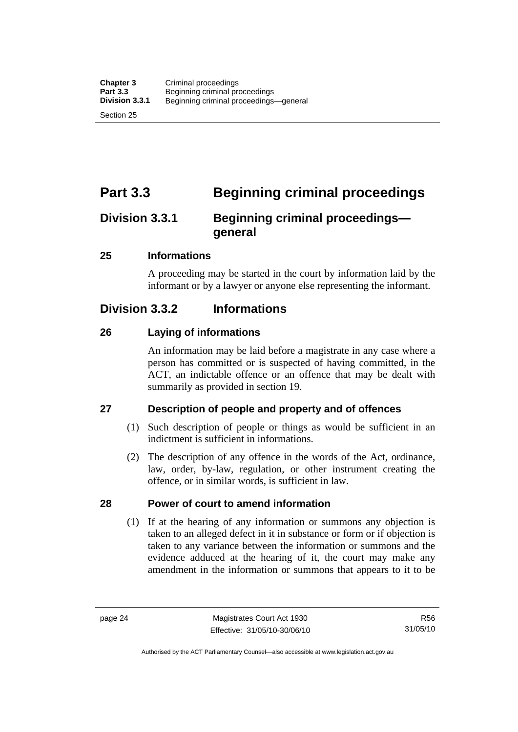Section 25

# **Part 3.3 Beginning criminal proceedings**

# **Division 3.3.1 Beginning criminal proceedings general**

# **25 Informations**

A proceeding may be started in the court by information laid by the informant or by a lawyer or anyone else representing the informant.

# **Division 3.3.2 Informations**

# **26 Laying of informations**

An information may be laid before a magistrate in any case where a person has committed or is suspected of having committed, in the ACT, an indictable offence or an offence that may be dealt with summarily as provided in section 19.

# **27 Description of people and property and of offences**

- (1) Such description of people or things as would be sufficient in an indictment is sufficient in informations.
- (2) The description of any offence in the words of the Act, ordinance, law, order, by-law, regulation, or other instrument creating the offence, or in similar words, is sufficient in law.

# **28 Power of court to amend information**

 (1) If at the hearing of any information or summons any objection is taken to an alleged defect in it in substance or form or if objection is taken to any variance between the information or summons and the evidence adduced at the hearing of it, the court may make any amendment in the information or summons that appears to it to be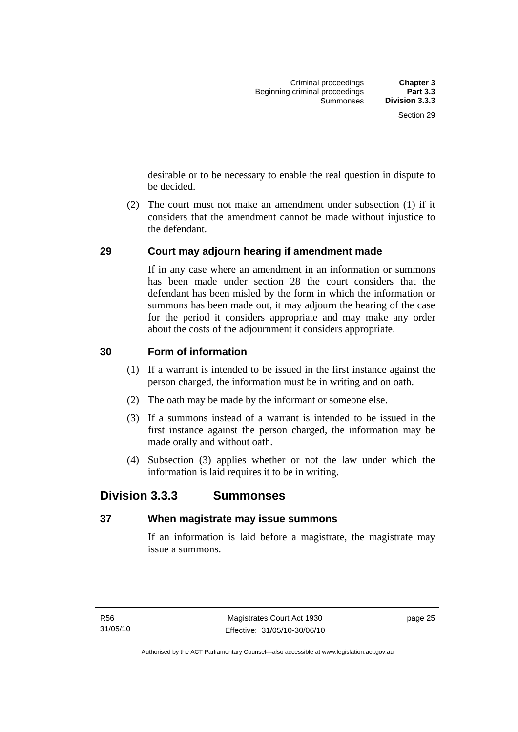desirable or to be necessary to enable the real question in dispute to be decided.

 (2) The court must not make an amendment under subsection (1) if it considers that the amendment cannot be made without injustice to the defendant.

# **29 Court may adjourn hearing if amendment made**

If in any case where an amendment in an information or summons has been made under section 28 the court considers that the defendant has been misled by the form in which the information or summons has been made out, it may adjourn the hearing of the case for the period it considers appropriate and may make any order about the costs of the adjournment it considers appropriate.

# **30 Form of information**

- (1) If a warrant is intended to be issued in the first instance against the person charged, the information must be in writing and on oath.
- (2) The oath may be made by the informant or someone else.
- (3) If a summons instead of a warrant is intended to be issued in the first instance against the person charged, the information may be made orally and without oath.
- (4) Subsection (3) applies whether or not the law under which the information is laid requires it to be in writing.

# **Division 3.3.3 Summonses**

# **37 When magistrate may issue summons**

If an information is laid before a magistrate, the magistrate may issue a summons.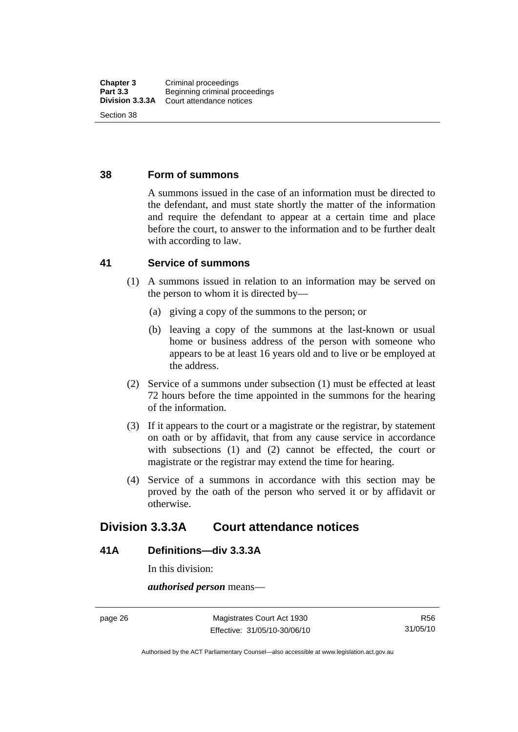### **38 Form of summons**

A summons issued in the case of an information must be directed to the defendant, and must state shortly the matter of the information and require the defendant to appear at a certain time and place before the court, to answer to the information and to be further dealt with according to law.

# **41 Service of summons**

- (1) A summons issued in relation to an information may be served on the person to whom it is directed by—
	- (a) giving a copy of the summons to the person; or
	- (b) leaving a copy of the summons at the last-known or usual home or business address of the person with someone who appears to be at least 16 years old and to live or be employed at the address.
- (2) Service of a summons under subsection (1) must be effected at least 72 hours before the time appointed in the summons for the hearing of the information.
- (3) If it appears to the court or a magistrate or the registrar, by statement on oath or by affidavit, that from any cause service in accordance with subsections (1) and (2) cannot be effected, the court or magistrate or the registrar may extend the time for hearing.
- (4) Service of a summons in accordance with this section may be proved by the oath of the person who served it or by affidavit or otherwise.

# **Division 3.3.3A Court attendance notices**

# **41A Definitions—div 3.3.3A**

In this division:

*authorised person* means—

page 26 Magistrates Court Act 1930 Effective: 31/05/10-30/06/10

Authorised by the ACT Parliamentary Counsel—also accessible at www.legislation.act.gov.au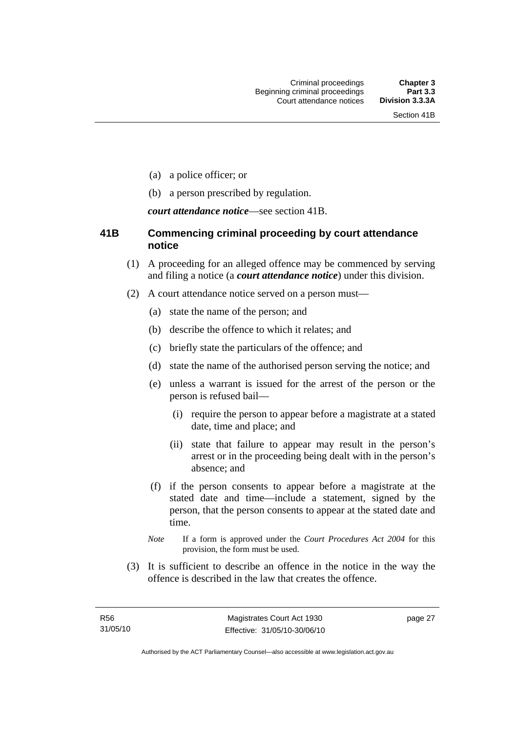- (a) a police officer; or
- (b) a person prescribed by regulation.

*court attendance notice*—see section 41B.

# **41B Commencing criminal proceeding by court attendance notice**

- (1) A proceeding for an alleged offence may be commenced by serving and filing a notice (a *court attendance notice*) under this division.
- (2) A court attendance notice served on a person must––
	- (a) state the name of the person; and
	- (b) describe the offence to which it relates; and
	- (c) briefly state the particulars of the offence; and
	- (d) state the name of the authorised person serving the notice; and
	- (e) unless a warrant is issued for the arrest of the person or the person is refused bail—
		- (i) require the person to appear before a magistrate at a stated date, time and place; and
		- (ii) state that failure to appear may result in the person's arrest or in the proceeding being dealt with in the person's absence; and
	- (f) if the person consents to appear before a magistrate at the stated date and time—include a statement, signed by the person, that the person consents to appear at the stated date and time.
	- *Note* If a form is approved under the *Court Procedures Act 2004* for this provision, the form must be used.
- (3) It is sufficient to describe an offence in the notice in the way the offence is described in the law that creates the offence.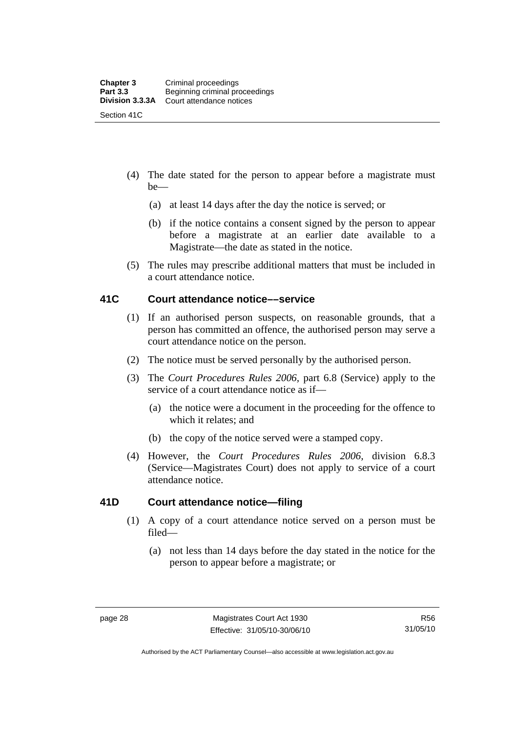- (4) The date stated for the person to appear before a magistrate must be—
	- (a) at least 14 days after the day the notice is served; or
	- (b) if the notice contains a consent signed by the person to appear before a magistrate at an earlier date available to a Magistrate—the date as stated in the notice.
- (5) The rules may prescribe additional matters that must be included in a court attendance notice.

# **41C Court attendance notice––service**

- (1) If an authorised person suspects, on reasonable grounds, that a person has committed an offence, the authorised person may serve a court attendance notice on the person.
- (2) The notice must be served personally by the authorised person.
- (3) The *Court Procedures Rules 2006,* part 6.8 (Service) apply to the service of a court attendance notice as if—
	- (a) the notice were a document in the proceeding for the offence to which it relates; and
	- (b) the copy of the notice served were a stamped copy.
- (4) However, the *Court Procedures Rules 2006,* division 6.8.3 (Service—Magistrates Court) does not apply to service of a court attendance notice.

# **41D Court attendance notice—filing**

- (1) A copy of a court attendance notice served on a person must be filed—
	- (a) not less than 14 days before the day stated in the notice for the person to appear before a magistrate; or

Authorised by the ACT Parliamentary Counsel—also accessible at www.legislation.act.gov.au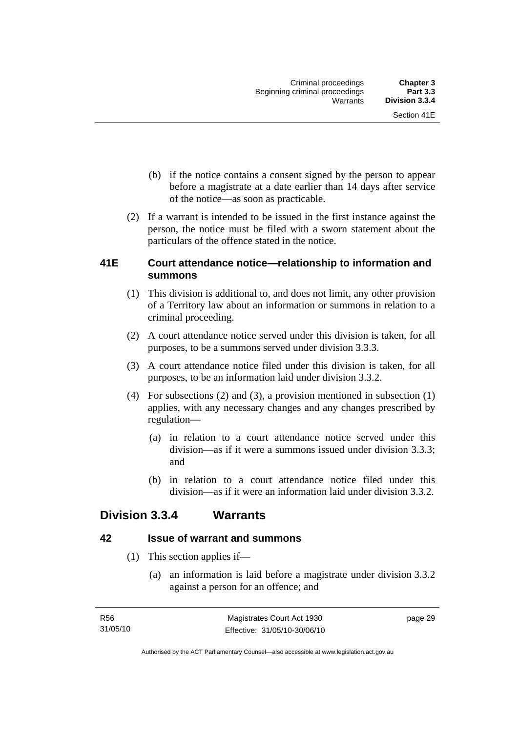- (b) if the notice contains a consent signed by the person to appear before a magistrate at a date earlier than 14 days after service of the notice—as soon as practicable.
- (2) If a warrant is intended to be issued in the first instance against the person, the notice must be filed with a sworn statement about the particulars of the offence stated in the notice.

# **41E Court attendance notice—relationship to information and summons**

- (1) This division is additional to, and does not limit, any other provision of a Territory law about an information or summons in relation to a criminal proceeding.
- (2) A court attendance notice served under this division is taken, for all purposes, to be a summons served under division 3.3.3.
- (3) A court attendance notice filed under this division is taken, for all purposes, to be an information laid under division 3.3.2.
- (4) For subsections (2) and (3), a provision mentioned in subsection (1) applies, with any necessary changes and any changes prescribed by regulation—
	- (a) in relation to a court attendance notice served under this division—as if it were a summons issued under division 3.3.3; and
	- (b) in relation to a court attendance notice filed under this division—as if it were an information laid under division 3.3.2.

# **Division 3.3.4 Warrants**

# **42 Issue of warrant and summons**

- (1) This section applies if—
	- (a) an information is laid before a magistrate under division 3.3.2 against a person for an offence; and

page 29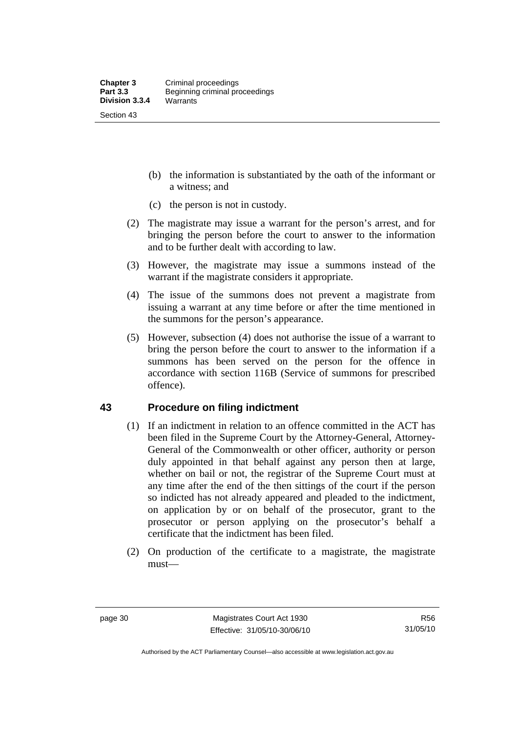- (b) the information is substantiated by the oath of the informant or a witness; and
- (c) the person is not in custody.
- (2) The magistrate may issue a warrant for the person's arrest, and for bringing the person before the court to answer to the information and to be further dealt with according to law.
- (3) However, the magistrate may issue a summons instead of the warrant if the magistrate considers it appropriate.
- (4) The issue of the summons does not prevent a magistrate from issuing a warrant at any time before or after the time mentioned in the summons for the person's appearance.
- (5) However, subsection (4) does not authorise the issue of a warrant to bring the person before the court to answer to the information if a summons has been served on the person for the offence in accordance with section 116B (Service of summons for prescribed offence).

# **43 Procedure on filing indictment**

- (1) If an indictment in relation to an offence committed in the ACT has been filed in the Supreme Court by the Attorney-General, Attorney-General of the Commonwealth or other officer, authority or person duly appointed in that behalf against any person then at large, whether on bail or not, the registrar of the Supreme Court must at any time after the end of the then sittings of the court if the person so indicted has not already appeared and pleaded to the indictment, on application by or on behalf of the prosecutor, grant to the prosecutor or person applying on the prosecutor's behalf a certificate that the indictment has been filed.
- (2) On production of the certificate to a magistrate, the magistrate must—

Authorised by the ACT Parliamentary Counsel—also accessible at www.legislation.act.gov.au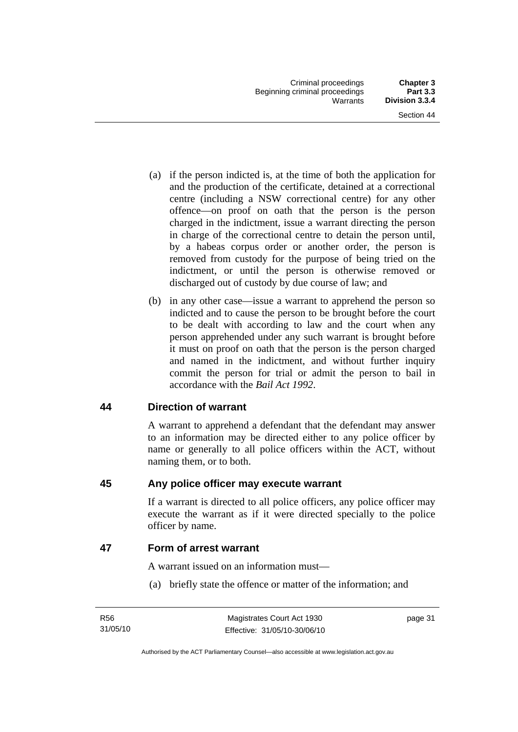- (a) if the person indicted is, at the time of both the application for and the production of the certificate, detained at a correctional centre (including a NSW correctional centre) for any other offence—on proof on oath that the person is the person charged in the indictment, issue a warrant directing the person in charge of the correctional centre to detain the person until, by a habeas corpus order or another order, the person is removed from custody for the purpose of being tried on the indictment, or until the person is otherwise removed or discharged out of custody by due course of law; and
- (b) in any other case—issue a warrant to apprehend the person so indicted and to cause the person to be brought before the court to be dealt with according to law and the court when any person apprehended under any such warrant is brought before it must on proof on oath that the person is the person charged and named in the indictment, and without further inquiry commit the person for trial or admit the person to bail in accordance with the *Bail Act 1992*.

# **44 Direction of warrant**

A warrant to apprehend a defendant that the defendant may answer to an information may be directed either to any police officer by name or generally to all police officers within the ACT, without naming them, or to both.

# **45 Any police officer may execute warrant**

If a warrant is directed to all police officers, any police officer may execute the warrant as if it were directed specially to the police officer by name.

# **47 Form of arrest warrant**

A warrant issued on an information must—

(a) briefly state the offence or matter of the information; and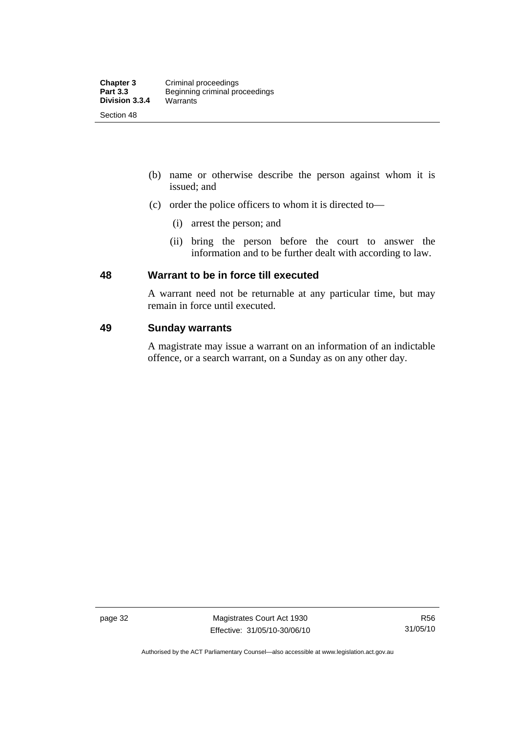- (b) name or otherwise describe the person against whom it is issued; and
- (c) order the police officers to whom it is directed to—
	- (i) arrest the person; and
	- (ii) bring the person before the court to answer the information and to be further dealt with according to law.

# **48 Warrant to be in force till executed**

A warrant need not be returnable at any particular time, but may remain in force until executed.

# **49 Sunday warrants**

A magistrate may issue a warrant on an information of an indictable offence, or a search warrant, on a Sunday as on any other day.

page 32 Magistrates Court Act 1930 Effective: 31/05/10-30/06/10

Authorised by the ACT Parliamentary Counsel—also accessible at www.legislation.act.gov.au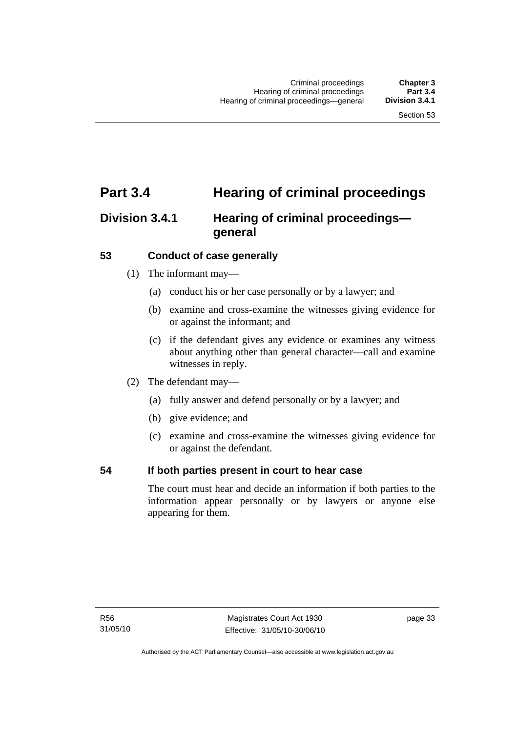# **Part 3.4 Hearing of criminal proceedings**

# **Division 3.4.1 Hearing of criminal proceedings general**

# **53 Conduct of case generally**

- (1) The informant may—
	- (a) conduct his or her case personally or by a lawyer; and
	- (b) examine and cross-examine the witnesses giving evidence for or against the informant; and
	- (c) if the defendant gives any evidence or examines any witness about anything other than general character—call and examine witnesses in reply.
- (2) The defendant may—
	- (a) fully answer and defend personally or by a lawyer; and
	- (b) give evidence; and
	- (c) examine and cross-examine the witnesses giving evidence for or against the defendant.

# **54 If both parties present in court to hear case**

The court must hear and decide an information if both parties to the information appear personally or by lawyers or anyone else appearing for them.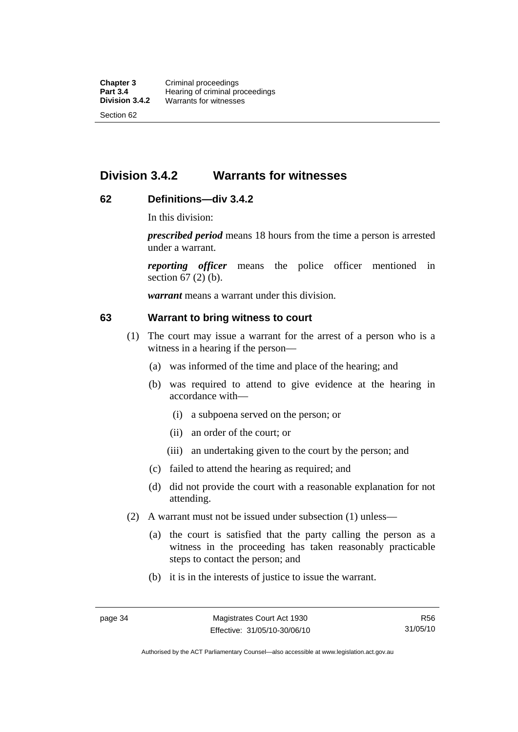# **Division 3.4.2 Warrants for witnesses**

# **62 Definitions—div 3.4.2**

In this division:

*prescribed period* means 18 hours from the time a person is arrested under a warrant.

*reporting officer* means the police officer mentioned in section 67 (2) (b).

*warrant* means a warrant under this division.

#### **63 Warrant to bring witness to court**

- (1) The court may issue a warrant for the arrest of a person who is a witness in a hearing if the person—
	- (a) was informed of the time and place of the hearing; and
	- (b) was required to attend to give evidence at the hearing in accordance with—
		- (i) a subpoena served on the person; or
		- (ii) an order of the court; or
		- (iii) an undertaking given to the court by the person; and
	- (c) failed to attend the hearing as required; and
	- (d) did not provide the court with a reasonable explanation for not attending.
- (2) A warrant must not be issued under subsection (1) unless—
	- (a) the court is satisfied that the party calling the person as a witness in the proceeding has taken reasonably practicable steps to contact the person; and
	- (b) it is in the interests of justice to issue the warrant.

Authorised by the ACT Parliamentary Counsel—also accessible at www.legislation.act.gov.au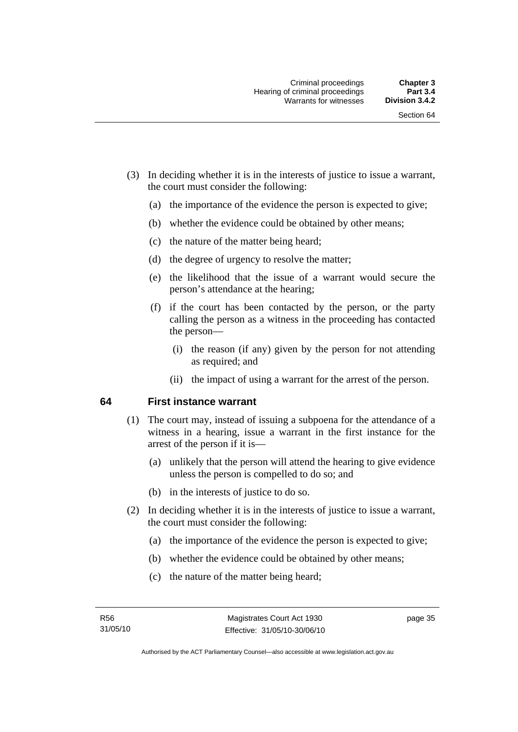- (3) In deciding whether it is in the interests of justice to issue a warrant, the court must consider the following:
	- (a) the importance of the evidence the person is expected to give;
	- (b) whether the evidence could be obtained by other means;
	- (c) the nature of the matter being heard;
	- (d) the degree of urgency to resolve the matter;
	- (e) the likelihood that the issue of a warrant would secure the person's attendance at the hearing;
	- (f) if the court has been contacted by the person, or the party calling the person as a witness in the proceeding has contacted the person—
		- (i) the reason (if any) given by the person for not attending as required; and
		- (ii) the impact of using a warrant for the arrest of the person.

#### **64 First instance warrant**

- (1) The court may, instead of issuing a subpoena for the attendance of a witness in a hearing, issue a warrant in the first instance for the arrest of the person if it is—
	- (a) unlikely that the person will attend the hearing to give evidence unless the person is compelled to do so; and
	- (b) in the interests of justice to do so.
- (2) In deciding whether it is in the interests of justice to issue a warrant, the court must consider the following:
	- (a) the importance of the evidence the person is expected to give;
	- (b) whether the evidence could be obtained by other means;
	- (c) the nature of the matter being heard;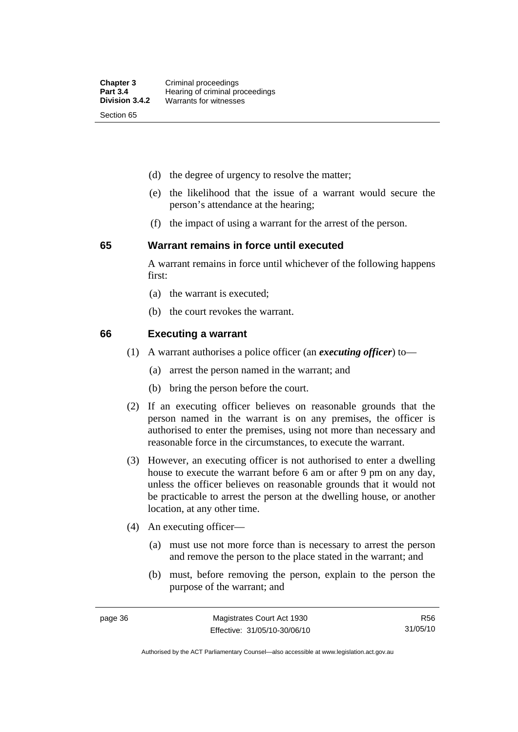- (d) the degree of urgency to resolve the matter;
- (e) the likelihood that the issue of a warrant would secure the person's attendance at the hearing;
- (f) the impact of using a warrant for the arrest of the person.

#### **65 Warrant remains in force until executed**

A warrant remains in force until whichever of the following happens first:

- (a) the warrant is executed;
- (b) the court revokes the warrant.

#### **66 Executing a warrant**

- (1) A warrant authorises a police officer (an *executing officer*) to—
	- (a) arrest the person named in the warrant; and
	- (b) bring the person before the court.
- (2) If an executing officer believes on reasonable grounds that the person named in the warrant is on any premises, the officer is authorised to enter the premises, using not more than necessary and reasonable force in the circumstances, to execute the warrant.
- (3) However, an executing officer is not authorised to enter a dwelling house to execute the warrant before 6 am or after 9 pm on any day, unless the officer believes on reasonable grounds that it would not be practicable to arrest the person at the dwelling house, or another location, at any other time.
- (4) An executing officer—
	- (a) must use not more force than is necessary to arrest the person and remove the person to the place stated in the warrant; and
	- (b) must, before removing the person, explain to the person the purpose of the warrant; and

R56 31/05/10

Authorised by the ACT Parliamentary Counsel—also accessible at www.legislation.act.gov.au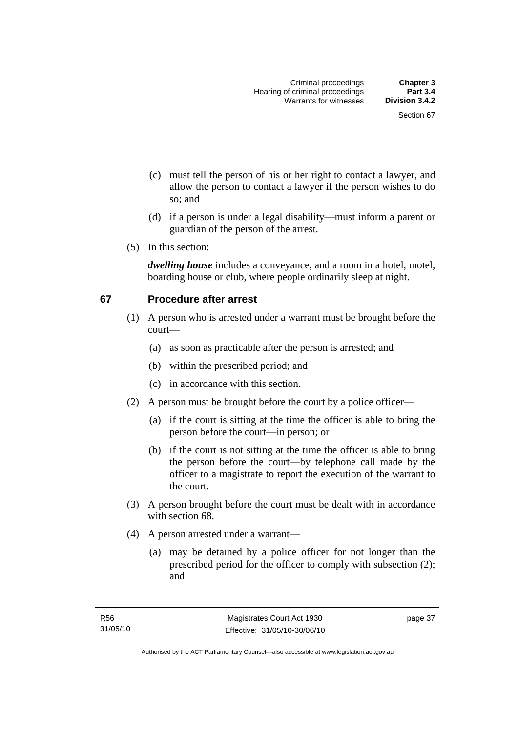- (c) must tell the person of his or her right to contact a lawyer, and allow the person to contact a lawyer if the person wishes to do so; and
- (d) if a person is under a legal disability—must inform a parent or guardian of the person of the arrest.
- (5) In this section:

*dwelling house* includes a conveyance, and a room in a hotel, motel, boarding house or club, where people ordinarily sleep at night.

# **67 Procedure after arrest**

- (1) A person who is arrested under a warrant must be brought before the court—
	- (a) as soon as practicable after the person is arrested; and
	- (b) within the prescribed period; and
	- (c) in accordance with this section.
- (2) A person must be brought before the court by a police officer—
	- (a) if the court is sitting at the time the officer is able to bring the person before the court—in person; or
	- (b) if the court is not sitting at the time the officer is able to bring the person before the court—by telephone call made by the officer to a magistrate to report the execution of the warrant to the court.
- (3) A person brought before the court must be dealt with in accordance with section 68.
- (4) A person arrested under a warrant—
	- (a) may be detained by a police officer for not longer than the prescribed period for the officer to comply with subsection (2); and

page 37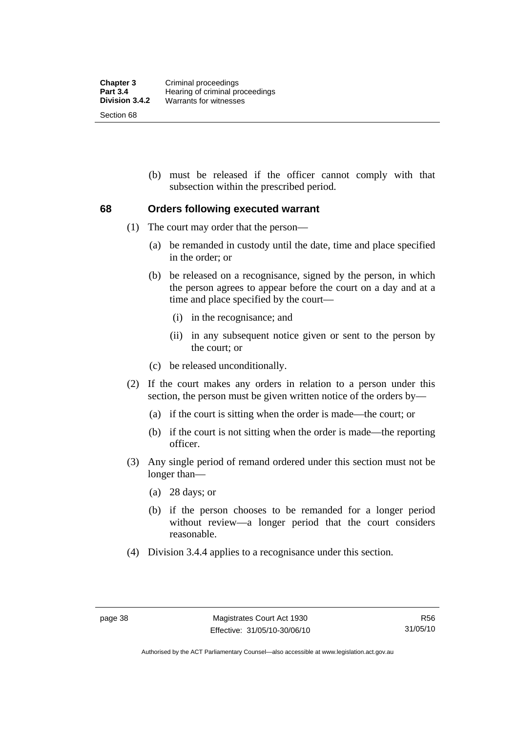(b) must be released if the officer cannot comply with that subsection within the prescribed period.

#### **68 Orders following executed warrant**

- (1) The court may order that the person—
	- (a) be remanded in custody until the date, time and place specified in the order; or
	- (b) be released on a recognisance, signed by the person, in which the person agrees to appear before the court on a day and at a time and place specified by the court—
		- (i) in the recognisance; and
		- (ii) in any subsequent notice given or sent to the person by the court; or
	- (c) be released unconditionally.
- (2) If the court makes any orders in relation to a person under this section, the person must be given written notice of the orders by—
	- (a) if the court is sitting when the order is made—the court; or
	- (b) if the court is not sitting when the order is made—the reporting officer.
- (3) Any single period of remand ordered under this section must not be longer than—
	- (a) 28 days; or
	- (b) if the person chooses to be remanded for a longer period without review—a longer period that the court considers reasonable.
- (4) Division 3.4.4 applies to a recognisance under this section.

Authorised by the ACT Parliamentary Counsel—also accessible at www.legislation.act.gov.au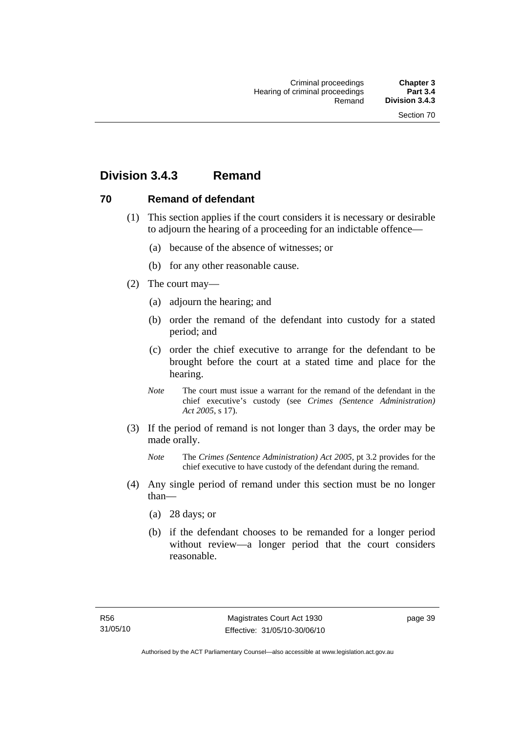# **Division 3.4.3 Remand**

# **70 Remand of defendant**

- (1) This section applies if the court considers it is necessary or desirable to adjourn the hearing of a proceeding for an indictable offence—
	- (a) because of the absence of witnesses; or
	- (b) for any other reasonable cause.
- (2) The court may—
	- (a) adjourn the hearing; and
	- (b) order the remand of the defendant into custody for a stated period; and
	- (c) order the chief executive to arrange for the defendant to be brought before the court at a stated time and place for the hearing.
	- *Note* The court must issue a warrant for the remand of the defendant in the chief executive's custody (see *Crimes (Sentence Administration) Act 2005*, s 17).
- (3) If the period of remand is not longer than 3 days, the order may be made orally.
	- *Note* The *Crimes (Sentence Administration) Act 2005*, pt 3.2 provides for the chief executive to have custody of the defendant during the remand.
- (4) Any single period of remand under this section must be no longer than—
	- (a) 28 days; or
	- (b) if the defendant chooses to be remanded for a longer period without review—a longer period that the court considers reasonable.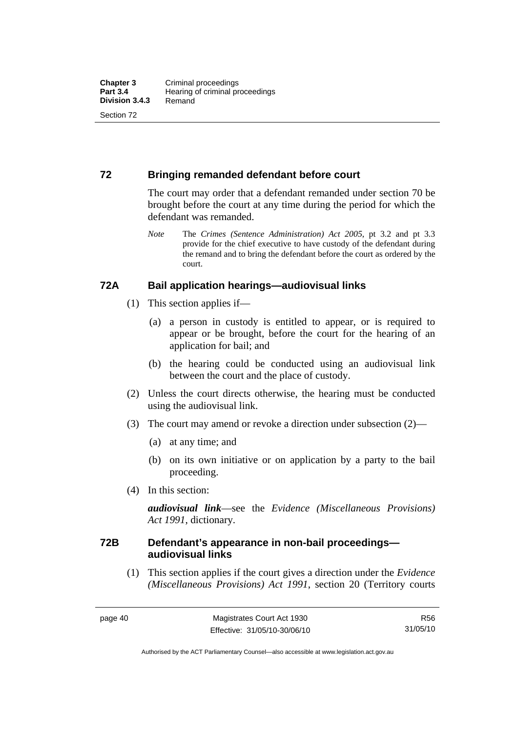# **72 Bringing remanded defendant before court**

The court may order that a defendant remanded under section 70 be brought before the court at any time during the period for which the defendant was remanded.

*Note* The *Crimes (Sentence Administration) Act 2005*, pt 3.2 and pt 3.3 provide for the chief executive to have custody of the defendant during the remand and to bring the defendant before the court as ordered by the court.

# **72A Bail application hearings—audiovisual links**

- (1) This section applies if—
	- (a) a person in custody is entitled to appear, or is required to appear or be brought, before the court for the hearing of an application for bail; and
	- (b) the hearing could be conducted using an audiovisual link between the court and the place of custody.
- (2) Unless the court directs otherwise, the hearing must be conducted using the audiovisual link.
- (3) The court may amend or revoke a direction under subsection (2)—
	- (a) at any time; and
	- (b) on its own initiative or on application by a party to the bail proceeding.
- (4) In this section:

*audiovisual link*—see the *Evidence (Miscellaneous Provisions) Act 1991*, dictionary.

# **72B Defendant's appearance in non-bail proceedings audiovisual links**

 (1) This section applies if the court gives a direction under the *Evidence (Miscellaneous Provisions) Act 1991*, section 20 (Territory courts

R56 31/05/10

Authorised by the ACT Parliamentary Counsel—also accessible at www.legislation.act.gov.au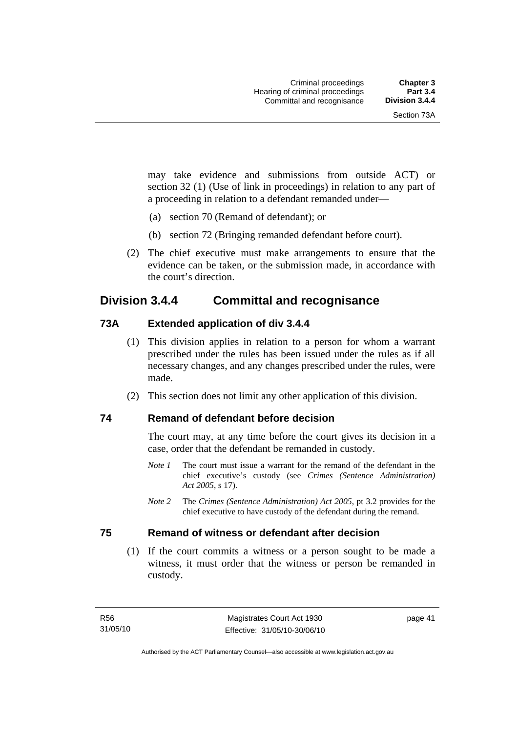may take evidence and submissions from outside ACT) or section 32 (1) (Use of link in proceedings) in relation to any part of a proceeding in relation to a defendant remanded under—

- (a) section 70 (Remand of defendant); or
- (b) section 72 (Bringing remanded defendant before court).
- (2) The chief executive must make arrangements to ensure that the evidence can be taken, or the submission made, in accordance with the court's direction.

# **Division 3.4.4 Committal and recognisance**

# **73A Extended application of div 3.4.4**

- (1) This division applies in relation to a person for whom a warrant prescribed under the rules has been issued under the rules as if all necessary changes, and any changes prescribed under the rules, were made.
- (2) This section does not limit any other application of this division.

#### **74 Remand of defendant before decision**

The court may, at any time before the court gives its decision in a case, order that the defendant be remanded in custody.

- *Note 1* The court must issue a warrant for the remand of the defendant in the chief executive's custody (see *Crimes (Sentence Administration) Act 2005*, s 17).
- *Note 2* The *Crimes (Sentence Administration) Act 2005*, pt 3.2 provides for the chief executive to have custody of the defendant during the remand.

# **75 Remand of witness or defendant after decision**

 (1) If the court commits a witness or a person sought to be made a witness, it must order that the witness or person be remanded in custody.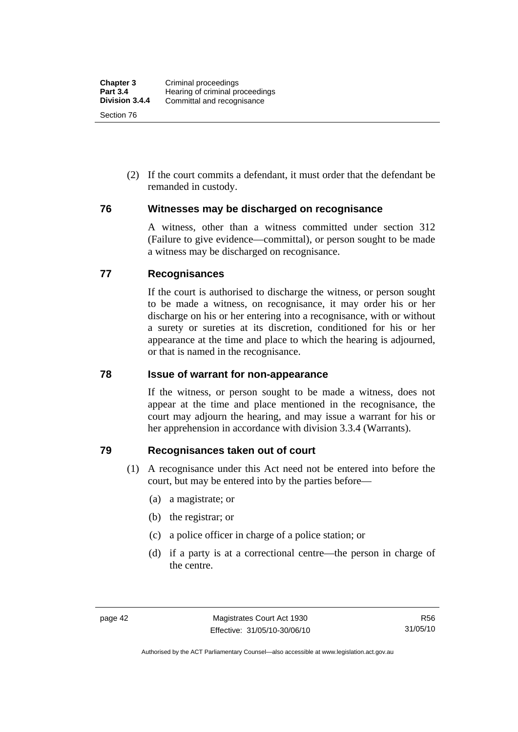(2) If the court commits a defendant, it must order that the defendant be remanded in custody.

# **76 Witnesses may be discharged on recognisance**

A witness, other than a witness committed under section 312 (Failure to give evidence—committal), or person sought to be made a witness may be discharged on recognisance.

# **77 Recognisances**

If the court is authorised to discharge the witness, or person sought to be made a witness, on recognisance, it may order his or her discharge on his or her entering into a recognisance, with or without a surety or sureties at its discretion, conditioned for his or her appearance at the time and place to which the hearing is adjourned, or that is named in the recognisance.

# **78 Issue of warrant for non-appearance**

If the witness, or person sought to be made a witness, does not appear at the time and place mentioned in the recognisance, the court may adjourn the hearing, and may issue a warrant for his or her apprehension in accordance with division 3.3.4 (Warrants).

# **79 Recognisances taken out of court**

- (1) A recognisance under this Act need not be entered into before the court, but may be entered into by the parties before—
	- (a) a magistrate; or
	- (b) the registrar; or
	- (c) a police officer in charge of a police station; or
	- (d) if a party is at a correctional centre—the person in charge of the centre.

Authorised by the ACT Parliamentary Counsel—also accessible at www.legislation.act.gov.au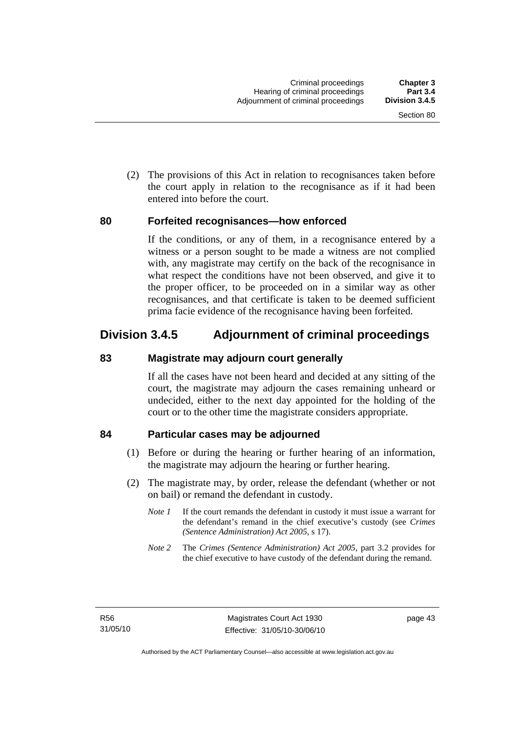(2) The provisions of this Act in relation to recognisances taken before the court apply in relation to the recognisance as if it had been entered into before the court.

# **80 Forfeited recognisances—how enforced**

If the conditions, or any of them, in a recognisance entered by a witness or a person sought to be made a witness are not complied with, any magistrate may certify on the back of the recognisance in what respect the conditions have not been observed, and give it to the proper officer, to be proceeded on in a similar way as other recognisances, and that certificate is taken to be deemed sufficient prima facie evidence of the recognisance having been forfeited.

# **Division 3.4.5 Adjournment of criminal proceedings**

# **83 Magistrate may adjourn court generally**

If all the cases have not been heard and decided at any sitting of the court, the magistrate may adjourn the cases remaining unheard or undecided, either to the next day appointed for the holding of the court or to the other time the magistrate considers appropriate.

# **84 Particular cases may be adjourned**

- (1) Before or during the hearing or further hearing of an information, the magistrate may adjourn the hearing or further hearing.
- (2) The magistrate may, by order, release the defendant (whether or not on bail) or remand the defendant in custody.
	- *Note 1* If the court remands the defendant in custody it must issue a warrant for the defendant's remand in the chief executive's custody (see *Crimes (Sentence Administration) Act 2005*, s 17).
	- *Note 2* The *Crimes (Sentence Administration) Act 2005*, part 3.2 provides for the chief executive to have custody of the defendant during the remand.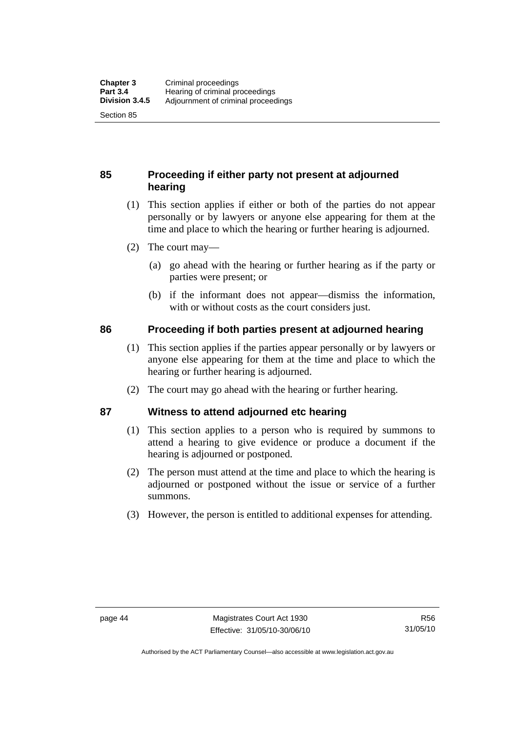# **85 Proceeding if either party not present at adjourned hearing**

- (1) This section applies if either or both of the parties do not appear personally or by lawyers or anyone else appearing for them at the time and place to which the hearing or further hearing is adjourned.
- (2) The court may—
	- (a) go ahead with the hearing or further hearing as if the party or parties were present; or
	- (b) if the informant does not appear—dismiss the information, with or without costs as the court considers just.

# **86 Proceeding if both parties present at adjourned hearing**

- (1) This section applies if the parties appear personally or by lawyers or anyone else appearing for them at the time and place to which the hearing or further hearing is adjourned.
- (2) The court may go ahead with the hearing or further hearing.

# **87 Witness to attend adjourned etc hearing**

- (1) This section applies to a person who is required by summons to attend a hearing to give evidence or produce a document if the hearing is adjourned or postponed.
- (2) The person must attend at the time and place to which the hearing is adjourned or postponed without the issue or service of a further summons.
- (3) However, the person is entitled to additional expenses for attending.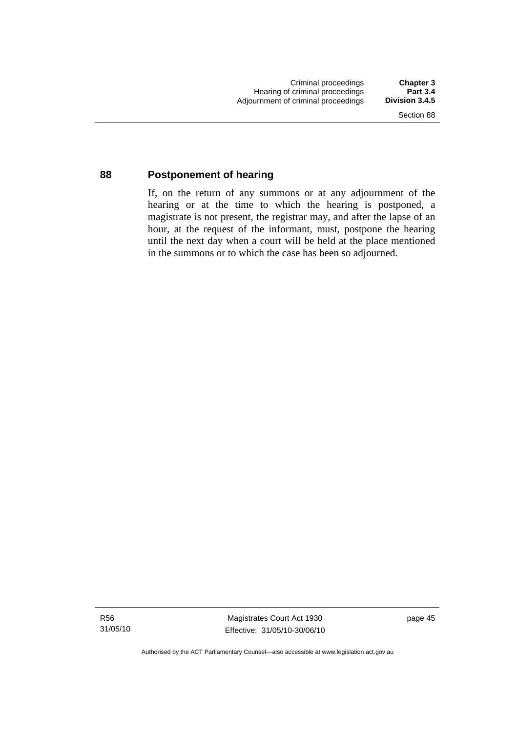# **88 Postponement of hearing**

If, on the return of any summons or at any adjournment of the hearing or at the time to which the hearing is postponed, a magistrate is not present, the registrar may, and after the lapse of an hour, at the request of the informant, must, postpone the hearing until the next day when a court will be held at the place mentioned in the summons or to which the case has been so adjourned.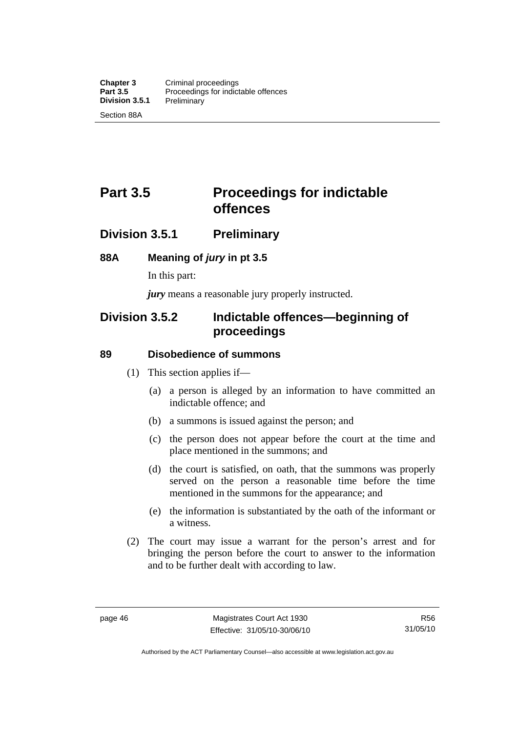# **Part 3.5** Proceedings for indictable **offences**

# **Division 3.5.1 Preliminary**

# **88A Meaning of** *jury* **in pt 3.5**

In this part:

*jury* means a reasonable jury properly instructed.

# **Division 3.5.2 Indictable offences—beginning of proceedings**

# **89 Disobedience of summons**

- (1) This section applies if—
	- (a) a person is alleged by an information to have committed an indictable offence; and
	- (b) a summons is issued against the person; and
	- (c) the person does not appear before the court at the time and place mentioned in the summons; and
	- (d) the court is satisfied, on oath, that the summons was properly served on the person a reasonable time before the time mentioned in the summons for the appearance; and
	- (e) the information is substantiated by the oath of the informant or a witness.
- (2) The court may issue a warrant for the person's arrest and for bringing the person before the court to answer to the information and to be further dealt with according to law.

Authorised by the ACT Parliamentary Counsel—also accessible at www.legislation.act.gov.au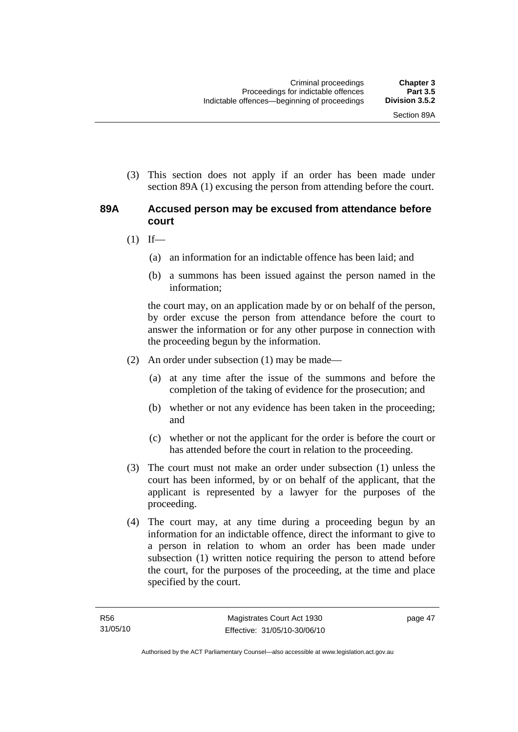(3) This section does not apply if an order has been made under section 89A (1) excusing the person from attending before the court.

# **89A Accused person may be excused from attendance before court**

- $(1)$  If—
	- (a) an information for an indictable offence has been laid; and
	- (b) a summons has been issued against the person named in the information;

the court may, on an application made by or on behalf of the person, by order excuse the person from attendance before the court to answer the information or for any other purpose in connection with the proceeding begun by the information.

- (2) An order under subsection (1) may be made—
	- (a) at any time after the issue of the summons and before the completion of the taking of evidence for the prosecution; and
	- (b) whether or not any evidence has been taken in the proceeding; and
	- (c) whether or not the applicant for the order is before the court or has attended before the court in relation to the proceeding.
- (3) The court must not make an order under subsection (1) unless the court has been informed, by or on behalf of the applicant, that the applicant is represented by a lawyer for the purposes of the proceeding.
- (4) The court may, at any time during a proceeding begun by an information for an indictable offence, direct the informant to give to a person in relation to whom an order has been made under subsection (1) written notice requiring the person to attend before the court, for the purposes of the proceeding, at the time and place specified by the court.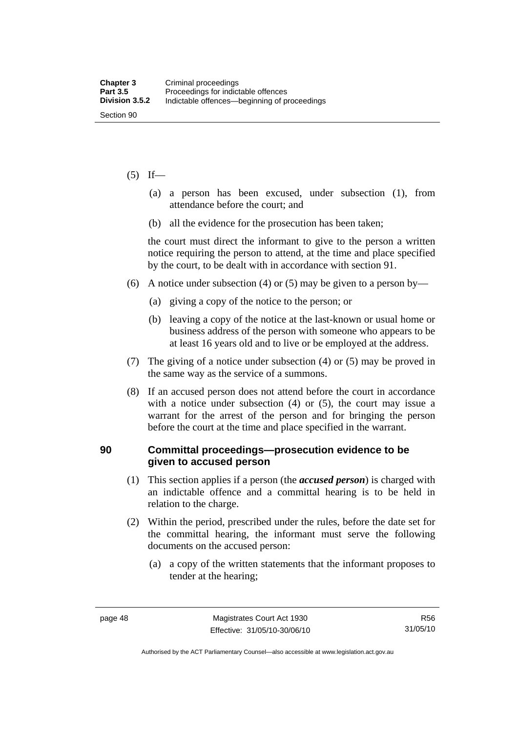### $(5)$  If—

- (a) a person has been excused, under subsection (1), from attendance before the court; and
- (b) all the evidence for the prosecution has been taken;

the court must direct the informant to give to the person a written notice requiring the person to attend, at the time and place specified by the court, to be dealt with in accordance with section 91.

- (6) A notice under subsection (4) or (5) may be given to a person by—
	- (a) giving a copy of the notice to the person; or
	- (b) leaving a copy of the notice at the last-known or usual home or business address of the person with someone who appears to be at least 16 years old and to live or be employed at the address.
- (7) The giving of a notice under subsection (4) or (5) may be proved in the same way as the service of a summons.
- (8) If an accused person does not attend before the court in accordance with a notice under subsection (4) or (5), the court may issue a warrant for the arrest of the person and for bringing the person before the court at the time and place specified in the warrant.

# **90 Committal proceedings—prosecution evidence to be given to accused person**

- (1) This section applies if a person (the *accused person*) is charged with an indictable offence and a committal hearing is to be held in relation to the charge.
- (2) Within the period, prescribed under the rules, before the date set for the committal hearing, the informant must serve the following documents on the accused person:
	- (a) a copy of the written statements that the informant proposes to tender at the hearing;

Authorised by the ACT Parliamentary Counsel—also accessible at www.legislation.act.gov.au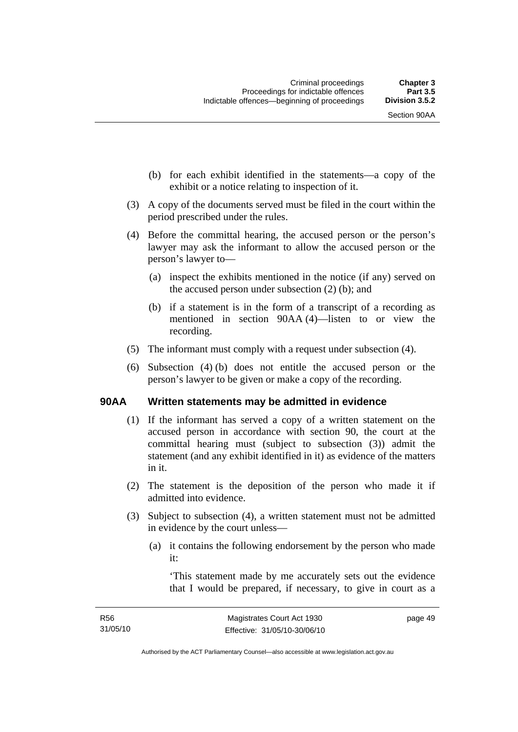- (b) for each exhibit identified in the statements—a copy of the exhibit or a notice relating to inspection of it.
- (3) A copy of the documents served must be filed in the court within the period prescribed under the rules.
- (4) Before the committal hearing, the accused person or the person's lawyer may ask the informant to allow the accused person or the person's lawyer to—
	- (a) inspect the exhibits mentioned in the notice (if any) served on the accused person under subsection (2) (b); and
	- (b) if a statement is in the form of a transcript of a recording as mentioned in section 90AA (4)—listen to or view the recording.
- (5) The informant must comply with a request under subsection (4).
- (6) Subsection (4) (b) does not entitle the accused person or the person's lawyer to be given or make a copy of the recording.

# **90AA Written statements may be admitted in evidence**

- (1) If the informant has served a copy of a written statement on the accused person in accordance with section 90, the court at the committal hearing must (subject to subsection (3)) admit the statement (and any exhibit identified in it) as evidence of the matters in it.
- (2) The statement is the deposition of the person who made it if admitted into evidence.
- (3) Subject to subsection (4), a written statement must not be admitted in evidence by the court unless—
	- (a) it contains the following endorsement by the person who made it:

'This statement made by me accurately sets out the evidence that I would be prepared, if necessary, to give in court as a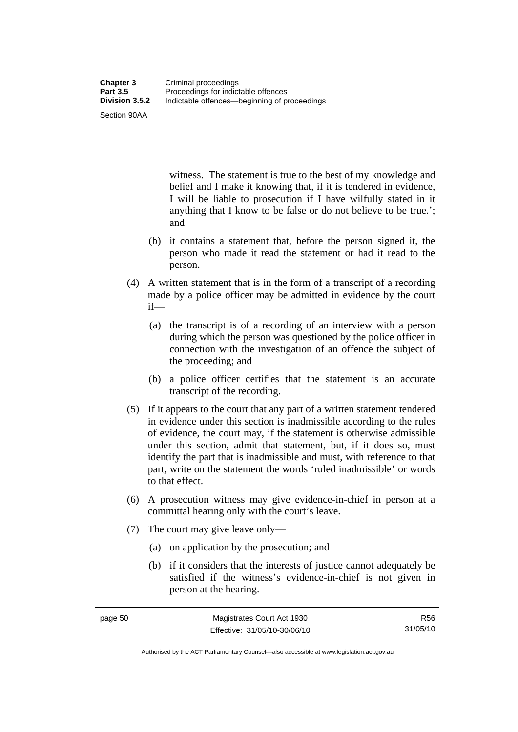Section 90AA

witness. The statement is true to the best of my knowledge and belief and I make it knowing that, if it is tendered in evidence, I will be liable to prosecution if I have wilfully stated in it anything that I know to be false or do not believe to be true.'; and

- (b) it contains a statement that, before the person signed it, the person who made it read the statement or had it read to the person.
- (4) A written statement that is in the form of a transcript of a recording made by a police officer may be admitted in evidence by the court if—
	- (a) the transcript is of a recording of an interview with a person during which the person was questioned by the police officer in connection with the investigation of an offence the subject of the proceeding; and
	- (b) a police officer certifies that the statement is an accurate transcript of the recording.
- (5) If it appears to the court that any part of a written statement tendered in evidence under this section is inadmissible according to the rules of evidence, the court may, if the statement is otherwise admissible under this section, admit that statement, but, if it does so, must identify the part that is inadmissible and must, with reference to that part, write on the statement the words 'ruled inadmissible' or words to that effect.
- (6) A prosecution witness may give evidence-in-chief in person at a committal hearing only with the court's leave.
- (7) The court may give leave only—
	- (a) on application by the prosecution; and
	- (b) if it considers that the interests of justice cannot adequately be satisfied if the witness's evidence-in-chief is not given in person at the hearing.

R56 31/05/10

Authorised by the ACT Parliamentary Counsel—also accessible at www.legislation.act.gov.au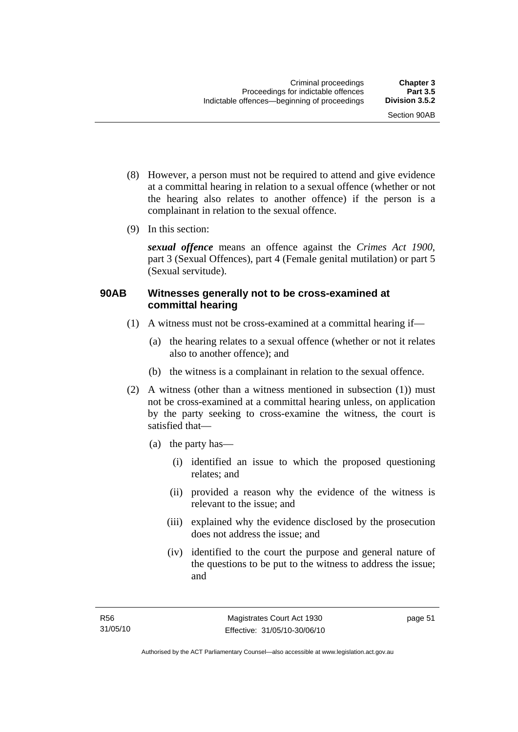- (8) However, a person must not be required to attend and give evidence at a committal hearing in relation to a sexual offence (whether or not the hearing also relates to another offence) if the person is a complainant in relation to the sexual offence.
- (9) In this section:

*sexual offence* means an offence against the *Crimes Act 1900*, part 3 (Sexual Offences), part 4 (Female genital mutilation) or part 5 (Sexual servitude).

# **90AB Witnesses generally not to be cross-examined at committal hearing**

- (1) A witness must not be cross-examined at a committal hearing if—
	- (a) the hearing relates to a sexual offence (whether or not it relates also to another offence); and
	- (b) the witness is a complainant in relation to the sexual offence.
- (2) A witness (other than a witness mentioned in subsection (1)) must not be cross-examined at a committal hearing unless, on application by the party seeking to cross-examine the witness, the court is satisfied that—
	- (a) the party has—
		- (i) identified an issue to which the proposed questioning relates; and
		- (ii) provided a reason why the evidence of the witness is relevant to the issue; and
		- (iii) explained why the evidence disclosed by the prosecution does not address the issue; and
		- (iv) identified to the court the purpose and general nature of the questions to be put to the witness to address the issue; and

page 51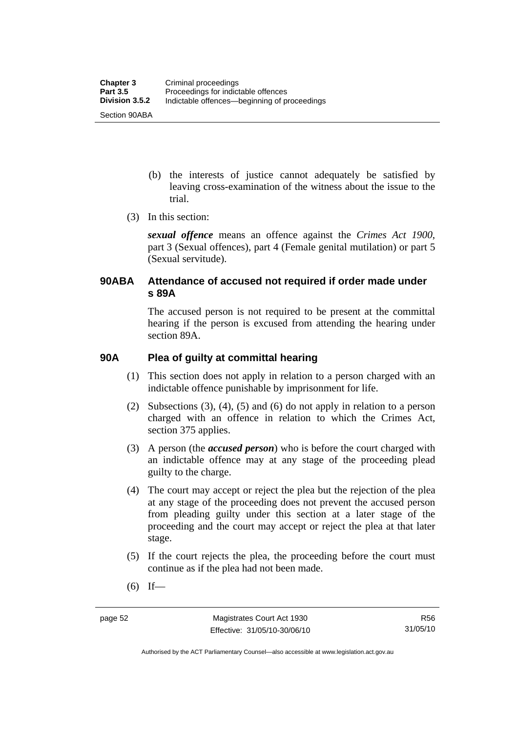- (b) the interests of justice cannot adequately be satisfied by leaving cross-examination of the witness about the issue to the trial.
- (3) In this section:

*sexual offence* means an offence against the *Crimes Act 1900*, part 3 (Sexual offences), part 4 (Female genital mutilation) or part 5 (Sexual servitude).

# **90ABA Attendance of accused not required if order made under s 89A**

The accused person is not required to be present at the committal hearing if the person is excused from attending the hearing under section 89A.

# **90A Plea of guilty at committal hearing**

- (1) This section does not apply in relation to a person charged with an indictable offence punishable by imprisonment for life.
- (2) Subsections (3), (4), (5) and (6) do not apply in relation to a person charged with an offence in relation to which the Crimes Act, section 375 applies.
- (3) A person (the *accused person*) who is before the court charged with an indictable offence may at any stage of the proceeding plead guilty to the charge.
- (4) The court may accept or reject the plea but the rejection of the plea at any stage of the proceeding does not prevent the accused person from pleading guilty under this section at a later stage of the proceeding and the court may accept or reject the plea at that later stage.
- (5) If the court rejects the plea, the proceeding before the court must continue as if the plea had not been made.
- $(6)$  If—

Authorised by the ACT Parliamentary Counsel—also accessible at www.legislation.act.gov.au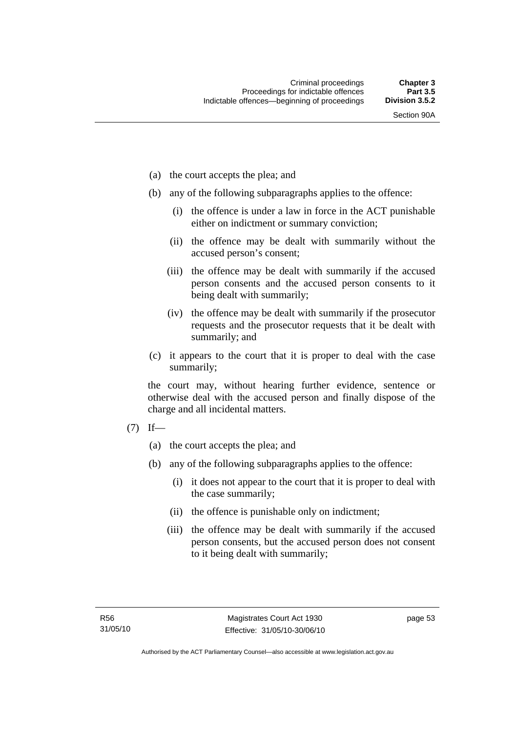- (a) the court accepts the plea; and
- (b) any of the following subparagraphs applies to the offence:
	- (i) the offence is under a law in force in the ACT punishable either on indictment or summary conviction;
	- (ii) the offence may be dealt with summarily without the accused person's consent;
	- (iii) the offence may be dealt with summarily if the accused person consents and the accused person consents to it being dealt with summarily;
	- (iv) the offence may be dealt with summarily if the prosecutor requests and the prosecutor requests that it be dealt with summarily; and
- (c) it appears to the court that it is proper to deal with the case summarily;

the court may, without hearing further evidence, sentence or otherwise deal with the accused person and finally dispose of the charge and all incidental matters.

- $(7)$  If—
	- (a) the court accepts the plea; and
	- (b) any of the following subparagraphs applies to the offence:
		- (i) it does not appear to the court that it is proper to deal with the case summarily;
		- (ii) the offence is punishable only on indictment;
		- (iii) the offence may be dealt with summarily if the accused person consents, but the accused person does not consent to it being dealt with summarily;

page 53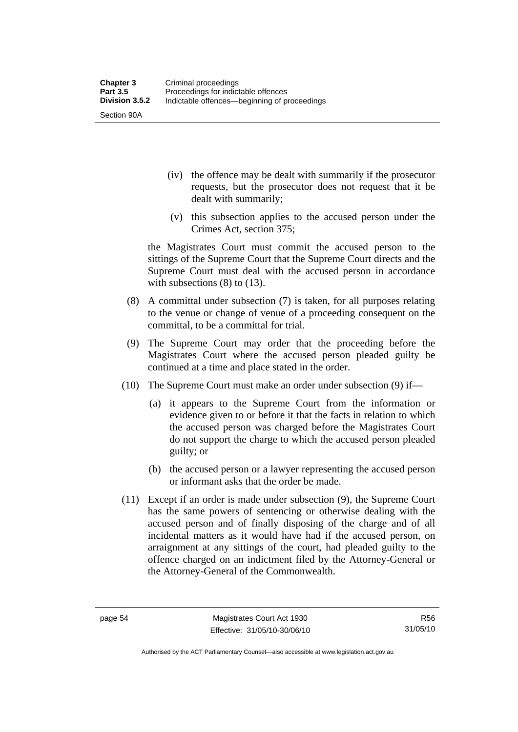Section 90A

- (iv) the offence may be dealt with summarily if the prosecutor requests, but the prosecutor does not request that it be dealt with summarily;
- (v) this subsection applies to the accused person under the Crimes Act, section 375;

the Magistrates Court must commit the accused person to the sittings of the Supreme Court that the Supreme Court directs and the Supreme Court must deal with the accused person in accordance with subsections (8) to (13).

- (8) A committal under subsection (7) is taken, for all purposes relating to the venue or change of venue of a proceeding consequent on the committal, to be a committal for trial.
- (9) The Supreme Court may order that the proceeding before the Magistrates Court where the accused person pleaded guilty be continued at a time and place stated in the order.
- (10) The Supreme Court must make an order under subsection (9) if—
	- (a) it appears to the Supreme Court from the information or evidence given to or before it that the facts in relation to which the accused person was charged before the Magistrates Court do not support the charge to which the accused person pleaded guilty; or
	- (b) the accused person or a lawyer representing the accused person or informant asks that the order be made.
- (11) Except if an order is made under subsection (9), the Supreme Court has the same powers of sentencing or otherwise dealing with the accused person and of finally disposing of the charge and of all incidental matters as it would have had if the accused person, on arraignment at any sittings of the court, had pleaded guilty to the offence charged on an indictment filed by the Attorney-General or the Attorney-General of the Commonwealth.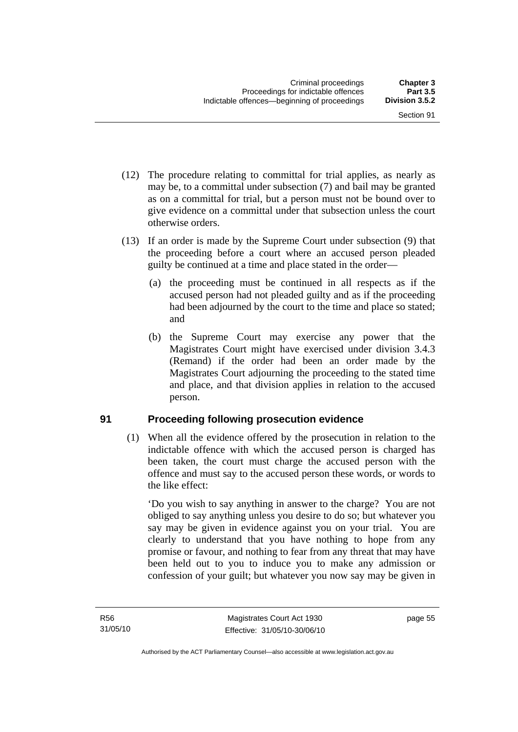- (12) The procedure relating to committal for trial applies, as nearly as may be, to a committal under subsection (7) and bail may be granted as on a committal for trial, but a person must not be bound over to give evidence on a committal under that subsection unless the court otherwise orders.
- (13) If an order is made by the Supreme Court under subsection (9) that the proceeding before a court where an accused person pleaded guilty be continued at a time and place stated in the order—
	- (a) the proceeding must be continued in all respects as if the accused person had not pleaded guilty and as if the proceeding had been adjourned by the court to the time and place so stated; and
	- (b) the Supreme Court may exercise any power that the Magistrates Court might have exercised under division 3.4.3 (Remand) if the order had been an order made by the Magistrates Court adjourning the proceeding to the stated time and place, and that division applies in relation to the accused person.

# **91 Proceeding following prosecution evidence**

 (1) When all the evidence offered by the prosecution in relation to the indictable offence with which the accused person is charged has been taken, the court must charge the accused person with the offence and must say to the accused person these words, or words to the like effect:

'Do you wish to say anything in answer to the charge? You are not obliged to say anything unless you desire to do so; but whatever you say may be given in evidence against you on your trial. You are clearly to understand that you have nothing to hope from any promise or favour, and nothing to fear from any threat that may have been held out to you to induce you to make any admission or confession of your guilt; but whatever you now say may be given in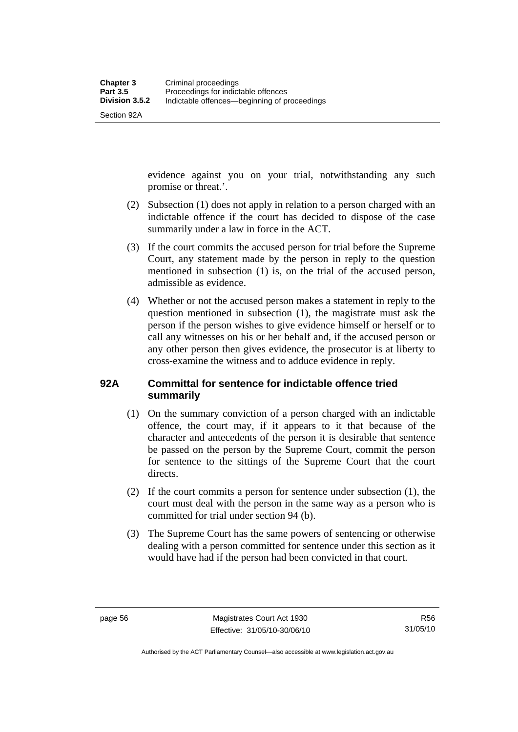Section 92A

evidence against you on your trial, notwithstanding any such promise or threat.'.

- (2) Subsection (1) does not apply in relation to a person charged with an indictable offence if the court has decided to dispose of the case summarily under a law in force in the ACT.
- (3) If the court commits the accused person for trial before the Supreme Court, any statement made by the person in reply to the question mentioned in subsection (1) is, on the trial of the accused person, admissible as evidence.
- (4) Whether or not the accused person makes a statement in reply to the question mentioned in subsection (1), the magistrate must ask the person if the person wishes to give evidence himself or herself or to call any witnesses on his or her behalf and, if the accused person or any other person then gives evidence, the prosecutor is at liberty to cross-examine the witness and to adduce evidence in reply.

# **92A Committal for sentence for indictable offence tried summarily**

- (1) On the summary conviction of a person charged with an indictable offence, the court may, if it appears to it that because of the character and antecedents of the person it is desirable that sentence be passed on the person by the Supreme Court, commit the person for sentence to the sittings of the Supreme Court that the court directs.
- (2) If the court commits a person for sentence under subsection (1), the court must deal with the person in the same way as a person who is committed for trial under section 94 (b).
- (3) The Supreme Court has the same powers of sentencing or otherwise dealing with a person committed for sentence under this section as it would have had if the person had been convicted in that court.

Authorised by the ACT Parliamentary Counsel—also accessible at www.legislation.act.gov.au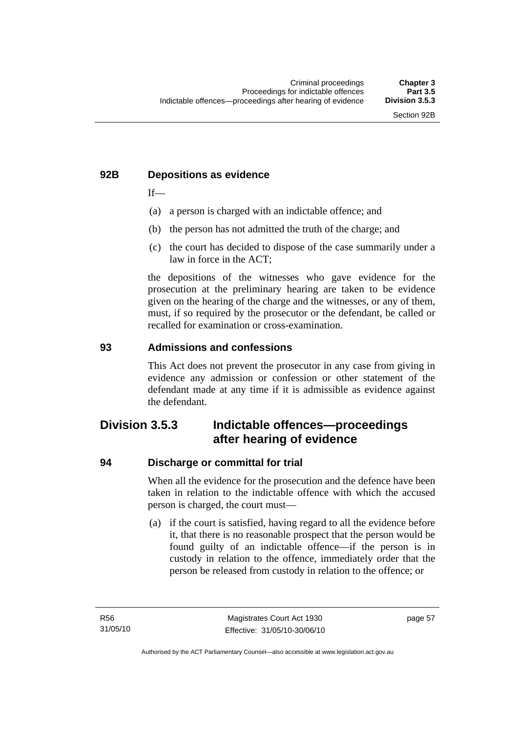# **92B Depositions as evidence**

 $If$ —

- (a) a person is charged with an indictable offence; and
- (b) the person has not admitted the truth of the charge; and
- (c) the court has decided to dispose of the case summarily under a law in force in the ACT;

the depositions of the witnesses who gave evidence for the prosecution at the preliminary hearing are taken to be evidence given on the hearing of the charge and the witnesses, or any of them, must, if so required by the prosecutor or the defendant, be called or recalled for examination or cross-examination.

#### **93 Admissions and confessions**

This Act does not prevent the prosecutor in any case from giving in evidence any admission or confession or other statement of the defendant made at any time if it is admissible as evidence against the defendant.

# **Division 3.5.3 Indictable offences—proceedings after hearing of evidence**

#### **94 Discharge or committal for trial**

When all the evidence for the prosecution and the defence have been taken in relation to the indictable offence with which the accused person is charged, the court must—

 (a) if the court is satisfied, having regard to all the evidence before it, that there is no reasonable prospect that the person would be found guilty of an indictable offence—if the person is in custody in relation to the offence, immediately order that the person be released from custody in relation to the offence; or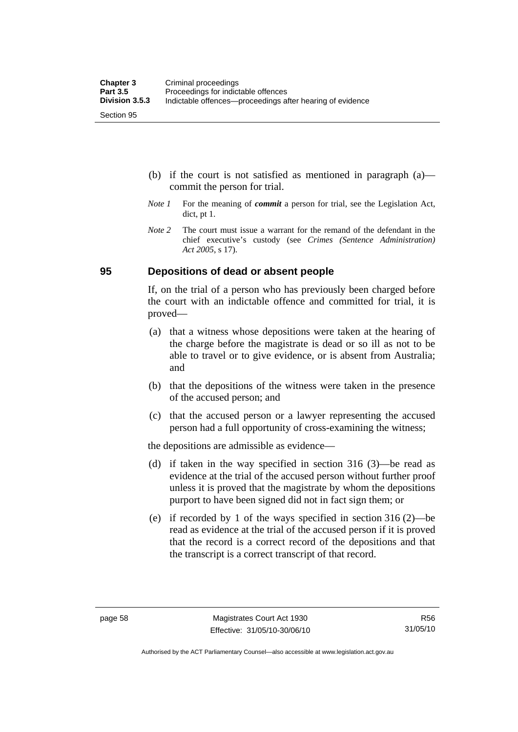- (b) if the court is not satisfied as mentioned in paragraph (a) commit the person for trial.
- *Note 1* For the meaning of *commit* a person for trial, see the Legislation Act, dict, pt 1.
- *Note* 2 The court must issue a warrant for the remand of the defendant in the chief executive's custody (see *Crimes (Sentence Administration) Act 2005*, s 17).

### **95 Depositions of dead or absent people**

If, on the trial of a person who has previously been charged before the court with an indictable offence and committed for trial, it is proved—

- (a) that a witness whose depositions were taken at the hearing of the charge before the magistrate is dead or so ill as not to be able to travel or to give evidence, or is absent from Australia; and
- (b) that the depositions of the witness were taken in the presence of the accused person; and
- (c) that the accused person or a lawyer representing the accused person had a full opportunity of cross-examining the witness;

the depositions are admissible as evidence—

- (d) if taken in the way specified in section 316 (3)—be read as evidence at the trial of the accused person without further proof unless it is proved that the magistrate by whom the depositions purport to have been signed did not in fact sign them; or
- (e) if recorded by 1 of the ways specified in section 316 (2)—be read as evidence at the trial of the accused person if it is proved that the record is a correct record of the depositions and that the transcript is a correct transcript of that record.

Authorised by the ACT Parliamentary Counsel—also accessible at www.legislation.act.gov.au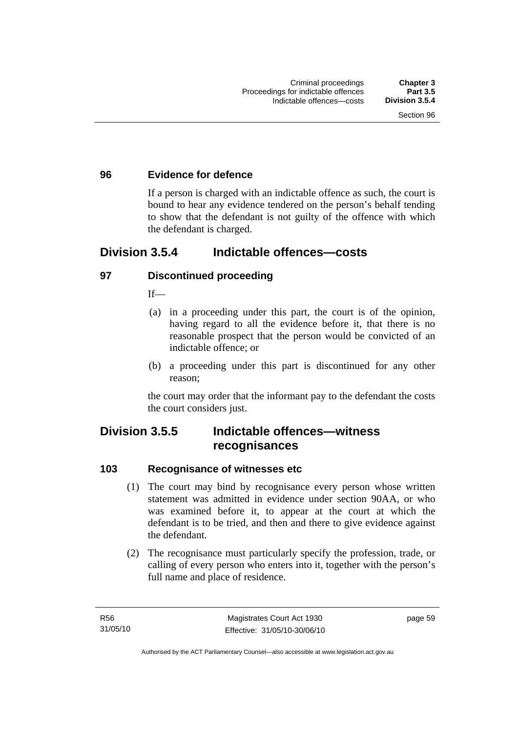### **96 Evidence for defence**

If a person is charged with an indictable offence as such, the court is bound to hear any evidence tendered on the person's behalf tending to show that the defendant is not guilty of the offence with which the defendant is charged.

# **Division 3.5.4 Indictable offences—costs**

# **97 Discontinued proceeding**

 $If$ <sub>—</sub>

- (a) in a proceeding under this part, the court is of the opinion, having regard to all the evidence before it, that there is no reasonable prospect that the person would be convicted of an indictable offence; or
- (b) a proceeding under this part is discontinued for any other reason;

the court may order that the informant pay to the defendant the costs the court considers just.

# **Division 3.5.5 Indictable offences—witness recognisances**

#### **103 Recognisance of witnesses etc**

- (1) The court may bind by recognisance every person whose written statement was admitted in evidence under section 90AA, or who was examined before it, to appear at the court at which the defendant is to be tried, and then and there to give evidence against the defendant.
- (2) The recognisance must particularly specify the profession, trade, or calling of every person who enters into it, together with the person's full name and place of residence.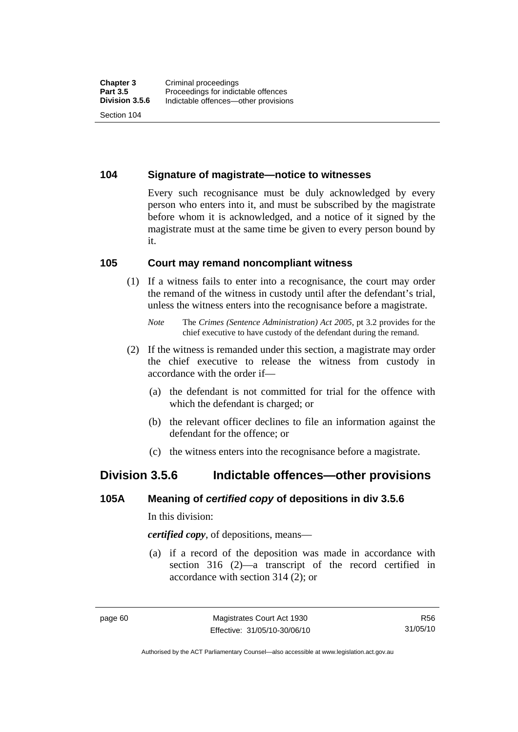## **104 Signature of magistrate—notice to witnesses**

Every such recognisance must be duly acknowledged by every person who enters into it, and must be subscribed by the magistrate before whom it is acknowledged, and a notice of it signed by the magistrate must at the same time be given to every person bound by it.

### **105 Court may remand noncompliant witness**

 (1) If a witness fails to enter into a recognisance, the court may order the remand of the witness in custody until after the defendant's trial, unless the witness enters into the recognisance before a magistrate.

- (2) If the witness is remanded under this section, a magistrate may order the chief executive to release the witness from custody in accordance with the order if—
	- (a) the defendant is not committed for trial for the offence with which the defendant is charged; or
	- (b) the relevant officer declines to file an information against the defendant for the offence; or
	- (c) the witness enters into the recognisance before a magistrate.

# **Division 3.5.6 Indictable offences—other provisions**

#### **105A Meaning of** *certified copy* **of depositions in div 3.5.6**

In this division:

*certified copy*, of depositions, means—

 (a) if a record of the deposition was made in accordance with section 316 (2)—a transcript of the record certified in accordance with section 314 (2); or

*Note* The *Crimes (Sentence Administration) Act 2005*, pt 3.2 provides for the chief executive to have custody of the defendant during the remand.

Authorised by the ACT Parliamentary Counsel—also accessible at www.legislation.act.gov.au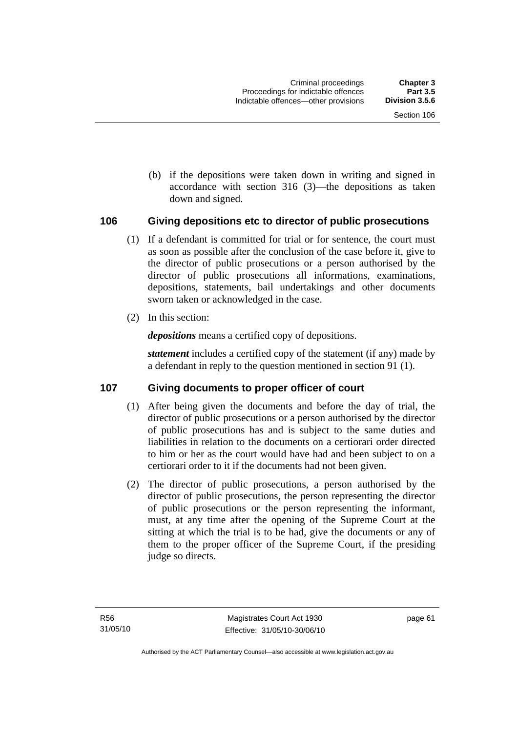(b) if the depositions were taken down in writing and signed in accordance with section 316 (3)—the depositions as taken down and signed.

# **106 Giving depositions etc to director of public prosecutions**

- (1) If a defendant is committed for trial or for sentence, the court must as soon as possible after the conclusion of the case before it, give to the director of public prosecutions or a person authorised by the director of public prosecutions all informations, examinations, depositions, statements, bail undertakings and other documents sworn taken or acknowledged in the case.
- (2) In this section:

*depositions* means a certified copy of depositions.

*statement* includes a certified copy of the statement (if any) made by a defendant in reply to the question mentioned in section 91 (1).

# **107 Giving documents to proper officer of court**

- (1) After being given the documents and before the day of trial, the director of public prosecutions or a person authorised by the director of public prosecutions has and is subject to the same duties and liabilities in relation to the documents on a certiorari order directed to him or her as the court would have had and been subject to on a certiorari order to it if the documents had not been given.
- (2) The director of public prosecutions, a person authorised by the director of public prosecutions, the person representing the director of public prosecutions or the person representing the informant, must, at any time after the opening of the Supreme Court at the sitting at which the trial is to be had, give the documents or any of them to the proper officer of the Supreme Court, if the presiding judge so directs.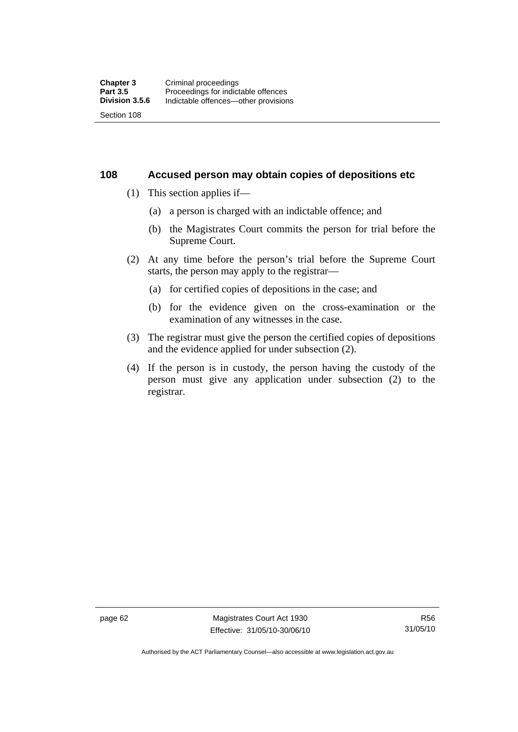#### **108 Accused person may obtain copies of depositions etc**

- (1) This section applies if—
	- (a) a person is charged with an indictable offence; and
	- (b) the Magistrates Court commits the person for trial before the Supreme Court.
- (2) At any time before the person's trial before the Supreme Court starts, the person may apply to the registrar—
	- (a) for certified copies of depositions in the case; and
	- (b) for the evidence given on the cross-examination or the examination of any witnesses in the case.
- (3) The registrar must give the person the certified copies of depositions and the evidence applied for under subsection (2).
- (4) If the person is in custody, the person having the custody of the person must give any application under subsection (2) to the registrar.

page 62 Magistrates Court Act 1930 Effective: 31/05/10-30/06/10

Authorised by the ACT Parliamentary Counsel—also accessible at www.legislation.act.gov.au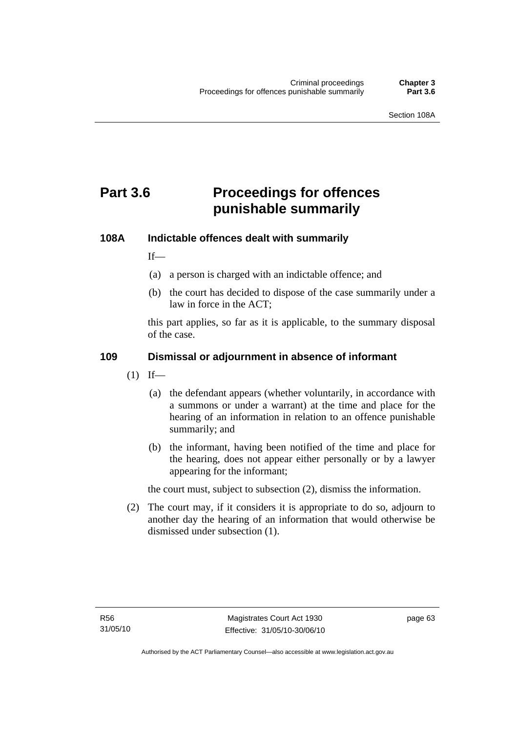# **Part 3.6 Proceedings for offences punishable summarily**

#### **108A Indictable offences dealt with summarily**

 $If$ <sub>—</sub>

- (a) a person is charged with an indictable offence; and
- (b) the court has decided to dispose of the case summarily under a law in force in the ACT;

this part applies, so far as it is applicable, to the summary disposal of the case.

### **109 Dismissal or adjournment in absence of informant**

- $(1)$  If—
	- (a) the defendant appears (whether voluntarily, in accordance with a summons or under a warrant) at the time and place for the hearing of an information in relation to an offence punishable summarily; and
	- (b) the informant, having been notified of the time and place for the hearing, does not appear either personally or by a lawyer appearing for the informant;

the court must, subject to subsection (2), dismiss the information.

 (2) The court may, if it considers it is appropriate to do so, adjourn to another day the hearing of an information that would otherwise be dismissed under subsection (1).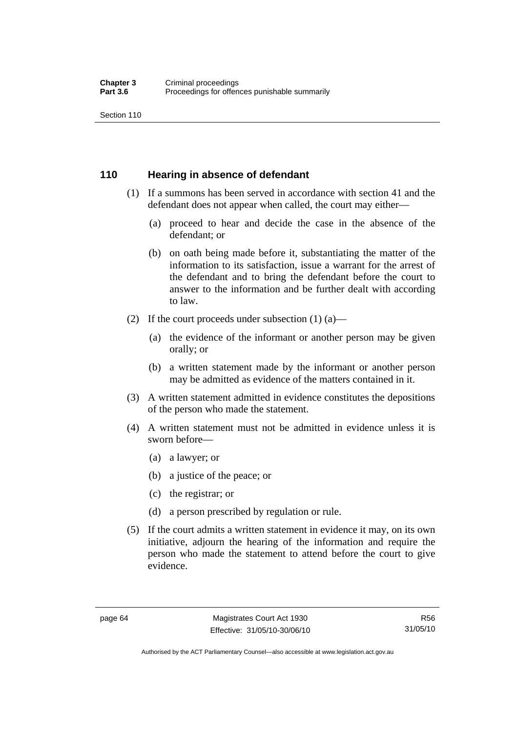Section 110

### **110 Hearing in absence of defendant**

- (1) If a summons has been served in accordance with section 41 and the defendant does not appear when called, the court may either—
	- (a) proceed to hear and decide the case in the absence of the defendant; or
	- (b) on oath being made before it, substantiating the matter of the information to its satisfaction, issue a warrant for the arrest of the defendant and to bring the defendant before the court to answer to the information and be further dealt with according to law.
- (2) If the court proceeds under subsection  $(1)$   $(a)$ 
	- (a) the evidence of the informant or another person may be given orally; or
	- (b) a written statement made by the informant or another person may be admitted as evidence of the matters contained in it.
- (3) A written statement admitted in evidence constitutes the depositions of the person who made the statement.
- (4) A written statement must not be admitted in evidence unless it is sworn before—
	- (a) a lawyer; or
	- (b) a justice of the peace; or
	- (c) the registrar; or
	- (d) a person prescribed by regulation or rule.
- (5) If the court admits a written statement in evidence it may, on its own initiative, adjourn the hearing of the information and require the person who made the statement to attend before the court to give evidence.

Authorised by the ACT Parliamentary Counsel—also accessible at www.legislation.act.gov.au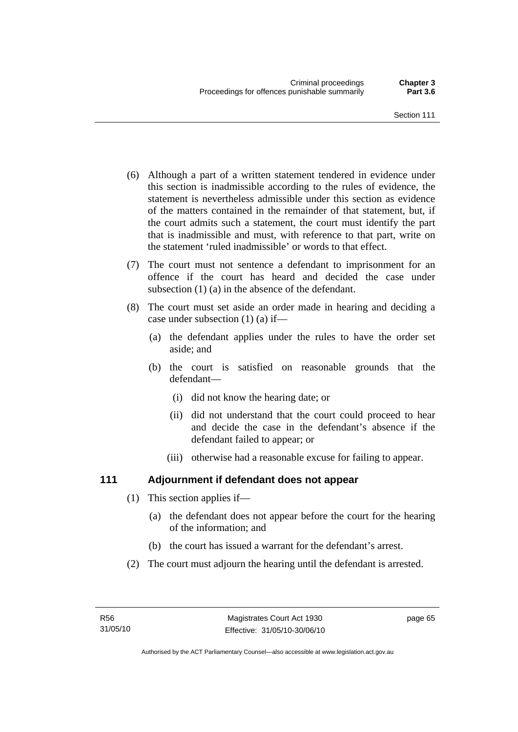- (6) Although a part of a written statement tendered in evidence under this section is inadmissible according to the rules of evidence, the statement is nevertheless admissible under this section as evidence of the matters contained in the remainder of that statement, but, if the court admits such a statement, the court must identify the part that is inadmissible and must, with reference to that part, write on the statement 'ruled inadmissible' or words to that effect.
- (7) The court must not sentence a defendant to imprisonment for an offence if the court has heard and decided the case under subsection (1) (a) in the absence of the defendant.
- (8) The court must set aside an order made in hearing and deciding a case under subsection (1) (a) if—
	- (a) the defendant applies under the rules to have the order set aside; and
	- (b) the court is satisfied on reasonable grounds that the defendant—
		- (i) did not know the hearing date; or
		- (ii) did not understand that the court could proceed to hear and decide the case in the defendant's absence if the defendant failed to appear; or
		- (iii) otherwise had a reasonable excuse for failing to appear.

# **111 Adjournment if defendant does not appear**

- (1) This section applies if—
	- (a) the defendant does not appear before the court for the hearing of the information; and
	- (b) the court has issued a warrant for the defendant's arrest.
- (2) The court must adjourn the hearing until the defendant is arrested.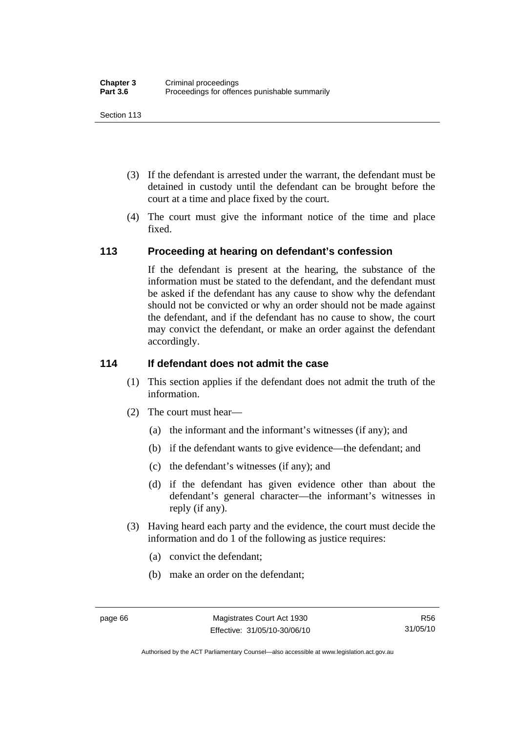Section 113

- (3) If the defendant is arrested under the warrant, the defendant must be detained in custody until the defendant can be brought before the court at a time and place fixed by the court.
- (4) The court must give the informant notice of the time and place fixed.

### **113 Proceeding at hearing on defendant's confession**

If the defendant is present at the hearing, the substance of the information must be stated to the defendant, and the defendant must be asked if the defendant has any cause to show why the defendant should not be convicted or why an order should not be made against the defendant, and if the defendant has no cause to show, the court may convict the defendant, or make an order against the defendant accordingly.

#### **114 If defendant does not admit the case**

- (1) This section applies if the defendant does not admit the truth of the information.
- (2) The court must hear—
	- (a) the informant and the informant's witnesses (if any); and
	- (b) if the defendant wants to give evidence—the defendant; and
	- (c) the defendant's witnesses (if any); and
	- (d) if the defendant has given evidence other than about the defendant's general character—the informant's witnesses in reply (if any).
- (3) Having heard each party and the evidence, the court must decide the information and do 1 of the following as justice requires:
	- (a) convict the defendant;
	- (b) make an order on the defendant;

R56 31/05/10

Authorised by the ACT Parliamentary Counsel—also accessible at www.legislation.act.gov.au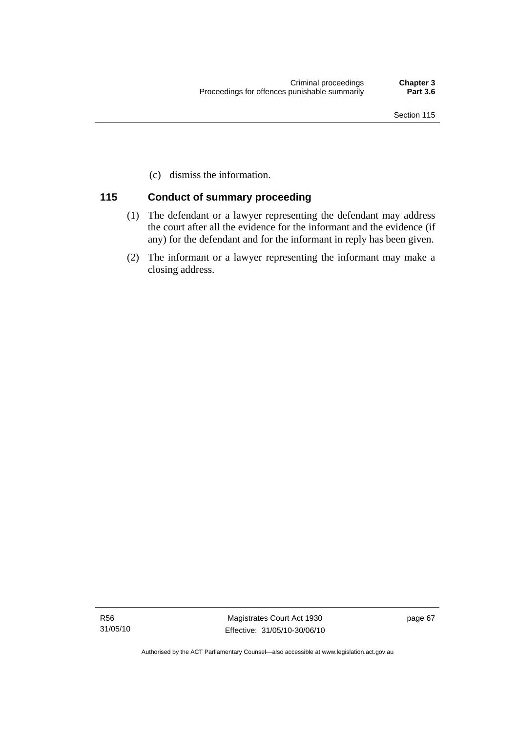(c) dismiss the information.

### **115 Conduct of summary proceeding**

- (1) The defendant or a lawyer representing the defendant may address the court after all the evidence for the informant and the evidence (if any) for the defendant and for the informant in reply has been given.
- (2) The informant or a lawyer representing the informant may make a closing address.

R56 31/05/10

Magistrates Court Act 1930 Effective: 31/05/10-30/06/10 page 67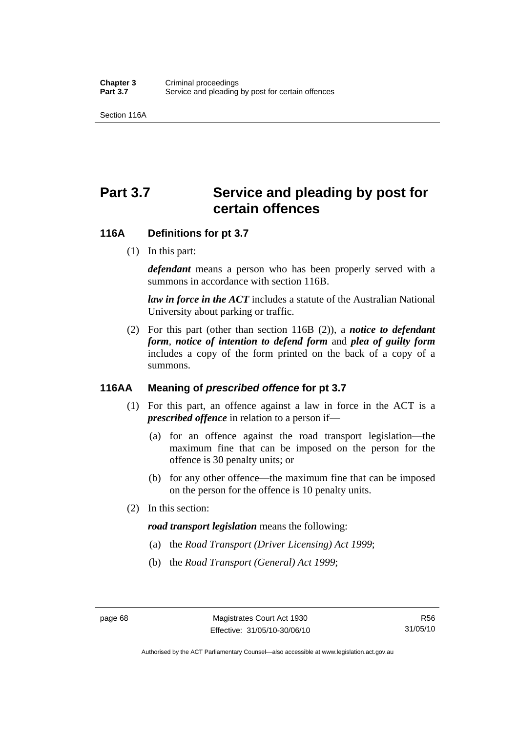Section 116A

# Part 3.7 Service and pleading by post for **certain offences**

#### **116A Definitions for pt 3.7**

(1) In this part:

*defendant* means a person who has been properly served with a summons in accordance with section 116B.

*law in force in the ACT* includes a statute of the Australian National University about parking or traffic.

 (2) For this part (other than section 116B (2)), a *notice to defendant form*, *notice of intention to defend form* and *plea of guilty form* includes a copy of the form printed on the back of a copy of a summons.

# **116AA Meaning of** *prescribed offence* **for pt 3.7**

- (1) For this part, an offence against a law in force in the ACT is a *prescribed offence* in relation to a person if—
	- (a) for an offence against the road transport legislation—the maximum fine that can be imposed on the person for the offence is 30 penalty units; or
	- (b) for any other offence—the maximum fine that can be imposed on the person for the offence is 10 penalty units.
- (2) In this section:

#### *road transport legislation* means the following:

- (a) the *Road Transport (Driver Licensing) Act 1999*;
- (b) the *Road Transport (General) Act 1999*;

Authorised by the ACT Parliamentary Counsel—also accessible at www.legislation.act.gov.au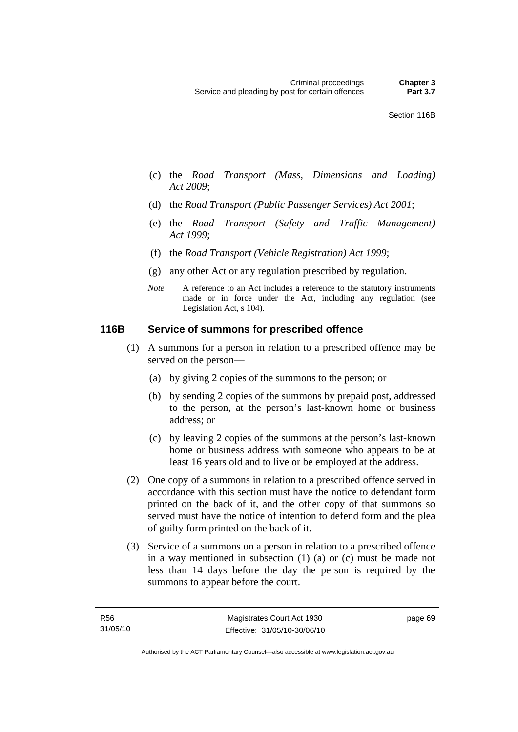- (c) the *Road Transport (Mass, Dimensions and Loading) Act 2009*;
- (d) the *Road Transport (Public Passenger Services) Act 2001*;
- (e) the *Road Transport (Safety and Traffic Management) Act 1999*;
- (f) the *Road Transport (Vehicle Registration) Act 1999*;
- (g) any other Act or any regulation prescribed by regulation.
- *Note* A reference to an Act includes a reference to the statutory instruments made or in force under the Act, including any regulation (see Legislation Act, s 104).

#### **116B Service of summons for prescribed offence**

- (1) A summons for a person in relation to a prescribed offence may be served on the person—
	- (a) by giving 2 copies of the summons to the person; or
	- (b) by sending 2 copies of the summons by prepaid post, addressed to the person, at the person's last-known home or business address; or
	- (c) by leaving 2 copies of the summons at the person's last-known home or business address with someone who appears to be at least 16 years old and to live or be employed at the address.
- (2) One copy of a summons in relation to a prescribed offence served in accordance with this section must have the notice to defendant form printed on the back of it, and the other copy of that summons so served must have the notice of intention to defend form and the plea of guilty form printed on the back of it.
- (3) Service of a summons on a person in relation to a prescribed offence in a way mentioned in subsection (1) (a) or (c) must be made not less than 14 days before the day the person is required by the summons to appear before the court.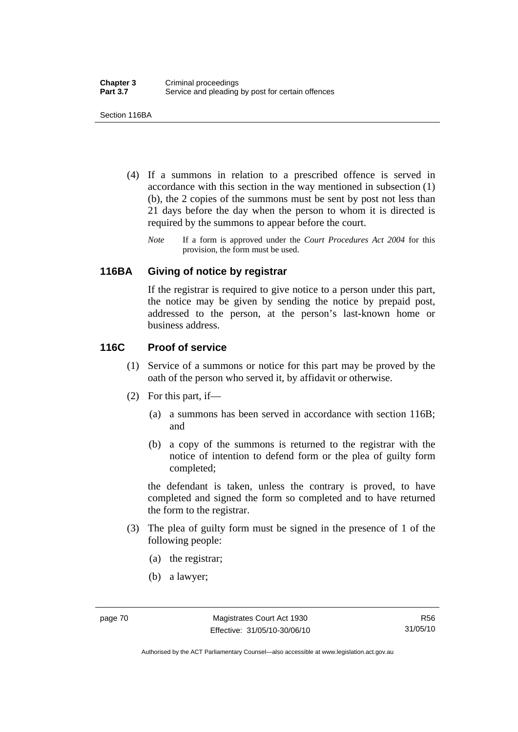Section 116BA

- (4) If a summons in relation to a prescribed offence is served in accordance with this section in the way mentioned in subsection (1) (b), the 2 copies of the summons must be sent by post not less than 21 days before the day when the person to whom it is directed is required by the summons to appear before the court.
	- *Note* If a form is approved under the *Court Procedures Act 2004* for this provision, the form must be used.

#### **116BA Giving of notice by registrar**

If the registrar is required to give notice to a person under this part, the notice may be given by sending the notice by prepaid post, addressed to the person, at the person's last-known home or business address.

### **116C Proof of service**

- (1) Service of a summons or notice for this part may be proved by the oath of the person who served it, by affidavit or otherwise.
- (2) For this part, if—
	- (a) a summons has been served in accordance with section 116B; and
	- (b) a copy of the summons is returned to the registrar with the notice of intention to defend form or the plea of guilty form completed;

the defendant is taken, unless the contrary is proved, to have completed and signed the form so completed and to have returned the form to the registrar.

- (3) The plea of guilty form must be signed in the presence of 1 of the following people:
	- (a) the registrar;
	- (b) a lawyer;

Authorised by the ACT Parliamentary Counsel—also accessible at www.legislation.act.gov.au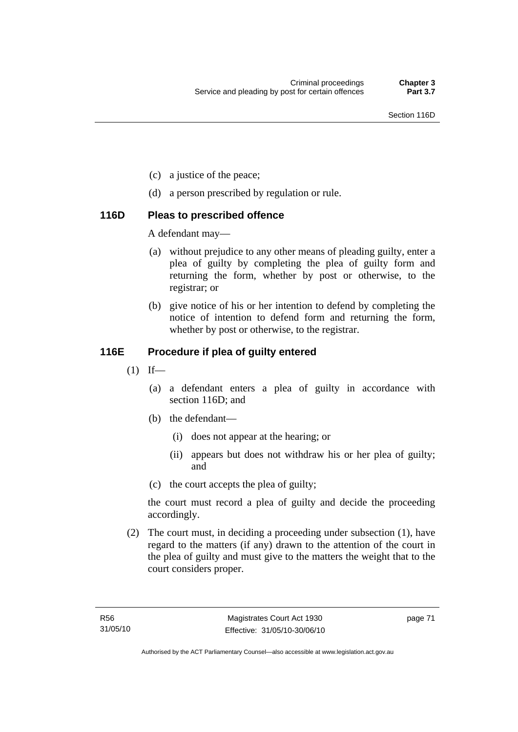- (c) a justice of the peace;
- (d) a person prescribed by regulation or rule.

### **116D Pleas to prescribed offence**

A defendant may—

- (a) without prejudice to any other means of pleading guilty, enter a plea of guilty by completing the plea of guilty form and returning the form, whether by post or otherwise, to the registrar; or
- (b) give notice of his or her intention to defend by completing the notice of intention to defend form and returning the form, whether by post or otherwise, to the registrar.

# **116E Procedure if plea of guilty entered**

- $(1)$  If—
	- (a) a defendant enters a plea of guilty in accordance with section 116D; and
	- (b) the defendant—
		- (i) does not appear at the hearing; or
		- (ii) appears but does not withdraw his or her plea of guilty; and
	- (c) the court accepts the plea of guilty;

the court must record a plea of guilty and decide the proceeding accordingly.

 (2) The court must, in deciding a proceeding under subsection (1), have regard to the matters (if any) drawn to the attention of the court in the plea of guilty and must give to the matters the weight that to the court considers proper.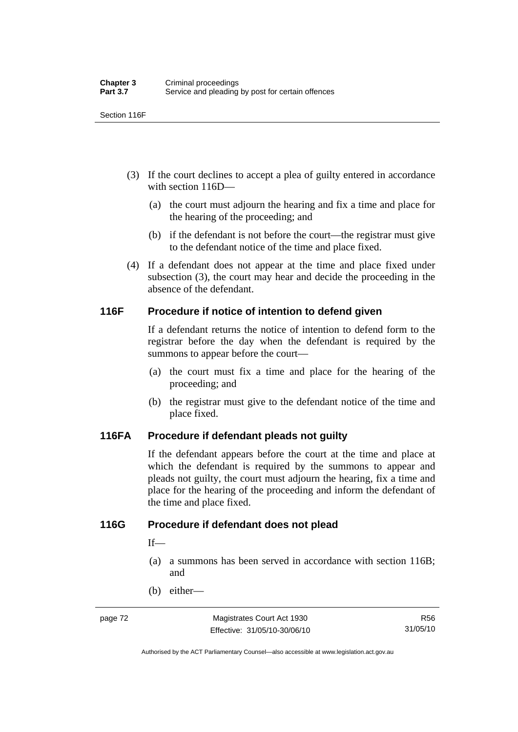Section 116F

- (3) If the court declines to accept a plea of guilty entered in accordance with section 116D—
	- (a) the court must adjourn the hearing and fix a time and place for the hearing of the proceeding; and
	- (b) if the defendant is not before the court—the registrar must give to the defendant notice of the time and place fixed.
- (4) If a defendant does not appear at the time and place fixed under subsection (3), the court may hear and decide the proceeding in the absence of the defendant.

### **116F Procedure if notice of intention to defend given**

If a defendant returns the notice of intention to defend form to the registrar before the day when the defendant is required by the summons to appear before the court—

- (a) the court must fix a time and place for the hearing of the proceeding; and
- (b) the registrar must give to the defendant notice of the time and place fixed.

#### **116FA Procedure if defendant pleads not guilty**

If the defendant appears before the court at the time and place at which the defendant is required by the summons to appear and pleads not guilty, the court must adjourn the hearing, fix a time and place for the hearing of the proceeding and inform the defendant of the time and place fixed.

#### **116G Procedure if defendant does not plead**

 $If$ —

- (a) a summons has been served in accordance with section 116B; and
- (b) either—

Authorised by the ACT Parliamentary Counsel—also accessible at www.legislation.act.gov.au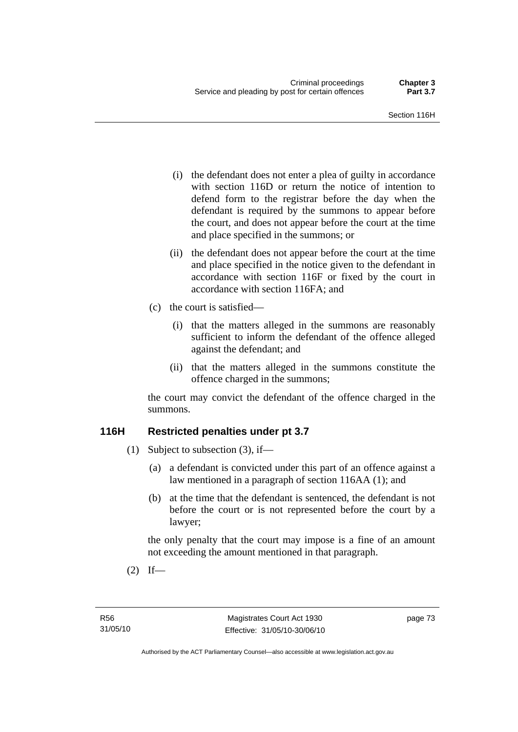- (i) the defendant does not enter a plea of guilty in accordance with section 116D or return the notice of intention to defend form to the registrar before the day when the defendant is required by the summons to appear before the court, and does not appear before the court at the time and place specified in the summons; or
- (ii) the defendant does not appear before the court at the time and place specified in the notice given to the defendant in accordance with section 116F or fixed by the court in accordance with section 116FA; and
- (c) the court is satisfied—
	- (i) that the matters alleged in the summons are reasonably sufficient to inform the defendant of the offence alleged against the defendant; and
	- (ii) that the matters alleged in the summons constitute the offence charged in the summons;

the court may convict the defendant of the offence charged in the summons.

# **116H Restricted penalties under pt 3.7**

- (1) Subject to subsection (3), if—
	- (a) a defendant is convicted under this part of an offence against a law mentioned in a paragraph of section 116AA (1); and
	- (b) at the time that the defendant is sentenced, the defendant is not before the court or is not represented before the court by a lawyer;

the only penalty that the court may impose is a fine of an amount not exceeding the amount mentioned in that paragraph.

 $(2)$  If—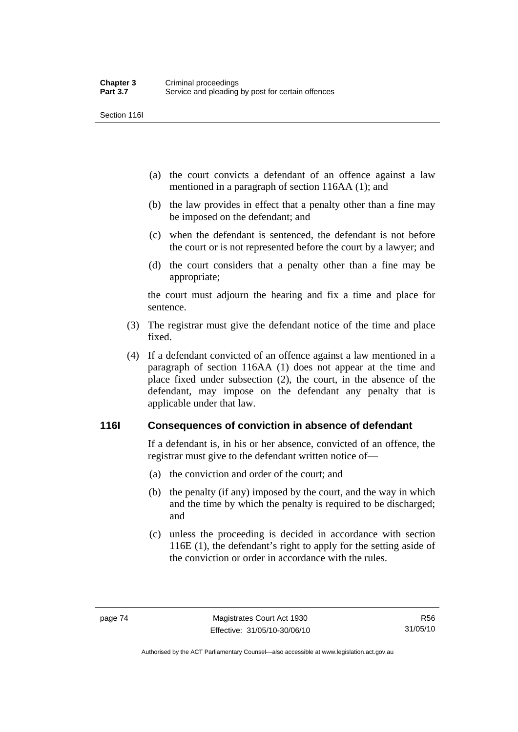Section 116I

- (a) the court convicts a defendant of an offence against a law mentioned in a paragraph of section 116AA (1); and
- (b) the law provides in effect that a penalty other than a fine may be imposed on the defendant; and
- (c) when the defendant is sentenced, the defendant is not before the court or is not represented before the court by a lawyer; and
- (d) the court considers that a penalty other than a fine may be appropriate;

the court must adjourn the hearing and fix a time and place for sentence.

- (3) The registrar must give the defendant notice of the time and place fixed.
- (4) If a defendant convicted of an offence against a law mentioned in a paragraph of section 116AA (1) does not appear at the time and place fixed under subsection (2), the court, in the absence of the defendant, may impose on the defendant any penalty that is applicable under that law.

# **116I Consequences of conviction in absence of defendant**

If a defendant is, in his or her absence, convicted of an offence, the registrar must give to the defendant written notice of—

- (a) the conviction and order of the court; and
- (b) the penalty (if any) imposed by the court, and the way in which and the time by which the penalty is required to be discharged; and
- (c) unless the proceeding is decided in accordance with section 116E (1), the defendant's right to apply for the setting aside of the conviction or order in accordance with the rules.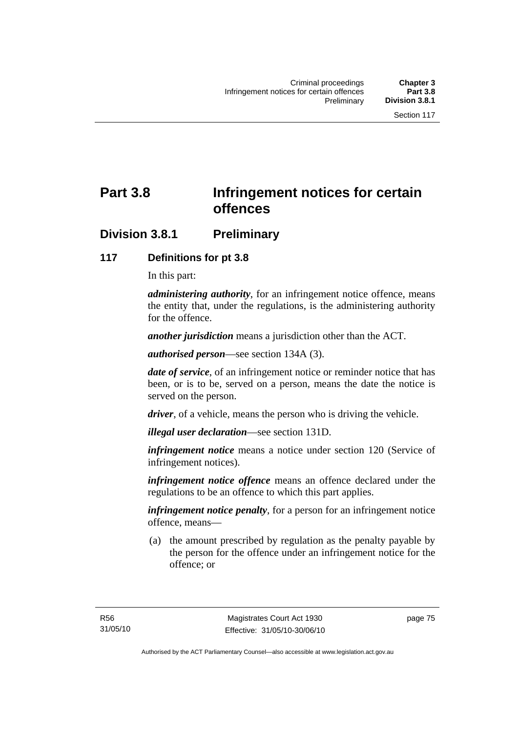# **Part 3.8 Infringement notices for certain offences**

# **Division 3.8.1 Preliminary**

# **117 Definitions for pt 3.8**

In this part:

*administering authority*, for an infringement notice offence, means the entity that, under the regulations, is the administering authority for the offence.

*another jurisdiction* means a jurisdiction other than the ACT.

*authorised person*—see section 134A (3).

*date of service*, of an infringement notice or reminder notice that has been, or is to be, served on a person, means the date the notice is served on the person.

*driver*, of a vehicle, means the person who is driving the vehicle.

*illegal user declaration*—see section 131D.

*infringement notice* means a notice under section 120 (Service of infringement notices).

*infringement notice offence* means an offence declared under the regulations to be an offence to which this part applies.

*infringement notice penalty*, for a person for an infringement notice offence, means—

 (a) the amount prescribed by regulation as the penalty payable by the person for the offence under an infringement notice for the offence; or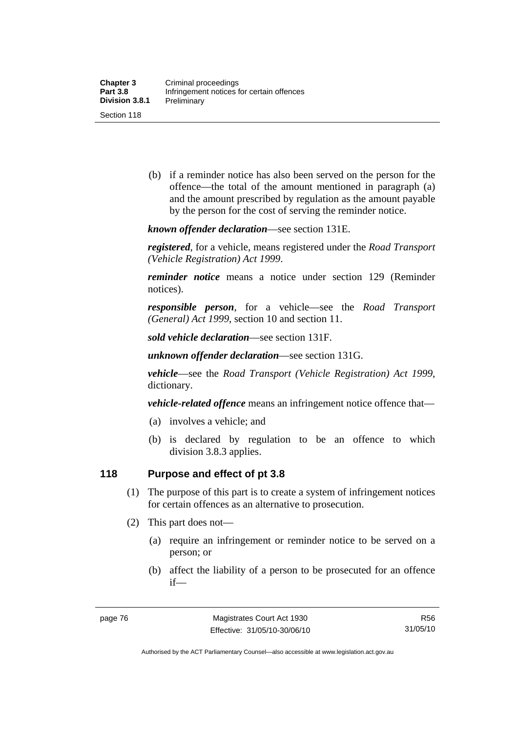(b) if a reminder notice has also been served on the person for the offence—the total of the amount mentioned in paragraph (a) and the amount prescribed by regulation as the amount payable by the person for the cost of serving the reminder notice.

*known offender declaration*—see section 131E.

*registered*, for a vehicle, means registered under the *Road Transport (Vehicle Registration) Act 1999*.

*reminder notice* means a notice under section 129 (Reminder notices).

*responsible person*, for a vehicle—see the *Road Transport (General) Act 1999*, section 10 and section 11.

*sold vehicle declaration*—see section 131F.

*unknown offender declaration*—see section 131G.

*vehicle*—see the *Road Transport (Vehicle Registration) Act 1999*, dictionary.

*vehicle-related offence* means an infringement notice offence that—

- (a) involves a vehicle; and
- (b) is declared by regulation to be an offence to which division 3.8.3 applies.

#### **118 Purpose and effect of pt 3.8**

- (1) The purpose of this part is to create a system of infringement notices for certain offences as an alternative to prosecution.
- (2) This part does not—
	- (a) require an infringement or reminder notice to be served on a person; or
	- (b) affect the liability of a person to be prosecuted for an offence if—

R56 31/05/10

Authorised by the ACT Parliamentary Counsel—also accessible at www.legislation.act.gov.au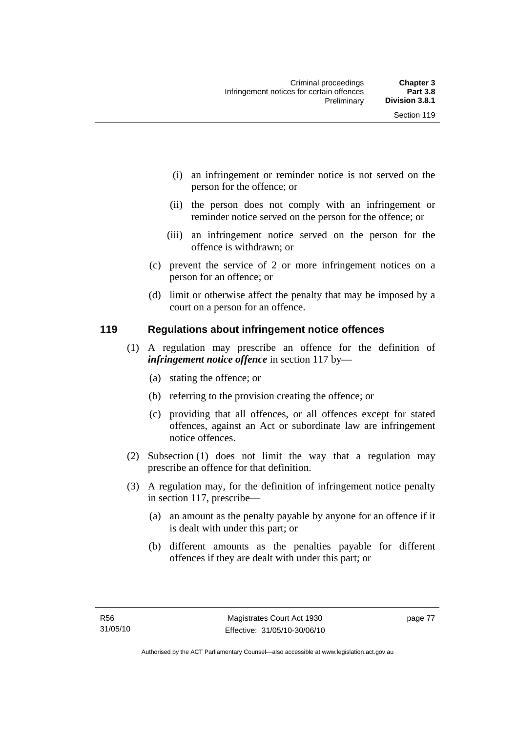- (i) an infringement or reminder notice is not served on the person for the offence; or
- (ii) the person does not comply with an infringement or reminder notice served on the person for the offence; or
- (iii) an infringement notice served on the person for the offence is withdrawn; or
- (c) prevent the service of 2 or more infringement notices on a person for an offence; or
- (d) limit or otherwise affect the penalty that may be imposed by a court on a person for an offence.

### **119 Regulations about infringement notice offences**

- (1) A regulation may prescribe an offence for the definition of *infringement notice offence* in section 117 by—
	- (a) stating the offence; or
	- (b) referring to the provision creating the offence; or
	- (c) providing that all offences, or all offences except for stated offences, against an Act or subordinate law are infringement notice offences.
- (2) Subsection (1) does not limit the way that a regulation may prescribe an offence for that definition.
- (3) A regulation may, for the definition of infringement notice penalty in section 117, prescribe—
	- (a) an amount as the penalty payable by anyone for an offence if it is dealt with under this part; or
	- (b) different amounts as the penalties payable for different offences if they are dealt with under this part; or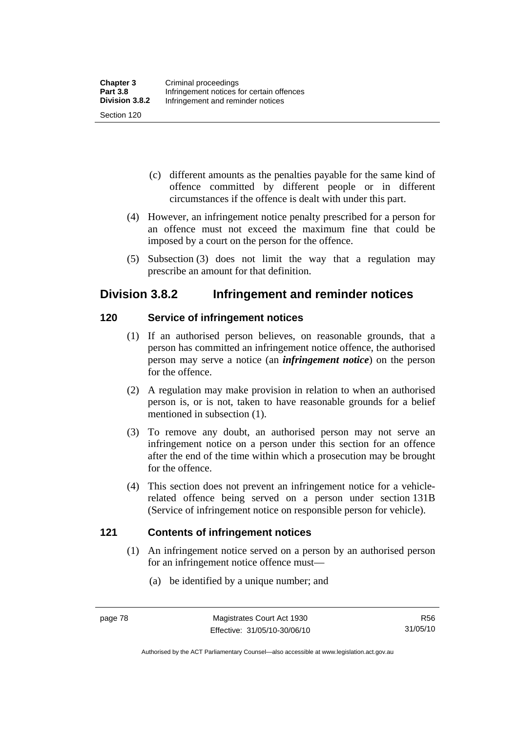- (c) different amounts as the penalties payable for the same kind of offence committed by different people or in different circumstances if the offence is dealt with under this part.
- (4) However, an infringement notice penalty prescribed for a person for an offence must not exceed the maximum fine that could be imposed by a court on the person for the offence.
- (5) Subsection (3) does not limit the way that a regulation may prescribe an amount for that definition.

# **Division 3.8.2 Infringement and reminder notices**

# **120 Service of infringement notices**

- (1) If an authorised person believes, on reasonable grounds, that a person has committed an infringement notice offence, the authorised person may serve a notice (an *infringement notice*) on the person for the offence.
- (2) A regulation may make provision in relation to when an authorised person is, or is not, taken to have reasonable grounds for a belief mentioned in subsection (1).
- (3) To remove any doubt, an authorised person may not serve an infringement notice on a person under this section for an offence after the end of the time within which a prosecution may be brought for the offence.
- (4) This section does not prevent an infringement notice for a vehiclerelated offence being served on a person under section 131B (Service of infringement notice on responsible person for vehicle).

# **121 Contents of infringement notices**

- (1) An infringement notice served on a person by an authorised person for an infringement notice offence must—
	- (a) be identified by a unique number; and

Authorised by the ACT Parliamentary Counsel—also accessible at www.legislation.act.gov.au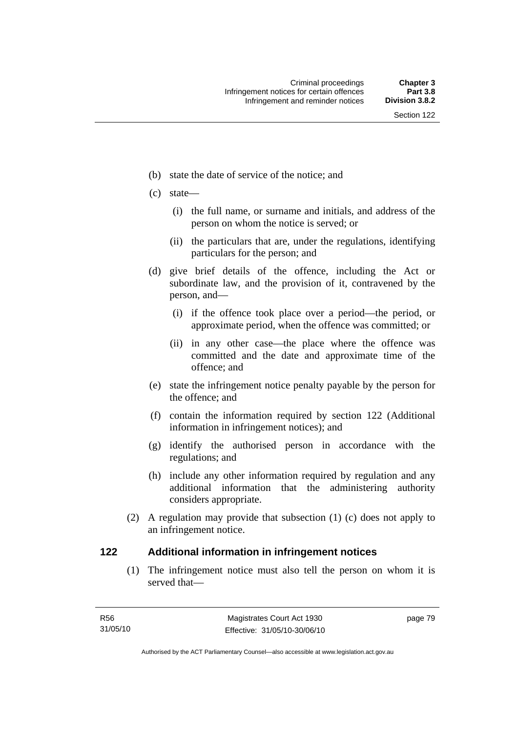- (b) state the date of service of the notice; and
- (c) state—
	- (i) the full name, or surname and initials, and address of the person on whom the notice is served; or
	- (ii) the particulars that are, under the regulations, identifying particulars for the person; and
- (d) give brief details of the offence, including the Act or subordinate law, and the provision of it, contravened by the person, and—
	- (i) if the offence took place over a period—the period, or approximate period, when the offence was committed; or
	- (ii) in any other case—the place where the offence was committed and the date and approximate time of the offence; and
- (e) state the infringement notice penalty payable by the person for the offence; and
- (f) contain the information required by section 122 (Additional information in infringement notices); and
- (g) identify the authorised person in accordance with the regulations; and
- (h) include any other information required by regulation and any additional information that the administering authority considers appropriate.
- (2) A regulation may provide that subsection (1) (c) does not apply to an infringement notice.

#### **122 Additional information in infringement notices**

 (1) The infringement notice must also tell the person on whom it is served that—

page 79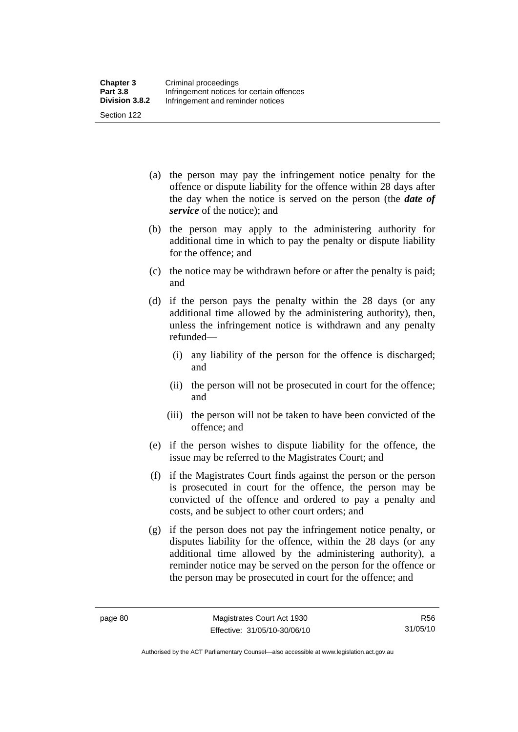| <b>Chapter 3</b> | Criminal proceedings                      |
|------------------|-------------------------------------------|
| <b>Part 3.8</b>  | Infringement notices for certain offences |
| Division 3.8.2   | Infringement and reminder notices         |
| Section 122      |                                           |

- (a) the person may pay the infringement notice penalty for the offence or dispute liability for the offence within 28 days after the day when the notice is served on the person (the *date of service* of the notice); and
- (b) the person may apply to the administering authority for additional time in which to pay the penalty or dispute liability for the offence; and
- (c) the notice may be withdrawn before or after the penalty is paid; and
- (d) if the person pays the penalty within the 28 days (or any additional time allowed by the administering authority), then, unless the infringement notice is withdrawn and any penalty refunded—
	- (i) any liability of the person for the offence is discharged; and
	- (ii) the person will not be prosecuted in court for the offence; and
	- (iii) the person will not be taken to have been convicted of the offence; and
- (e) if the person wishes to dispute liability for the offence, the issue may be referred to the Magistrates Court; and
- (f) if the Magistrates Court finds against the person or the person is prosecuted in court for the offence, the person may be convicted of the offence and ordered to pay a penalty and costs, and be subject to other court orders; and
- (g) if the person does not pay the infringement notice penalty, or disputes liability for the offence, within the 28 days (or any additional time allowed by the administering authority), a reminder notice may be served on the person for the offence or the person may be prosecuted in court for the offence; and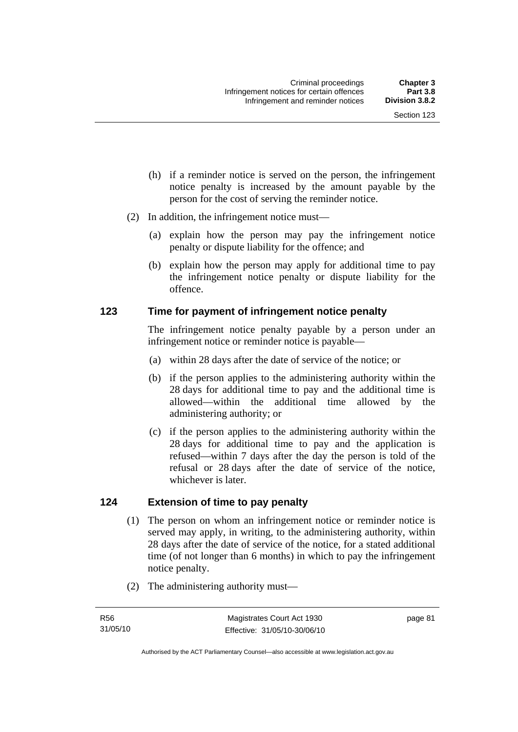- (h) if a reminder notice is served on the person, the infringement notice penalty is increased by the amount payable by the person for the cost of serving the reminder notice.
- (2) In addition, the infringement notice must—
	- (a) explain how the person may pay the infringement notice penalty or dispute liability for the offence; and
	- (b) explain how the person may apply for additional time to pay the infringement notice penalty or dispute liability for the offence.

#### **123 Time for payment of infringement notice penalty**

The infringement notice penalty payable by a person under an infringement notice or reminder notice is payable—

- (a) within 28 days after the date of service of the notice; or
- (b) if the person applies to the administering authority within the 28 days for additional time to pay and the additional time is allowed—within the additional time allowed by the administering authority; or
- (c) if the person applies to the administering authority within the 28 days for additional time to pay and the application is refused—within 7 days after the day the person is told of the refusal or 28 days after the date of service of the notice, whichever is later.

# **124 Extension of time to pay penalty**

- (1) The person on whom an infringement notice or reminder notice is served may apply, in writing, to the administering authority, within 28 days after the date of service of the notice, for a stated additional time (of not longer than 6 months) in which to pay the infringement notice penalty.
- (2) The administering authority must—

page 81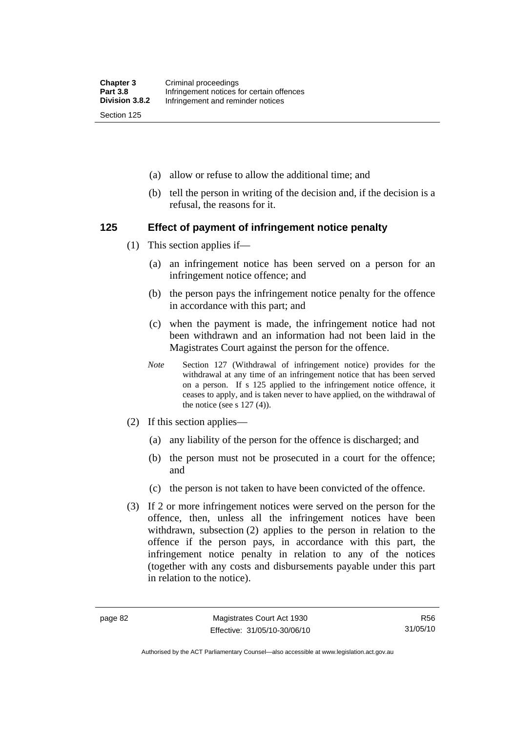- (a) allow or refuse to allow the additional time; and
- (b) tell the person in writing of the decision and, if the decision is a refusal, the reasons for it.

#### **125 Effect of payment of infringement notice penalty**

- (1) This section applies if—
	- (a) an infringement notice has been served on a person for an infringement notice offence; and
	- (b) the person pays the infringement notice penalty for the offence in accordance with this part; and
	- (c) when the payment is made, the infringement notice had not been withdrawn and an information had not been laid in the Magistrates Court against the person for the offence.
	- *Note* Section 127 (Withdrawal of infringement notice) provides for the withdrawal at any time of an infringement notice that has been served on a person. If s 125 applied to the infringement notice offence, it ceases to apply, and is taken never to have applied, on the withdrawal of the notice (see s  $127(4)$ ).
- (2) If this section applies—
	- (a) any liability of the person for the offence is discharged; and
	- (b) the person must not be prosecuted in a court for the offence; and
	- (c) the person is not taken to have been convicted of the offence.
- (3) If 2 or more infringement notices were served on the person for the offence, then, unless all the infringement notices have been withdrawn, subsection (2) applies to the person in relation to the offence if the person pays, in accordance with this part, the infringement notice penalty in relation to any of the notices (together with any costs and disbursements payable under this part in relation to the notice).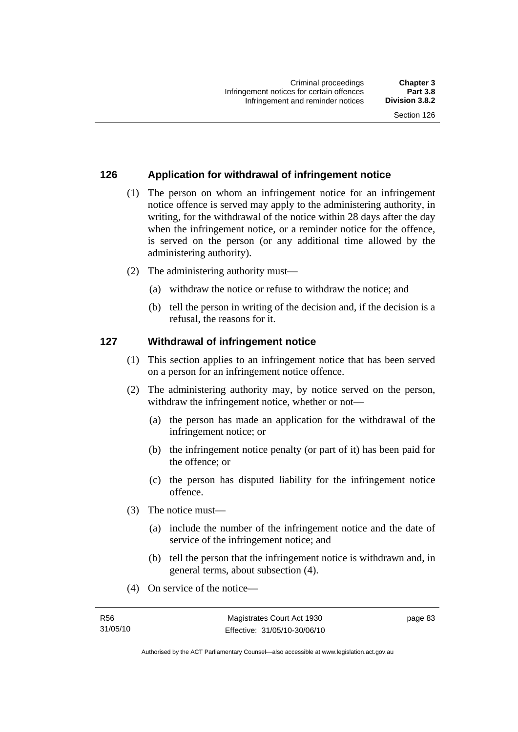## **126 Application for withdrawal of infringement notice**

- (1) The person on whom an infringement notice for an infringement notice offence is served may apply to the administering authority, in writing, for the withdrawal of the notice within 28 days after the day when the infringement notice, or a reminder notice for the offence, is served on the person (or any additional time allowed by the administering authority).
- (2) The administering authority must—
	- (a) withdraw the notice or refuse to withdraw the notice; and
	- (b) tell the person in writing of the decision and, if the decision is a refusal, the reasons for it.

#### **127 Withdrawal of infringement notice**

- (1) This section applies to an infringement notice that has been served on a person for an infringement notice offence.
- (2) The administering authority may, by notice served on the person, withdraw the infringement notice, whether or not—
	- (a) the person has made an application for the withdrawal of the infringement notice; or
	- (b) the infringement notice penalty (or part of it) has been paid for the offence; or
	- (c) the person has disputed liability for the infringement notice offence.
- (3) The notice must—
	- (a) include the number of the infringement notice and the date of service of the infringement notice; and
	- (b) tell the person that the infringement notice is withdrawn and, in general terms, about subsection (4).
- (4) On service of the notice—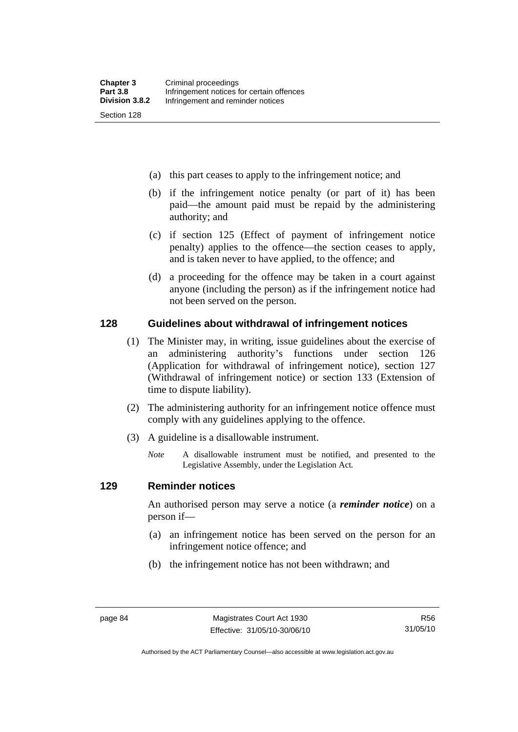- (a) this part ceases to apply to the infringement notice; and
- (b) if the infringement notice penalty (or part of it) has been paid—the amount paid must be repaid by the administering authority; and
- (c) if section 125 (Effect of payment of infringement notice penalty) applies to the offence—the section ceases to apply, and is taken never to have applied, to the offence; and
- (d) a proceeding for the offence may be taken in a court against anyone (including the person) as if the infringement notice had not been served on the person.

#### **128 Guidelines about withdrawal of infringement notices**

- (1) The Minister may, in writing, issue guidelines about the exercise of an administering authority's functions under section 126 (Application for withdrawal of infringement notice), section 127 (Withdrawal of infringement notice) or section 133 (Extension of time to dispute liability).
- (2) The administering authority for an infringement notice offence must comply with any guidelines applying to the offence.
- (3) A guideline is a disallowable instrument.
	- *Note* A disallowable instrument must be notified, and presented to the Legislative Assembly, under the Legislation Act*.*

#### **129 Reminder notices**

An authorised person may serve a notice (a *reminder notice*) on a person if—

- (a) an infringement notice has been served on the person for an infringement notice offence; and
- (b) the infringement notice has not been withdrawn; and

Authorised by the ACT Parliamentary Counsel—also accessible at www.legislation.act.gov.au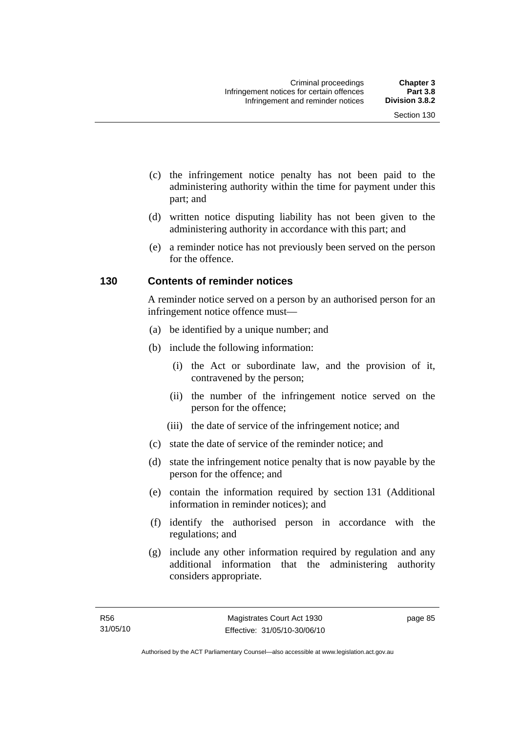- (c) the infringement notice penalty has not been paid to the administering authority within the time for payment under this part; and
- (d) written notice disputing liability has not been given to the administering authority in accordance with this part; and
- (e) a reminder notice has not previously been served on the person for the offence.

### **130 Contents of reminder notices**

A reminder notice served on a person by an authorised person for an infringement notice offence must—

- (a) be identified by a unique number; and
- (b) include the following information:
	- (i) the Act or subordinate law, and the provision of it, contravened by the person;
	- (ii) the number of the infringement notice served on the person for the offence;
	- (iii) the date of service of the infringement notice; and
- (c) state the date of service of the reminder notice; and
- (d) state the infringement notice penalty that is now payable by the person for the offence; and
- (e) contain the information required by section 131 (Additional information in reminder notices); and
- (f) identify the authorised person in accordance with the regulations; and
- (g) include any other information required by regulation and any additional information that the administering authority considers appropriate.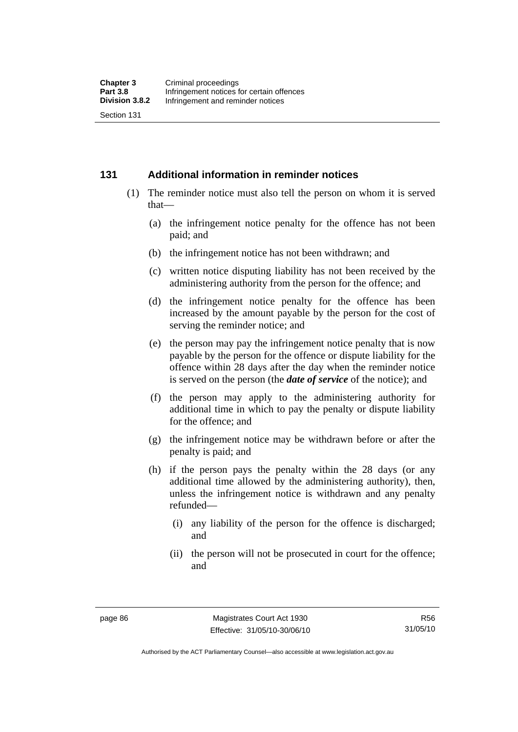#### **131 Additional information in reminder notices**

- (1) The reminder notice must also tell the person on whom it is served that—
	- (a) the infringement notice penalty for the offence has not been paid; and
	- (b) the infringement notice has not been withdrawn; and
	- (c) written notice disputing liability has not been received by the administering authority from the person for the offence; and
	- (d) the infringement notice penalty for the offence has been increased by the amount payable by the person for the cost of serving the reminder notice; and
	- (e) the person may pay the infringement notice penalty that is now payable by the person for the offence or dispute liability for the offence within 28 days after the day when the reminder notice is served on the person (the *date of service* of the notice); and
	- (f) the person may apply to the administering authority for additional time in which to pay the penalty or dispute liability for the offence; and
	- (g) the infringement notice may be withdrawn before or after the penalty is paid; and
	- (h) if the person pays the penalty within the 28 days (or any additional time allowed by the administering authority), then, unless the infringement notice is withdrawn and any penalty refunded—
		- (i) any liability of the person for the offence is discharged; and
		- (ii) the person will not be prosecuted in court for the offence; and

Authorised by the ACT Parliamentary Counsel—also accessible at www.legislation.act.gov.au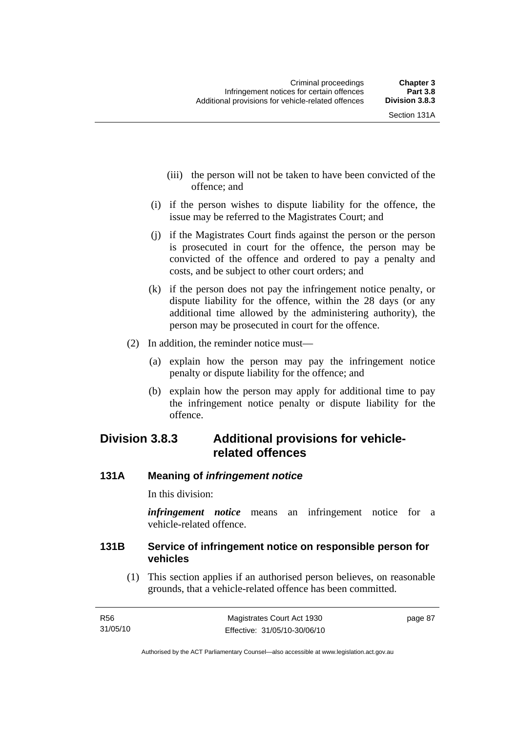- (iii) the person will not be taken to have been convicted of the offence; and
- (i) if the person wishes to dispute liability for the offence, the issue may be referred to the Magistrates Court; and
- (j) if the Magistrates Court finds against the person or the person is prosecuted in court for the offence, the person may be convicted of the offence and ordered to pay a penalty and costs, and be subject to other court orders; and
- (k) if the person does not pay the infringement notice penalty, or dispute liability for the offence, within the 28 days (or any additional time allowed by the administering authority), the person may be prosecuted in court for the offence.
- (2) In addition, the reminder notice must—
	- (a) explain how the person may pay the infringement notice penalty or dispute liability for the offence; and
	- (b) explain how the person may apply for additional time to pay the infringement notice penalty or dispute liability for the offence.

# **Division 3.8.3 Additional provisions for vehiclerelated offences**

# **131A Meaning of** *infringement notice*

In this division:

*infringement notice* means an infringement notice for a vehicle-related offence.

# **131B Service of infringement notice on responsible person for vehicles**

 (1) This section applies if an authorised person believes, on reasonable grounds, that a vehicle-related offence has been committed.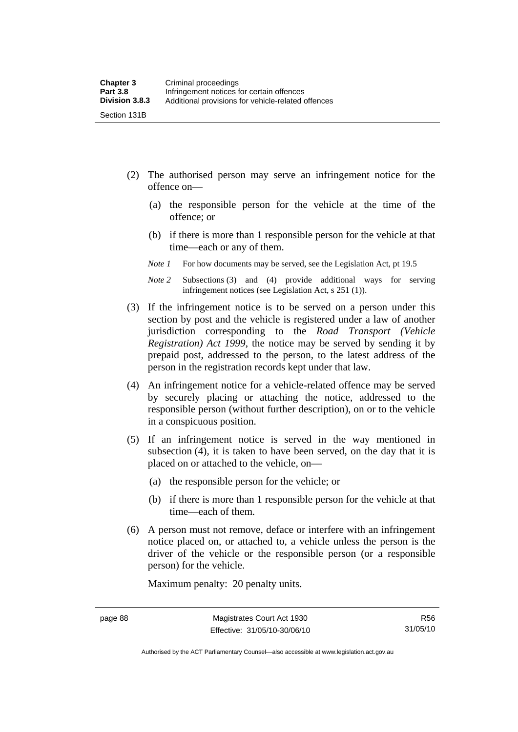- (2) The authorised person may serve an infringement notice for the offence on—
	- (a) the responsible person for the vehicle at the time of the offence; or
	- (b) if there is more than 1 responsible person for the vehicle at that time—each or any of them.
	- *Note 1* For how documents may be served, see the Legislation Act, pt 19.5
	- *Note 2* Subsections (3) and (4) provide additional ways for serving infringement notices (see Legislation Act, s 251 (1)).
- (3) If the infringement notice is to be served on a person under this section by post and the vehicle is registered under a law of another jurisdiction corresponding to the *Road Transport (Vehicle Registration) Act 1999*, the notice may be served by sending it by prepaid post, addressed to the person, to the latest address of the person in the registration records kept under that law.
- (4) An infringement notice for a vehicle-related offence may be served by securely placing or attaching the notice, addressed to the responsible person (without further description), on or to the vehicle in a conspicuous position.
- (5) If an infringement notice is served in the way mentioned in subsection (4), it is taken to have been served, on the day that it is placed on or attached to the vehicle, on—
	- (a) the responsible person for the vehicle; or
	- (b) if there is more than 1 responsible person for the vehicle at that time—each of them.
- (6) A person must not remove, deface or interfere with an infringement notice placed on, or attached to, a vehicle unless the person is the driver of the vehicle or the responsible person (or a responsible person) for the vehicle.

Maximum penalty: 20 penalty units.

Authorised by the ACT Parliamentary Counsel—also accessible at www.legislation.act.gov.au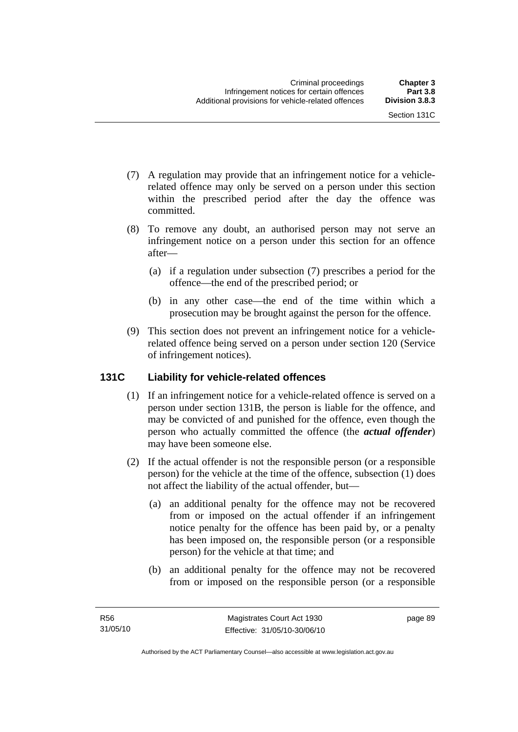- (7) A regulation may provide that an infringement notice for a vehiclerelated offence may only be served on a person under this section within the prescribed period after the day the offence was committed.
- (8) To remove any doubt, an authorised person may not serve an infringement notice on a person under this section for an offence after—
	- (a) if a regulation under subsection (7) prescribes a period for the offence—the end of the prescribed period; or
	- (b) in any other case—the end of the time within which a prosecution may be brought against the person for the offence.
- (9) This section does not prevent an infringement notice for a vehiclerelated offence being served on a person under section 120 (Service of infringement notices).

# **131C Liability for vehicle-related offences**

- (1) If an infringement notice for a vehicle-related offence is served on a person under section 131B, the person is liable for the offence, and may be convicted of and punished for the offence, even though the person who actually committed the offence (the *actual offender*) may have been someone else.
- (2) If the actual offender is not the responsible person (or a responsible person) for the vehicle at the time of the offence, subsection (1) does not affect the liability of the actual offender, but—
	- (a) an additional penalty for the offence may not be recovered from or imposed on the actual offender if an infringement notice penalty for the offence has been paid by, or a penalty has been imposed on, the responsible person (or a responsible person) for the vehicle at that time; and
	- (b) an additional penalty for the offence may not be recovered from or imposed on the responsible person (or a responsible

page 89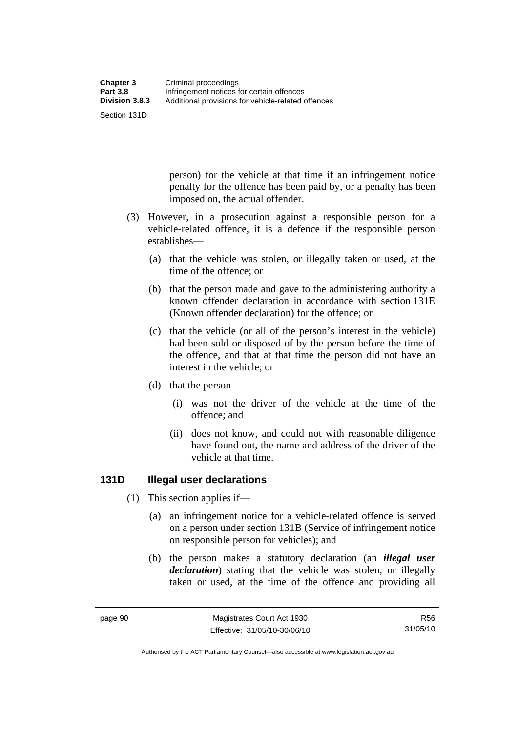Section 131D

person) for the vehicle at that time if an infringement notice penalty for the offence has been paid by, or a penalty has been imposed on, the actual offender.

- (3) However, in a prosecution against a responsible person for a vehicle-related offence, it is a defence if the responsible person establishes—
	- (a) that the vehicle was stolen, or illegally taken or used, at the time of the offence; or
	- (b) that the person made and gave to the administering authority a known offender declaration in accordance with section 131E (Known offender declaration) for the offence; or
	- (c) that the vehicle (or all of the person's interest in the vehicle) had been sold or disposed of by the person before the time of the offence, and that at that time the person did not have an interest in the vehicle; or
	- (d) that the person—
		- (i) was not the driver of the vehicle at the time of the offence; and
		- (ii) does not know, and could not with reasonable diligence have found out, the name and address of the driver of the vehicle at that time.

# **131D Illegal user declarations**

- (1) This section applies if—
	- (a) an infringement notice for a vehicle-related offence is served on a person under section 131B (Service of infringement notice on responsible person for vehicles); and
	- (b) the person makes a statutory declaration (an *illegal user declaration*) stating that the vehicle was stolen, or illegally taken or used, at the time of the offence and providing all

Authorised by the ACT Parliamentary Counsel—also accessible at www.legislation.act.gov.au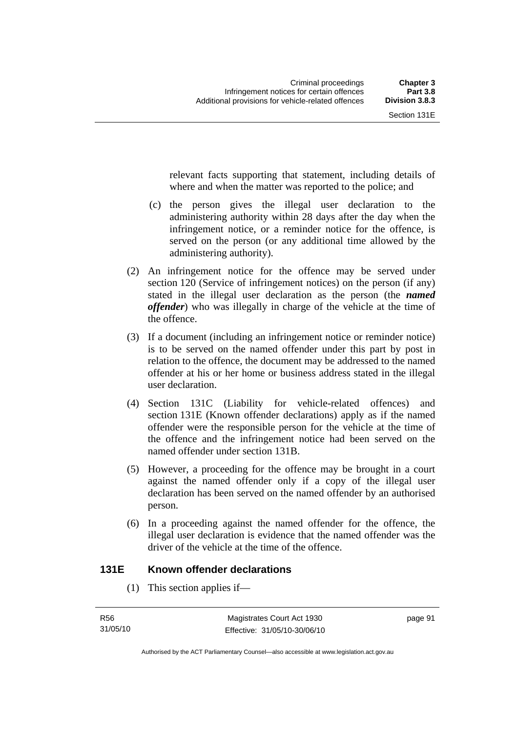relevant facts supporting that statement, including details of where and when the matter was reported to the police; and

- (c) the person gives the illegal user declaration to the administering authority within 28 days after the day when the infringement notice, or a reminder notice for the offence, is served on the person (or any additional time allowed by the administering authority).
- (2) An infringement notice for the offence may be served under section 120 (Service of infringement notices) on the person (if any) stated in the illegal user declaration as the person (the *named offender*) who was illegally in charge of the vehicle at the time of the offence.
- (3) If a document (including an infringement notice or reminder notice) is to be served on the named offender under this part by post in relation to the offence, the document may be addressed to the named offender at his or her home or business address stated in the illegal user declaration.
- (4) Section 131C (Liability for vehicle-related offences) and section 131E (Known offender declarations) apply as if the named offender were the responsible person for the vehicle at the time of the offence and the infringement notice had been served on the named offender under section 131B.
- (5) However, a proceeding for the offence may be brought in a court against the named offender only if a copy of the illegal user declaration has been served on the named offender by an authorised person.
- (6) In a proceeding against the named offender for the offence, the illegal user declaration is evidence that the named offender was the driver of the vehicle at the time of the offence.

# **131E Known offender declarations**

(1) This section applies if—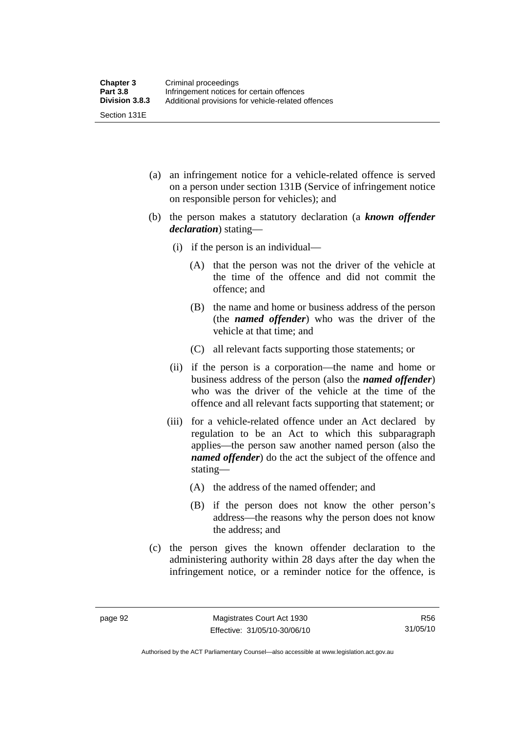- (a) an infringement notice for a vehicle-related offence is served on a person under section 131B (Service of infringement notice on responsible person for vehicles); and
- (b) the person makes a statutory declaration (a *known offender declaration*) stating—
	- (i) if the person is an individual—
		- (A) that the person was not the driver of the vehicle at the time of the offence and did not commit the offence; and
		- (B) the name and home or business address of the person (the *named offender*) who was the driver of the vehicle at that time; and
		- (C) all relevant facts supporting those statements; or
	- (ii) if the person is a corporation—the name and home or business address of the person (also the *named offender*) who was the driver of the vehicle at the time of the offence and all relevant facts supporting that statement; or
	- (iii) for a vehicle-related offence under an Act declared by regulation to be an Act to which this subparagraph applies—the person saw another named person (also the *named offender*) do the act the subject of the offence and stating—
		- (A) the address of the named offender; and
		- (B) if the person does not know the other person's address—the reasons why the person does not know the address; and
- (c) the person gives the known offender declaration to the administering authority within 28 days after the day when the infringement notice, or a reminder notice for the offence, is

R56 31/05/10

Authorised by the ACT Parliamentary Counsel—also accessible at www.legislation.act.gov.au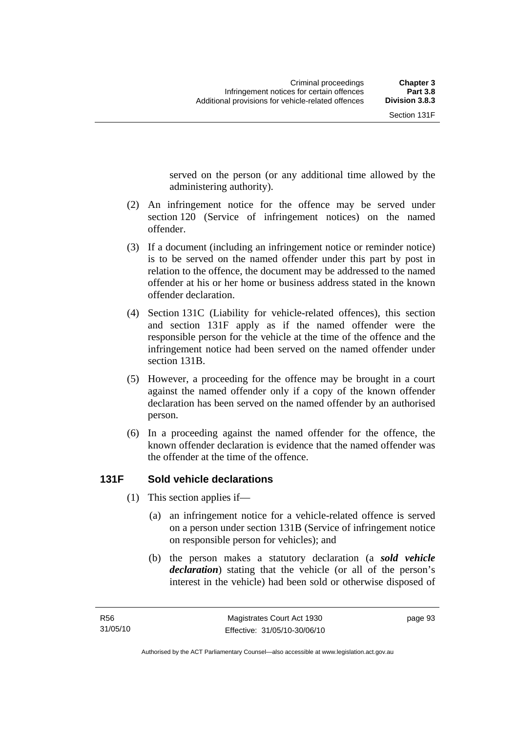served on the person (or any additional time allowed by the

 (2) An infringement notice for the offence may be served under section 120 (Service of infringement notices) on the named offender.

administering authority).

- (3) If a document (including an infringement notice or reminder notice) is to be served on the named offender under this part by post in relation to the offence, the document may be addressed to the named offender at his or her home or business address stated in the known offender declaration.
- (4) Section 131C (Liability for vehicle-related offences), this section and section 131F apply as if the named offender were the responsible person for the vehicle at the time of the offence and the infringement notice had been served on the named offender under section 131B.
- (5) However, a proceeding for the offence may be brought in a court against the named offender only if a copy of the known offender declaration has been served on the named offender by an authorised person.
- (6) In a proceeding against the named offender for the offence, the known offender declaration is evidence that the named offender was the offender at the time of the offence.

# **131F Sold vehicle declarations**

- (1) This section applies if—
	- (a) an infringement notice for a vehicle-related offence is served on a person under section 131B (Service of infringement notice on responsible person for vehicles); and
	- (b) the person makes a statutory declaration (a *sold vehicle declaration*) stating that the vehicle (or all of the person's interest in the vehicle) had been sold or otherwise disposed of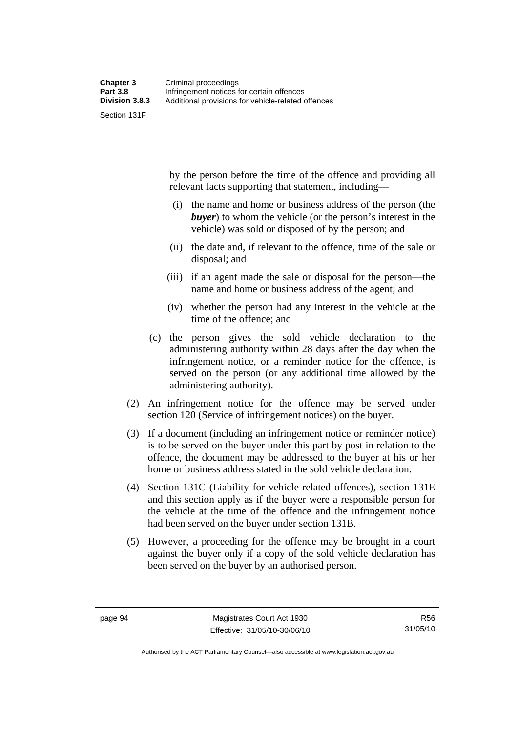Section 131F

by the person before the time of the offence and providing all relevant facts supporting that statement, including—

- (i) the name and home or business address of the person (the *buyer*) to whom the vehicle (or the person's interest in the vehicle) was sold or disposed of by the person; and
- (ii) the date and, if relevant to the offence, time of the sale or disposal; and
- (iii) if an agent made the sale or disposal for the person—the name and home or business address of the agent; and
- (iv) whether the person had any interest in the vehicle at the time of the offence; and
- (c) the person gives the sold vehicle declaration to the administering authority within 28 days after the day when the infringement notice, or a reminder notice for the offence, is served on the person (or any additional time allowed by the administering authority).
- (2) An infringement notice for the offence may be served under section 120 (Service of infringement notices) on the buyer.
- (3) If a document (including an infringement notice or reminder notice) is to be served on the buyer under this part by post in relation to the offence, the document may be addressed to the buyer at his or her home or business address stated in the sold vehicle declaration.
- (4) Section 131C (Liability for vehicle-related offences), section 131E and this section apply as if the buyer were a responsible person for the vehicle at the time of the offence and the infringement notice had been served on the buyer under section 131B.
- (5) However, a proceeding for the offence may be brought in a court against the buyer only if a copy of the sold vehicle declaration has been served on the buyer by an authorised person.

Authorised by the ACT Parliamentary Counsel—also accessible at www.legislation.act.gov.au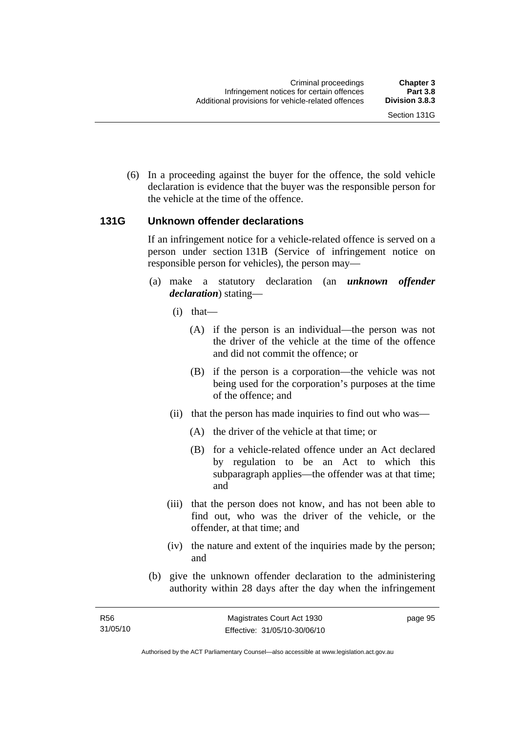(6) In a proceeding against the buyer for the offence, the sold vehicle declaration is evidence that the buyer was the responsible person for the vehicle at the time of the offence.

## **131G Unknown offender declarations**

If an infringement notice for a vehicle-related offence is served on a person under section 131B (Service of infringement notice on responsible person for vehicles), the person may—

- (a) make a statutory declaration (an *unknown offender declaration*) stating—
	- (i) that—
		- (A) if the person is an individual—the person was not the driver of the vehicle at the time of the offence and did not commit the offence; or
		- (B) if the person is a corporation—the vehicle was not being used for the corporation's purposes at the time of the offence; and
	- (ii) that the person has made inquiries to find out who was—
		- (A) the driver of the vehicle at that time; or
		- (B) for a vehicle-related offence under an Act declared by regulation to be an Act to which this subparagraph applies—the offender was at that time; and
	- (iii) that the person does not know, and has not been able to find out, who was the driver of the vehicle, or the offender, at that time; and
	- (iv) the nature and extent of the inquiries made by the person; and
- (b) give the unknown offender declaration to the administering authority within 28 days after the day when the infringement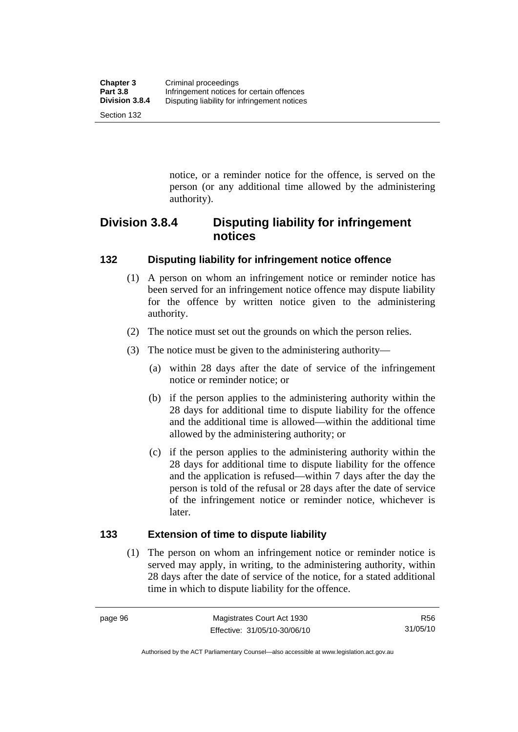notice, or a reminder notice for the offence, is served on the person (or any additional time allowed by the administering authority).

# **Division 3.8.4 Disputing liability for infringement notices**

## **132 Disputing liability for infringement notice offence**

- (1) A person on whom an infringement notice or reminder notice has been served for an infringement notice offence may dispute liability for the offence by written notice given to the administering authority.
- (2) The notice must set out the grounds on which the person relies.
- (3) The notice must be given to the administering authority—
	- (a) within 28 days after the date of service of the infringement notice or reminder notice; or
	- (b) if the person applies to the administering authority within the 28 days for additional time to dispute liability for the offence and the additional time is allowed—within the additional time allowed by the administering authority; or
	- (c) if the person applies to the administering authority within the 28 days for additional time to dispute liability for the offence and the application is refused—within 7 days after the day the person is told of the refusal or 28 days after the date of service of the infringement notice or reminder notice, whichever is later.

## **133 Extension of time to dispute liability**

 (1) The person on whom an infringement notice or reminder notice is served may apply, in writing, to the administering authority, within 28 days after the date of service of the notice, for a stated additional time in which to dispute liability for the offence.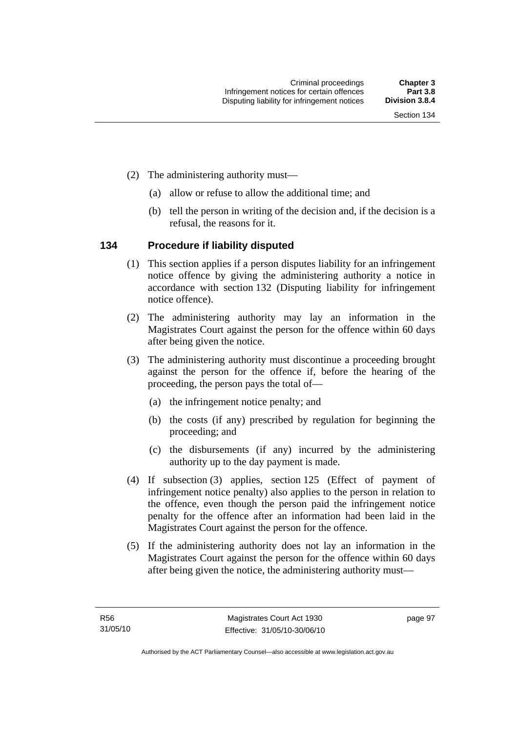- (2) The administering authority must—
	- (a) allow or refuse to allow the additional time; and
	- (b) tell the person in writing of the decision and, if the decision is a refusal, the reasons for it.

## **134 Procedure if liability disputed**

- (1) This section applies if a person disputes liability for an infringement notice offence by giving the administering authority a notice in accordance with section 132 (Disputing liability for infringement notice offence).
- (2) The administering authority may lay an information in the Magistrates Court against the person for the offence within 60 days after being given the notice.
- (3) The administering authority must discontinue a proceeding brought against the person for the offence if, before the hearing of the proceeding, the person pays the total of—
	- (a) the infringement notice penalty; and
	- (b) the costs (if any) prescribed by regulation for beginning the proceeding; and
	- (c) the disbursements (if any) incurred by the administering authority up to the day payment is made.
- (4) If subsection (3) applies, section 125 (Effect of payment of infringement notice penalty) also applies to the person in relation to the offence, even though the person paid the infringement notice penalty for the offence after an information had been laid in the Magistrates Court against the person for the offence.
- (5) If the administering authority does not lay an information in the Magistrates Court against the person for the offence within 60 days after being given the notice, the administering authority must—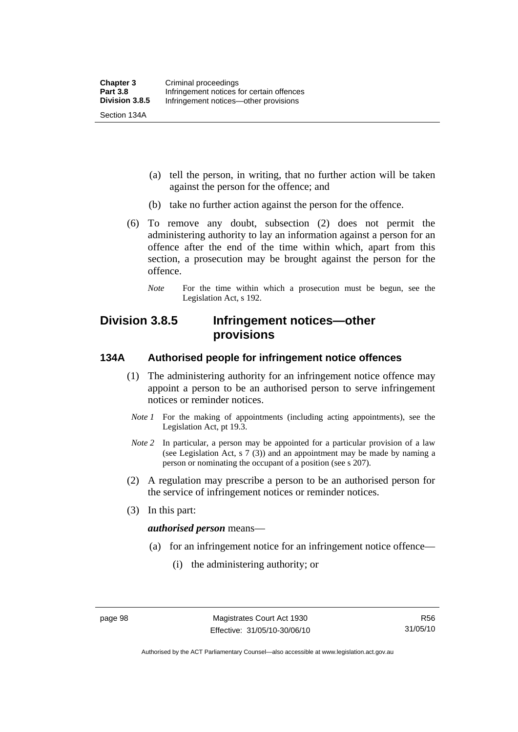(a) tell the person, in writing, that no further action will be taken against the person for the offence; and

- (b) take no further action against the person for the offence.
- (6) To remove any doubt, subsection (2) does not permit the administering authority to lay an information against a person for an offence after the end of the time within which, apart from this section, a prosecution may be brought against the person for the offence.
	- *Note* For the time within which a prosecution must be begun, see the Legislation Act, s 192.

# **Division 3.8.5 Infringement notices—other provisions**

### **134A Authorised people for infringement notice offences**

- (1) The administering authority for an infringement notice offence may appoint a person to be an authorised person to serve infringement notices or reminder notices.
- *Note 1* For the making of appointments (including acting appointments), see the Legislation Act, pt 19.3.
- *Note 2* In particular, a person may be appointed for a particular provision of a law (see Legislation Act, s 7 (3)) and an appointment may be made by naming a person or nominating the occupant of a position (see s 207).
- (2) A regulation may prescribe a person to be an authorised person for the service of infringement notices or reminder notices.
- (3) In this part:

#### *authorised person* means—

- (a) for an infringement notice for an infringement notice offence—
	- (i) the administering authority; or

Authorised by the ACT Parliamentary Counsel—also accessible at www.legislation.act.gov.au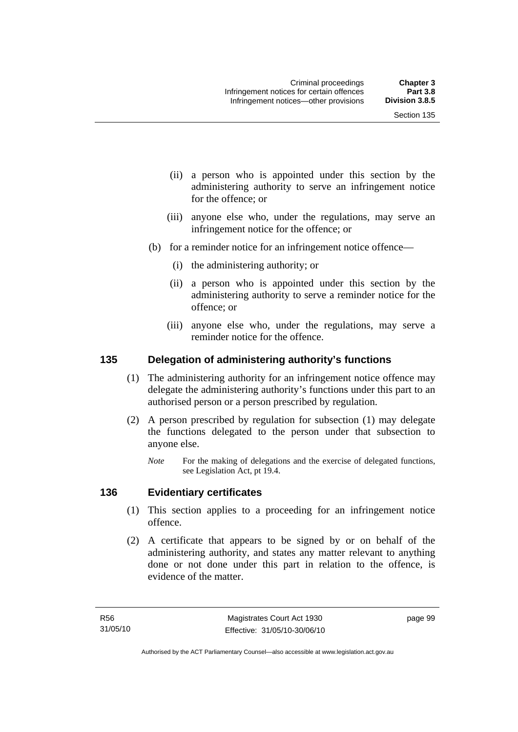- (ii) a person who is appointed under this section by the administering authority to serve an infringement notice for the offence; or
- (iii) anyone else who, under the regulations, may serve an infringement notice for the offence; or
- (b) for a reminder notice for an infringement notice offence—
	- (i) the administering authority; or
	- (ii) a person who is appointed under this section by the administering authority to serve a reminder notice for the offence; or
	- (iii) anyone else who, under the regulations, may serve a reminder notice for the offence.

#### **135 Delegation of administering authority's functions**

- (1) The administering authority for an infringement notice offence may delegate the administering authority's functions under this part to an authorised person or a person prescribed by regulation.
- (2) A person prescribed by regulation for subsection (1) may delegate the functions delegated to the person under that subsection to anyone else.
	- *Note* For the making of delegations and the exercise of delegated functions, see Legislation Act, pt 19.4.

### **136 Evidentiary certificates**

- (1) This section applies to a proceeding for an infringement notice offence.
- (2) A certificate that appears to be signed by or on behalf of the administering authority, and states any matter relevant to anything done or not done under this part in relation to the offence, is evidence of the matter.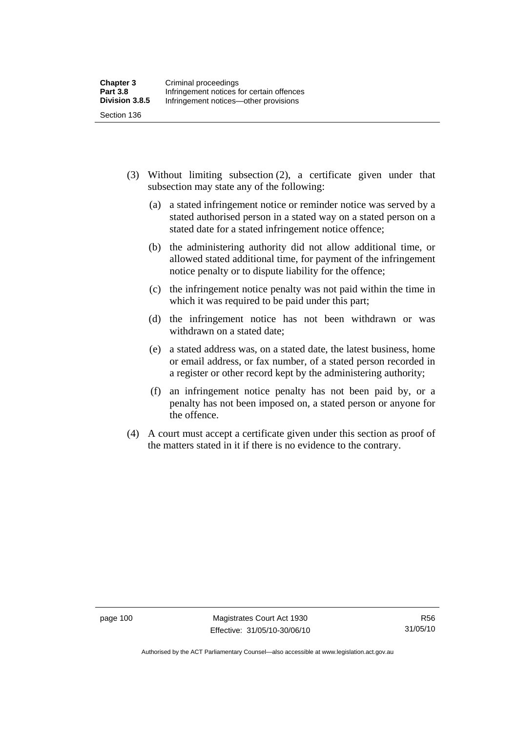- (3) Without limiting subsection (2), a certificate given under that subsection may state any of the following:
	- (a) a stated infringement notice or reminder notice was served by a stated authorised person in a stated way on a stated person on a stated date for a stated infringement notice offence;
	- (b) the administering authority did not allow additional time, or allowed stated additional time, for payment of the infringement notice penalty or to dispute liability for the offence;
	- (c) the infringement notice penalty was not paid within the time in which it was required to be paid under this part;
	- (d) the infringement notice has not been withdrawn or was withdrawn on a stated date;
	- (e) a stated address was, on a stated date, the latest business, home or email address, or fax number, of a stated person recorded in a register or other record kept by the administering authority;
	- (f) an infringement notice penalty has not been paid by, or a penalty has not been imposed on, a stated person or anyone for the offence.
- (4) A court must accept a certificate given under this section as proof of the matters stated in it if there is no evidence to the contrary.

page 100 Magistrates Court Act 1930 Effective: 31/05/10-30/06/10

Authorised by the ACT Parliamentary Counsel—also accessible at www.legislation.act.gov.au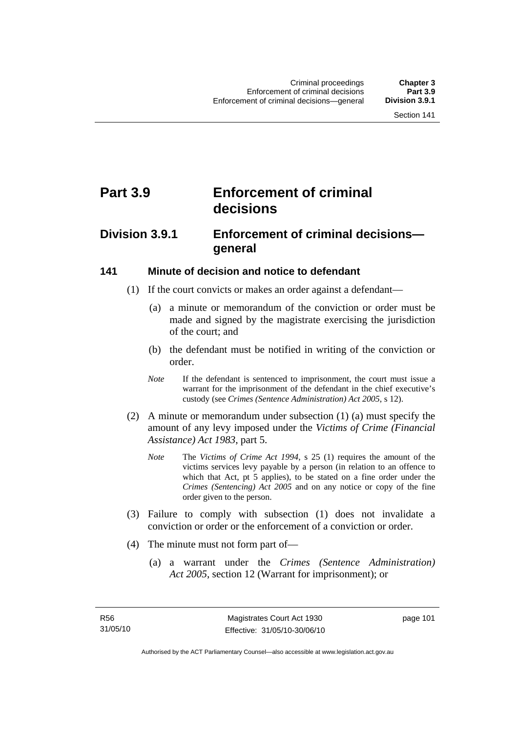# **Part 3.9 Enforcement of criminal decisions**

## **Division 3.9.1 Enforcement of criminal decisions general**

#### **141 Minute of decision and notice to defendant**

- (1) If the court convicts or makes an order against a defendant—
	- (a) a minute or memorandum of the conviction or order must be made and signed by the magistrate exercising the jurisdiction of the court; and
	- (b) the defendant must be notified in writing of the conviction or order.
	- *Note* If the defendant is sentenced to imprisonment, the court must issue a warrant for the imprisonment of the defendant in the chief executive's custody (see *Crimes (Sentence Administration) Act 2005*, s 12).
- (2) A minute or memorandum under subsection (1) (a) must specify the amount of any levy imposed under the *Victims of Crime (Financial Assistance) Act 1983*, part 5.
	- *Note* The *Victims of Crime Act 1994*, s 25 (1) requires the amount of the victims services levy payable by a person (in relation to an offence to which that Act, pt 5 applies), to be stated on a fine order under the *Crimes (Sentencing) Act 2005* and on any notice or copy of the fine order given to the person.
- (3) Failure to comply with subsection (1) does not invalidate a conviction or order or the enforcement of a conviction or order.
- (4) The minute must not form part of—
	- (a) a warrant under the *Crimes (Sentence Administration) Act 2005*, section 12 (Warrant for imprisonment); or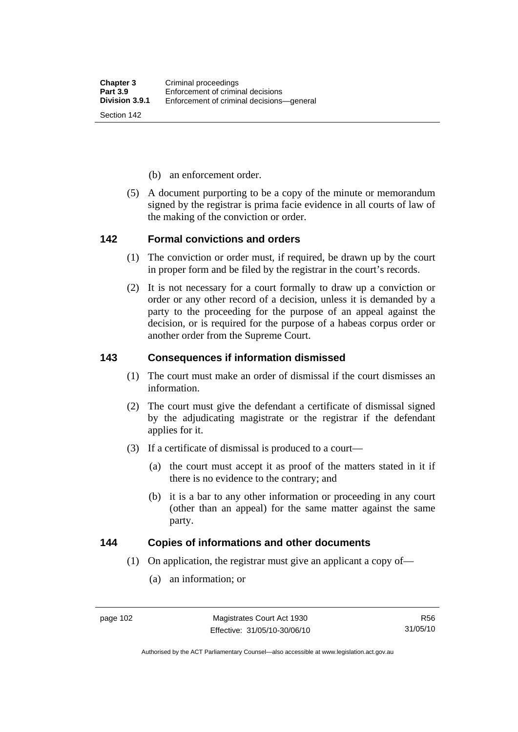- (b) an enforcement order.
- (5) A document purporting to be a copy of the minute or memorandum signed by the registrar is prima facie evidence in all courts of law of the making of the conviction or order.

#### **142 Formal convictions and orders**

- (1) The conviction or order must, if required, be drawn up by the court in proper form and be filed by the registrar in the court's records.
- (2) It is not necessary for a court formally to draw up a conviction or order or any other record of a decision, unless it is demanded by a party to the proceeding for the purpose of an appeal against the decision, or is required for the purpose of a habeas corpus order or another order from the Supreme Court.

### **143 Consequences if information dismissed**

- (1) The court must make an order of dismissal if the court dismisses an information.
- (2) The court must give the defendant a certificate of dismissal signed by the adjudicating magistrate or the registrar if the defendant applies for it.
- (3) If a certificate of dismissal is produced to a court—
	- (a) the court must accept it as proof of the matters stated in it if there is no evidence to the contrary; and
	- (b) it is a bar to any other information or proceeding in any court (other than an appeal) for the same matter against the same party.

## **144 Copies of informations and other documents**

- (1) On application, the registrar must give an applicant a copy of—
	- (a) an information; or

Authorised by the ACT Parliamentary Counsel—also accessible at www.legislation.act.gov.au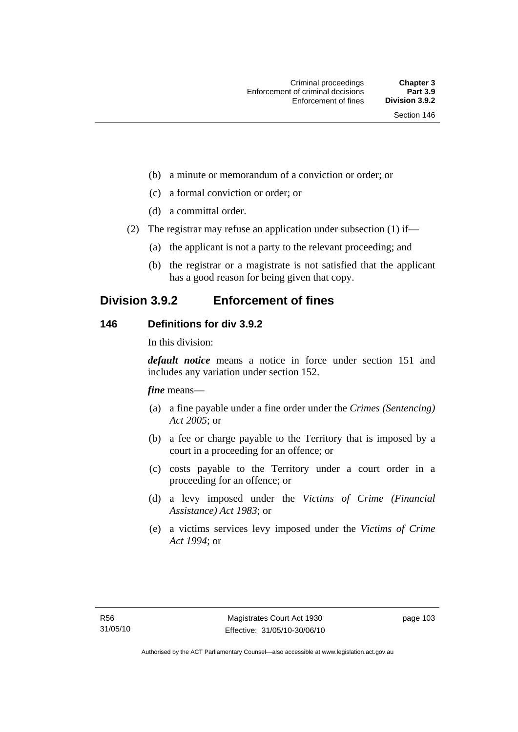- (b) a minute or memorandum of a conviction or order; or
- (c) a formal conviction or order; or
- (d) a committal order.
- (2) The registrar may refuse an application under subsection (1) if—
	- (a) the applicant is not a party to the relevant proceeding; and
	- (b) the registrar or a magistrate is not satisfied that the applicant has a good reason for being given that copy.

## **Division 3.9.2 Enforcement of fines**

## **146 Definitions for div 3.9.2**

In this division:

*default notice* means a notice in force under section 151 and includes any variation under section 152.

*fine* means—

- (a) a fine payable under a fine order under the *Crimes (Sentencing) Act 2005*; or
- (b) a fee or charge payable to the Territory that is imposed by a court in a proceeding for an offence; or
- (c) costs payable to the Territory under a court order in a proceeding for an offence; or
- (d) a levy imposed under the *Victims of Crime (Financial Assistance) Act 1983*; or
- (e) a victims services levy imposed under the *Victims of Crime Act 1994*; or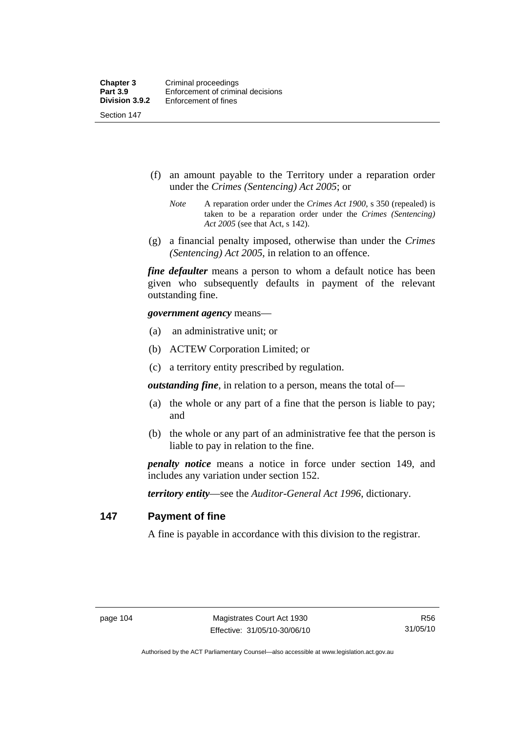Section 147

- (f) an amount payable to the Territory under a reparation order under the *Crimes (Sentencing) Act 2005*; or
	- *Note* A reparation order under the *Crimes Act 1900*, s 350 (repealed) is taken to be a reparation order under the *Crimes (Sentencing) Act 2005* (see that Act, s 142).
- (g) a financial penalty imposed, otherwise than under the *Crimes (Sentencing) Act 2005*, in relation to an offence.

*fine defaulter* means a person to whom a default notice has been given who subsequently defaults in payment of the relevant outstanding fine.

*government agency* means—

- (a) an administrative unit; or
- (b) ACTEW Corporation Limited; or
- (c) a territory entity prescribed by regulation.

*outstanding fine*, in relation to a person, means the total of—

- (a) the whole or any part of a fine that the person is liable to pay; and
- (b) the whole or any part of an administrative fee that the person is liable to pay in relation to the fine.

*penalty notice* means a notice in force under section 149, and includes any variation under section 152.

*territory entity*—see the *Auditor-General Act 1996*, dictionary.

#### **147 Payment of fine**

A fine is payable in accordance with this division to the registrar.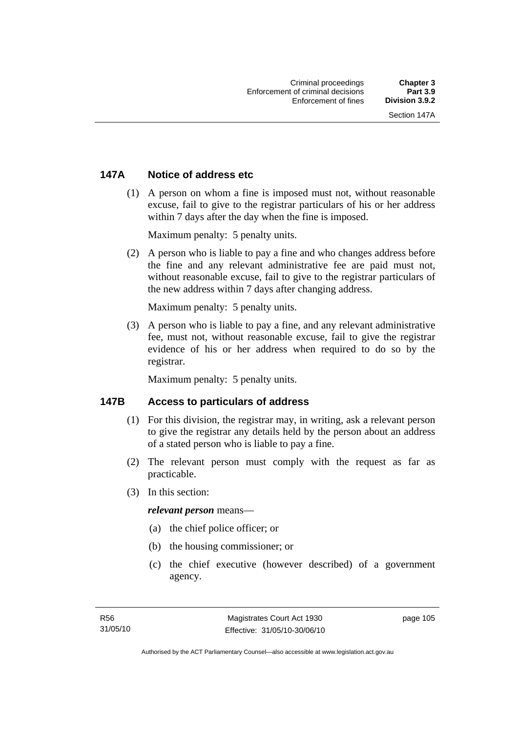## **147A Notice of address etc**

 (1) A person on whom a fine is imposed must not, without reasonable excuse, fail to give to the registrar particulars of his or her address within 7 days after the day when the fine is imposed.

Maximum penalty: 5 penalty units.

 (2) A person who is liable to pay a fine and who changes address before the fine and any relevant administrative fee are paid must not, without reasonable excuse, fail to give to the registrar particulars of the new address within 7 days after changing address.

Maximum penalty: 5 penalty units.

 (3) A person who is liable to pay a fine, and any relevant administrative fee, must not, without reasonable excuse, fail to give the registrar evidence of his or her address when required to do so by the registrar.

Maximum penalty: 5 penalty units.

## **147B Access to particulars of address**

- (1) For this division, the registrar may, in writing, ask a relevant person to give the registrar any details held by the person about an address of a stated person who is liable to pay a fine.
- (2) The relevant person must comply with the request as far as practicable.
- (3) In this section:

#### *relevant person* means—

- (a) the chief police officer; or
- (b) the housing commissioner; or
- (c) the chief executive (however described) of a government agency.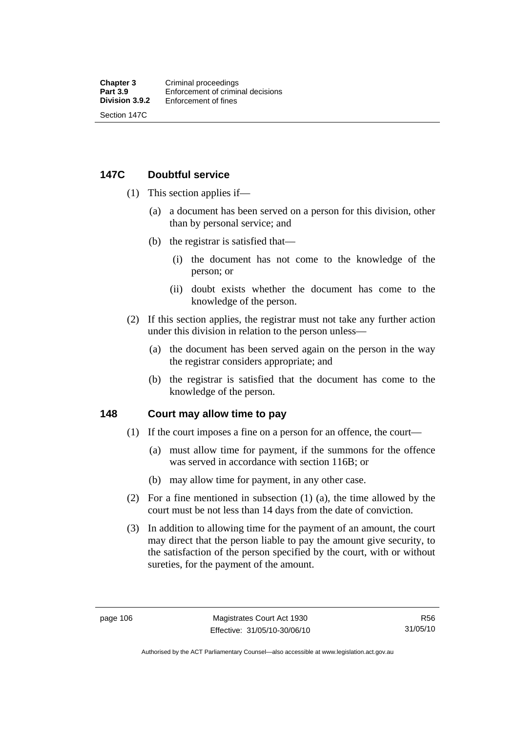## **147C Doubtful service**

- (1) This section applies if—
	- (a) a document has been served on a person for this division, other than by personal service; and
	- (b) the registrar is satisfied that—
		- (i) the document has not come to the knowledge of the person; or
		- (ii) doubt exists whether the document has come to the knowledge of the person.
- (2) If this section applies, the registrar must not take any further action under this division in relation to the person unless—
	- (a) the document has been served again on the person in the way the registrar considers appropriate; and
	- (b) the registrar is satisfied that the document has come to the knowledge of the person.

#### **148 Court may allow time to pay**

- (1) If the court imposes a fine on a person for an offence, the court—
	- (a) must allow time for payment, if the summons for the offence was served in accordance with section 116B; or
	- (b) may allow time for payment, in any other case.
- (2) For a fine mentioned in subsection (1) (a), the time allowed by the court must be not less than 14 days from the date of conviction.
- (3) In addition to allowing time for the payment of an amount, the court may direct that the person liable to pay the amount give security, to the satisfaction of the person specified by the court, with or without sureties, for the payment of the amount.

Authorised by the ACT Parliamentary Counsel—also accessible at www.legislation.act.gov.au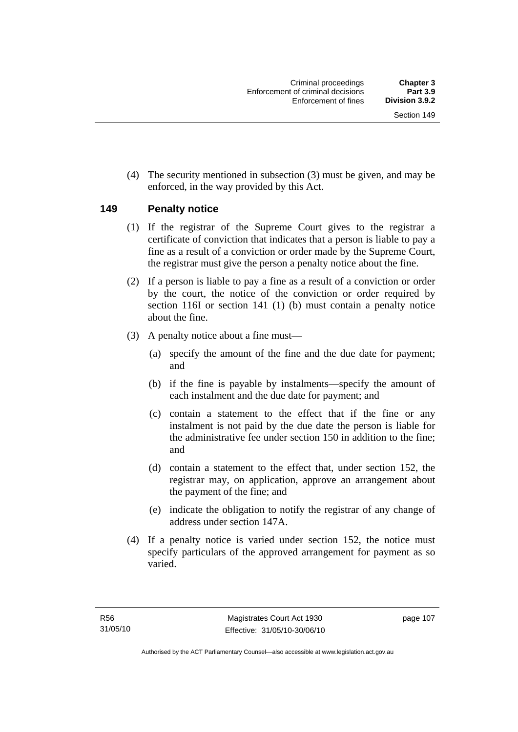(4) The security mentioned in subsection (3) must be given, and may be enforced, in the way provided by this Act.

## **149 Penalty notice**

- (1) If the registrar of the Supreme Court gives to the registrar a certificate of conviction that indicates that a person is liable to pay a fine as a result of a conviction or order made by the Supreme Court, the registrar must give the person a penalty notice about the fine.
- (2) If a person is liable to pay a fine as a result of a conviction or order by the court, the notice of the conviction or order required by section 116I or section 141 (1) (b) must contain a penalty notice about the fine.
- (3) A penalty notice about a fine must—
	- (a) specify the amount of the fine and the due date for payment; and
	- (b) if the fine is payable by instalments—specify the amount of each instalment and the due date for payment; and
	- (c) contain a statement to the effect that if the fine or any instalment is not paid by the due date the person is liable for the administrative fee under section 150 in addition to the fine; and
	- (d) contain a statement to the effect that, under section 152, the registrar may, on application, approve an arrangement about the payment of the fine; and
	- (e) indicate the obligation to notify the registrar of any change of address under section 147A.
- (4) If a penalty notice is varied under section 152, the notice must specify particulars of the approved arrangement for payment as so varied.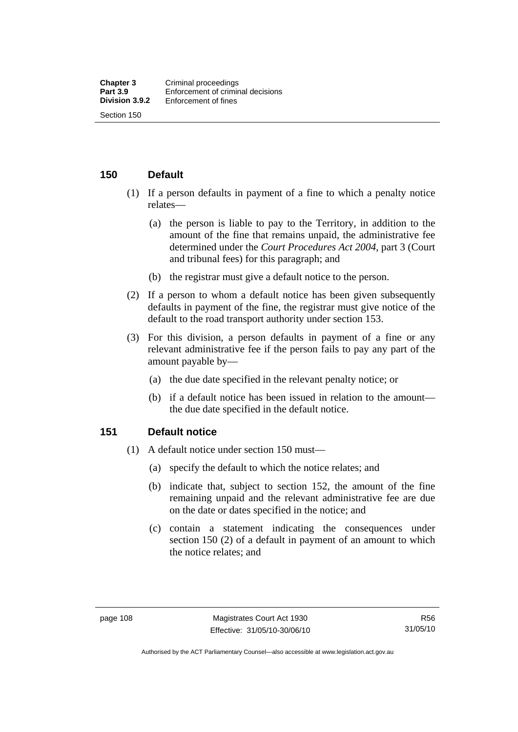## **150 Default**

- (1) If a person defaults in payment of a fine to which a penalty notice relates—
	- (a) the person is liable to pay to the Territory, in addition to the amount of the fine that remains unpaid, the administrative fee determined under the *Court Procedures Act 2004*, part 3 (Court and tribunal fees) for this paragraph; and
	- (b) the registrar must give a default notice to the person.
- (2) If a person to whom a default notice has been given subsequently defaults in payment of the fine, the registrar must give notice of the default to the road transport authority under section 153.
- (3) For this division, a person defaults in payment of a fine or any relevant administrative fee if the person fails to pay any part of the amount payable by—
	- (a) the due date specified in the relevant penalty notice; or
	- (b) if a default notice has been issued in relation to the amount the due date specified in the default notice.

#### **151 Default notice**

- (1) A default notice under section 150 must—
	- (a) specify the default to which the notice relates; and
	- (b) indicate that, subject to section 152, the amount of the fine remaining unpaid and the relevant administrative fee are due on the date or dates specified in the notice; and
	- (c) contain a statement indicating the consequences under section 150 (2) of a default in payment of an amount to which the notice relates; and

Authorised by the ACT Parliamentary Counsel—also accessible at www.legislation.act.gov.au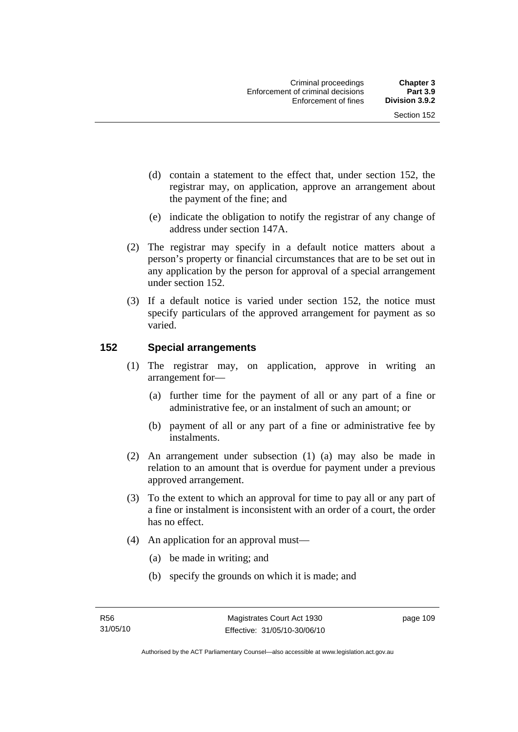- (d) contain a statement to the effect that, under section 152, the registrar may, on application, approve an arrangement about the payment of the fine; and
- (e) indicate the obligation to notify the registrar of any change of address under section 147A.
- (2) The registrar may specify in a default notice matters about a person's property or financial circumstances that are to be set out in any application by the person for approval of a special arrangement under section 152.
- (3) If a default notice is varied under section 152, the notice must specify particulars of the approved arrangement for payment as so varied.

## **152 Special arrangements**

- (1) The registrar may, on application, approve in writing an arrangement for—
	- (a) further time for the payment of all or any part of a fine or administrative fee, or an instalment of such an amount; or
	- (b) payment of all or any part of a fine or administrative fee by instalments.
- (2) An arrangement under subsection (1) (a) may also be made in relation to an amount that is overdue for payment under a previous approved arrangement.
- (3) To the extent to which an approval for time to pay all or any part of a fine or instalment is inconsistent with an order of a court, the order has no effect.
- (4) An application for an approval must—
	- (a) be made in writing; and
	- (b) specify the grounds on which it is made; and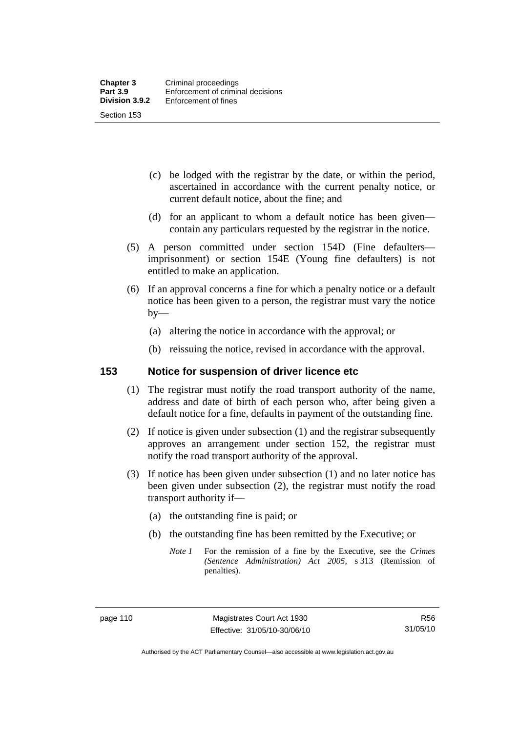- (c) be lodged with the registrar by the date, or within the period, ascertained in accordance with the current penalty notice, or current default notice, about the fine; and
- (d) for an applicant to whom a default notice has been given contain any particulars requested by the registrar in the notice.
- (5) A person committed under section 154D (Fine defaulters imprisonment) or section 154E (Young fine defaulters) is not entitled to make an application.
- (6) If an approval concerns a fine for which a penalty notice or a default notice has been given to a person, the registrar must vary the notice  $by-$ 
	- (a) altering the notice in accordance with the approval; or
	- (b) reissuing the notice, revised in accordance with the approval.

#### **153 Notice for suspension of driver licence etc**

- (1) The registrar must notify the road transport authority of the name, address and date of birth of each person who, after being given a default notice for a fine, defaults in payment of the outstanding fine.
- (2) If notice is given under subsection (1) and the registrar subsequently approves an arrangement under section 152, the registrar must notify the road transport authority of the approval.
- (3) If notice has been given under subsection (1) and no later notice has been given under subsection (2), the registrar must notify the road transport authority if—
	- (a) the outstanding fine is paid; or
	- (b) the outstanding fine has been remitted by the Executive; or
		- *Note 1* For the remission of a fine by the Executive, see the *Crimes (Sentence Administration) Act 2005*, s 313 (Remission of penalties).

Authorised by the ACT Parliamentary Counsel—also accessible at www.legislation.act.gov.au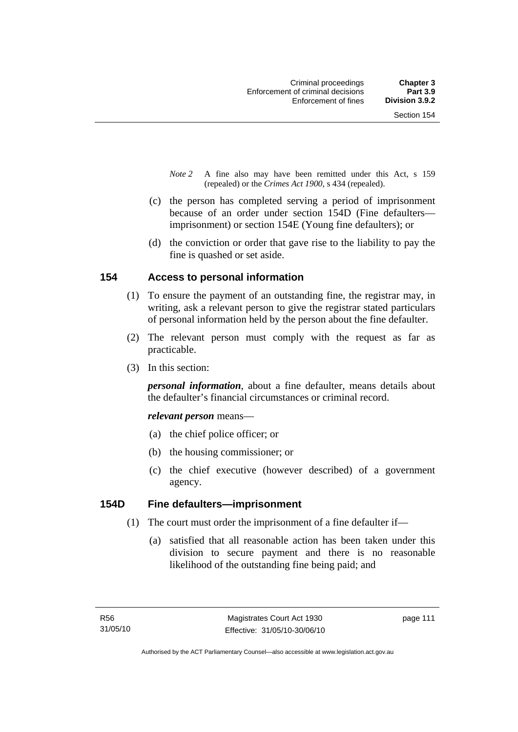- *Note 2* A fine also may have been remitted under this Act, s 159 (repealed) or the *Crimes Act 1900*, s 434 (repealed).
- (c) the person has completed serving a period of imprisonment because of an order under section 154D (Fine defaulters imprisonment) or section 154E (Young fine defaulters); or
- (d) the conviction or order that gave rise to the liability to pay the fine is quashed or set aside.

## **154 Access to personal information**

- (1) To ensure the payment of an outstanding fine, the registrar may, in writing, ask a relevant person to give the registrar stated particulars of personal information held by the person about the fine defaulter.
- (2) The relevant person must comply with the request as far as practicable.
- (3) In this section:

*personal information*, about a fine defaulter, means details about the defaulter's financial circumstances or criminal record.

*relevant person* means—

- (a) the chief police officer; or
- (b) the housing commissioner; or
- (c) the chief executive (however described) of a government agency.

#### **154D Fine defaulters—imprisonment**

- (1) The court must order the imprisonment of a fine defaulter if—
	- (a) satisfied that all reasonable action has been taken under this division to secure payment and there is no reasonable likelihood of the outstanding fine being paid; and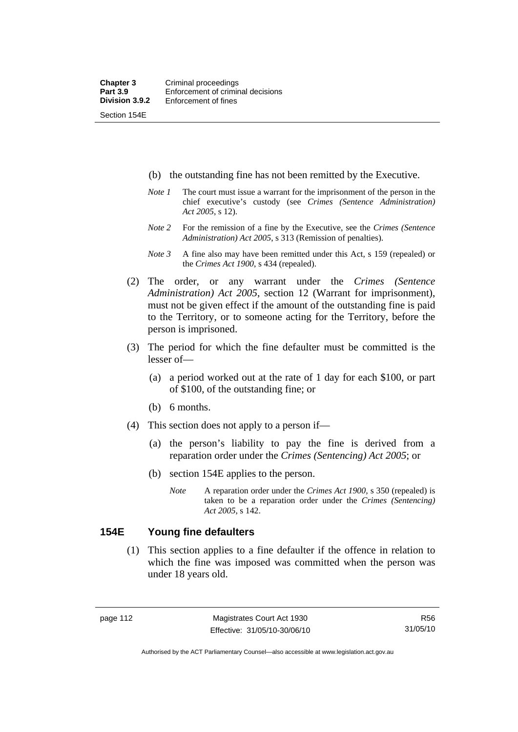Section 154E

(b) the outstanding fine has not been remitted by the Executive.

- *Note 1* The court must issue a warrant for the imprisonment of the person in the chief executive's custody (see *Crimes (Sentence Administration) Act 2005*, s 12).
- *Note 2* For the remission of a fine by the Executive, see the *Crimes (Sentence Administration) Act 2005*, s 313 (Remission of penalties).
- *Note 3* A fine also may have been remitted under this Act, s 159 (repealed) or the *Crimes Act 1900*, s 434 (repealed).
- (2) The order, or any warrant under the *Crimes (Sentence Administration) Act 2005*, section 12 (Warrant for imprisonment), must not be given effect if the amount of the outstanding fine is paid to the Territory, or to someone acting for the Territory, before the person is imprisoned.
- (3) The period for which the fine defaulter must be committed is the lesser of—
	- (a) a period worked out at the rate of 1 day for each \$100, or part of \$100, of the outstanding fine; or
	- (b) 6 months.
- (4) This section does not apply to a person if—
	- (a) the person's liability to pay the fine is derived from a reparation order under the *Crimes (Sentencing) Act 2005*; or
	- (b) section 154E applies to the person.
		- *Note* A reparation order under the *Crimes Act 1900,* s 350 (repealed) is taken to be a reparation order under the *Crimes (Sentencing) Act 2005*, s 142.

#### **154E Young fine defaulters**

 (1) This section applies to a fine defaulter if the offence in relation to which the fine was imposed was committed when the person was under 18 years old.

R56 31/05/10

Authorised by the ACT Parliamentary Counsel—also accessible at www.legislation.act.gov.au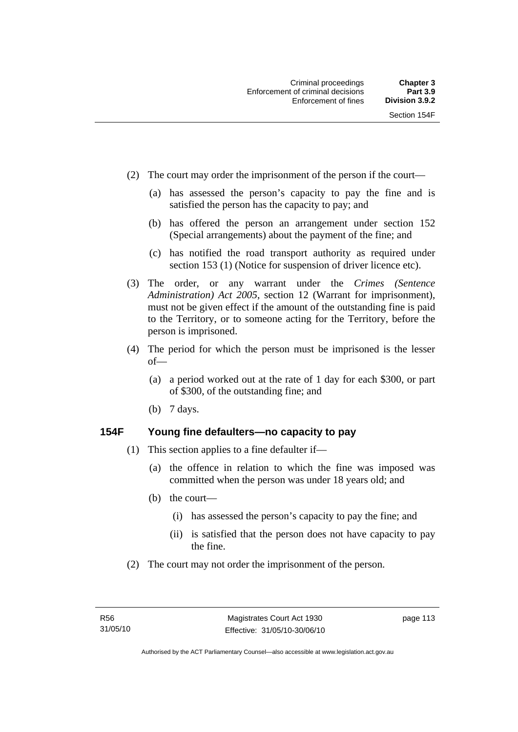- (2) The court may order the imprisonment of the person if the court—
	- (a) has assessed the person's capacity to pay the fine and is satisfied the person has the capacity to pay; and
	- (b) has offered the person an arrangement under section 152 (Special arrangements) about the payment of the fine; and
	- (c) has notified the road transport authority as required under section 153 (1) (Notice for suspension of driver licence etc).
- (3) The order, or any warrant under the *Crimes (Sentence Administration) Act 2005*, section 12 (Warrant for imprisonment), must not be given effect if the amount of the outstanding fine is paid to the Territory, or to someone acting for the Territory, before the person is imprisoned.
- (4) The period for which the person must be imprisoned is the lesser of—
	- (a) a period worked out at the rate of 1 day for each \$300, or part of \$300, of the outstanding fine; and
	- (b) 7 days.

#### **154F Young fine defaulters—no capacity to pay**

- (1) This section applies to a fine defaulter if—
	- (a) the offence in relation to which the fine was imposed was committed when the person was under 18 years old; and
	- (b) the court—
		- (i) has assessed the person's capacity to pay the fine; and
		- (ii) is satisfied that the person does not have capacity to pay the fine.
- (2) The court may not order the imprisonment of the person.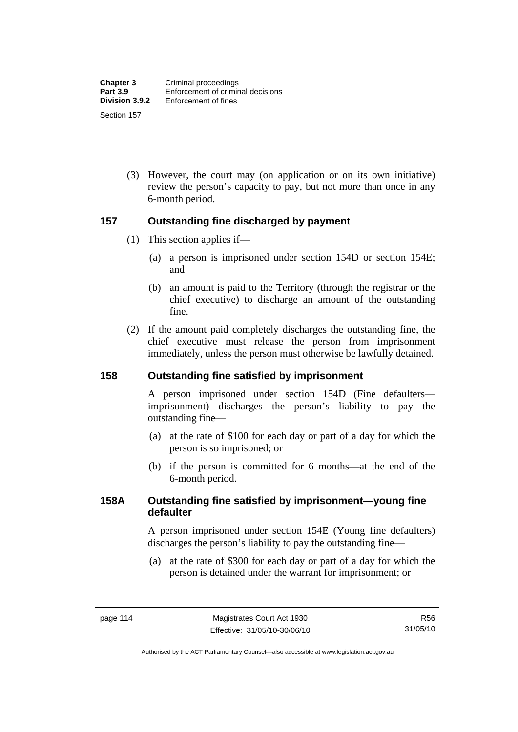(3) However, the court may (on application or on its own initiative) review the person's capacity to pay, but not more than once in any 6-month period.

#### **157 Outstanding fine discharged by payment**

- (1) This section applies if—
	- (a) a person is imprisoned under section 154D or section 154E; and
	- (b) an amount is paid to the Territory (through the registrar or the chief executive) to discharge an amount of the outstanding fine.
- (2) If the amount paid completely discharges the outstanding fine, the chief executive must release the person from imprisonment immediately, unless the person must otherwise be lawfully detained.

#### **158 Outstanding fine satisfied by imprisonment**

A person imprisoned under section 154D (Fine defaulters imprisonment) discharges the person's liability to pay the outstanding fine—

- (a) at the rate of \$100 for each day or part of a day for which the person is so imprisoned; or
- (b) if the person is committed for 6 months—at the end of the 6-month period.

#### **158A Outstanding fine satisfied by imprisonment—young fine defaulter**

A person imprisoned under section 154E (Young fine defaulters) discharges the person's liability to pay the outstanding fine—

 (a) at the rate of \$300 for each day or part of a day for which the person is detained under the warrant for imprisonment; or

Authorised by the ACT Parliamentary Counsel—also accessible at www.legislation.act.gov.au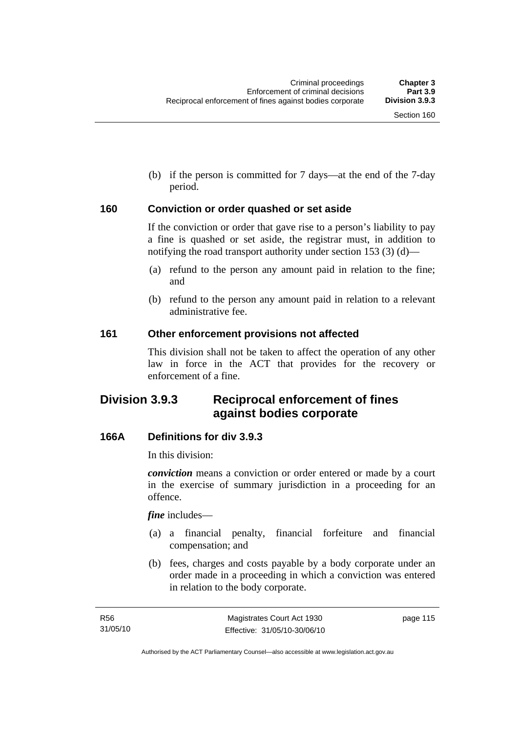(b) if the person is committed for 7 days—at the end of the 7-day period.

#### **160 Conviction or order quashed or set aside**

If the conviction or order that gave rise to a person's liability to pay a fine is quashed or set aside, the registrar must, in addition to notifying the road transport authority under section 153 (3) (d)—

- (a) refund to the person any amount paid in relation to the fine; and
- (b) refund to the person any amount paid in relation to a relevant administrative fee.

#### **161 Other enforcement provisions not affected**

This division shall not be taken to affect the operation of any other law in force in the ACT that provides for the recovery or enforcement of a fine.

# **Division 3.9.3 Reciprocal enforcement of fines against bodies corporate**

## **166A Definitions for div 3.9.3**

In this division:

*conviction* means a conviction or order entered or made by a court in the exercise of summary jurisdiction in a proceeding for an offence.

*fine* includes—

- (a) a financial penalty, financial forfeiture and financial compensation; and
- (b) fees, charges and costs payable by a body corporate under an order made in a proceeding in which a conviction was entered in relation to the body corporate.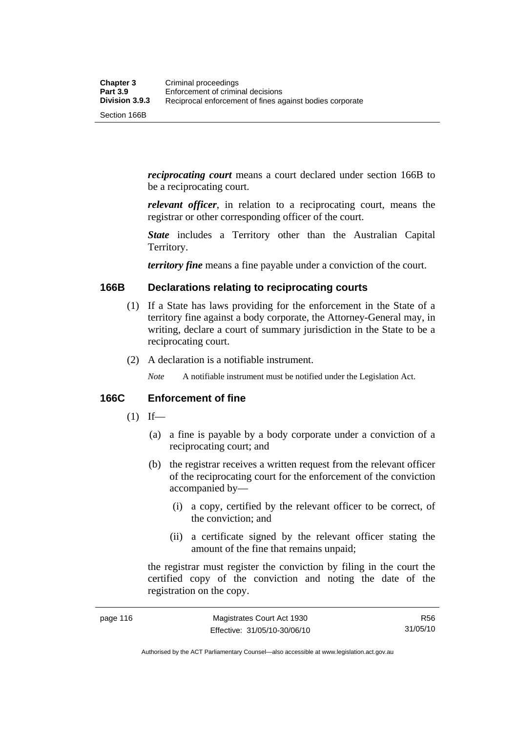*reciprocating court* means a court declared under section 166B to be a reciprocating court.

*relevant officer*, in relation to a reciprocating court, means the registrar or other corresponding officer of the court.

*State* includes a Territory other than the Australian Capital Territory.

*territory fine* means a fine payable under a conviction of the court.

#### **166B Declarations relating to reciprocating courts**

- (1) If a State has laws providing for the enforcement in the State of a territory fine against a body corporate, the Attorney-General may, in writing, declare a court of summary jurisdiction in the State to be a reciprocating court.
- (2) A declaration is a notifiable instrument.

*Note* A notifiable instrument must be notified under the Legislation Act.

#### **166C Enforcement of fine**

- $(1)$  If—
	- (a) a fine is payable by a body corporate under a conviction of a reciprocating court; and
	- (b) the registrar receives a written request from the relevant officer of the reciprocating court for the enforcement of the conviction accompanied by—
		- (i) a copy, certified by the relevant officer to be correct, of the conviction; and
		- (ii) a certificate signed by the relevant officer stating the amount of the fine that remains unpaid;

the registrar must register the conviction by filing in the court the certified copy of the conviction and noting the date of the registration on the copy.

R56 31/05/10

Authorised by the ACT Parliamentary Counsel—also accessible at www.legislation.act.gov.au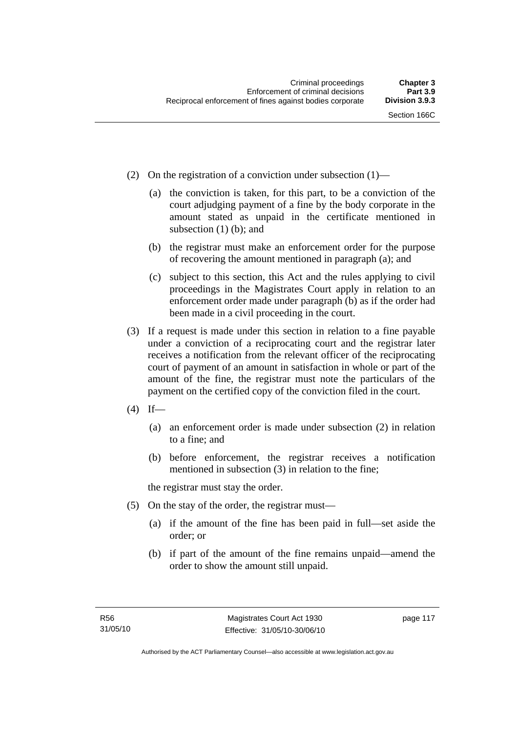- (2) On the registration of a conviction under subsection (1)—
	- (a) the conviction is taken, for this part, to be a conviction of the court adjudging payment of a fine by the body corporate in the amount stated as unpaid in the certificate mentioned in subsection (1) (b); and
	- (b) the registrar must make an enforcement order for the purpose of recovering the amount mentioned in paragraph (a); and
	- (c) subject to this section, this Act and the rules applying to civil proceedings in the Magistrates Court apply in relation to an enforcement order made under paragraph (b) as if the order had been made in a civil proceeding in the court.
- (3) If a request is made under this section in relation to a fine payable under a conviction of a reciprocating court and the registrar later receives a notification from the relevant officer of the reciprocating court of payment of an amount in satisfaction in whole or part of the amount of the fine, the registrar must note the particulars of the payment on the certified copy of the conviction filed in the court.
- $(4)$  If—
	- (a) an enforcement order is made under subsection (2) in relation to a fine; and
	- (b) before enforcement, the registrar receives a notification mentioned in subsection (3) in relation to the fine;

the registrar must stay the order.

- (5) On the stay of the order, the registrar must—
	- (a) if the amount of the fine has been paid in full—set aside the order; or
	- (b) if part of the amount of the fine remains unpaid—amend the order to show the amount still unpaid.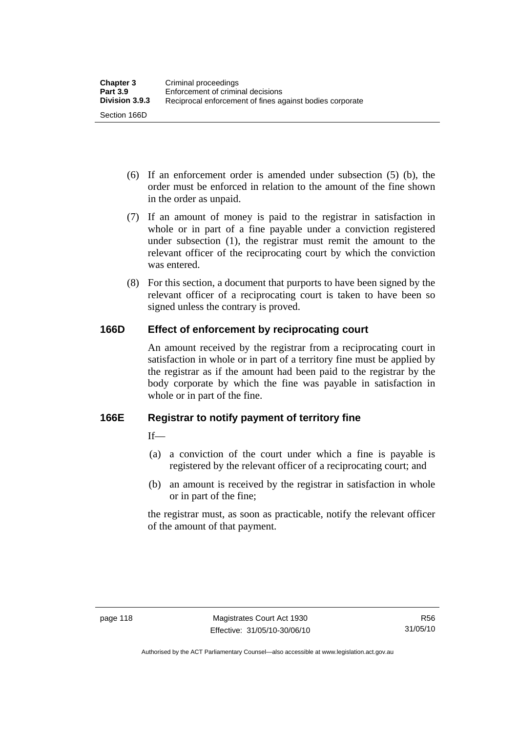- (6) If an enforcement order is amended under subsection (5) (b), the order must be enforced in relation to the amount of the fine shown in the order as unpaid.
- (7) If an amount of money is paid to the registrar in satisfaction in whole or in part of a fine payable under a conviction registered under subsection (1), the registrar must remit the amount to the relevant officer of the reciprocating court by which the conviction was entered.
- (8) For this section, a document that purports to have been signed by the relevant officer of a reciprocating court is taken to have been so signed unless the contrary is proved.

## **166D Effect of enforcement by reciprocating court**

An amount received by the registrar from a reciprocating court in satisfaction in whole or in part of a territory fine must be applied by the registrar as if the amount had been paid to the registrar by the body corporate by which the fine was payable in satisfaction in whole or in part of the fine.

## **166E Registrar to notify payment of territory fine**

 $If$ 

- (a) a conviction of the court under which a fine is payable is registered by the relevant officer of a reciprocating court; and
- (b) an amount is received by the registrar in satisfaction in whole or in part of the fine;

the registrar must, as soon as practicable, notify the relevant officer of the amount of that payment.

Authorised by the ACT Parliamentary Counsel—also accessible at www.legislation.act.gov.au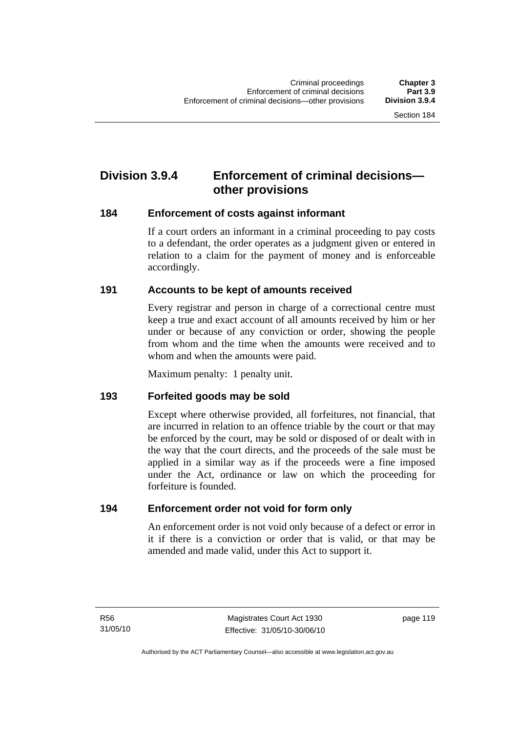# **Division 3.9.4 Enforcement of criminal decisions other provisions**

#### **184 Enforcement of costs against informant**

If a court orders an informant in a criminal proceeding to pay costs to a defendant, the order operates as a judgment given or entered in relation to a claim for the payment of money and is enforceable accordingly.

## **191 Accounts to be kept of amounts received**

Every registrar and person in charge of a correctional centre must keep a true and exact account of all amounts received by him or her under or because of any conviction or order, showing the people from whom and the time when the amounts were received and to whom and when the amounts were paid.

Maximum penalty: 1 penalty unit.

#### **193 Forfeited goods may be sold**

Except where otherwise provided, all forfeitures, not financial, that are incurred in relation to an offence triable by the court or that may be enforced by the court, may be sold or disposed of or dealt with in the way that the court directs, and the proceeds of the sale must be applied in a similar way as if the proceeds were a fine imposed under the Act, ordinance or law on which the proceeding for forfeiture is founded.

## **194 Enforcement order not void for form only**

An enforcement order is not void only because of a defect or error in it if there is a conviction or order that is valid, or that may be amended and made valid, under this Act to support it.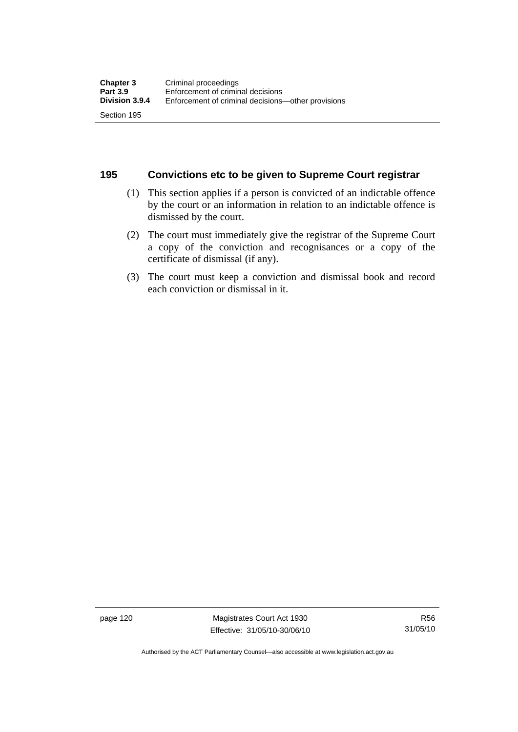#### **195 Convictions etc to be given to Supreme Court registrar**

- (1) This section applies if a person is convicted of an indictable offence by the court or an information in relation to an indictable offence is dismissed by the court.
- (2) The court must immediately give the registrar of the Supreme Court a copy of the conviction and recognisances or a copy of the certificate of dismissal (if any).
- (3) The court must keep a conviction and dismissal book and record each conviction or dismissal in it.

page 120 Magistrates Court Act 1930 Effective: 31/05/10-30/06/10

Authorised by the ACT Parliamentary Counsel—also accessible at www.legislation.act.gov.au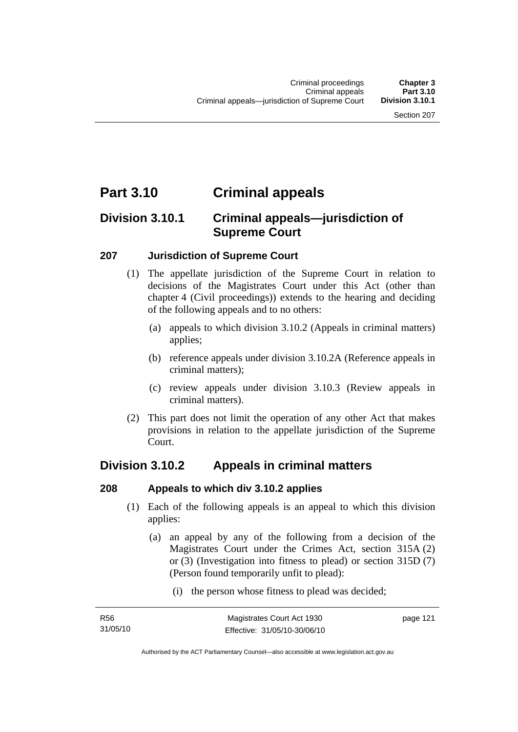# **Part 3.10 Criminal appeals**

# **Division 3.10.1 Criminal appeals—jurisdiction of Supreme Court**

## **207 Jurisdiction of Supreme Court**

- (1) The appellate jurisdiction of the Supreme Court in relation to decisions of the Magistrates Court under this Act (other than chapter 4 (Civil proceedings)) extends to the hearing and deciding of the following appeals and to no others:
	- (a) appeals to which division 3.10.2 (Appeals in criminal matters) applies;
	- (b) reference appeals under division 3.10.2A (Reference appeals in criminal matters);
	- (c) review appeals under division 3.10.3 (Review appeals in criminal matters).
- (2) This part does not limit the operation of any other Act that makes provisions in relation to the appellate jurisdiction of the Supreme Court.

# **Division 3.10.2 Appeals in criminal matters**

#### **208 Appeals to which div 3.10.2 applies**

- (1) Each of the following appeals is an appeal to which this division applies:
	- (a) an appeal by any of the following from a decision of the Magistrates Court under the Crimes Act, section 315A (2) or (3) (Investigation into fitness to plead) or section 315D (7) (Person found temporarily unfit to plead):
		- (i) the person whose fitness to plead was decided;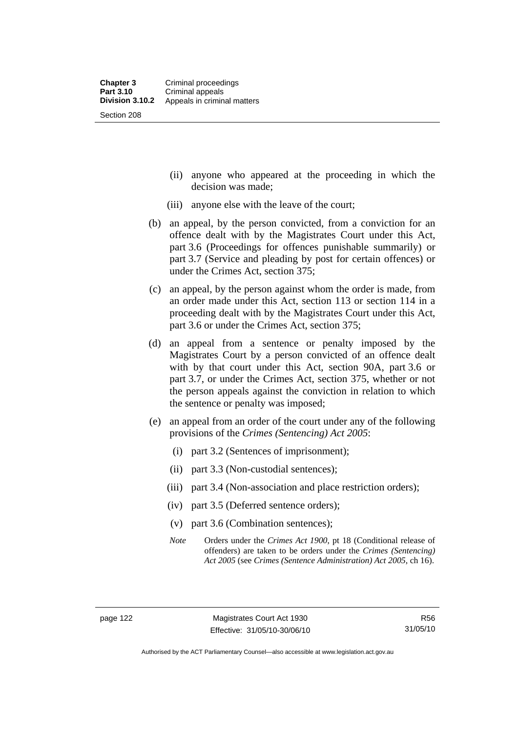- (ii) anyone who appeared at the proceeding in which the decision was made;
- (iii) anyone else with the leave of the court;
- (b) an appeal, by the person convicted, from a conviction for an offence dealt with by the Magistrates Court under this Act, part 3.6 (Proceedings for offences punishable summarily) or part 3.7 (Service and pleading by post for certain offences) or under the Crimes Act, section 375;
- (c) an appeal, by the person against whom the order is made, from an order made under this Act, section 113 or section 114 in a proceeding dealt with by the Magistrates Court under this Act, part 3.6 or under the Crimes Act, section 375;
- (d) an appeal from a sentence or penalty imposed by the Magistrates Court by a person convicted of an offence dealt with by that court under this Act, section 90A, part 3.6 or part 3.7, or under the Crimes Act, section 375, whether or not the person appeals against the conviction in relation to which the sentence or penalty was imposed;
- (e) an appeal from an order of the court under any of the following provisions of the *Crimes (Sentencing) Act 2005*:
	- (i) part 3.2 (Sentences of imprisonment);
	- (ii) part 3.3 (Non-custodial sentences);
	- (iii) part 3.4 (Non-association and place restriction orders);
	- (iv) part 3.5 (Deferred sentence orders);
	- (v) part 3.6 (Combination sentences);
	- *Note* Orders under the *Crimes Act 1900*, pt 18 (Conditional release of offenders) are taken to be orders under the *Crimes (Sentencing) Act 2005* (see *Crimes (Sentence Administration) Act 2005*, ch 16).

Authorised by the ACT Parliamentary Counsel—also accessible at www.legislation.act.gov.au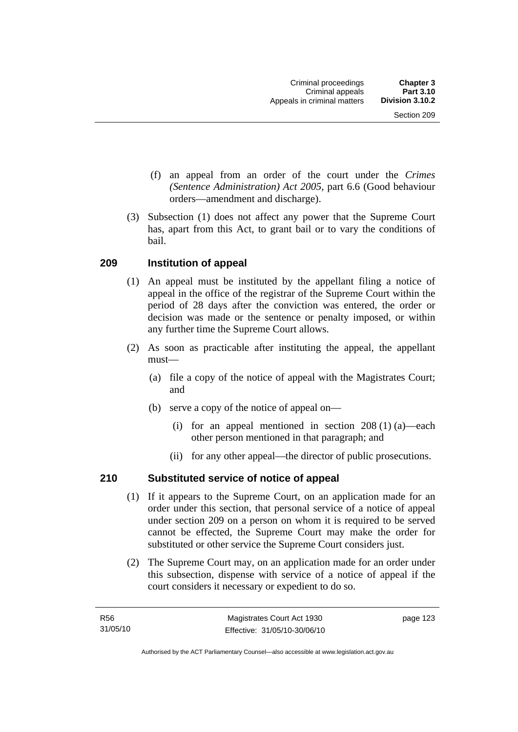- (f) an appeal from an order of the court under the *Crimes (Sentence Administration) Act 2005,* part 6.6 (Good behaviour orders—amendment and discharge).
- (3) Subsection (1) does not affect any power that the Supreme Court has, apart from this Act, to grant bail or to vary the conditions of bail.

## **209 Institution of appeal**

- (1) An appeal must be instituted by the appellant filing a notice of appeal in the office of the registrar of the Supreme Court within the period of 28 days after the conviction was entered, the order or decision was made or the sentence or penalty imposed, or within any further time the Supreme Court allows.
- (2) As soon as practicable after instituting the appeal, the appellant must—
	- (a) file a copy of the notice of appeal with the Magistrates Court; and
	- (b) serve a copy of the notice of appeal on—
		- (i) for an appeal mentioned in section 208 (1) (a)—each other person mentioned in that paragraph; and
		- (ii) for any other appeal—the director of public prosecutions.

## **210 Substituted service of notice of appeal**

- (1) If it appears to the Supreme Court, on an application made for an order under this section, that personal service of a notice of appeal under section 209 on a person on whom it is required to be served cannot be effected, the Supreme Court may make the order for substituted or other service the Supreme Court considers just.
- (2) The Supreme Court may, on an application made for an order under this subsection, dispense with service of a notice of appeal if the court considers it necessary or expedient to do so.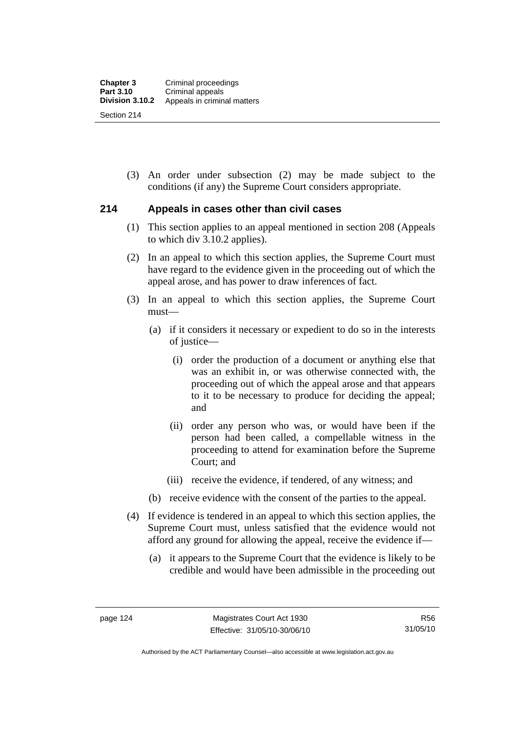(3) An order under subsection (2) may be made subject to the conditions (if any) the Supreme Court considers appropriate.

#### **214 Appeals in cases other than civil cases**

- (1) This section applies to an appeal mentioned in section 208 (Appeals to which div 3.10.2 applies).
- (2) In an appeal to which this section applies, the Supreme Court must have regard to the evidence given in the proceeding out of which the appeal arose, and has power to draw inferences of fact.
- (3) In an appeal to which this section applies, the Supreme Court must—
	- (a) if it considers it necessary or expedient to do so in the interests of justice—
		- (i) order the production of a document or anything else that was an exhibit in, or was otherwise connected with, the proceeding out of which the appeal arose and that appears to it to be necessary to produce for deciding the appeal; and
		- (ii) order any person who was, or would have been if the person had been called, a compellable witness in the proceeding to attend for examination before the Supreme Court; and
		- (iii) receive the evidence, if tendered, of any witness; and
	- (b) receive evidence with the consent of the parties to the appeal.
- (4) If evidence is tendered in an appeal to which this section applies, the Supreme Court must, unless satisfied that the evidence would not afford any ground for allowing the appeal, receive the evidence if—
	- (a) it appears to the Supreme Court that the evidence is likely to be credible and would have been admissible in the proceeding out

Authorised by the ACT Parliamentary Counsel—also accessible at www.legislation.act.gov.au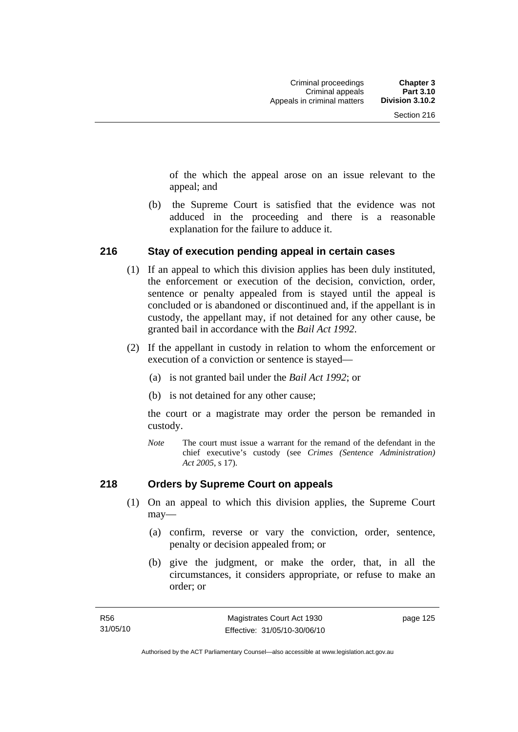of the which the appeal arose on an issue relevant to the appeal; and

 (b) the Supreme Court is satisfied that the evidence was not adduced in the proceeding and there is a reasonable explanation for the failure to adduce it.

#### **216 Stay of execution pending appeal in certain cases**

- (1) If an appeal to which this division applies has been duly instituted, the enforcement or execution of the decision, conviction, order, sentence or penalty appealed from is stayed until the appeal is concluded or is abandoned or discontinued and, if the appellant is in custody, the appellant may, if not detained for any other cause, be granted bail in accordance with the *Bail Act 1992*.
- (2) If the appellant in custody in relation to whom the enforcement or execution of a conviction or sentence is stayed—
	- (a) is not granted bail under the *Bail Act 1992*; or
	- (b) is not detained for any other cause;

the court or a magistrate may order the person be remanded in custody.

*Note* The court must issue a warrant for the remand of the defendant in the chief executive's custody (see *Crimes (Sentence Administration) Act 2005*, s 17).

#### **218 Orders by Supreme Court on appeals**

- (1) On an appeal to which this division applies, the Supreme Court may—
	- (a) confirm, reverse or vary the conviction, order, sentence, penalty or decision appealed from; or
	- (b) give the judgment, or make the order, that, in all the circumstances, it considers appropriate, or refuse to make an order; or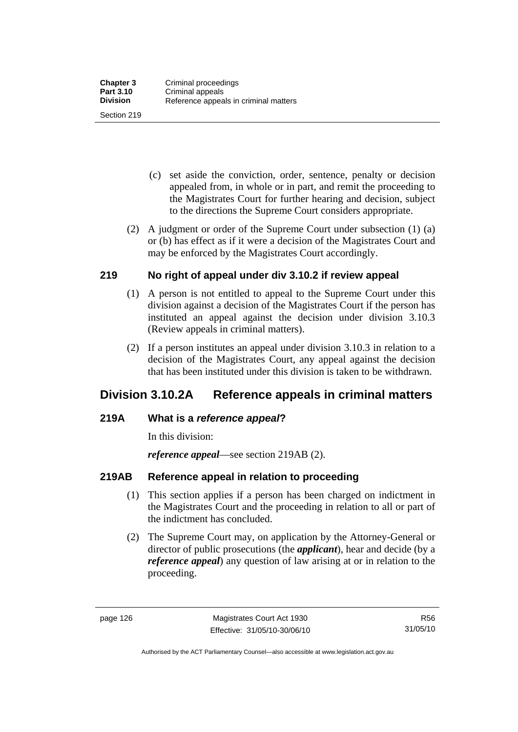Section 219

- (c) set aside the conviction, order, sentence, penalty or decision appealed from, in whole or in part, and remit the proceeding to the Magistrates Court for further hearing and decision, subject to the directions the Supreme Court considers appropriate.
- (2) A judgment or order of the Supreme Court under subsection (1) (a) or (b) has effect as if it were a decision of the Magistrates Court and may be enforced by the Magistrates Court accordingly.

## **219 No right of appeal under div 3.10.2 if review appeal**

- (1) A person is not entitled to appeal to the Supreme Court under this division against a decision of the Magistrates Court if the person has instituted an appeal against the decision under division 3.10.3 (Review appeals in criminal matters).
- (2) If a person institutes an appeal under division 3.10.3 in relation to a decision of the Magistrates Court, any appeal against the decision that has been instituted under this division is taken to be withdrawn.

# **Division 3.10.2A Reference appeals in criminal matters**

## **219A What is a** *reference appeal***?**

In this division:

*reference appeal*—see section 219AB (2).

## **219AB Reference appeal in relation to proceeding**

- (1) This section applies if a person has been charged on indictment in the Magistrates Court and the proceeding in relation to all or part of the indictment has concluded.
- (2) The Supreme Court may, on application by the Attorney-General or director of public prosecutions (the *applicant*), hear and decide (by a *reference appeal*) any question of law arising at or in relation to the proceeding.

R56 31/05/10

Authorised by the ACT Parliamentary Counsel—also accessible at www.legislation.act.gov.au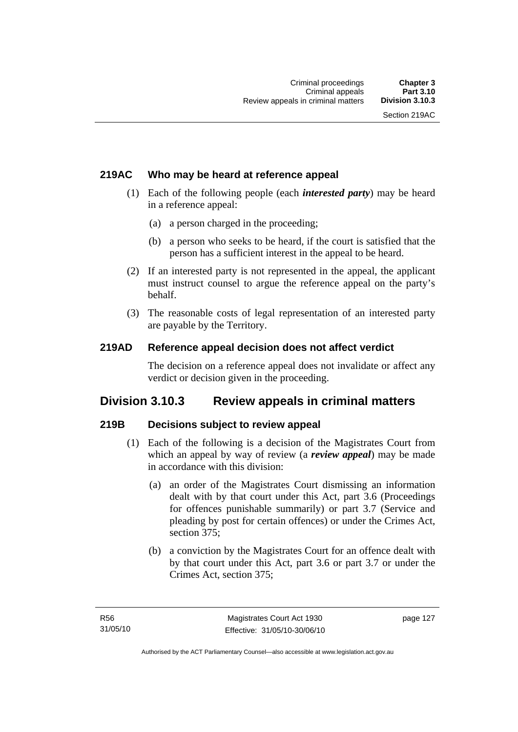## **219AC Who may be heard at reference appeal**

- (1) Each of the following people (each *interested party*) may be heard in a reference appeal:
	- (a) a person charged in the proceeding;
	- (b) a person who seeks to be heard, if the court is satisfied that the person has a sufficient interest in the appeal to be heard.
- (2) If an interested party is not represented in the appeal, the applicant must instruct counsel to argue the reference appeal on the party's behalf.
- (3) The reasonable costs of legal representation of an interested party are payable by the Territory.

## **219AD Reference appeal decision does not affect verdict**

The decision on a reference appeal does not invalidate or affect any verdict or decision given in the proceeding.

## **Division 3.10.3 Review appeals in criminal matters**

## **219B Decisions subject to review appeal**

- (1) Each of the following is a decision of the Magistrates Court from which an appeal by way of review (a *review appeal*) may be made in accordance with this division:
	- (a) an order of the Magistrates Court dismissing an information dealt with by that court under this Act, part 3.6 (Proceedings for offences punishable summarily) or part 3.7 (Service and pleading by post for certain offences) or under the Crimes Act, section 375;
	- (b) a conviction by the Magistrates Court for an offence dealt with by that court under this Act, part 3.6 or part 3.7 or under the Crimes Act, section 375;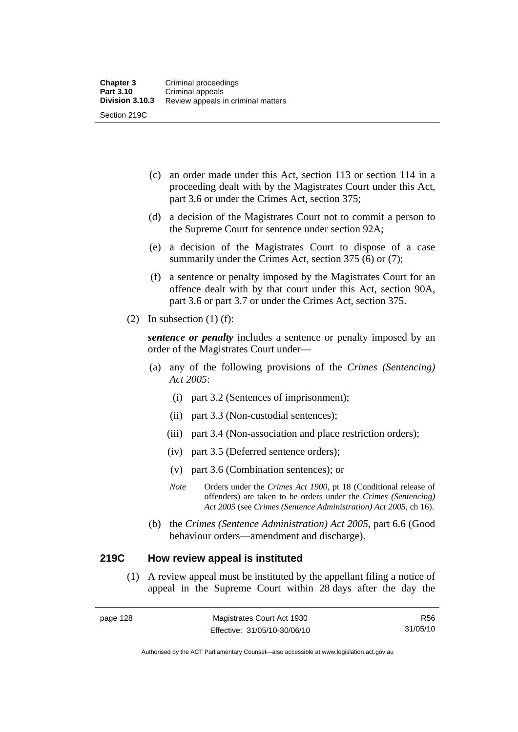- (c) an order made under this Act, section 113 or section 114 in a proceeding dealt with by the Magistrates Court under this Act, part 3.6 or under the Crimes Act, section 375;
- (d) a decision of the Magistrates Court not to commit a person to the Supreme Court for sentence under section 92A;
- (e) a decision of the Magistrates Court to dispose of a case summarily under the Crimes Act, section 375 (6) or (7);
- (f) a sentence or penalty imposed by the Magistrates Court for an offence dealt with by that court under this Act, section 90A, part 3.6 or part 3.7 or under the Crimes Act, section 375.
- (2) In subsection  $(1)$  (f):

*sentence or penalty* includes a sentence or penalty imposed by an order of the Magistrates Court under—

- (a) any of the following provisions of the *Crimes (Sentencing) Act 2005*:
	- (i) part 3.2 (Sentences of imprisonment);
	- (ii) part 3.3 (Non-custodial sentences);
	- (iii) part 3.4 (Non-association and place restriction orders);
	- (iv) part 3.5 (Deferred sentence orders);
	- (v) part 3.6 (Combination sentences); or
	- *Note* Orders under the *Crimes Act 1900*, pt 18 (Conditional release of offenders) are taken to be orders under the *Crimes (Sentencing) Act 2005* (see *Crimes (Sentence Administration) Act 2005*, ch 16).
- (b) the *Crimes (Sentence Administration) Act 2005,* part 6.6 (Good behaviour orders—amendment and discharge).

### **219C How review appeal is instituted**

 (1) A review appeal must be instituted by the appellant filing a notice of appeal in the Supreme Court within 28 days after the day the

R56 31/05/10

Authorised by the ACT Parliamentary Counsel—also accessible at www.legislation.act.gov.au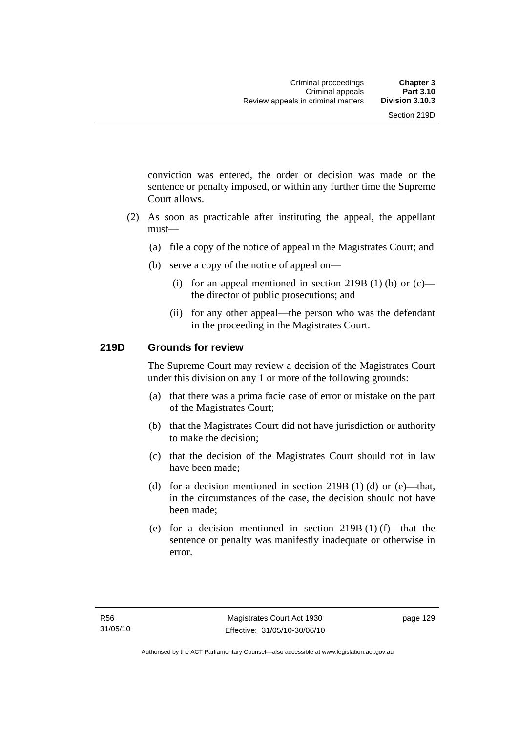conviction was entered, the order or decision was made or the sentence or penalty imposed, or within any further time the Supreme Court allows.

- (2) As soon as practicable after instituting the appeal, the appellant must—
	- (a) file a copy of the notice of appeal in the Magistrates Court; and
	- (b) serve a copy of the notice of appeal on—
		- (i) for an appeal mentioned in section 219B (1) (b) or  $(c)$  the director of public prosecutions; and
		- (ii) for any other appeal—the person who was the defendant in the proceeding in the Magistrates Court.

## **219D Grounds for review**

The Supreme Court may review a decision of the Magistrates Court under this division on any 1 or more of the following grounds:

- (a) that there was a prima facie case of error or mistake on the part of the Magistrates Court;
- (b) that the Magistrates Court did not have jurisdiction or authority to make the decision;
- (c) that the decision of the Magistrates Court should not in law have been made;
- (d) for a decision mentioned in section  $219B(1)$  (d) or (e)—that, in the circumstances of the case, the decision should not have been made;
- (e) for a decision mentioned in section  $219B(1)$  (f)—that the sentence or penalty was manifestly inadequate or otherwise in error.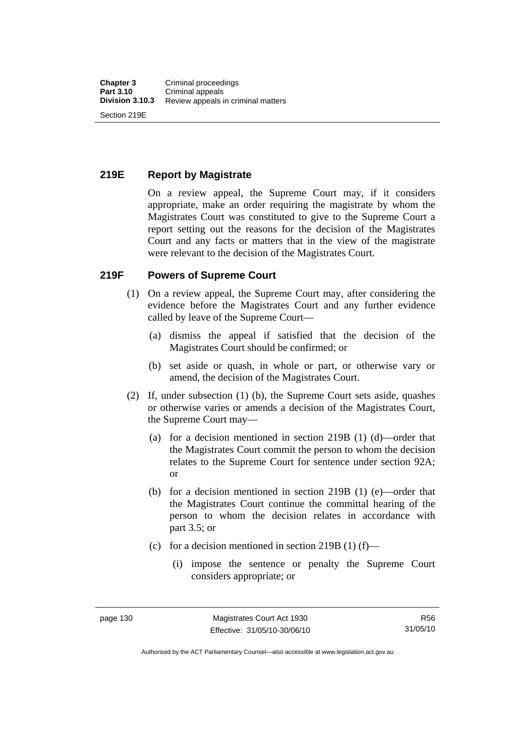# **219E Report by Magistrate**

On a review appeal, the Supreme Court may, if it considers appropriate, make an order requiring the magistrate by whom the Magistrates Court was constituted to give to the Supreme Court a report setting out the reasons for the decision of the Magistrates Court and any facts or matters that in the view of the magistrate were relevant to the decision of the Magistrates Court.

### **219F Powers of Supreme Court**

- (1) On a review appeal, the Supreme Court may, after considering the evidence before the Magistrates Court and any further evidence called by leave of the Supreme Court—
	- (a) dismiss the appeal if satisfied that the decision of the Magistrates Court should be confirmed; or
	- (b) set aside or quash, in whole or part, or otherwise vary or amend, the decision of the Magistrates Court.
- (2) If, under subsection (1) (b), the Supreme Court sets aside, quashes or otherwise varies or amends a decision of the Magistrates Court, the Supreme Court may—
	- (a) for a decision mentioned in section 219B (1) (d)—order that the Magistrates Court commit the person to whom the decision relates to the Supreme Court for sentence under section 92A; or
	- (b) for a decision mentioned in section 219B (1) (e)—order that the Magistrates Court continue the committal hearing of the person to whom the decision relates in accordance with part 3.5; or
	- (c) for a decision mentioned in section 219B (1) (f)—
		- (i) impose the sentence or penalty the Supreme Court considers appropriate; or

Authorised by the ACT Parliamentary Counsel—also accessible at www.legislation.act.gov.au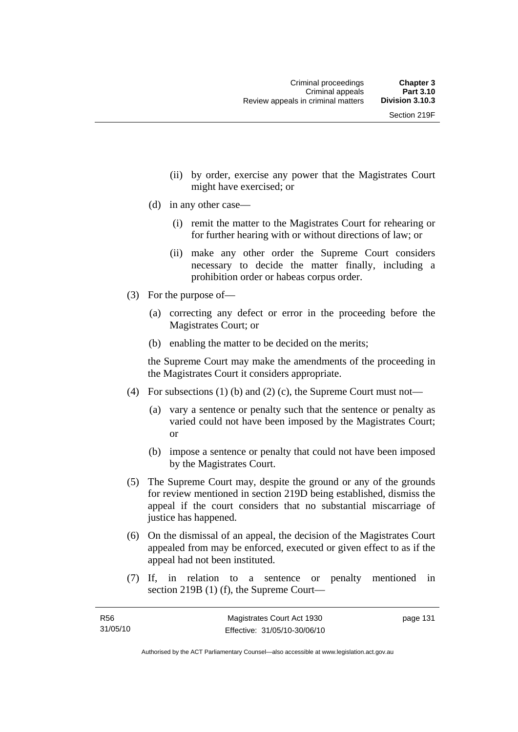- (ii) by order, exercise any power that the Magistrates Court might have exercised; or
- (d) in any other case—
	- (i) remit the matter to the Magistrates Court for rehearing or for further hearing with or without directions of law; or
	- (ii) make any other order the Supreme Court considers necessary to decide the matter finally, including a prohibition order or habeas corpus order.
- (3) For the purpose of—
	- (a) correcting any defect or error in the proceeding before the Magistrates Court; or
	- (b) enabling the matter to be decided on the merits;

the Supreme Court may make the amendments of the proceeding in the Magistrates Court it considers appropriate.

- (4) For subsections (1) (b) and (2) (c), the Supreme Court must not—
	- (a) vary a sentence or penalty such that the sentence or penalty as varied could not have been imposed by the Magistrates Court; or
	- (b) impose a sentence or penalty that could not have been imposed by the Magistrates Court.
- (5) The Supreme Court may, despite the ground or any of the grounds for review mentioned in section 219D being established, dismiss the appeal if the court considers that no substantial miscarriage of justice has happened.
- (6) On the dismissal of an appeal, the decision of the Magistrates Court appealed from may be enforced, executed or given effect to as if the appeal had not been instituted.
- (7) If, in relation to a sentence or penalty mentioned in section 219B (1) (f), the Supreme Court—

page 131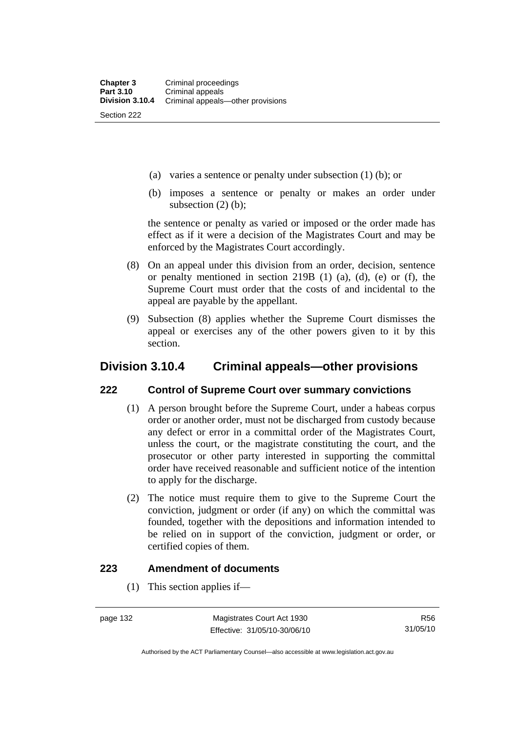- (a) varies a sentence or penalty under subsection (1) (b); or
- (b) imposes a sentence or penalty or makes an order under subsection  $(2)$  (b);

the sentence or penalty as varied or imposed or the order made has effect as if it were a decision of the Magistrates Court and may be enforced by the Magistrates Court accordingly.

- (8) On an appeal under this division from an order, decision, sentence or penalty mentioned in section 219B (1) (a), (d), (e) or (f), the Supreme Court must order that the costs of and incidental to the appeal are payable by the appellant.
- (9) Subsection (8) applies whether the Supreme Court dismisses the appeal or exercises any of the other powers given to it by this section.

# **Division 3.10.4 Criminal appeals—other provisions**

### **222 Control of Supreme Court over summary convictions**

- (1) A person brought before the Supreme Court, under a habeas corpus order or another order, must not be discharged from custody because any defect or error in a committal order of the Magistrates Court, unless the court, or the magistrate constituting the court, and the prosecutor or other party interested in supporting the committal order have received reasonable and sufficient notice of the intention to apply for the discharge.
- (2) The notice must require them to give to the Supreme Court the conviction, judgment or order (if any) on which the committal was founded, together with the depositions and information intended to be relied on in support of the conviction, judgment or order, or certified copies of them.

## **223 Amendment of documents**

(1) This section applies if—

Authorised by the ACT Parliamentary Counsel—also accessible at www.legislation.act.gov.au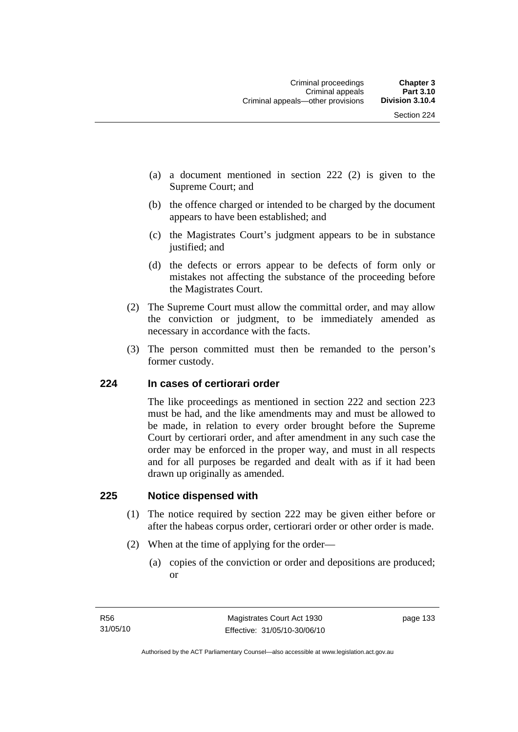- (a) a document mentioned in section 222 (2) is given to the Supreme Court; and
- (b) the offence charged or intended to be charged by the document appears to have been established; and
- (c) the Magistrates Court's judgment appears to be in substance justified; and
- (d) the defects or errors appear to be defects of form only or mistakes not affecting the substance of the proceeding before the Magistrates Court.
- (2) The Supreme Court must allow the committal order, and may allow the conviction or judgment, to be immediately amended as necessary in accordance with the facts.
- (3) The person committed must then be remanded to the person's former custody.

#### **224 In cases of certiorari order**

The like proceedings as mentioned in section 222 and section 223 must be had, and the like amendments may and must be allowed to be made, in relation to every order brought before the Supreme Court by certiorari order, and after amendment in any such case the order may be enforced in the proper way, and must in all respects and for all purposes be regarded and dealt with as if it had been drawn up originally as amended.

#### **225 Notice dispensed with**

- (1) The notice required by section 222 may be given either before or after the habeas corpus order, certiorari order or other order is made.
- (2) When at the time of applying for the order—
	- (a) copies of the conviction or order and depositions are produced; or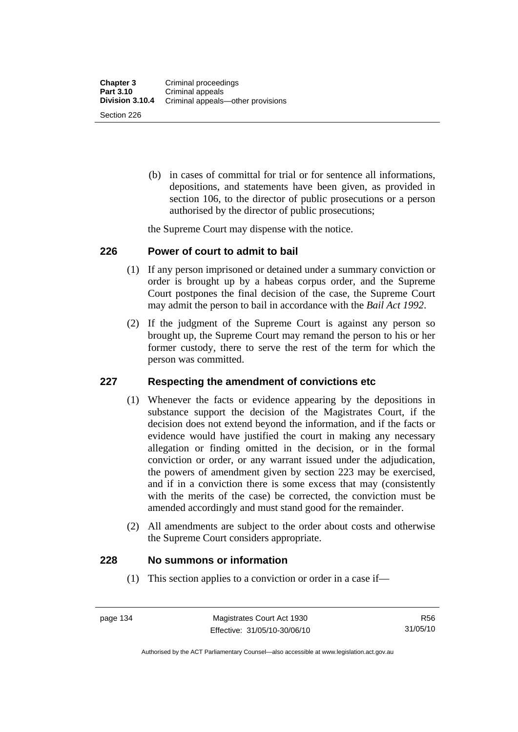(b) in cases of committal for trial or for sentence all informations, depositions, and statements have been given, as provided in section 106, to the director of public prosecutions or a person authorised by the director of public prosecutions;

the Supreme Court may dispense with the notice.

### **226 Power of court to admit to bail**

- (1) If any person imprisoned or detained under a summary conviction or order is brought up by a habeas corpus order, and the Supreme Court postpones the final decision of the case, the Supreme Court may admit the person to bail in accordance with the *Bail Act 1992*.
- (2) If the judgment of the Supreme Court is against any person so brought up, the Supreme Court may remand the person to his or her former custody, there to serve the rest of the term for which the person was committed.

### **227 Respecting the amendment of convictions etc**

- (1) Whenever the facts or evidence appearing by the depositions in substance support the decision of the Magistrates Court, if the decision does not extend beyond the information, and if the facts or evidence would have justified the court in making any necessary allegation or finding omitted in the decision, or in the formal conviction or order, or any warrant issued under the adjudication, the powers of amendment given by section 223 may be exercised, and if in a conviction there is some excess that may (consistently with the merits of the case) be corrected, the conviction must be amended accordingly and must stand good for the remainder.
- (2) All amendments are subject to the order about costs and otherwise the Supreme Court considers appropriate.

### **228 No summons or information**

(1) This section applies to a conviction or order in a case if—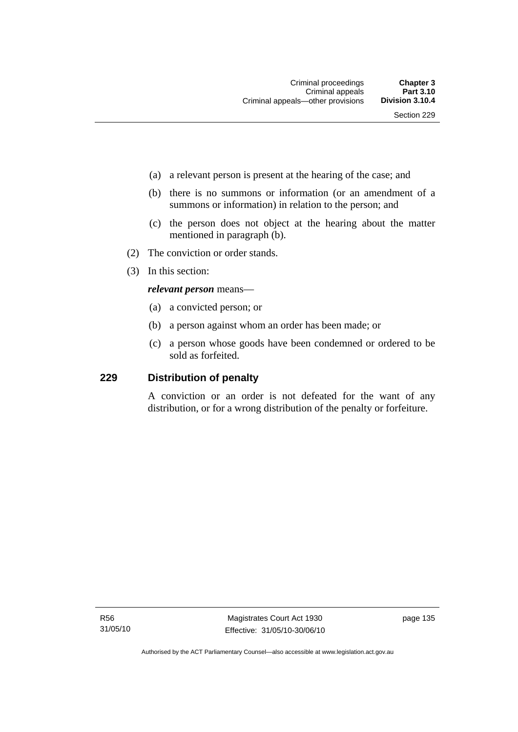- (a) a relevant person is present at the hearing of the case; and
- (b) there is no summons or information (or an amendment of a summons or information) in relation to the person; and
- (c) the person does not object at the hearing about the matter mentioned in paragraph (b).
- (2) The conviction or order stands.
- (3) In this section:

#### *relevant person* means—

- (a) a convicted person; or
- (b) a person against whom an order has been made; or
- (c) a person whose goods have been condemned or ordered to be sold as forfeited.

## **229 Distribution of penalty**

A conviction or an order is not defeated for the want of any distribution, or for a wrong distribution of the penalty or forfeiture.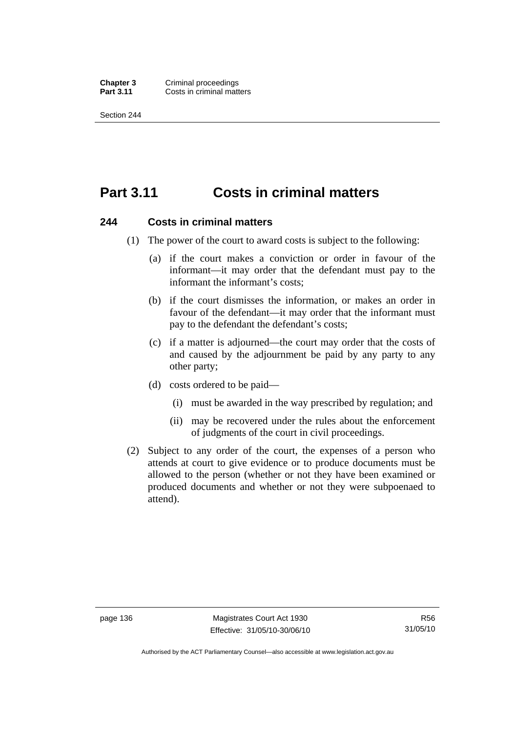**Chapter 3 Criminal proceedings**<br>**Part 3.11 Costs in criminal matt Costs in criminal matters** 

Section 244

# **Part 3.11 Costs in criminal matters**

#### **244 Costs in criminal matters**

- (1) The power of the court to award costs is subject to the following:
	- (a) if the court makes a conviction or order in favour of the informant—it may order that the defendant must pay to the informant the informant's costs;
	- (b) if the court dismisses the information, or makes an order in favour of the defendant—it may order that the informant must pay to the defendant the defendant's costs;
	- (c) if a matter is adjourned—the court may order that the costs of and caused by the adjournment be paid by any party to any other party;
	- (d) costs ordered to be paid—
		- (i) must be awarded in the way prescribed by regulation; and
		- (ii) may be recovered under the rules about the enforcement of judgments of the court in civil proceedings.
- (2) Subject to any order of the court, the expenses of a person who attends at court to give evidence or to produce documents must be allowed to the person (whether or not they have been examined or produced documents and whether or not they were subpoenaed to attend).

Authorised by the ACT Parliamentary Counsel—also accessible at www.legislation.act.gov.au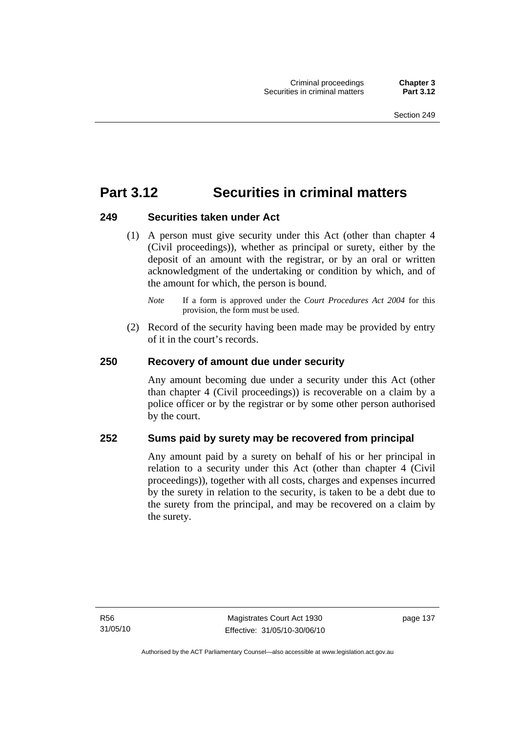# **Part 3.12 Securities in criminal matters**

# **249 Securities taken under Act**

 (1) A person must give security under this Act (other than chapter 4 (Civil proceedings)), whether as principal or surety, either by the deposit of an amount with the registrar, or by an oral or written acknowledgment of the undertaking or condition by which, and of the amount for which, the person is bound.

 (2) Record of the security having been made may be provided by entry of it in the court's records.

# **250 Recovery of amount due under security**

Any amount becoming due under a security under this Act (other than chapter 4 (Civil proceedings)) is recoverable on a claim by a police officer or by the registrar or by some other person authorised by the court.

# **252 Sums paid by surety may be recovered from principal**

Any amount paid by a surety on behalf of his or her principal in relation to a security under this Act (other than chapter 4 (Civil proceedings)), together with all costs, charges and expenses incurred by the surety in relation to the security, is taken to be a debt due to the surety from the principal, and may be recovered on a claim by the surety.

*Note* If a form is approved under the *Court Procedures Act 2004* for this provision, the form must be used.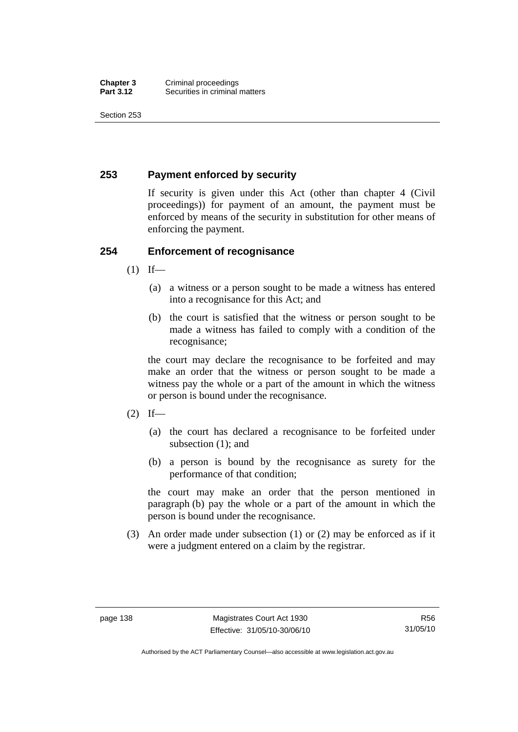Section 253

# **253 Payment enforced by security**

If security is given under this Act (other than chapter 4 (Civil proceedings)) for payment of an amount, the payment must be enforced by means of the security in substitution for other means of enforcing the payment.

# **254 Enforcement of recognisance**

- $(1)$  If—
	- (a) a witness or a person sought to be made a witness has entered into a recognisance for this Act; and
	- (b) the court is satisfied that the witness or person sought to be made a witness has failed to comply with a condition of the recognisance;

the court may declare the recognisance to be forfeited and may make an order that the witness or person sought to be made a witness pay the whole or a part of the amount in which the witness or person is bound under the recognisance.

- $(2)$  If—
	- (a) the court has declared a recognisance to be forfeited under subsection (1); and
	- (b) a person is bound by the recognisance as surety for the performance of that condition;

the court may make an order that the person mentioned in paragraph (b) pay the whole or a part of the amount in which the person is bound under the recognisance.

 (3) An order made under subsection (1) or (2) may be enforced as if it were a judgment entered on a claim by the registrar.

Authorised by the ACT Parliamentary Counsel—also accessible at www.legislation.act.gov.au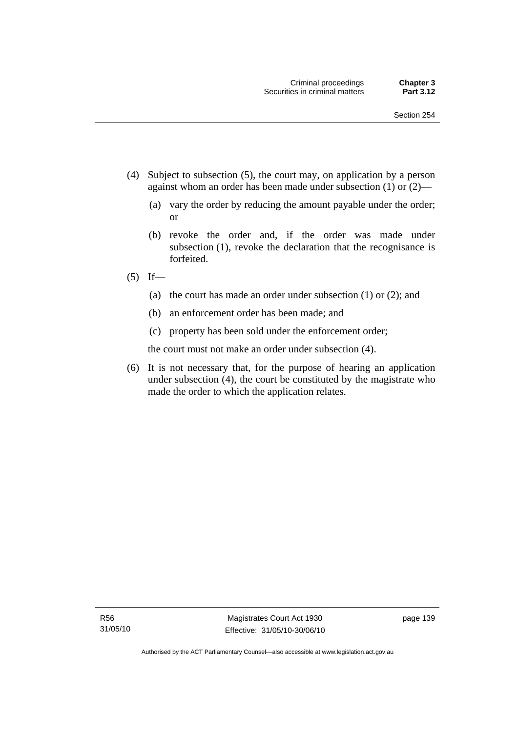- (4) Subject to subsection (5), the court may, on application by a person against whom an order has been made under subsection (1) or (2)—
	- (a) vary the order by reducing the amount payable under the order; or
	- (b) revoke the order and, if the order was made under subsection (1), revoke the declaration that the recognisance is forfeited.
- $(5)$  If—
	- (a) the court has made an order under subsection (1) or (2); and
	- (b) an enforcement order has been made; and
	- (c) property has been sold under the enforcement order;

the court must not make an order under subsection (4).

 (6) It is not necessary that, for the purpose of hearing an application under subsection (4), the court be constituted by the magistrate who made the order to which the application relates.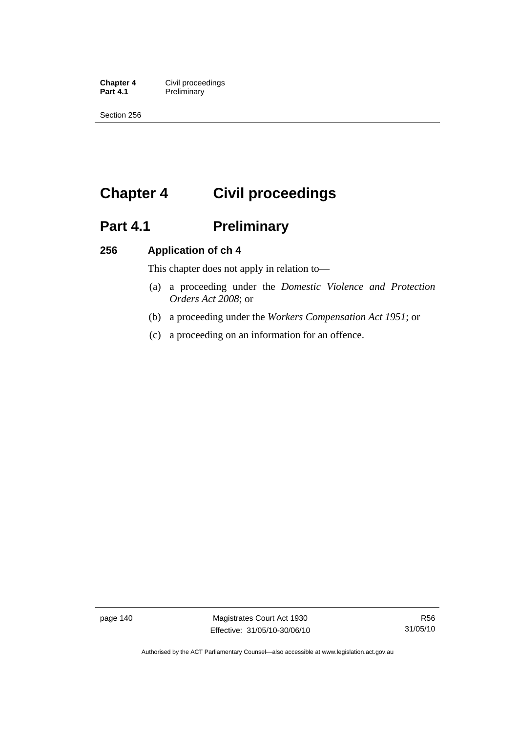**Chapter 4 Civil proceedings**<br>**Part 4.1 Preliminary Preliminary** 

Section 256

# **Chapter 4 Civil proceedings**

# Part 4.1 **Preliminary**

# **256 Application of ch 4**

This chapter does not apply in relation to—

- (a) a proceeding under the *Domestic Violence and Protection Orders Act 2008*; or
- (b) a proceeding under the *Workers Compensation Act 1951*; or
- (c) a proceeding on an information for an offence.

page 140 Magistrates Court Act 1930 Effective: 31/05/10-30/06/10

Authorised by the ACT Parliamentary Counsel—also accessible at www.legislation.act.gov.au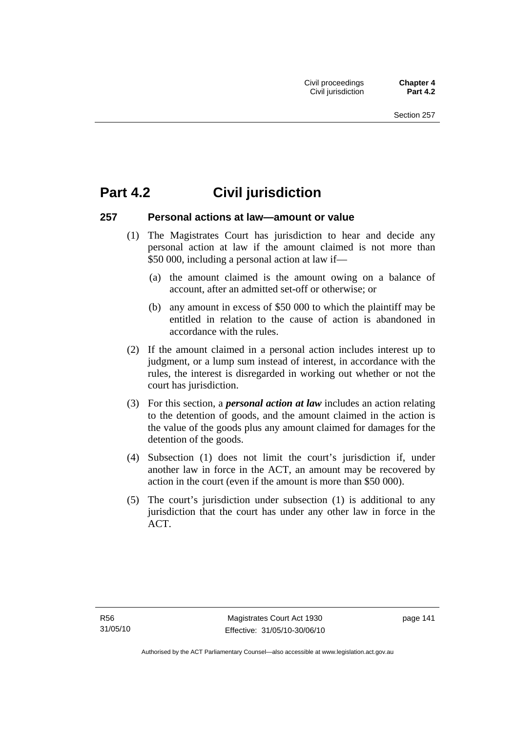# **Part 4.2 Civil jurisdiction**

### **257 Personal actions at law—amount or value**

- (1) The Magistrates Court has jurisdiction to hear and decide any personal action at law if the amount claimed is not more than \$50 000, including a personal action at law if—
	- (a) the amount claimed is the amount owing on a balance of account, after an admitted set-off or otherwise; or
	- (b) any amount in excess of \$50 000 to which the plaintiff may be entitled in relation to the cause of action is abandoned in accordance with the rules.
- (2) If the amount claimed in a personal action includes interest up to judgment, or a lump sum instead of interest, in accordance with the rules, the interest is disregarded in working out whether or not the court has jurisdiction.
- (3) For this section, a *personal action at law* includes an action relating to the detention of goods, and the amount claimed in the action is the value of the goods plus any amount claimed for damages for the detention of the goods.
- (4) Subsection (1) does not limit the court's jurisdiction if, under another law in force in the ACT, an amount may be recovered by action in the court (even if the amount is more than \$50 000).
- (5) The court's jurisdiction under subsection (1) is additional to any jurisdiction that the court has under any other law in force in the ACT.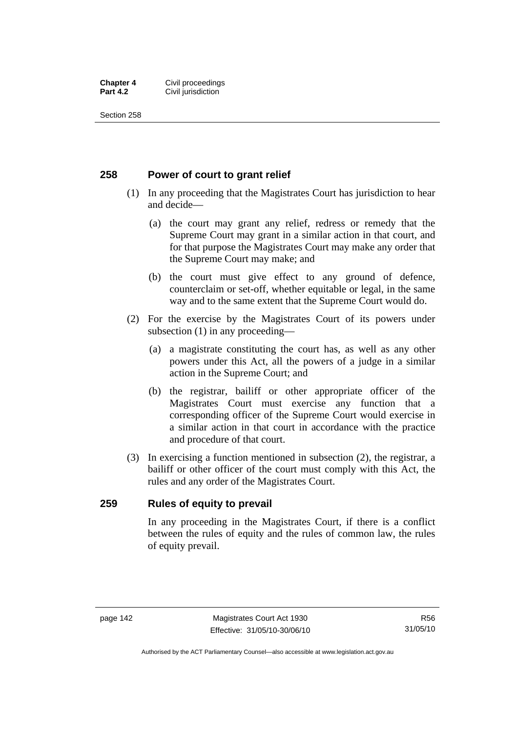#### **Chapter 4 Civil proceedings**<br>**Part 4.2 Civil iurisdiction Civil jurisdiction**

Section 258

# **258 Power of court to grant relief**

- (1) In any proceeding that the Magistrates Court has jurisdiction to hear and decide—
	- (a) the court may grant any relief, redress or remedy that the Supreme Court may grant in a similar action in that court, and for that purpose the Magistrates Court may make any order that the Supreme Court may make; and
	- (b) the court must give effect to any ground of defence, counterclaim or set-off, whether equitable or legal, in the same way and to the same extent that the Supreme Court would do.
- (2) For the exercise by the Magistrates Court of its powers under subsection (1) in any proceeding—
	- (a) a magistrate constituting the court has, as well as any other powers under this Act, all the powers of a judge in a similar action in the Supreme Court; and
	- (b) the registrar, bailiff or other appropriate officer of the Magistrates Court must exercise any function that a corresponding officer of the Supreme Court would exercise in a similar action in that court in accordance with the practice and procedure of that court.
- (3) In exercising a function mentioned in subsection (2), the registrar, a bailiff or other officer of the court must comply with this Act, the rules and any order of the Magistrates Court.

### **259 Rules of equity to prevail**

In any proceeding in the Magistrates Court, if there is a conflict between the rules of equity and the rules of common law, the rules of equity prevail.

R56 31/05/10

Authorised by the ACT Parliamentary Counsel—also accessible at www.legislation.act.gov.au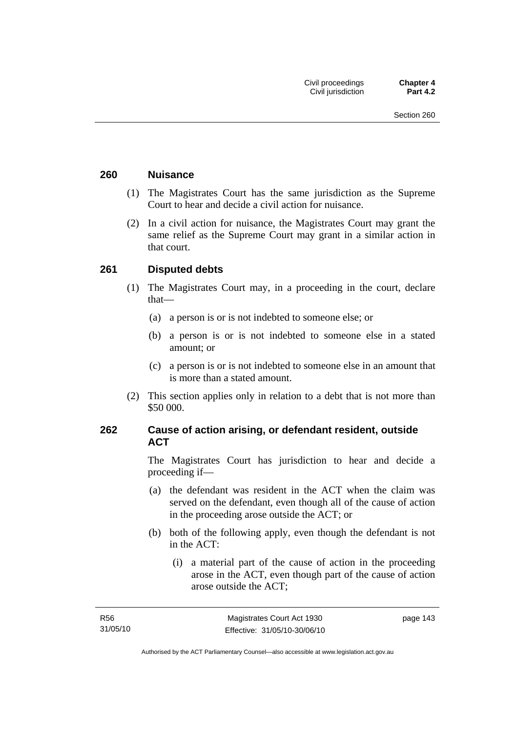### **260 Nuisance**

- (1) The Magistrates Court has the same jurisdiction as the Supreme Court to hear and decide a civil action for nuisance.
- (2) In a civil action for nuisance, the Magistrates Court may grant the same relief as the Supreme Court may grant in a similar action in that court.

# **261 Disputed debts**

- (1) The Magistrates Court may, in a proceeding in the court, declare that—
	- (a) a person is or is not indebted to someone else; or
	- (b) a person is or is not indebted to someone else in a stated amount; or
	- (c) a person is or is not indebted to someone else in an amount that is more than a stated amount.
- (2) This section applies only in relation to a debt that is not more than \$50 000.

# **262 Cause of action arising, or defendant resident, outside ACT**

The Magistrates Court has jurisdiction to hear and decide a proceeding if—

- (a) the defendant was resident in the ACT when the claim was served on the defendant, even though all of the cause of action in the proceeding arose outside the ACT; or
- (b) both of the following apply, even though the defendant is not in the ACT:
	- (i) a material part of the cause of action in the proceeding arose in the ACT, even though part of the cause of action arose outside the ACT;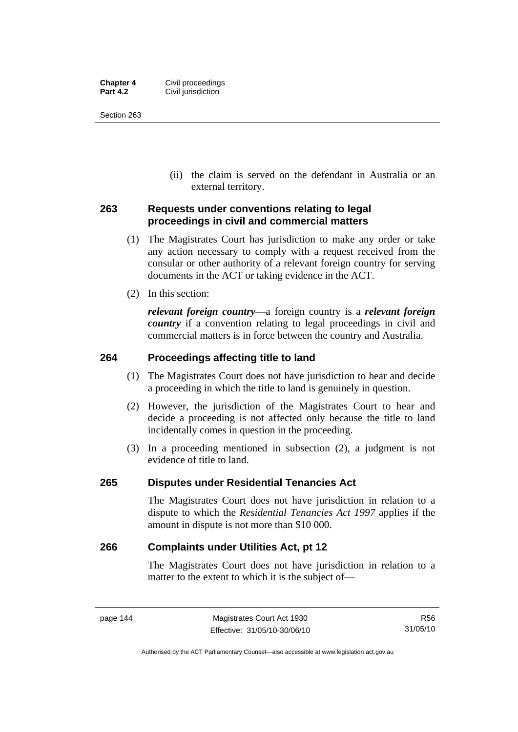| <b>Chapter 4</b> | Civil proceedings  |
|------------------|--------------------|
| <b>Part 4.2</b>  | Civil jurisdiction |

Section 263

 (ii) the claim is served on the defendant in Australia or an external territory.

# **263 Requests under conventions relating to legal proceedings in civil and commercial matters**

- (1) The Magistrates Court has jurisdiction to make any order or take any action necessary to comply with a request received from the consular or other authority of a relevant foreign country for serving documents in the ACT or taking evidence in the ACT.
- (2) In this section:

*relevant foreign country*—a foreign country is a *relevant foreign country* if a convention relating to legal proceedings in civil and commercial matters is in force between the country and Australia.

# **264 Proceedings affecting title to land**

- (1) The Magistrates Court does not have jurisdiction to hear and decide a proceeding in which the title to land is genuinely in question.
- (2) However, the jurisdiction of the Magistrates Court to hear and decide a proceeding is not affected only because the title to land incidentally comes in question in the proceeding.
- (3) In a proceeding mentioned in subsection (2), a judgment is not evidence of title to land.

### **265 Disputes under Residential Tenancies Act**

The Magistrates Court does not have jurisdiction in relation to a dispute to which the *Residential Tenancies Act 1997* applies if the amount in dispute is not more than \$10 000.

### **266 Complaints under Utilities Act, pt 12**

The Magistrates Court does not have jurisdiction in relation to a matter to the extent to which it is the subject of—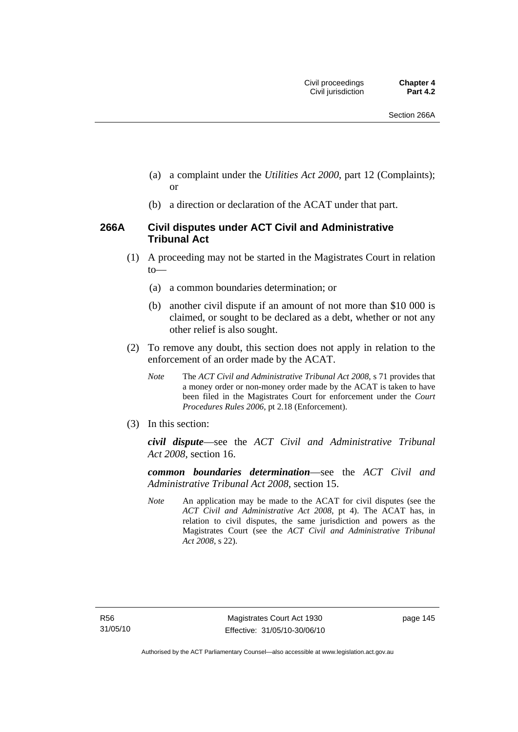- (a) a complaint under the *Utilities Act 2000*, part 12 (Complaints); or
- (b) a direction or declaration of the ACAT under that part.

# **266A Civil disputes under ACT Civil and Administrative Tribunal Act**

- (1) A proceeding may not be started in the Magistrates Court in relation to—
	- (a) a common boundaries determination; or
	- (b) another civil dispute if an amount of not more than \$10 000 is claimed, or sought to be declared as a debt, whether or not any other relief is also sought.
- (2) To remove any doubt, this section does not apply in relation to the enforcement of an order made by the ACAT.
	- *Note* The *ACT Civil and Administrative Tribunal Act 2008*, s 71 provides that a money order or non-money order made by the ACAT is taken to have been filed in the Magistrates Court for enforcement under the *Court Procedures Rules 2006*, pt 2.18 (Enforcement).
- (3) In this section:

*civil dispute*—see the *ACT Civil and Administrative Tribunal Act 2008*, section 16.

*common boundaries determination*—see the *ACT Civil and Administrative Tribunal Act 2008*, section 15.

*Note* An application may be made to the ACAT for civil disputes (see the *ACT Civil and Administrative Act 2008*, pt 4). The ACAT has, in relation to civil disputes, the same jurisdiction and powers as the Magistrates Court (see the *ACT Civil and Administrative Tribunal Act 2008*, s 22).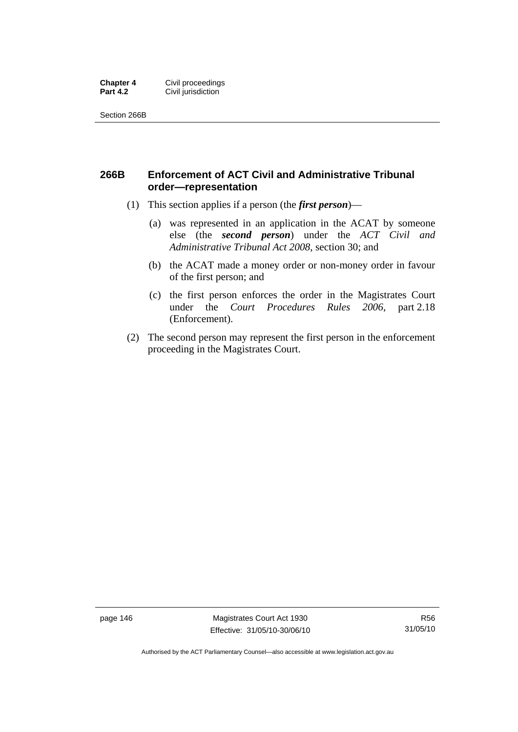#### **Chapter 4 Civil proceedings**<br>**Part 4.2 Civil iurisdiction Civil jurisdiction**

Section 266B

# **266B Enforcement of ACT Civil and Administrative Tribunal order—representation**

- (1) This section applies if a person (the *first person*)—
	- (a) was represented in an application in the ACAT by someone else (the *second person*) under the *ACT Civil and Administrative Tribunal Act 2008*, section 30; and
	- (b) the ACAT made a money order or non-money order in favour of the first person; and
	- (c) the first person enforces the order in the Magistrates Court under the *Court Procedures Rules 2006*, part 2.18 (Enforcement).
- (2) The second person may represent the first person in the enforcement proceeding in the Magistrates Court.

page 146 Magistrates Court Act 1930 Effective: 31/05/10-30/06/10

Authorised by the ACT Parliamentary Counsel—also accessible at www.legislation.act.gov.au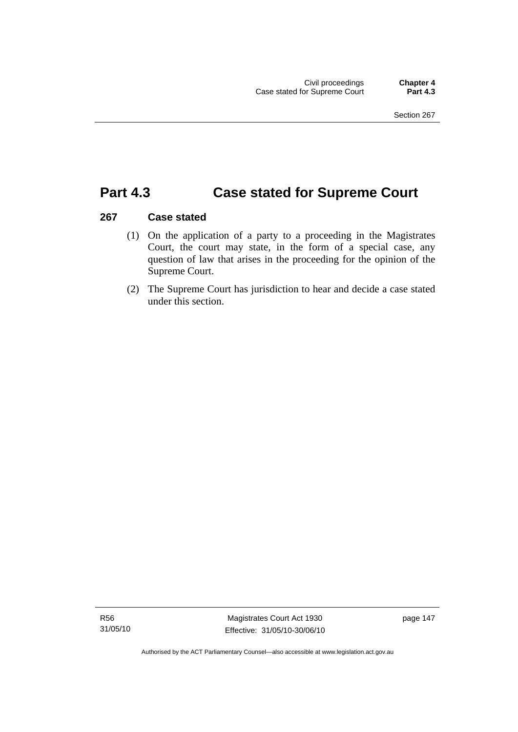# **Part 4.3 Case stated for Supreme Court**

# **267 Case stated**

- (1) On the application of a party to a proceeding in the Magistrates Court, the court may state, in the form of a special case, any question of law that arises in the proceeding for the opinion of the Supreme Court.
- (2) The Supreme Court has jurisdiction to hear and decide a case stated under this section.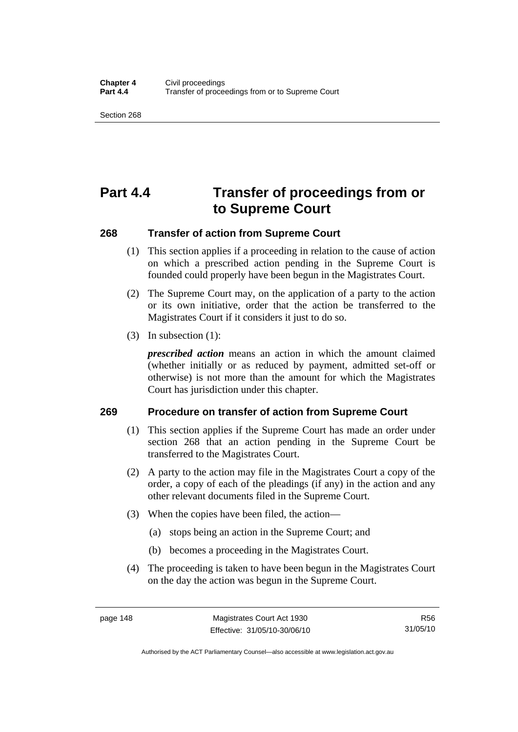Section 268

# **Part 4.4 Transfer of proceedings from or to Supreme Court**

# **268 Transfer of action from Supreme Court**

- (1) This section applies if a proceeding in relation to the cause of action on which a prescribed action pending in the Supreme Court is founded could properly have been begun in the Magistrates Court.
- (2) The Supreme Court may, on the application of a party to the action or its own initiative, order that the action be transferred to the Magistrates Court if it considers it just to do so.
- (3) In subsection (1):

*prescribed action* means an action in which the amount claimed (whether initially or as reduced by payment, admitted set-off or otherwise) is not more than the amount for which the Magistrates Court has jurisdiction under this chapter.

### **269 Procedure on transfer of action from Supreme Court**

- (1) This section applies if the Supreme Court has made an order under section 268 that an action pending in the Supreme Court be transferred to the Magistrates Court.
- (2) A party to the action may file in the Magistrates Court a copy of the order, a copy of each of the pleadings (if any) in the action and any other relevant documents filed in the Supreme Court.
- (3) When the copies have been filed, the action—
	- (a) stops being an action in the Supreme Court; and
	- (b) becomes a proceeding in the Magistrates Court.
- (4) The proceeding is taken to have been begun in the Magistrates Court on the day the action was begun in the Supreme Court.

Authorised by the ACT Parliamentary Counsel—also accessible at www.legislation.act.gov.au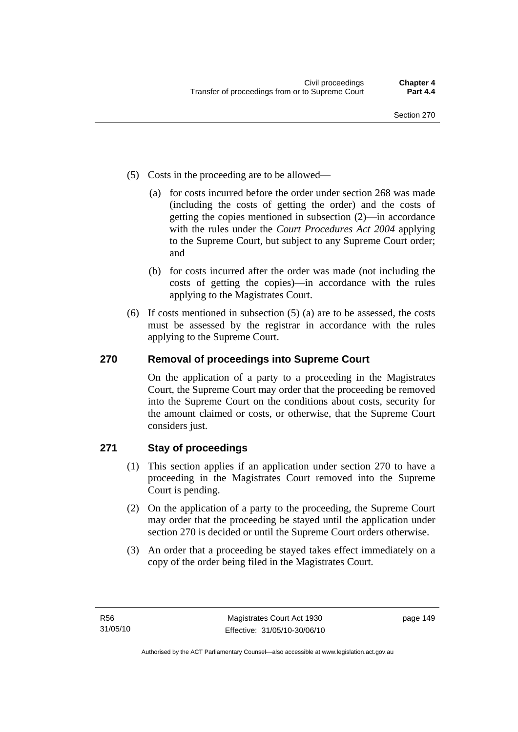- (5) Costs in the proceeding are to be allowed—
	- (a) for costs incurred before the order under section 268 was made (including the costs of getting the order) and the costs of getting the copies mentioned in subsection (2)—in accordance with the rules under the *Court Procedures Act 2004* applying to the Supreme Court, but subject to any Supreme Court order; and
	- (b) for costs incurred after the order was made (not including the costs of getting the copies)—in accordance with the rules applying to the Magistrates Court.
- (6) If costs mentioned in subsection (5) (a) are to be assessed, the costs must be assessed by the registrar in accordance with the rules applying to the Supreme Court.

# **270 Removal of proceedings into Supreme Court**

On the application of a party to a proceeding in the Magistrates Court, the Supreme Court may order that the proceeding be removed into the Supreme Court on the conditions about costs, security for the amount claimed or costs, or otherwise, that the Supreme Court considers just.

# **271 Stay of proceedings**

- (1) This section applies if an application under section 270 to have a proceeding in the Magistrates Court removed into the Supreme Court is pending.
- (2) On the application of a party to the proceeding, the Supreme Court may order that the proceeding be stayed until the application under section 270 is decided or until the Supreme Court orders otherwise.
- (3) An order that a proceeding be stayed takes effect immediately on a copy of the order being filed in the Magistrates Court.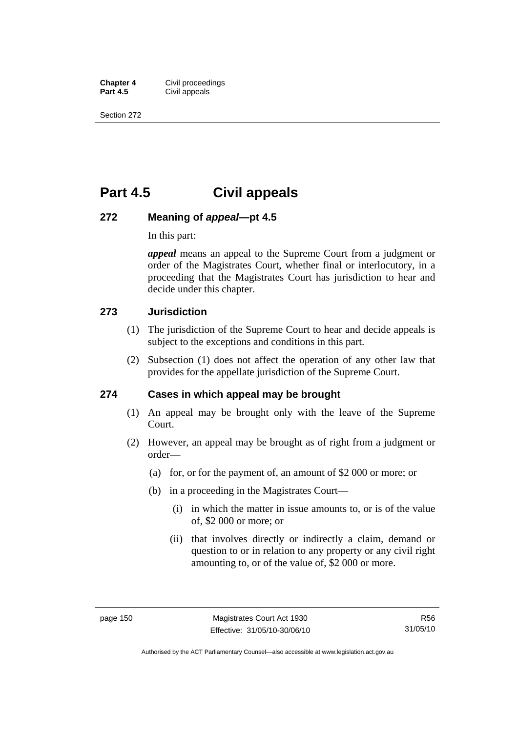**Chapter 4 Civil proceedings**<br>**Part 4.5 Civil appeals Civil appeals** 

Section 272

# **Part 4.5 Civil appeals**

### **272 Meaning of** *appeal***—pt 4.5**

In this part:

*appeal* means an appeal to the Supreme Court from a judgment or order of the Magistrates Court, whether final or interlocutory, in a proceeding that the Magistrates Court has jurisdiction to hear and decide under this chapter.

### **273 Jurisdiction**

- (1) The jurisdiction of the Supreme Court to hear and decide appeals is subject to the exceptions and conditions in this part.
- (2) Subsection (1) does not affect the operation of any other law that provides for the appellate jurisdiction of the Supreme Court.

### **274 Cases in which appeal may be brought**

- (1) An appeal may be brought only with the leave of the Supreme Court.
- (2) However, an appeal may be brought as of right from a judgment or order—
	- (a) for, or for the payment of, an amount of \$2 000 or more; or
	- (b) in a proceeding in the Magistrates Court—
		- (i) in which the matter in issue amounts to, or is of the value of, \$2 000 or more; or
		- (ii) that involves directly or indirectly a claim, demand or question to or in relation to any property or any civil right amounting to, or of the value of, \$2 000 or more.

R56 31/05/10

Authorised by the ACT Parliamentary Counsel—also accessible at www.legislation.act.gov.au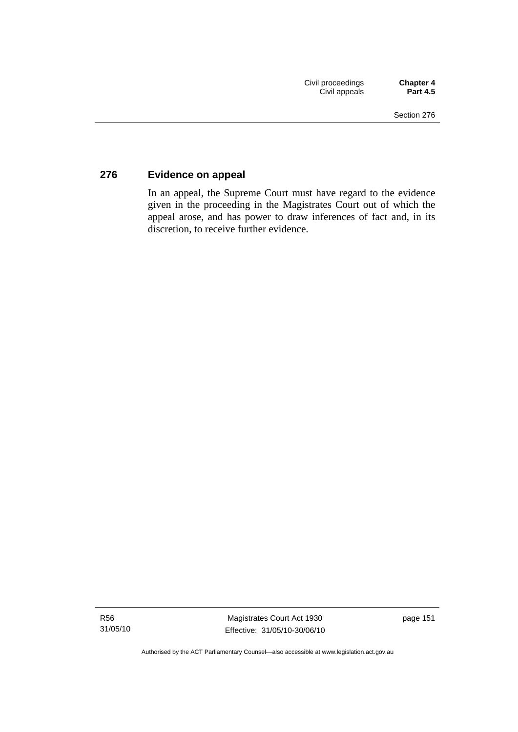# **276 Evidence on appeal**

In an appeal, the Supreme Court must have regard to the evidence given in the proceeding in the Magistrates Court out of which the appeal arose, and has power to draw inferences of fact and, in its discretion, to receive further evidence.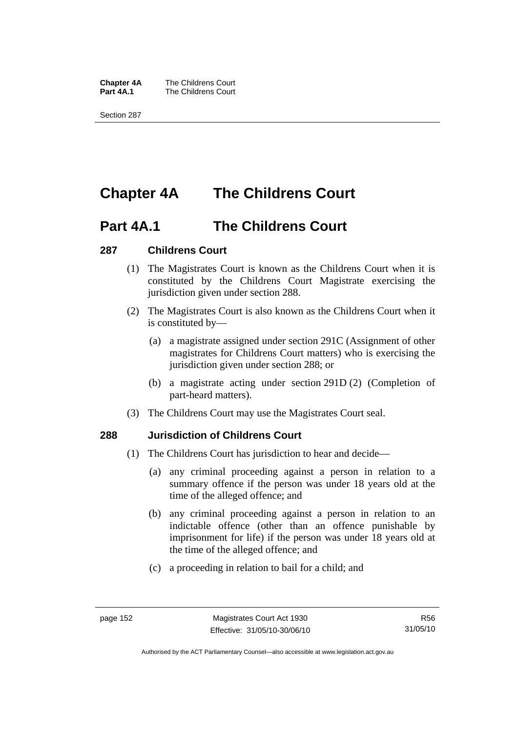**Chapter 4A** The Childrens Court<br>**Part 4A.1** The Childrens Court **The Childrens Court** 

Section 287

# **Chapter 4A The Childrens Court**

# **Part 4A.1 The Childrens Court**

# **287 Childrens Court**

- (1) The Magistrates Court is known as the Childrens Court when it is constituted by the Childrens Court Magistrate exercising the jurisdiction given under section 288.
- (2) The Magistrates Court is also known as the Childrens Court when it is constituted by—
	- (a) a magistrate assigned under section 291C (Assignment of other magistrates for Childrens Court matters) who is exercising the jurisdiction given under section 288; or
	- (b) a magistrate acting under section 291D (2) (Completion of part-heard matters).
- (3) The Childrens Court may use the Magistrates Court seal.

# **288 Jurisdiction of Childrens Court**

- (1) The Childrens Court has jurisdiction to hear and decide—
	- (a) any criminal proceeding against a person in relation to a summary offence if the person was under 18 years old at the time of the alleged offence; and
	- (b) any criminal proceeding against a person in relation to an indictable offence (other than an offence punishable by imprisonment for life) if the person was under 18 years old at the time of the alleged offence; and
	- (c) a proceeding in relation to bail for a child; and

Authorised by the ACT Parliamentary Counsel—also accessible at www.legislation.act.gov.au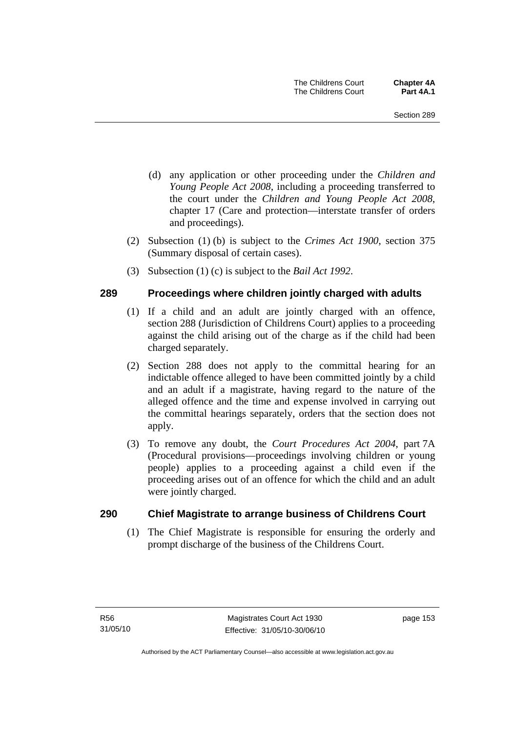- (d) any application or other proceeding under the *Children and Young People Act 2008*, including a proceeding transferred to the court under the *Children and Young People Act 2008*, chapter 17 (Care and protection—interstate transfer of orders and proceedings).
- (2) Subsection (1) (b) is subject to the *Crimes Act 1900*, section 375 (Summary disposal of certain cases).
- (3) Subsection (1) (c) is subject to the *Bail Act 1992*.

# **289 Proceedings where children jointly charged with adults**

- (1) If a child and an adult are jointly charged with an offence, section 288 (Jurisdiction of Childrens Court) applies to a proceeding against the child arising out of the charge as if the child had been charged separately.
- (2) Section 288 does not apply to the committal hearing for an indictable offence alleged to have been committed jointly by a child and an adult if a magistrate, having regard to the nature of the alleged offence and the time and expense involved in carrying out the committal hearings separately, orders that the section does not apply.
- (3) To remove any doubt, the *Court Procedures Act 2004*, part 7A (Procedural provisions—proceedings involving children or young people) applies to a proceeding against a child even if the proceeding arises out of an offence for which the child and an adult were jointly charged.

### **290 Chief Magistrate to arrange business of Childrens Court**

 (1) The Chief Magistrate is responsible for ensuring the orderly and prompt discharge of the business of the Childrens Court.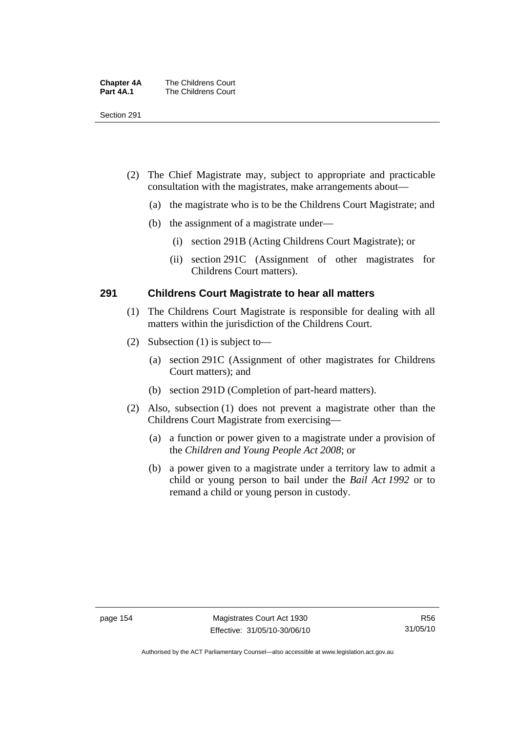| <b>Chapter 4A</b> | The Childrens Court |
|-------------------|---------------------|
| Part 4A.1         | The Childrens Court |

Section 291

- (2) The Chief Magistrate may, subject to appropriate and practicable consultation with the magistrates, make arrangements about—
	- (a) the magistrate who is to be the Childrens Court Magistrate; and
	- (b) the assignment of a magistrate under—
		- (i) section 291B (Acting Childrens Court Magistrate); or
		- (ii) section 291C (Assignment of other magistrates for Childrens Court matters).

### **291 Childrens Court Magistrate to hear all matters**

- (1) The Childrens Court Magistrate is responsible for dealing with all matters within the jurisdiction of the Childrens Court.
- (2) Subsection (1) is subject to—
	- (a) section 291C (Assignment of other magistrates for Childrens Court matters); and
	- (b) section 291D (Completion of part-heard matters).
- (2) Also, subsection (1) does not prevent a magistrate other than the Childrens Court Magistrate from exercising—
	- (a) a function or power given to a magistrate under a provision of the *Children and Young People Act 2008*; or
	- (b) a power given to a magistrate under a territory law to admit a child or young person to bail under the *Bail Act 1992* or to remand a child or young person in custody.

Authorised by the ACT Parliamentary Counsel—also accessible at www.legislation.act.gov.au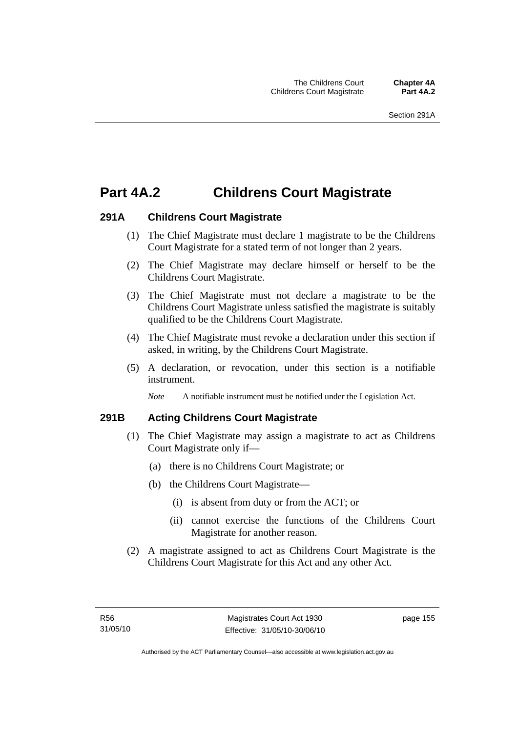# **Part 4A.2 Childrens Court Magistrate**

# **291A Childrens Court Magistrate**

- (1) The Chief Magistrate must declare 1 magistrate to be the Childrens Court Magistrate for a stated term of not longer than 2 years.
- (2) The Chief Magistrate may declare himself or herself to be the Childrens Court Magistrate.
- (3) The Chief Magistrate must not declare a magistrate to be the Childrens Court Magistrate unless satisfied the magistrate is suitably qualified to be the Childrens Court Magistrate.
- (4) The Chief Magistrate must revoke a declaration under this section if asked, in writing, by the Childrens Court Magistrate.
- (5) A declaration, or revocation, under this section is a notifiable instrument.

*Note* A notifiable instrument must be notified under the Legislation Act.

# **291B Acting Childrens Court Magistrate**

- (1) The Chief Magistrate may assign a magistrate to act as Childrens Court Magistrate only if—
	- (a) there is no Childrens Court Magistrate; or
	- (b) the Childrens Court Magistrate—
		- (i) is absent from duty or from the ACT; or
		- (ii) cannot exercise the functions of the Childrens Court Magistrate for another reason.
- (2) A magistrate assigned to act as Childrens Court Magistrate is the Childrens Court Magistrate for this Act and any other Act.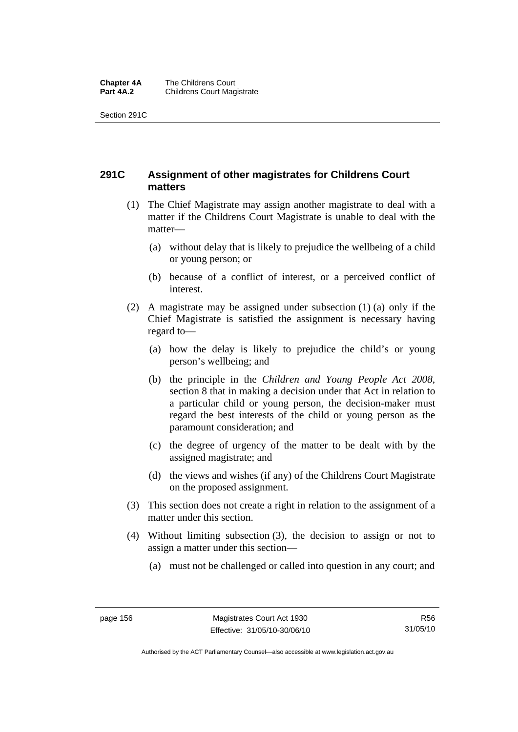#### **Chapter 4A** The Childrens Court<br>**Part 4A.2** Childrens Court Mag **Childrens Court Magistrate**

Section 291C

# **291C Assignment of other magistrates for Childrens Court matters**

- (1) The Chief Magistrate may assign another magistrate to deal with a matter if the Childrens Court Magistrate is unable to deal with the matter—
	- (a) without delay that is likely to prejudice the wellbeing of a child or young person; or
	- (b) because of a conflict of interest, or a perceived conflict of interest.
- (2) A magistrate may be assigned under subsection (1) (a) only if the Chief Magistrate is satisfied the assignment is necessary having regard to—
	- (a) how the delay is likely to prejudice the child's or young person's wellbeing; and
	- (b) the principle in the *Children and Young People Act 2008*, section 8 that in making a decision under that Act in relation to a particular child or young person, the decision-maker must regard the best interests of the child or young person as the paramount consideration; and
	- (c) the degree of urgency of the matter to be dealt with by the assigned magistrate; and
	- (d) the views and wishes (if any) of the Childrens Court Magistrate on the proposed assignment.
- (3) This section does not create a right in relation to the assignment of a matter under this section.
- (4) Without limiting subsection (3), the decision to assign or not to assign a matter under this section—
	- (a) must not be challenged or called into question in any court; and

R56 31/05/10

Authorised by the ACT Parliamentary Counsel—also accessible at www.legislation.act.gov.au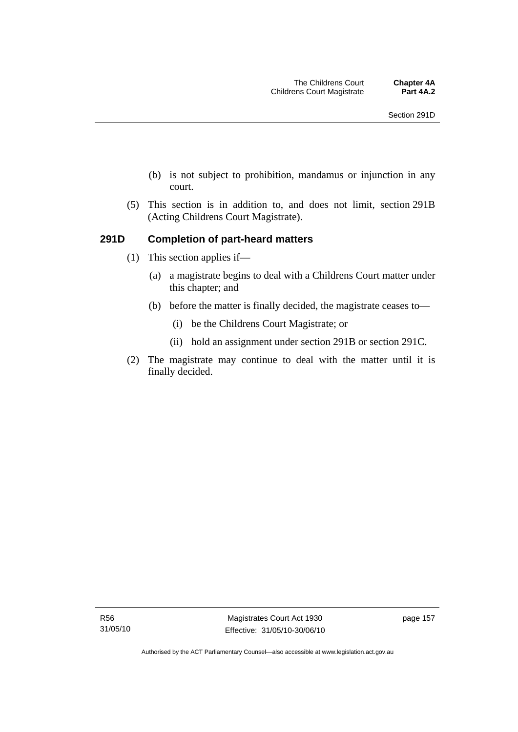- (b) is not subject to prohibition, mandamus or injunction in any court.
- (5) This section is in addition to, and does not limit, section 291B (Acting Childrens Court Magistrate).

# **291D Completion of part-heard matters**

- (1) This section applies if—
	- (a) a magistrate begins to deal with a Childrens Court matter under this chapter; and
	- (b) before the matter is finally decided, the magistrate ceases to—
		- (i) be the Childrens Court Magistrate; or
		- (ii) hold an assignment under section 291B or section 291C.
- (2) The magistrate may continue to deal with the matter until it is finally decided.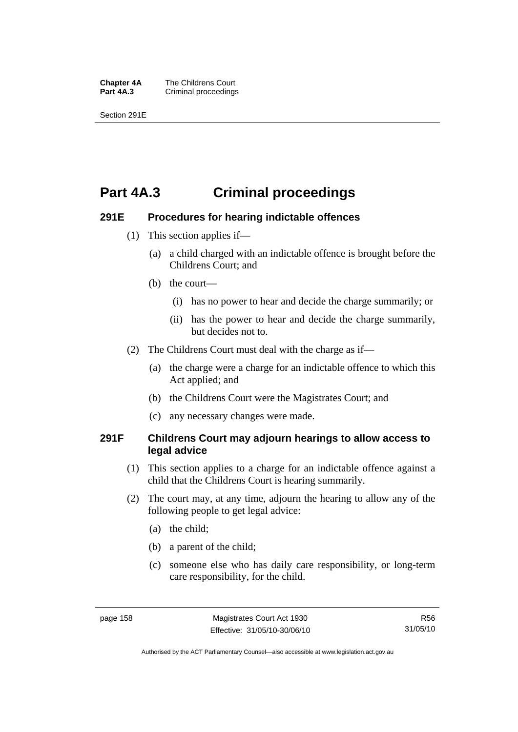**Chapter 4A** The Childrens Court<br>**Part 4A.3** Criminal proceedings **Criminal proceedings** 

Section 291E

# **Part 4A.3 Criminal proceedings**

### **291E Procedures for hearing indictable offences**

- (1) This section applies if—
	- (a) a child charged with an indictable offence is brought before the Childrens Court; and
	- (b) the court—
		- (i) has no power to hear and decide the charge summarily; or
		- (ii) has the power to hear and decide the charge summarily, but decides not to.
- (2) The Childrens Court must deal with the charge as if—
	- (a) the charge were a charge for an indictable offence to which this Act applied; and
	- (b) the Childrens Court were the Magistrates Court; and
	- (c) any necessary changes were made.

# **291F Childrens Court may adjourn hearings to allow access to legal advice**

- (1) This section applies to a charge for an indictable offence against a child that the Childrens Court is hearing summarily.
- (2) The court may, at any time, adjourn the hearing to allow any of the following people to get legal advice:
	- (a) the child;
	- (b) a parent of the child;
	- (c) someone else who has daily care responsibility, or long-term care responsibility, for the child.

Authorised by the ACT Parliamentary Counsel—also accessible at www.legislation.act.gov.au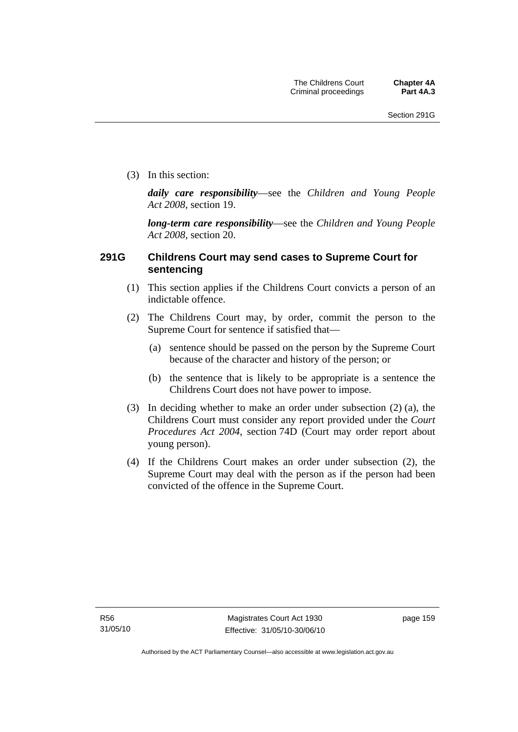(3) In this section:

*daily care responsibility*—see the *Children and Young People Act 2008*, section 19.

*long-term care responsibility*—see the *Children and Young People Act 2008*, section 20.

# **291G Childrens Court may send cases to Supreme Court for sentencing**

- (1) This section applies if the Childrens Court convicts a person of an indictable offence.
- (2) The Childrens Court may, by order, commit the person to the Supreme Court for sentence if satisfied that—
	- (a) sentence should be passed on the person by the Supreme Court because of the character and history of the person; or
	- (b) the sentence that is likely to be appropriate is a sentence the Childrens Court does not have power to impose.
- (3) In deciding whether to make an order under subsection (2) (a), the Childrens Court must consider any report provided under the *Court Procedures Act 2004*, section 74D (Court may order report about young person).
- (4) If the Childrens Court makes an order under subsection (2), the Supreme Court may deal with the person as if the person had been convicted of the offence in the Supreme Court.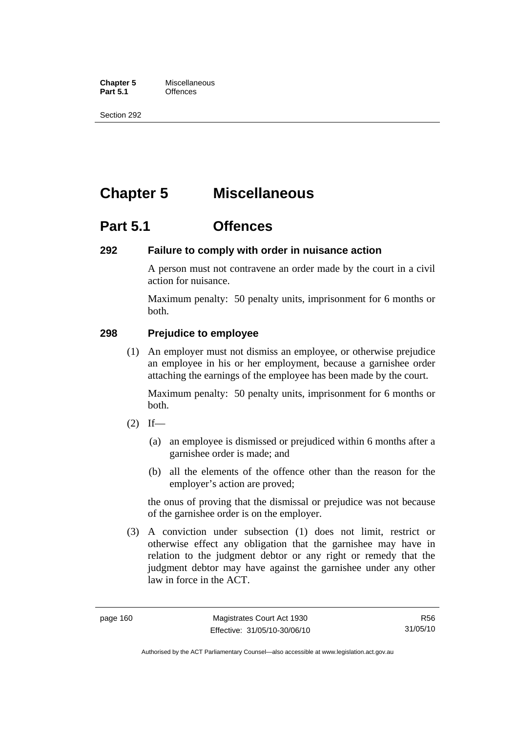**Chapter 5** Miscellaneous<br>**Part 5.1** Offences **Part 5.1** 

Section 292

# **Chapter 5 Miscellaneous**

# **Part 5.1 Offences**

# **292 Failure to comply with order in nuisance action**

A person must not contravene an order made by the court in a civil action for nuisance.

Maximum penalty: 50 penalty units, imprisonment for 6 months or both.

# **298 Prejudice to employee**

 (1) An employer must not dismiss an employee, or otherwise prejudice an employee in his or her employment, because a garnishee order attaching the earnings of the employee has been made by the court.

Maximum penalty: 50 penalty units, imprisonment for 6 months or both.

- $(2)$  If—
	- (a) an employee is dismissed or prejudiced within 6 months after a garnishee order is made; and
	- (b) all the elements of the offence other than the reason for the employer's action are proved;

the onus of proving that the dismissal or prejudice was not because of the garnishee order is on the employer.

 (3) A conviction under subsection (1) does not limit, restrict or otherwise effect any obligation that the garnishee may have in relation to the judgment debtor or any right or remedy that the judgment debtor may have against the garnishee under any other law in force in the ACT.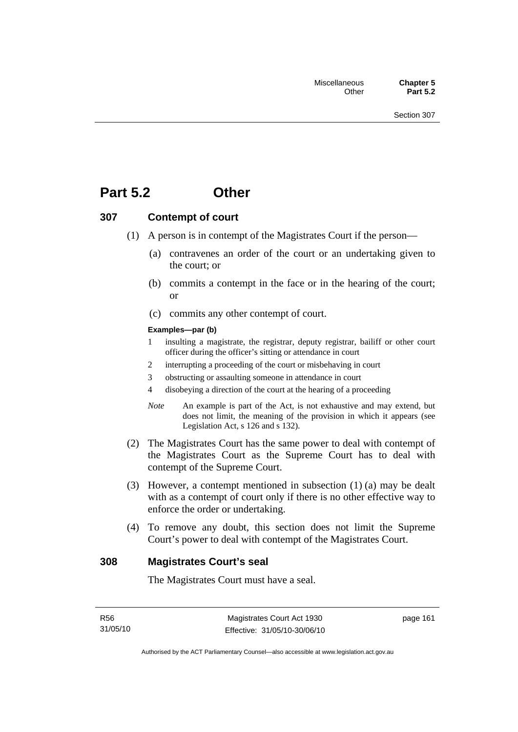# **Part 5.2 Other**

# **307 Contempt of court**

- (1) A person is in contempt of the Magistrates Court if the person—
	- (a) contravenes an order of the court or an undertaking given to the court; or
	- (b) commits a contempt in the face or in the hearing of the court; or
	- (c) commits any other contempt of court.

#### **Examples—par (b)**

- 1 insulting a magistrate, the registrar, deputy registrar, bailiff or other court officer during the officer's sitting or attendance in court
- 2 interrupting a proceeding of the court or misbehaving in court
- 3 obstructing or assaulting someone in attendance in court
- 4 disobeying a direction of the court at the hearing of a proceeding
- *Note* An example is part of the Act, is not exhaustive and may extend, but does not limit, the meaning of the provision in which it appears (see Legislation Act, s 126 and s 132).
- (2) The Magistrates Court has the same power to deal with contempt of the Magistrates Court as the Supreme Court has to deal with contempt of the Supreme Court.
- (3) However, a contempt mentioned in subsection (1) (a) may be dealt with as a contempt of court only if there is no other effective way to enforce the order or undertaking.
- (4) To remove any doubt, this section does not limit the Supreme Court's power to deal with contempt of the Magistrates Court.

#### **308 Magistrates Court's seal**

The Magistrates Court must have a seal.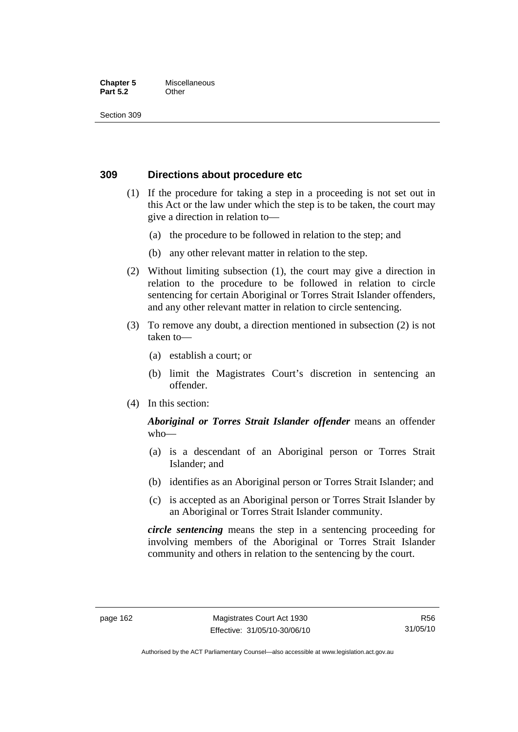#### **Chapter 5** Miscellaneous **Part 5.2** Other

Section 309

### **309 Directions about procedure etc**

- (1) If the procedure for taking a step in a proceeding is not set out in this Act or the law under which the step is to be taken, the court may give a direction in relation to—
	- (a) the procedure to be followed in relation to the step; and
	- (b) any other relevant matter in relation to the step.
- (2) Without limiting subsection (1), the court may give a direction in relation to the procedure to be followed in relation to circle sentencing for certain Aboriginal or Torres Strait Islander offenders, and any other relevant matter in relation to circle sentencing.
- (3) To remove any doubt, a direction mentioned in subsection (2) is not taken to—
	- (a) establish a court; or
	- (b) limit the Magistrates Court's discretion in sentencing an offender.
- (4) In this section:

# *Aboriginal or Torres Strait Islander offender* means an offender who—

- (a) is a descendant of an Aboriginal person or Torres Strait Islander; and
- (b) identifies as an Aboriginal person or Torres Strait Islander; and
- (c) is accepted as an Aboriginal person or Torres Strait Islander by an Aboriginal or Torres Strait Islander community.

*circle sentencing* means the step in a sentencing proceeding for involving members of the Aboriginal or Torres Strait Islander community and others in relation to the sentencing by the court.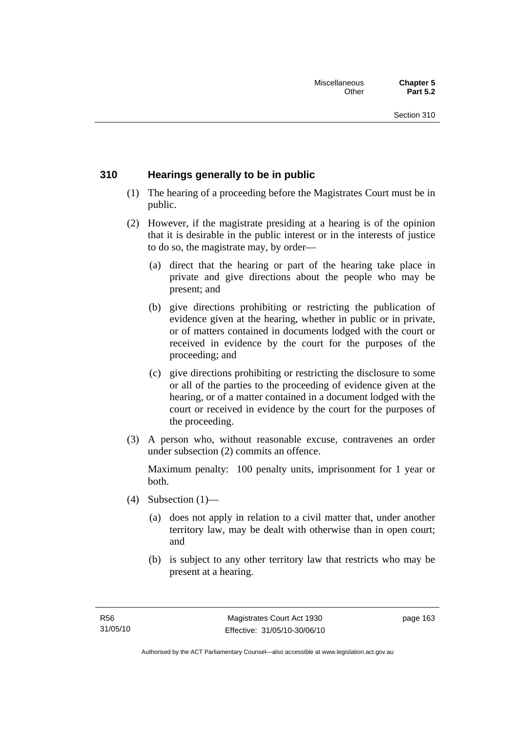# **310 Hearings generally to be in public**

- (1) The hearing of a proceeding before the Magistrates Court must be in public.
- (2) However, if the magistrate presiding at a hearing is of the opinion that it is desirable in the public interest or in the interests of justice to do so, the magistrate may, by order—
	- (a) direct that the hearing or part of the hearing take place in private and give directions about the people who may be present; and
	- (b) give directions prohibiting or restricting the publication of evidence given at the hearing, whether in public or in private, or of matters contained in documents lodged with the court or received in evidence by the court for the purposes of the proceeding; and
	- (c) give directions prohibiting or restricting the disclosure to some or all of the parties to the proceeding of evidence given at the hearing, or of a matter contained in a document lodged with the court or received in evidence by the court for the purposes of the proceeding.
- (3) A person who, without reasonable excuse, contravenes an order under subsection (2) commits an offence.

Maximum penalty: 100 penalty units, imprisonment for 1 year or both.

- (4) Subsection  $(1)$ 
	- (a) does not apply in relation to a civil matter that, under another territory law, may be dealt with otherwise than in open court; and
	- (b) is subject to any other territory law that restricts who may be present at a hearing.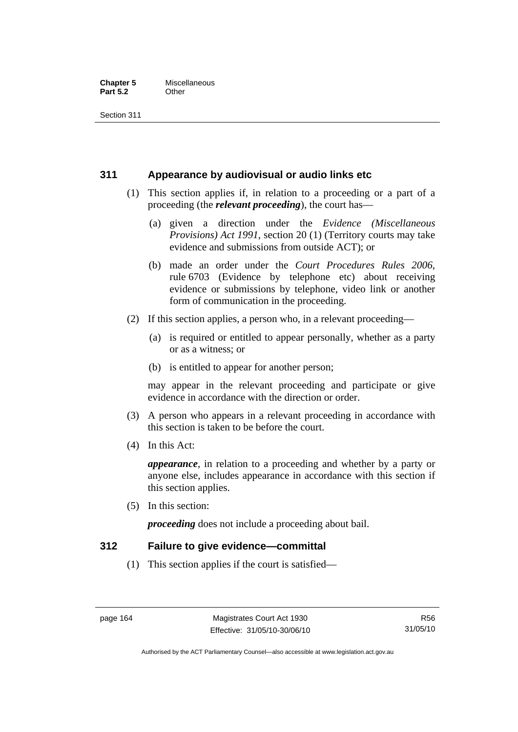#### **Chapter 5** Miscellaneous<br>**Part 5.2** Other **Part 5.2**

Section 311

## **311 Appearance by audiovisual or audio links etc**

- (1) This section applies if, in relation to a proceeding or a part of a proceeding (the *relevant proceeding*), the court has—
	- (a) given a direction under the *Evidence (Miscellaneous Provisions) Act 1991*, section 20 (1) (Territory courts may take evidence and submissions from outside ACT); or
	- (b) made an order under the *Court Procedures Rules 2006*, rule 6703 (Evidence by telephone etc) about receiving evidence or submissions by telephone, video link or another form of communication in the proceeding.
- (2) If this section applies, a person who, in a relevant proceeding—
	- (a) is required or entitled to appear personally, whether as a party or as a witness; or
	- (b) is entitled to appear for another person;

may appear in the relevant proceeding and participate or give evidence in accordance with the direction or order.

- (3) A person who appears in a relevant proceeding in accordance with this section is taken to be before the court.
- (4) In this Act:

*appearance*, in relation to a proceeding and whether by a party or anyone else, includes appearance in accordance with this section if this section applies.

(5) In this section:

*proceeding* does not include a proceeding about bail.

### **312 Failure to give evidence—committal**

(1) This section applies if the court is satisfied—

Authorised by the ACT Parliamentary Counsel—also accessible at www.legislation.act.gov.au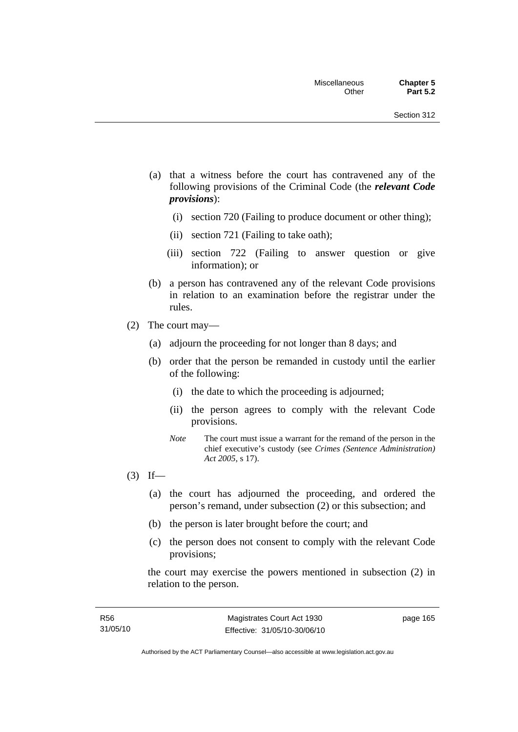- (a) that a witness before the court has contravened any of the following provisions of the Criminal Code (the *relevant Code provisions*):
	- (i) section 720 (Failing to produce document or other thing);
	- (ii) section 721 (Failing to take oath);
	- (iii) section 722 (Failing to answer question or give information); or
- (b) a person has contravened any of the relevant Code provisions in relation to an examination before the registrar under the rules.
- (2) The court may—
	- (a) adjourn the proceeding for not longer than 8 days; and
	- (b) order that the person be remanded in custody until the earlier of the following:
		- (i) the date to which the proceeding is adjourned;
		- (ii) the person agrees to comply with the relevant Code provisions.
		- *Note* The court must issue a warrant for the remand of the person in the chief executive's custody (see *Crimes (Sentence Administration) Act 2005*, s 17).
- $(3)$  If—
	- (a) the court has adjourned the proceeding, and ordered the person's remand, under subsection (2) or this subsection; and
	- (b) the person is later brought before the court; and
	- (c) the person does not consent to comply with the relevant Code provisions;

the court may exercise the powers mentioned in subsection (2) in relation to the person.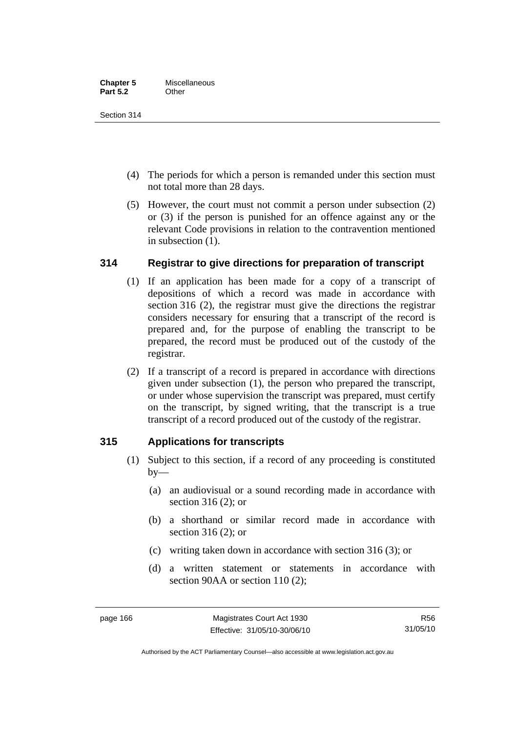Section 314

- (4) The periods for which a person is remanded under this section must not total more than 28 days.
- (5) However, the court must not commit a person under subsection (2) or (3) if the person is punished for an offence against any or the relevant Code provisions in relation to the contravention mentioned in subsection (1).

# **314 Registrar to give directions for preparation of transcript**

- (1) If an application has been made for a copy of a transcript of depositions of which a record was made in accordance with section 316 (2), the registrar must give the directions the registrar considers necessary for ensuring that a transcript of the record is prepared and, for the purpose of enabling the transcript to be prepared, the record must be produced out of the custody of the registrar.
- (2) If a transcript of a record is prepared in accordance with directions given under subsection (1), the person who prepared the transcript, or under whose supervision the transcript was prepared, must certify on the transcript, by signed writing, that the transcript is a true transcript of a record produced out of the custody of the registrar.

# **315 Applications for transcripts**

- (1) Subject to this section, if a record of any proceeding is constituted  $by-$ 
	- (a) an audiovisual or a sound recording made in accordance with section 316 (2); or
	- (b) a shorthand or similar record made in accordance with section 316 (2); or
	- (c) writing taken down in accordance with section 316 (3); or
	- (d) a written statement or statements in accordance with section 90AA or section 110 (2):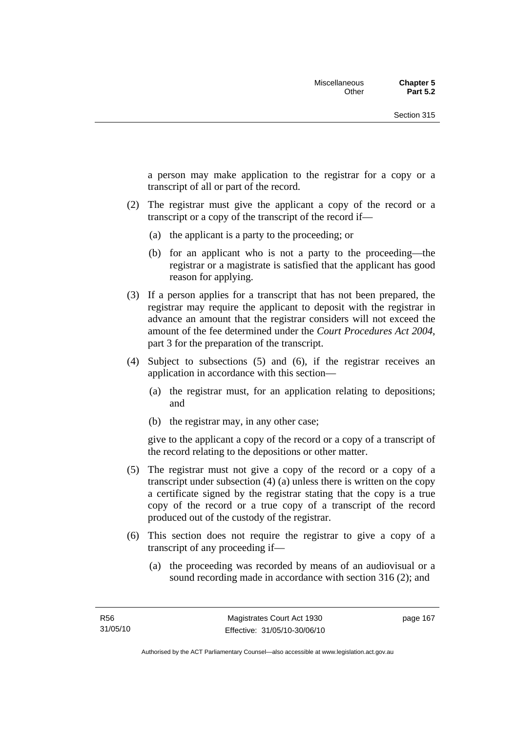a person may make application to the registrar for a copy or a transcript of all or part of the record.

- (2) The registrar must give the applicant a copy of the record or a transcript or a copy of the transcript of the record if—
	- (a) the applicant is a party to the proceeding; or
	- (b) for an applicant who is not a party to the proceeding—the registrar or a magistrate is satisfied that the applicant has good reason for applying.
- (3) If a person applies for a transcript that has not been prepared, the registrar may require the applicant to deposit with the registrar in advance an amount that the registrar considers will not exceed the amount of the fee determined under the *Court Procedures Act 2004*, part 3 for the preparation of the transcript.
- (4) Subject to subsections (5) and (6), if the registrar receives an application in accordance with this section—
	- (a) the registrar must, for an application relating to depositions; and
	- (b) the registrar may, in any other case;

give to the applicant a copy of the record or a copy of a transcript of the record relating to the depositions or other matter.

- (5) The registrar must not give a copy of the record or a copy of a transcript under subsection (4) (a) unless there is written on the copy a certificate signed by the registrar stating that the copy is a true copy of the record or a true copy of a transcript of the record produced out of the custody of the registrar.
- (6) This section does not require the registrar to give a copy of a transcript of any proceeding if—
	- (a) the proceeding was recorded by means of an audiovisual or a sound recording made in accordance with section 316 (2); and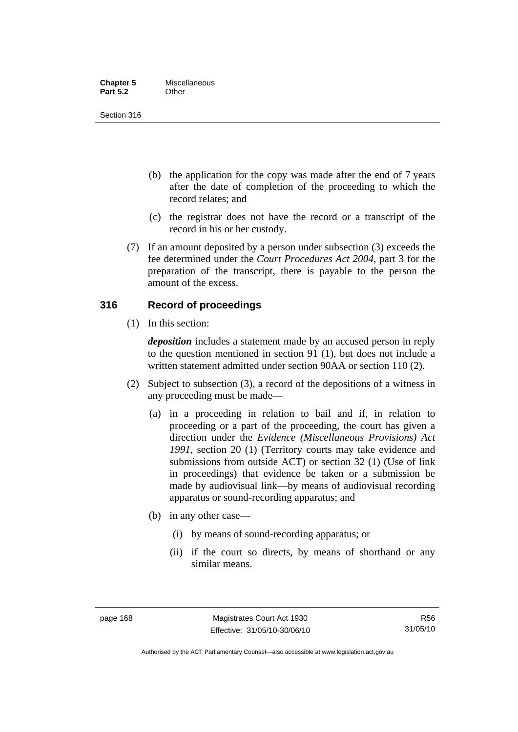| <b>Chapter 5</b> | Miscellaneous |
|------------------|---------------|
| <b>Part 5.2</b>  | Other         |

Section 316

- (b) the application for the copy was made after the end of 7 years after the date of completion of the proceeding to which the record relates; and
- (c) the registrar does not have the record or a transcript of the record in his or her custody.
- (7) If an amount deposited by a person under subsection (3) exceeds the fee determined under the *Court Procedures Act 2004*, part 3 for the preparation of the transcript, there is payable to the person the amount of the excess.

# **316 Record of proceedings**

(1) In this section:

*deposition* includes a statement made by an accused person in reply to the question mentioned in section 91 (1), but does not include a written statement admitted under section 90AA or section 110 (2).

- (2) Subject to subsection (3), a record of the depositions of a witness in any proceeding must be made—
	- (a) in a proceeding in relation to bail and if, in relation to proceeding or a part of the proceeding, the court has given a direction under the *Evidence (Miscellaneous Provisions) Act 1991*, section 20 (1) (Territory courts may take evidence and submissions from outside ACT) or section 32 (1) (Use of link in proceedings) that evidence be taken or a submission be made by audiovisual link—by means of audiovisual recording apparatus or sound-recording apparatus; and
	- (b) in any other case—
		- (i) by means of sound-recording apparatus; or
		- (ii) if the court so directs, by means of shorthand or any similar means.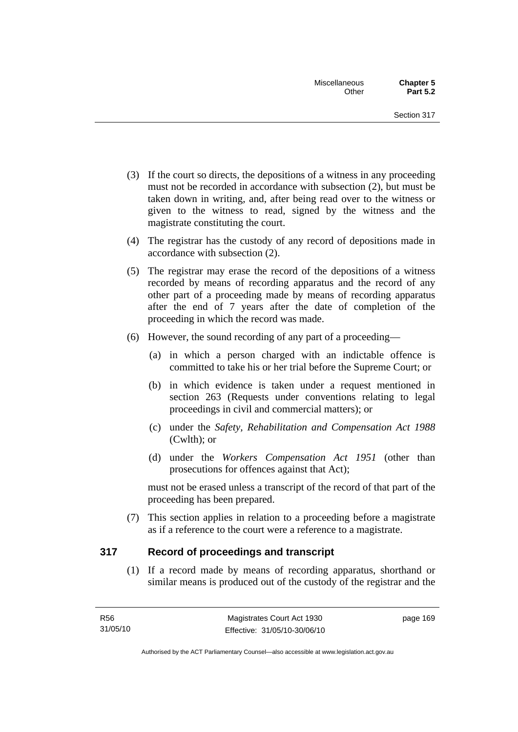- (3) If the court so directs, the depositions of a witness in any proceeding must not be recorded in accordance with subsection (2), but must be taken down in writing, and, after being read over to the witness or given to the witness to read, signed by the witness and the magistrate constituting the court.
- (4) The registrar has the custody of any record of depositions made in accordance with subsection (2).
- (5) The registrar may erase the record of the depositions of a witness recorded by means of recording apparatus and the record of any other part of a proceeding made by means of recording apparatus after the end of 7 years after the date of completion of the proceeding in which the record was made.
- (6) However, the sound recording of any part of a proceeding—
	- (a) in which a person charged with an indictable offence is committed to take his or her trial before the Supreme Court; or
	- (b) in which evidence is taken under a request mentioned in section 263 (Requests under conventions relating to legal proceedings in civil and commercial matters); or
	- (c) under the *Safety, Rehabilitation and Compensation Act 1988* (Cwlth); or
	- (d) under the *Workers Compensation Act 1951* (other than prosecutions for offences against that Act);

must not be erased unless a transcript of the record of that part of the proceeding has been prepared.

 (7) This section applies in relation to a proceeding before a magistrate as if a reference to the court were a reference to a magistrate.

# **317 Record of proceedings and transcript**

 (1) If a record made by means of recording apparatus, shorthand or similar means is produced out of the custody of the registrar and the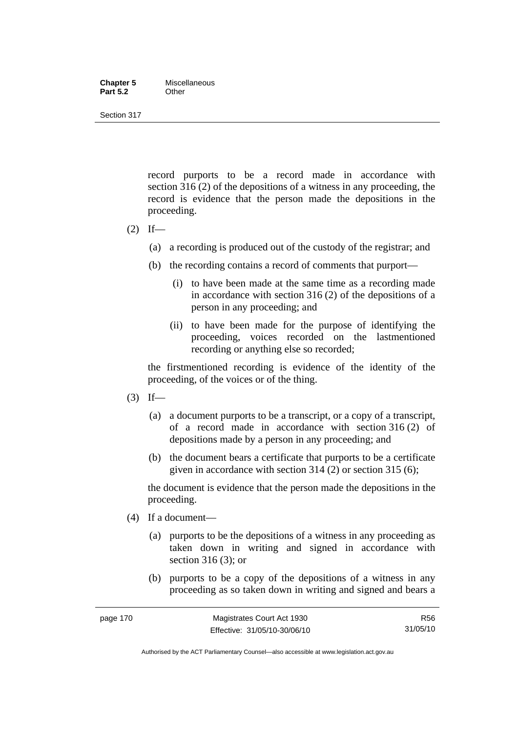#### **Chapter 5** Miscellaneous<br>**Part 5.2** Other **Part 5.2**

Section 317

record purports to be a record made in accordance with section 316 (2) of the depositions of a witness in any proceeding, the record is evidence that the person made the depositions in the proceeding.

- $(2)$  If—
	- (a) a recording is produced out of the custody of the registrar; and
	- (b) the recording contains a record of comments that purport—
		- (i) to have been made at the same time as a recording made in accordance with section 316 (2) of the depositions of a person in any proceeding; and
		- (ii) to have been made for the purpose of identifying the proceeding, voices recorded on the lastmentioned recording or anything else so recorded;

the firstmentioned recording is evidence of the identity of the proceeding, of the voices or of the thing.

- $(3)$  If—
	- (a) a document purports to be a transcript, or a copy of a transcript, of a record made in accordance with section 316 (2) of depositions made by a person in any proceeding; and
	- (b) the document bears a certificate that purports to be a certificate given in accordance with section 314 (2) or section 315 (6);

the document is evidence that the person made the depositions in the proceeding.

- (4) If a document—
	- (a) purports to be the depositions of a witness in any proceeding as taken down in writing and signed in accordance with section 316 (3); or
	- (b) purports to be a copy of the depositions of a witness in any proceeding as so taken down in writing and signed and bears a

R56 31/05/10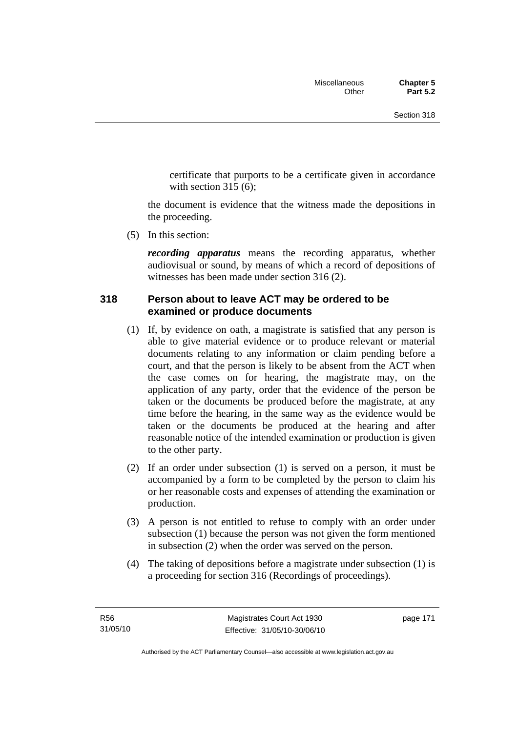certificate that purports to be a certificate given in accordance with section  $315(6)$ :

the document is evidence that the witness made the depositions in the proceeding.

(5) In this section:

*recording apparatus* means the recording apparatus, whether audiovisual or sound, by means of which a record of depositions of witnesses has been made under section 316 (2).

# **318 Person about to leave ACT may be ordered to be examined or produce documents**

- (1) If, by evidence on oath, a magistrate is satisfied that any person is able to give material evidence or to produce relevant or material documents relating to any information or claim pending before a court, and that the person is likely to be absent from the ACT when the case comes on for hearing, the magistrate may, on the application of any party, order that the evidence of the person be taken or the documents be produced before the magistrate, at any time before the hearing, in the same way as the evidence would be taken or the documents be produced at the hearing and after reasonable notice of the intended examination or production is given to the other party.
- (2) If an order under subsection (1) is served on a person, it must be accompanied by a form to be completed by the person to claim his or her reasonable costs and expenses of attending the examination or production.
- (3) A person is not entitled to refuse to comply with an order under subsection (1) because the person was not given the form mentioned in subsection (2) when the order was served on the person.
- (4) The taking of depositions before a magistrate under subsection (1) is a proceeding for section 316 (Recordings of proceedings).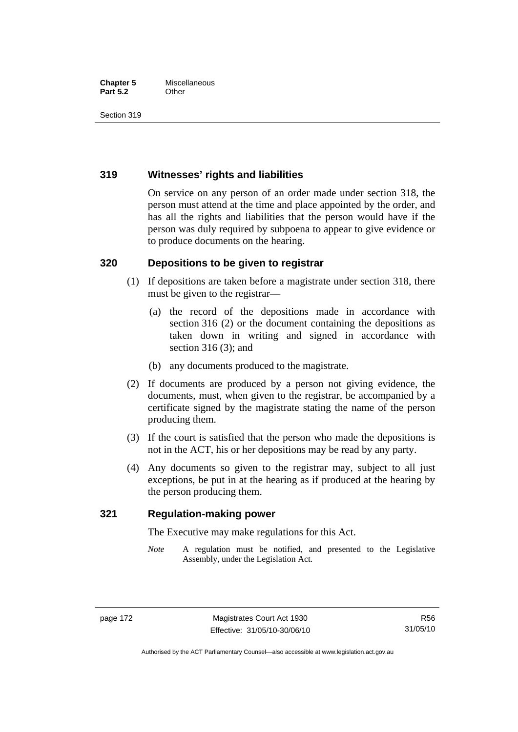## **Chapter 5** Miscellaneous **Part 5.2** Other

Section 319

# **319 Witnesses' rights and liabilities**

On service on any person of an order made under section 318, the person must attend at the time and place appointed by the order, and has all the rights and liabilities that the person would have if the person was duly required by subpoena to appear to give evidence or to produce documents on the hearing.

# **320 Depositions to be given to registrar**

- (1) If depositions are taken before a magistrate under section 318, there must be given to the registrar—
	- (a) the record of the depositions made in accordance with section 316 (2) or the document containing the depositions as taken down in writing and signed in accordance with section 316 (3); and
	- (b) any documents produced to the magistrate.
- (2) If documents are produced by a person not giving evidence, the documents, must, when given to the registrar, be accompanied by a certificate signed by the magistrate stating the name of the person producing them.
- (3) If the court is satisfied that the person who made the depositions is not in the ACT, his or her depositions may be read by any party.
- (4) Any documents so given to the registrar may, subject to all just exceptions, be put in at the hearing as if produced at the hearing by the person producing them.

# **321 Regulation-making power**

The Executive may make regulations for this Act.

*Note* A regulation must be notified, and presented to the Legislative Assembly, under the Legislation Act.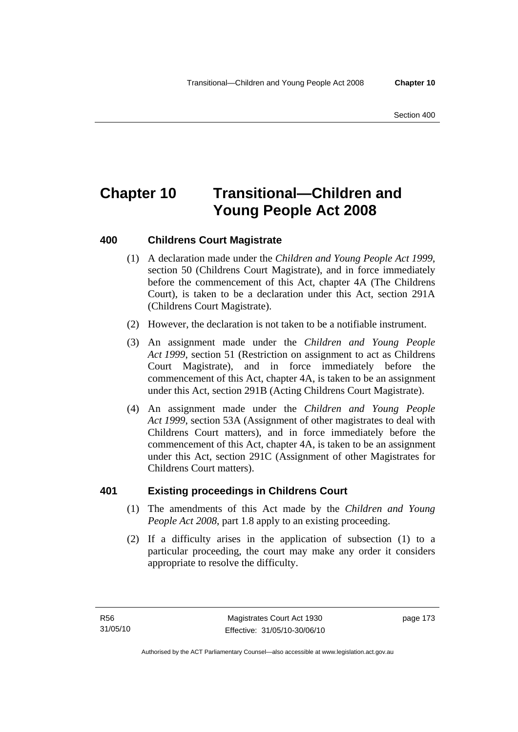# **Chapter 10 Transitional—Children and Young People Act 2008**

# **400 Childrens Court Magistrate**

- (1) A declaration made under the *Children and Young People Act 1999*, section 50 (Childrens Court Magistrate), and in force immediately before the commencement of this Act, chapter 4A (The Childrens Court), is taken to be a declaration under this Act, section 291A (Childrens Court Magistrate).
- (2) However, the declaration is not taken to be a notifiable instrument.
- (3) An assignment made under the *Children and Young People Act 1999*, section 51 (Restriction on assignment to act as Childrens Court Magistrate), and in force immediately before the commencement of this Act, chapter 4A, is taken to be an assignment under this Act, section 291B (Acting Childrens Court Magistrate).
- (4) An assignment made under the *Children and Young People Act 1999*, section 53A (Assignment of other magistrates to deal with Childrens Court matters), and in force immediately before the commencement of this Act, chapter 4A, is taken to be an assignment under this Act, section 291C (Assignment of other Magistrates for Childrens Court matters).

# **401 Existing proceedings in Childrens Court**

- (1) The amendments of this Act made by the *Children and Young People Act 2008*, part 1.8 apply to an existing proceeding.
- (2) If a difficulty arises in the application of subsection (1) to a particular proceeding, the court may make any order it considers appropriate to resolve the difficulty.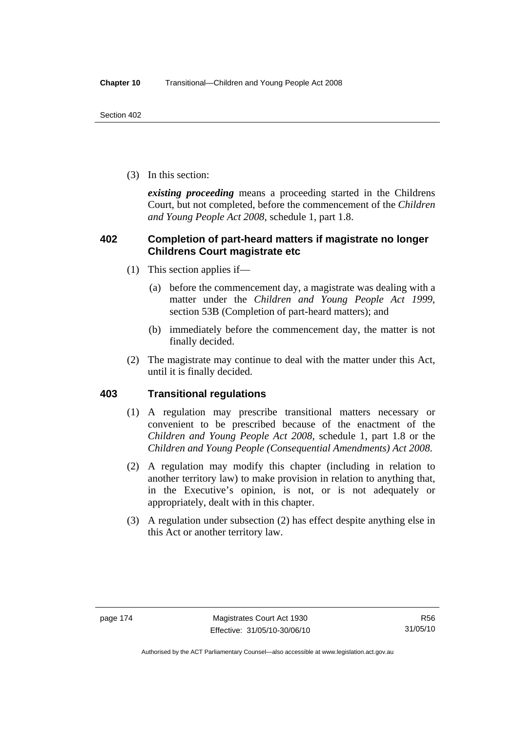(3) In this section:

*existing proceeding* means a proceeding started in the Childrens Court, but not completed, before the commencement of the *Children and Young People Act 2008*, schedule 1, part 1.8.

# **402 Completion of part-heard matters if magistrate no longer Childrens Court magistrate etc**

- (1) This section applies if—
	- (a) before the commencement day, a magistrate was dealing with a matter under the *Children and Young People Act 1999*, section 53B (Completion of part-heard matters); and
	- (b) immediately before the commencement day, the matter is not finally decided.
- (2) The magistrate may continue to deal with the matter under this Act, until it is finally decided.

# **403 Transitional regulations**

- (1) A regulation may prescribe transitional matters necessary or convenient to be prescribed because of the enactment of the *Children and Young People Act 2008*, schedule 1, part 1.8 or the *Children and Young People (Consequential Amendments) Act 2008*.
- (2) A regulation may modify this chapter (including in relation to another territory law) to make provision in relation to anything that, in the Executive's opinion, is not, or is not adequately or appropriately, dealt with in this chapter.
- (3) A regulation under subsection (2) has effect despite anything else in this Act or another territory law.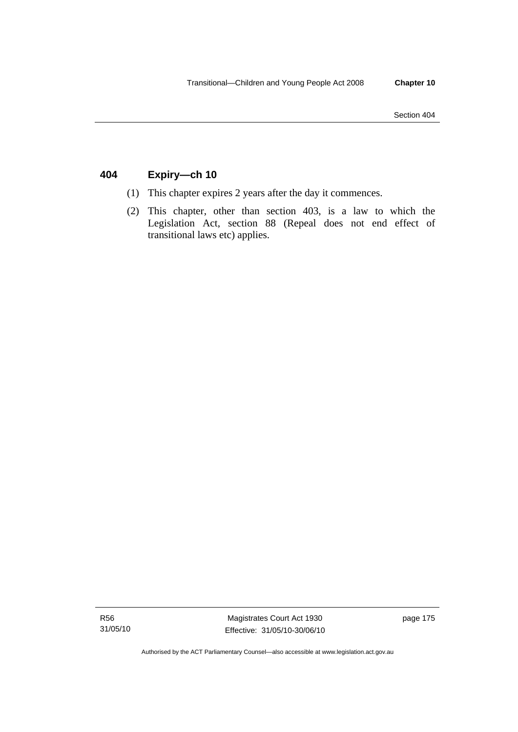# **404 Expiry—ch 10**

- (1) This chapter expires 2 years after the day it commences.
- (2) This chapter, other than section 403, is a law to which the Legislation Act, section 88 (Repeal does not end effect of transitional laws etc) applies.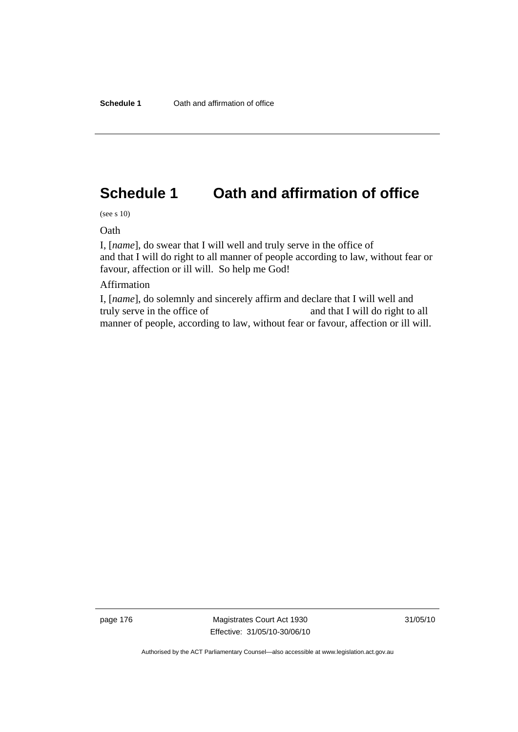# **Schedule 1 Oath and affirmation of office**

(see s 10)

Oath

I, [*name*], do swear that I will well and truly serve in the office of and that I will do right to all manner of people according to law, without fear or favour, affection or ill will. So help me God!

# Affirmation

I, [*name*], do solemnly and sincerely affirm and declare that I will well and truly serve in the office of and that I will do right to all manner of people, according to law, without fear or favour, affection or ill will.

page 176 Magistrates Court Act 1930 Effective: 31/05/10-30/06/10 31/05/10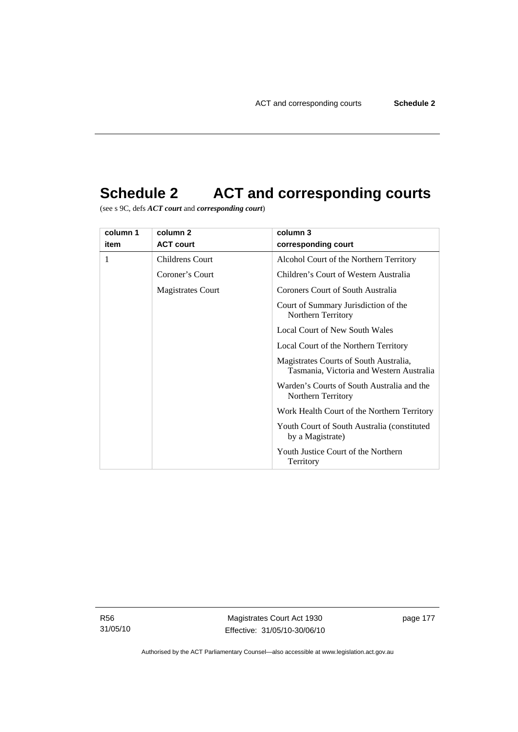# **Schedule 2 ACT and corresponding courts**

(see s 9C, defs *ACT court* and *corresponding court*)

| column 1 | column 2          | column 3                                                                           |  |
|----------|-------------------|------------------------------------------------------------------------------------|--|
| item     | <b>ACT court</b>  | corresponding court                                                                |  |
| 1        | Childrens Court   | Alcohol Court of the Northern Territory                                            |  |
|          | Coroner's Court   | Children's Court of Western Australia                                              |  |
|          | Magistrates Court | Coroners Court of South Australia                                                  |  |
|          |                   | Court of Summary Jurisdiction of the<br>Northern Territory                         |  |
|          |                   | <b>Local Court of New South Wales</b>                                              |  |
|          |                   | Local Court of the Northern Territory                                              |  |
|          |                   | Magistrates Courts of South Australia,<br>Tasmania, Victoria and Western Australia |  |
|          |                   | Warden's Courts of South Australia and the<br>Northern Territory                   |  |
|          |                   | Work Health Court of the Northern Territory                                        |  |
|          |                   | Youth Court of South Australia (constituted)<br>by a Magistrate)                   |  |
|          |                   | Youth Justice Court of the Northern<br>Territory                                   |  |

R56 31/05/10

Magistrates Court Act 1930 Effective: 31/05/10-30/06/10 page 177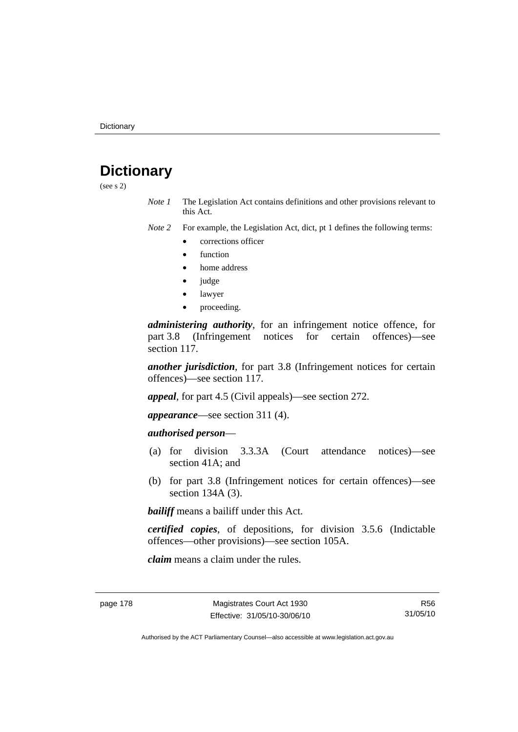# **Dictionary**

(see s 2)

*Note 1* The Legislation Act contains definitions and other provisions relevant to this Act.

*Note 2* For example, the Legislation Act, dict, pt 1 defines the following terms:

- corrections officer
- **function**
- home address
- judge
- lawyer
- proceeding.

*administering authority*, for an infringement notice offence, for part 3.8 (Infringement notices for certain offences)—see section 117.

*another jurisdiction*, for part 3.8 (Infringement notices for certain offences)—see section 117.

*appeal*, for part 4.5 (Civil appeals)—see section 272.

*appearance*—see section 311 (4).

# *authorised person*—

- (a) for division 3.3.3A (Court attendance notices)—see section 41A; and
- (b) for part 3.8 (Infringement notices for certain offences)—see section 134A (3).

*bailiff* means a bailiff under this Act.

*certified copies*, of depositions, for division 3.5.6 (Indictable offences—other provisions)—see section 105A.

*claim* means a claim under the rules.

R56 31/05/10

Authorised by the ACT Parliamentary Counsel—also accessible at www.legislation.act.gov.au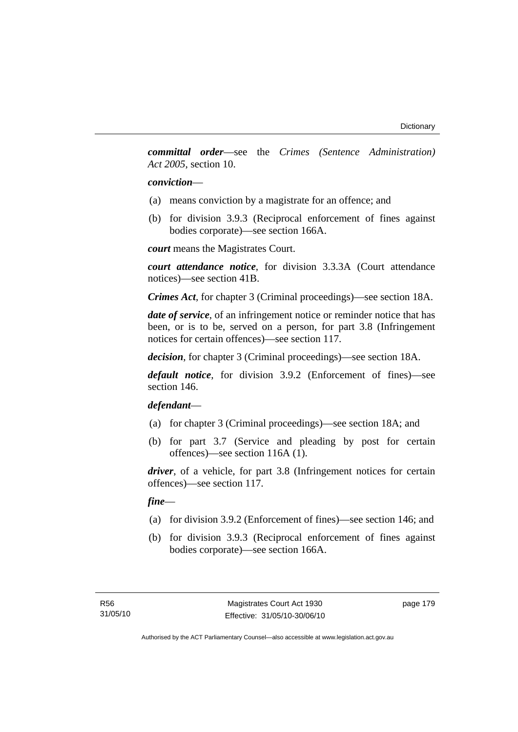*committal order*—see the *Crimes (Sentence Administration) Act 2005*, section 10.

## *conviction*—

- (a) means conviction by a magistrate for an offence; and
- (b) for division 3.9.3 (Reciprocal enforcement of fines against bodies corporate)—see section 166A.

*court* means the Magistrates Court.

*court attendance notice*, for division 3.3.3A (Court attendance notices)—see section 41B.

*Crimes Act*, for chapter 3 (Criminal proceedings)—see section 18A.

*date of service*, of an infringement notice or reminder notice that has been, or is to be, served on a person, for part 3.8 (Infringement notices for certain offences)—see section 117.

*decision*, for chapter 3 (Criminal proceedings)—see section 18A.

*default notice*, for division 3.9.2 (Enforcement of fines)—see section 146.

# *defendant*—

- (a) for chapter 3 (Criminal proceedings)—see section 18A; and
- (b) for part 3.7 (Service and pleading by post for certain offences)—see section 116A (1).

*driver*, of a vehicle, for part 3.8 (Infringement notices for certain offences)—see section 117.

*fine*—

- (a) for division 3.9.2 (Enforcement of fines)—see section 146; and
- (b) for division 3.9.3 (Reciprocal enforcement of fines against bodies corporate)—see section 166A.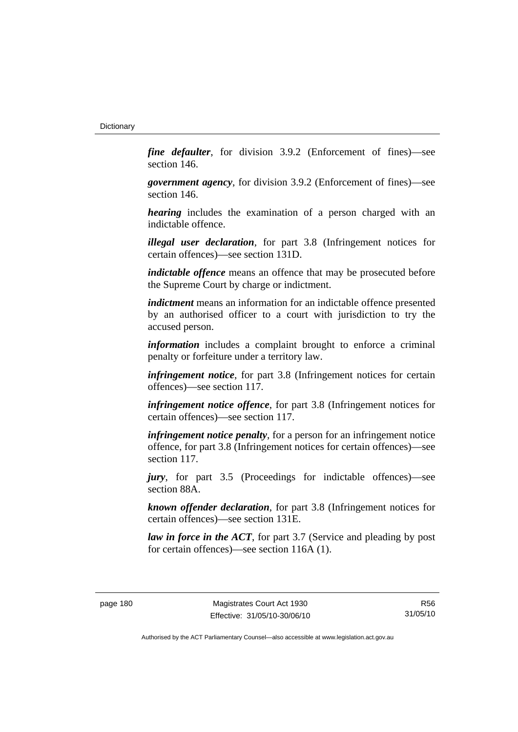*fine defaulter*, for division 3.9.2 (Enforcement of fines)—see section 146.

*government agency*, for division 3.9.2 (Enforcement of fines)—see section 146.

*hearing* includes the examination of a person charged with an indictable offence.

*illegal user declaration*, for part 3.8 (Infringement notices for certain offences)—see section 131D.

*indictable offence* means an offence that may be prosecuted before the Supreme Court by charge or indictment.

*indictment* means an information for an indictable offence presented by an authorised officer to a court with jurisdiction to try the accused person.

*information* includes a complaint brought to enforce a criminal penalty or forfeiture under a territory law.

*infringement notice*, for part 3.8 (Infringement notices for certain offences)—see section 117.

*infringement notice offence*, for part 3.8 (Infringement notices for certain offences)—see section 117.

*infringement notice penalty*, for a person for an infringement notice offence, for part 3.8 (Infringement notices for certain offences)—see section 117.

*jury*, for part 3.5 (Proceedings for indictable offences)—see section 88A.

*known offender declaration*, for part 3.8 (Infringement notices for certain offences)—see section 131E.

*law in force in the ACT*, for part 3.7 (Service and pleading by post for certain offences)—see section 116A (1).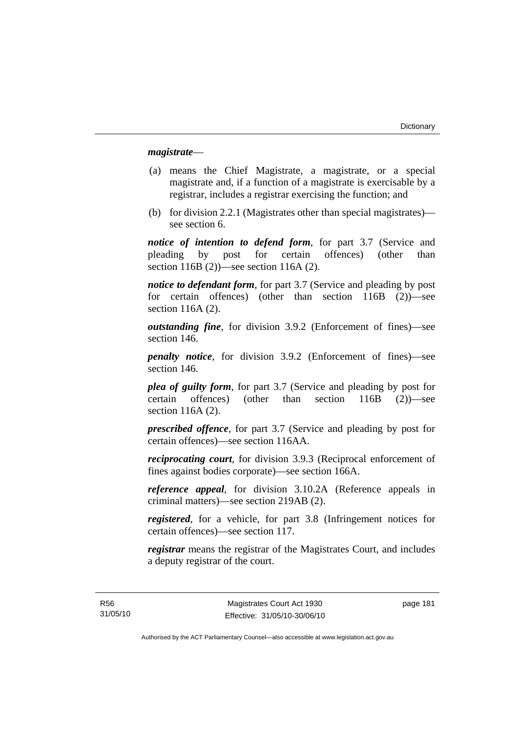## *magistrate*—

- (a) means the Chief Magistrate, a magistrate, or a special magistrate and, if a function of a magistrate is exercisable by a registrar, includes a registrar exercising the function; and
- (b) for division 2.2.1 (Magistrates other than special magistrates) see section 6.

*notice of intention to defend form*, for part 3.7 (Service and pleading by post for certain offences) (other than section 116B (2))—see section 116A (2).

*notice to defendant form*, for part 3.7 (Service and pleading by post for certain offences) (other than section 116B (2))—see section 116A (2).

*outstanding fine*, for division 3.9.2 (Enforcement of fines)—see section 146.

*penalty notice*, for division 3.9.2 (Enforcement of fines)—see section 146.

*plea of guilty form*, for part 3.7 (Service and pleading by post for certain offences) (other than section 116B (2))—see section 116A (2).

*prescribed offence*, for part 3.7 (Service and pleading by post for certain offences)—see section 116AA.

*reciprocating court*, for division 3.9.3 (Reciprocal enforcement of fines against bodies corporate)—see section 166A.

*reference appeal*, for division 3.10.2A (Reference appeals in criminal matters)—see section 219AB (2).

*registered*, for a vehicle, for part 3.8 (Infringement notices for certain offences)—see section 117.

*registrar* means the registrar of the Magistrates Court, and includes a deputy registrar of the court.

R56 31/05/10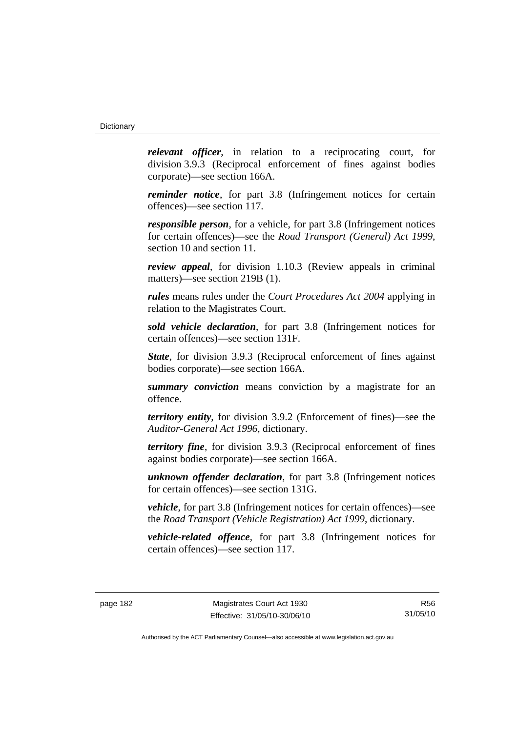*relevant officer*, in relation to a reciprocating court, for division 3.9.3 (Reciprocal enforcement of fines against bodies corporate)—see section 166A.

*reminder notice*, for part 3.8 (Infringement notices for certain offences)—see section 117.

*responsible person*, for a vehicle, for part 3.8 (Infringement notices for certain offences)—see the *Road Transport (General) Act 1999*, section 10 and section 11.

*review appeal*, for division 1.10.3 (Review appeals in criminal matters)—see section 219B (1).

*rules* means rules under the *Court Procedures Act 2004* applying in relation to the Magistrates Court.

*sold vehicle declaration*, for part 3.8 (Infringement notices for certain offences)—see section 131F.

*State*, for division 3.9.3 (Reciprocal enforcement of fines against bodies corporate)—see section 166A.

*summary conviction* means conviction by a magistrate for an offence.

*territory entity*, for division 3.9.2 (Enforcement of fines)—see the *Auditor-General Act 1996*, dictionary.

*territory fine*, for division 3.9.3 (Reciprocal enforcement of fines against bodies corporate)—see section 166A.

*unknown offender declaration*, for part 3.8 (Infringement notices for certain offences)—see section 131G.

*vehicle*, for part 3.8 (Infringement notices for certain offences)—see the *Road Transport (Vehicle Registration) Act 1999*, dictionary.

*vehicle-related offence*, for part 3.8 (Infringement notices for certain offences)—see section 117.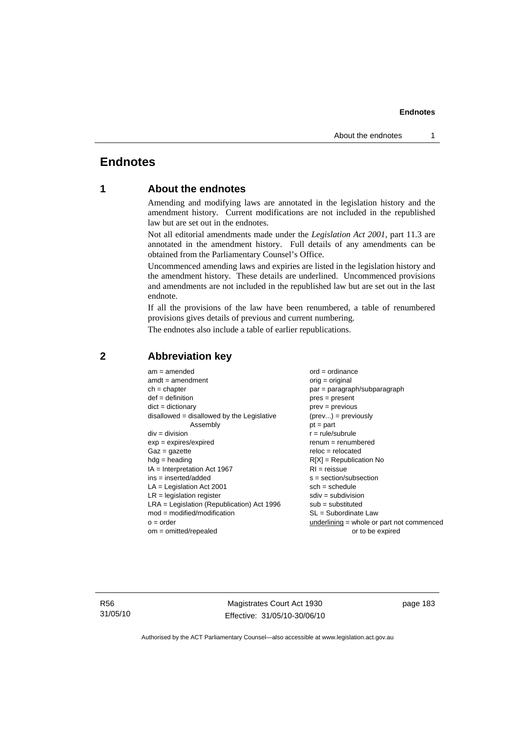# **Endnotes**

# **1 About the endnotes**

Amending and modifying laws are annotated in the legislation history and the amendment history. Current modifications are not included in the republished law but are set out in the endnotes.

Not all editorial amendments made under the *Legislation Act 2001*, part 11.3 are annotated in the amendment history. Full details of any amendments can be obtained from the Parliamentary Counsel's Office.

Uncommenced amending laws and expiries are listed in the legislation history and the amendment history. These details are underlined. Uncommenced provisions and amendments are not included in the republished law but are set out in the last endnote.

If all the provisions of the law have been renumbered, a table of renumbered provisions gives details of previous and current numbering.

The endnotes also include a table of earlier republications.

| $am = amended$                               | $ord = ordinance$                         |
|----------------------------------------------|-------------------------------------------|
| $amdt = amendment$                           | orig = original                           |
| $ch = chapter$                               | par = paragraph/subparagraph              |
| $def = definition$                           | $pres = present$                          |
| $dict = dictionary$                          | $prev = previous$                         |
| disallowed = disallowed by the Legislative   | $(\text{prev}) = \text{previously}$       |
| Assembly                                     | $pt = part$                               |
| $div = division$                             | $r = rule/subrule$                        |
| $exp = expires/expired$                      | $renum = renumbered$                      |
| $Gaz = gazette$                              | $reloc = relocated$                       |
| $hdg =$ heading                              | $R[X]$ = Republication No                 |
| $IA = Interpretation Act 1967$               | $RI = reissue$                            |
| $ins = inserted/added$                       | $s = section/subsection$                  |
| $LA =$ Legislation Act 2001                  | $sch = schedule$                          |
| $LR =$ legislation register                  | $sdiv = subdivision$                      |
| $LRA =$ Legislation (Republication) Act 1996 | $sub =$ substituted                       |
| $mod = modified/modification$                | SL = Subordinate Law                      |
| $o = order$                                  | underlining = whole or part not commenced |
| $om = omitted/repealed$                      | or to be expired                          |
|                                              |                                           |

# **2 Abbreviation key**

R56 31/05/10

Magistrates Court Act 1930 Effective: 31/05/10-30/06/10 page 183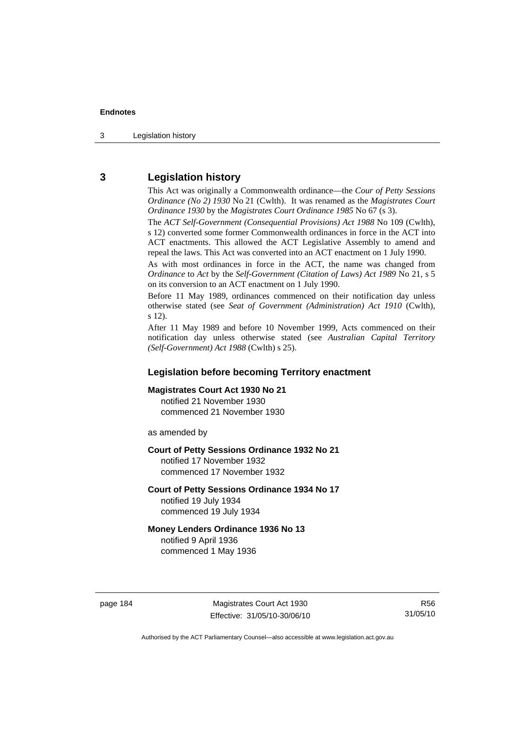3 Legislation history

# **3 Legislation history**

This Act was originally a Commonwealth ordinance—the *Cour of Petty Sessions Ordinance (No 2) 1930* No 21 (Cwlth). It was renamed as the *Magistrates Court Ordinance 1930* by the *Magistrates Court Ordinance 1985* No 67 (s 3).

The *ACT Self-Government (Consequential Provisions) Act 1988* No 109 (Cwlth), s 12) converted some former Commonwealth ordinances in force in the ACT into ACT enactments. This allowed the ACT Legislative Assembly to amend and repeal the laws. This Act was converted into an ACT enactment on 1 July 1990.

As with most ordinances in force in the ACT, the name was changed from *Ordinance* to *Act* by the *Self-Government (Citation of Laws) Act 1989* No 21, s 5 on its conversion to an ACT enactment on 1 July 1990.

Before 11 May 1989, ordinances commenced on their notification day unless otherwise stated (see *Seat of Government (Administration) Act 1910* (Cwlth), s 12).

After 11 May 1989 and before 10 November 1999, Acts commenced on their notification day unless otherwise stated (see *Australian Capital Territory (Self-Government) Act 1988* (Cwlth) s 25).

# **Legislation before becoming Territory enactment**

# **Magistrates Court Act 1930 No 21**

notified 21 November 1930 commenced 21 November 1930

as amended by

#### **Court of Petty Sessions Ordinance 1932 No 21**

notified 17 November 1932 commenced 17 November 1932

#### **Court of Petty Sessions Ordinance 1934 No 17**

notified 19 July 1934 commenced 19 July 1934

#### **Money Lenders Ordinance 1936 No 13**  notified 9 April 1936

commenced 1 May 1936

page 184 Magistrates Court Act 1930 Effective: 31/05/10-30/06/10

R56 31/05/10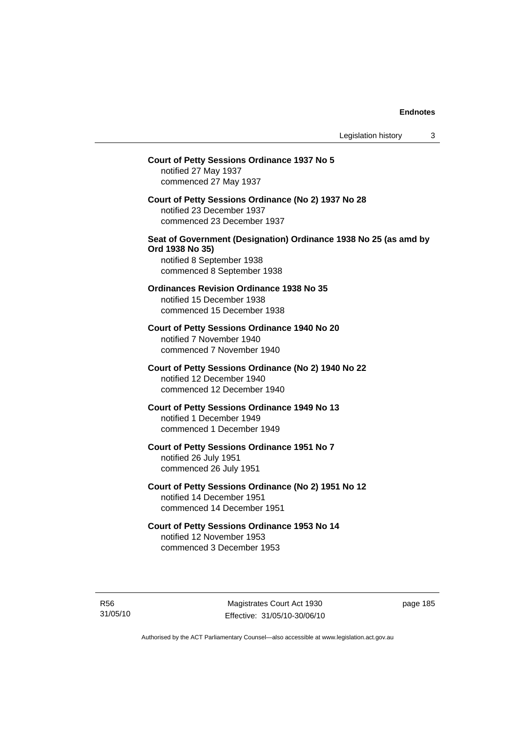# **Court of Petty Sessions Ordinance 1937 No 5**  notified 27 May 1937 commenced 27 May 1937 **Court of Petty Sessions Ordinance (No 2) 1937 No 28**  notified 23 December 1937 commenced 23 December 1937 **Seat of Government (Designation) Ordinance 1938 No 25 (as amd by Ord 1938 No 35)**  notified 8 September 1938 commenced 8 September 1938 **Ordinances Revision Ordinance 1938 No 35**  notified 15 December 1938 commenced 15 December 1938 **Court of Petty Sessions Ordinance 1940 No 20**  notified 7 November 1940 commenced 7 November 1940 **Court of Petty Sessions Ordinance (No 2) 1940 No 22**  notified 12 December 1940 commenced 12 December 1940 **Court of Petty Sessions Ordinance 1949 No 13**  notified 1 December 1949 commenced 1 December 1949 **Court of Petty Sessions Ordinance 1951 No 7**  notified 26 July 1951 commenced 26 July 1951 **Court of Petty Sessions Ordinance (No 2) 1951 No 12**  notified 14 December 1951 commenced 14 December 1951 **Court of Petty Sessions Ordinance 1953 No 14**  notified 12 November 1953 commenced 3 December 1953

R56 31/05/10

Magistrates Court Act 1930 Effective: 31/05/10-30/06/10 page 185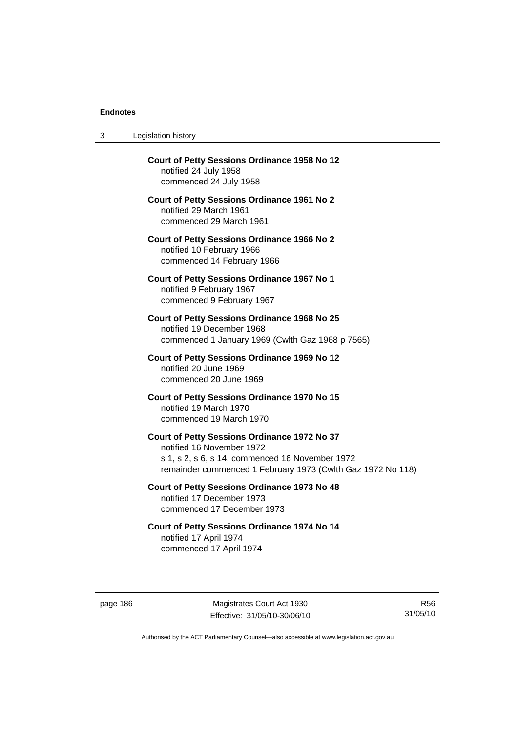| 3 | Legislation history                                                                                                                                                                         |
|---|---------------------------------------------------------------------------------------------------------------------------------------------------------------------------------------------|
|   | <b>Court of Petty Sessions Ordinance 1958 No 12</b><br>notified 24 July 1958<br>commenced 24 July 1958                                                                                      |
|   | <b>Court of Petty Sessions Ordinance 1961 No 2</b><br>notified 29 March 1961<br>commenced 29 March 1961                                                                                     |
|   | <b>Court of Petty Sessions Ordinance 1966 No 2</b><br>notified 10 February 1966<br>commenced 14 February 1966                                                                               |
|   | <b>Court of Petty Sessions Ordinance 1967 No 1</b><br>notified 9 February 1967<br>commenced 9 February 1967                                                                                 |
|   | <b>Court of Petty Sessions Ordinance 1968 No 25</b><br>notified 19 December 1968<br>commenced 1 January 1969 (Cwlth Gaz 1968 p 7565)                                                        |
|   | Court of Petty Sessions Ordinance 1969 No 12<br>notified 20 June 1969<br>commenced 20 June 1969                                                                                             |
|   | Court of Petty Sessions Ordinance 1970 No 15<br>notified 19 March 1970<br>commenced 19 March 1970                                                                                           |
|   | Court of Petty Sessions Ordinance 1972 No 37<br>notified 16 November 1972<br>s 1, s 2, s 6, s 14, commenced 16 November 1972<br>remainder commenced 1 February 1973 (Cwlth Gaz 1972 No 118) |
|   | <b>Court of Petty Sessions Ordinance 1973 No 48</b><br>notified 17 December 1973<br>commenced 17 December 1973                                                                              |
|   | Court of Petty Sessions Ordinance 1974 No 14<br>notified 17 April 1974<br>commenced 17 April 1974                                                                                           |
|   |                                                                                                                                                                                             |

page 186 Magistrates Court Act 1930 Effective: 31/05/10-30/06/10

R56 31/05/10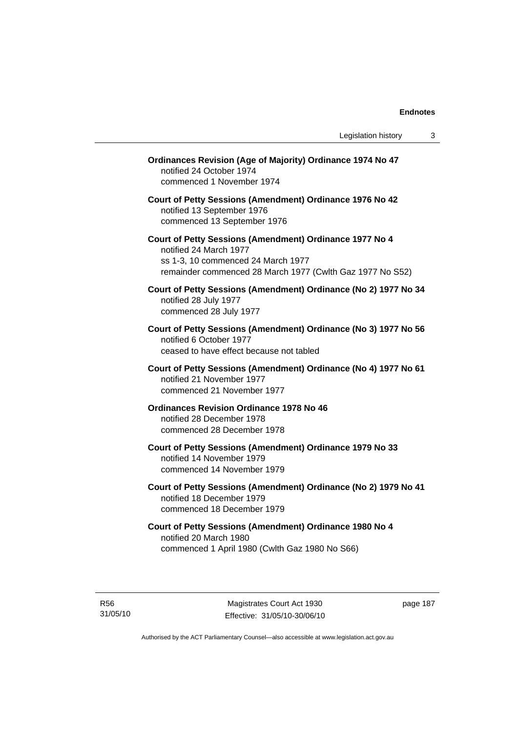| Ordinances Revision (Age of Majority) Ordinance 1974 No 47<br>notified 24 October 1974<br>commenced 1 November 1974<br>Court of Petty Sessions (Amendment) Ordinance 1976 No 42<br>notified 13 September 1976<br>commenced 13 September 1976<br>Court of Petty Sessions (Amendment) Ordinance 1977 No 4 |
|---------------------------------------------------------------------------------------------------------------------------------------------------------------------------------------------------------------------------------------------------------------------------------------------------------|
|                                                                                                                                                                                                                                                                                                         |
|                                                                                                                                                                                                                                                                                                         |
| notified 24 March 1977<br>ss 1-3, 10 commenced 24 March 1977<br>remainder commenced 28 March 1977 (Cwlth Gaz 1977 No S52)                                                                                                                                                                               |
| Court of Petty Sessions (Amendment) Ordinance (No 2) 1977 No 34<br>notified 28 July 1977<br>commenced 28 July 1977                                                                                                                                                                                      |
| Court of Petty Sessions (Amendment) Ordinance (No 3) 1977 No 56<br>notified 6 October 1977<br>ceased to have effect because not tabled                                                                                                                                                                  |
| Court of Petty Sessions (Amendment) Ordinance (No 4) 1977 No 61<br>notified 21 November 1977<br>commenced 21 November 1977                                                                                                                                                                              |
| <b>Ordinances Revision Ordinance 1978 No 46</b><br>notified 28 December 1978<br>commenced 28 December 1978                                                                                                                                                                                              |
| Court of Petty Sessions (Amendment) Ordinance 1979 No 33<br>notified 14 November 1979<br>commenced 14 November 1979                                                                                                                                                                                     |
| Court of Petty Sessions (Amendment) Ordinance (No 2) 1979 No 41<br>notified 18 December 1979<br>commenced 18 December 1979                                                                                                                                                                              |
| Court of Petty Sessions (Amendment) Ordinance 1980 No 4<br>notified 20 March 1980<br>commenced 1 April 1980 (Cwlth Gaz 1980 No S66)                                                                                                                                                                     |

R56 31/05/10 page 187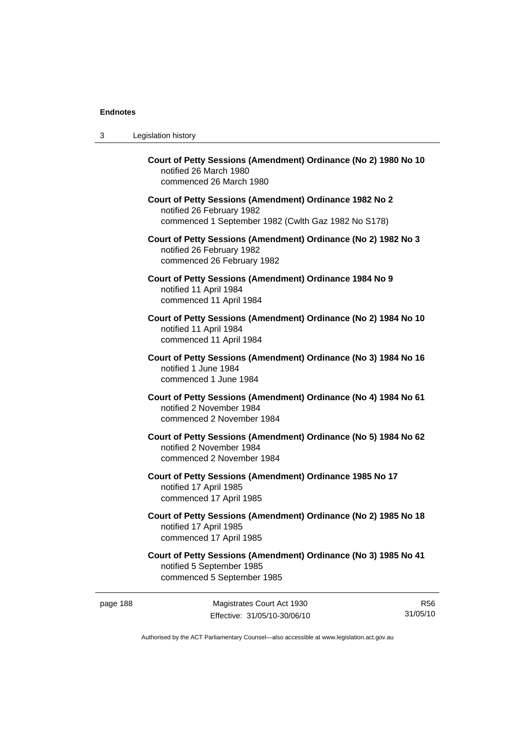| 3 | Legislation history                                                                                                                         |
|---|---------------------------------------------------------------------------------------------------------------------------------------------|
|   | Court of Petty Sessions (Amendment) Ordinance (No 2) 1980 No 10<br>notified 26 March 1980<br>commenced 26 March 1980                        |
|   | Court of Petty Sessions (Amendment) Ordinance 1982 No 2<br>notified 26 February 1982<br>commenced 1 September 1982 (Cwlth Gaz 1982 No S178) |
|   | Court of Petty Sessions (Amendment) Ordinance (No 2) 1982 No 3<br>notified 26 February 1982<br>commenced 26 February 1982                   |
|   | Court of Petty Sessions (Amendment) Ordinance 1984 No 9<br>notified 11 April 1984<br>commenced 11 April 1984                                |
|   | Court of Petty Sessions (Amendment) Ordinance (No 2) 1984 No 10<br>notified 11 April 1984<br>commenced 11 April 1984                        |
|   | Court of Petty Sessions (Amendment) Ordinance (No 3) 1984 No 16<br>notified 1 June 1984<br>commenced 1 June 1984                            |
|   | Court of Petty Sessions (Amendment) Ordinance (No 4) 1984 No 61<br>notified 2 November 1984<br>commenced 2 November 1984                    |
|   | Court of Petty Sessions (Amendment) Ordinance (No 5) 1984 No 62<br>notified 2 November 1984<br>commenced 2 November 1984                    |
|   | Court of Petty Sessions (Amendment) Ordinance 1985 No 17<br>notified 17 April 1985<br>commenced 17 April 1985                               |
|   | Court of Petty Sessions (Amendment) Ordinance (No 2) 1985 No 18<br>notified 17 April 1985<br>commenced 17 April 1985                        |
|   | Court of Petty Sessions (Amendment) Ordinance (No 3) 1985 No 41<br>notified 5 September 1985<br>commenced 5 September 1985                  |

page 188 Magistrates Court Act 1930 Effective: 31/05/10-30/06/10

R56 31/05/10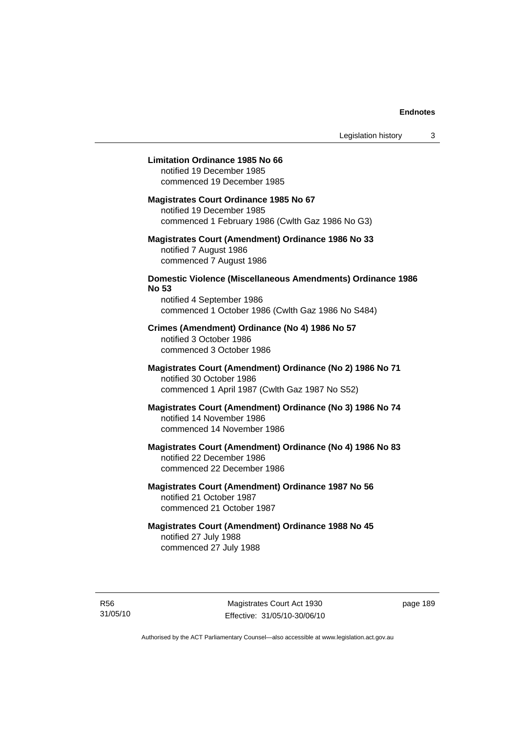## **Limitation Ordinance 1985 No 66**

notified 19 December 1985 commenced 19 December 1985

#### **Magistrates Court Ordinance 1985 No 67**

notified 19 December 1985 commenced 1 February 1986 (Cwlth Gaz 1986 No G3)

# **Magistrates Court (Amendment) Ordinance 1986 No 33**  notified 7 August 1986 commenced 7 August 1986

# **Domestic Violence (Miscellaneous Amendments) Ordinance 1986 No 53**

notified 4 September 1986 commenced 1 October 1986 (Cwlth Gaz 1986 No S484)

# **Crimes (Amendment) Ordinance (No 4) 1986 No 57**  notified 3 October 1986 commenced 3 October 1986

# **Magistrates Court (Amendment) Ordinance (No 2) 1986 No 71**  notified 30 October 1986 commenced 1 April 1987 (Cwlth Gaz 1987 No S52)

# **Magistrates Court (Amendment) Ordinance (No 3) 1986 No 74**  notified 14 November 1986 commenced 14 November 1986

# **Magistrates Court (Amendment) Ordinance (No 4) 1986 No 83**  notified 22 December 1986 commenced 22 December 1986

# **Magistrates Court (Amendment) Ordinance 1987 No 56**  notified 21 October 1987 commenced 21 October 1987

# **Magistrates Court (Amendment) Ordinance 1988 No 45**  notified 27 July 1988 commenced 27 July 1988

R56 31/05/10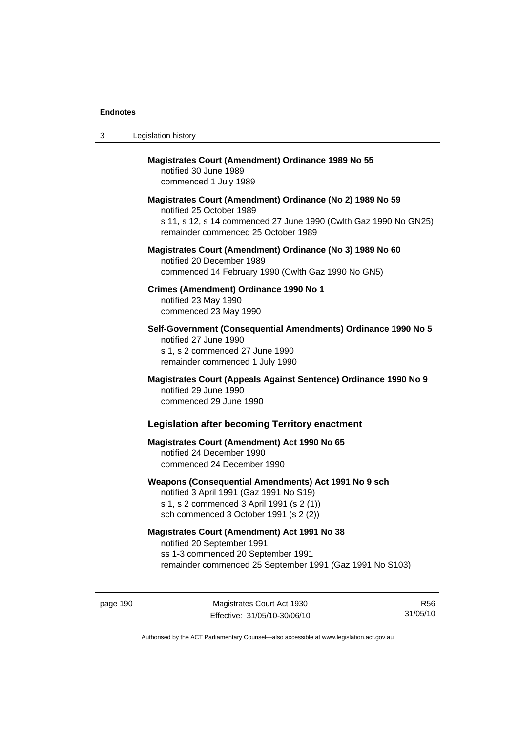| 3 | Legislation history                                                                                                                                                                              |
|---|--------------------------------------------------------------------------------------------------------------------------------------------------------------------------------------------------|
|   | <b>Magistrates Court (Amendment) Ordinance 1989 No 55</b><br>notified 30 June 1989<br>commenced 1 July 1989                                                                                      |
|   | Magistrates Court (Amendment) Ordinance (No 2) 1989 No 59<br>notified 25 October 1989<br>s 11, s 12, s 14 commenced 27 June 1990 (Cwlth Gaz 1990 No GN25)<br>remainder commenced 25 October 1989 |
|   | Magistrates Court (Amendment) Ordinance (No 3) 1989 No 60<br>notified 20 December 1989<br>commenced 14 February 1990 (Cwlth Gaz 1990 No GN5)                                                     |
|   | Crimes (Amendment) Ordinance 1990 No 1<br>notified 23 May 1990<br>commenced 23 May 1990                                                                                                          |
|   | Self-Government (Consequential Amendments) Ordinance 1990 No 5<br>notified 27 June 1990<br>s 1, s 2 commenced 27 June 1990<br>remainder commenced 1 July 1990                                    |
|   | Magistrates Court (Appeals Against Sentence) Ordinance 1990 No 9<br>notified 29 June 1990<br>commenced 29 June 1990                                                                              |
|   | <b>Legislation after becoming Territory enactment</b>                                                                                                                                            |
|   | <b>Magistrates Court (Amendment) Act 1990 No 65</b><br>notified 24 December 1990<br>commenced 24 December 1990                                                                                   |
|   | Weapons (Consequential Amendments) Act 1991 No 9 sch<br>notified 3 April 1991 (Gaz 1991 No S19)<br>s 1, s 2 commenced 3 April 1991 (s 2 (1))<br>sch commenced 3 October 1991 (s 2 (2))           |
|   | <b>Magistrates Court (Amendment) Act 1991 No 38</b><br>notified 20 September 1991<br>ss 1-3 commenced 20 September 1991<br>remainder commenced 25 September 1991 (Gaz 1991 No S103)              |

page 190 Magistrates Court Act 1930 Effective: 31/05/10-30/06/10

R56 31/05/10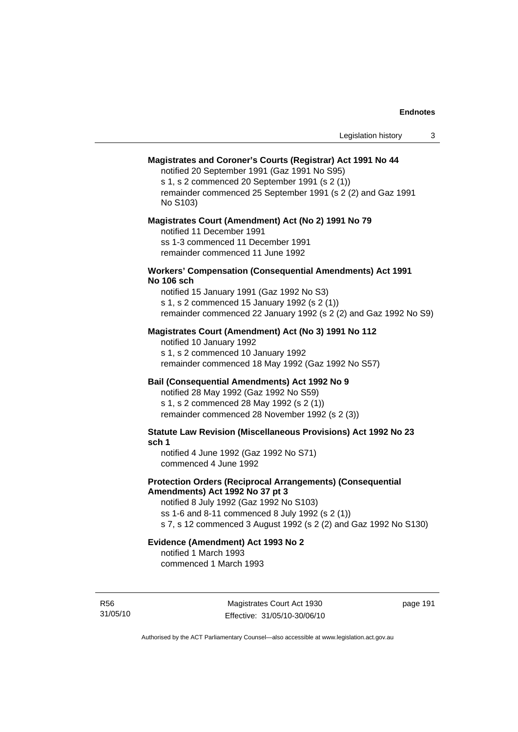# **Magistrates and Coroner's Courts (Registrar) Act 1991 No 44**

notified 20 September 1991 (Gaz 1991 No S95) s 1, s 2 commenced 20 September 1991 (s 2 (1))

remainder commenced 25 September 1991 (s 2 (2) and Gaz 1991 No S103)

#### **Magistrates Court (Amendment) Act (No 2) 1991 No 79**

notified 11 December 1991 ss 1-3 commenced 11 December 1991 remainder commenced 11 June 1992

#### **Workers' Compensation (Consequential Amendments) Act 1991 No 106 sch**

notified 15 January 1991 (Gaz 1992 No S3) s 1, s 2 commenced 15 January 1992 (s 2 (1)) remainder commenced 22 January 1992 (s 2 (2) and Gaz 1992 No S9)

# **Magistrates Court (Amendment) Act (No 3) 1991 No 112**

notified 10 January 1992 s 1, s 2 commenced 10 January 1992 remainder commenced 18 May 1992 (Gaz 1992 No S57)

# **Bail (Consequential Amendments) Act 1992 No 9**

notified 28 May 1992 (Gaz 1992 No S59) s 1, s 2 commenced 28 May 1992 (s 2 (1)) remainder commenced 28 November 1992 (s 2 (3))

**Statute Law Revision (Miscellaneous Provisions) Act 1992 No 23 sch 1** 

notified 4 June 1992 (Gaz 1992 No S71) commenced 4 June 1992

## **Protection Orders (Reciprocal Arrangements) (Consequential Amendments) Act 1992 No 37 pt 3**

notified 8 July 1992 (Gaz 1992 No S103) ss 1-6 and 8-11 commenced 8 July 1992 (s 2 (1)) s 7, s 12 commenced 3 August 1992 (s 2 (2) and Gaz 1992 No S130)

# **Evidence (Amendment) Act 1993 No 2**

notified 1 March 1993 commenced 1 March 1993

R56 31/05/10

Magistrates Court Act 1930 Effective: 31/05/10-30/06/10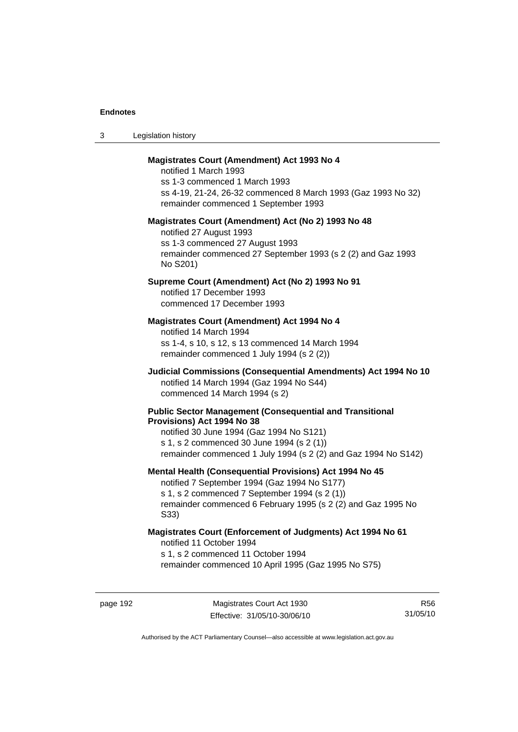| -3 | Legislation history |  |
|----|---------------------|--|
|----|---------------------|--|

## **Magistrates Court (Amendment) Act 1993 No 4**

notified 1 March 1993 ss 1-3 commenced 1 March 1993 ss 4-19, 21-24, 26-32 commenced 8 March 1993 (Gaz 1993 No 32) remainder commenced 1 September 1993

#### **Magistrates Court (Amendment) Act (No 2) 1993 No 48**

notified 27 August 1993 ss 1-3 commenced 27 August 1993 remainder commenced 27 September 1993 (s 2 (2) and Gaz 1993 No S201)

# **Supreme Court (Amendment) Act (No 2) 1993 No 91**

notified 17 December 1993 commenced 17 December 1993

#### **Magistrates Court (Amendment) Act 1994 No 4**

notified 14 March 1994 ss 1-4, s 10, s 12, s 13 commenced 14 March 1994 remainder commenced 1 July 1994 (s 2 (2))

# **Judicial Commissions (Consequential Amendments) Act 1994 No 10**  notified 14 March 1994 (Gaz 1994 No S44) commenced 14 March 1994 (s 2)

#### **Public Sector Management (Consequential and Transitional Provisions) Act 1994 No 38**

notified 30 June 1994 (Gaz 1994 No S121) s 1, s 2 commenced 30 June 1994 (s 2 (1)) remainder commenced 1 July 1994 (s 2 (2) and Gaz 1994 No S142)

#### **Mental Health (Consequential Provisions) Act 1994 No 45**

notified 7 September 1994 (Gaz 1994 No S177) s 1, s 2 commenced 7 September 1994 (s 2 (1)) remainder commenced 6 February 1995 (s 2 (2) and Gaz 1995 No S33)

### **Magistrates Court (Enforcement of Judgments) Act 1994 No 61**  notified 11 October 1994

s 1, s 2 commenced 11 October 1994

remainder commenced 10 April 1995 (Gaz 1995 No S75)

R56 31/05/10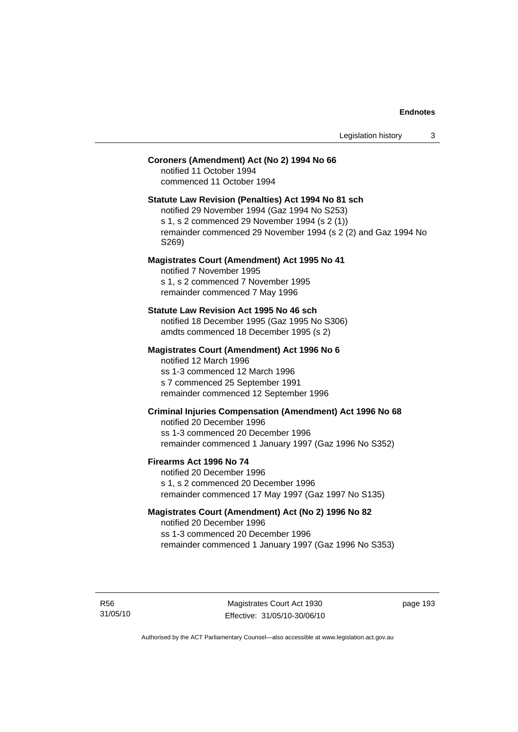# **Coroners (Amendment) Act (No 2) 1994 No 66**

notified 11 October 1994 commenced 11 October 1994

#### **Statute Law Revision (Penalties) Act 1994 No 81 sch**

notified 29 November 1994 (Gaz 1994 No S253) s 1, s 2 commenced 29 November 1994 (s 2 (1)) remainder commenced 29 November 1994 (s 2 (2) and Gaz 1994 No S269)

#### **Magistrates Court (Amendment) Act 1995 No 41**

notified 7 November 1995 s 1, s 2 commenced 7 November 1995 remainder commenced 7 May 1996

#### **Statute Law Revision Act 1995 No 46 sch**

notified 18 December 1995 (Gaz 1995 No S306) amdts commenced 18 December 1995 (s 2)

# **Magistrates Court (Amendment) Act 1996 No 6**

notified 12 March 1996 ss 1-3 commenced 12 March 1996 s 7 commenced 25 September 1991 remainder commenced 12 September 1996

# **Criminal Injuries Compensation (Amendment) Act 1996 No 68**

notified 20 December 1996 ss 1-3 commenced 20 December 1996 remainder commenced 1 January 1997 (Gaz 1996 No S352)

#### **Firearms Act 1996 No 74**

notified 20 December 1996 s 1, s 2 commenced 20 December 1996 remainder commenced 17 May 1997 (Gaz 1997 No S135)

# **Magistrates Court (Amendment) Act (No 2) 1996 No 82**

notified 20 December 1996 ss 1-3 commenced 20 December 1996 remainder commenced 1 January 1997 (Gaz 1996 No S353)

R56 31/05/10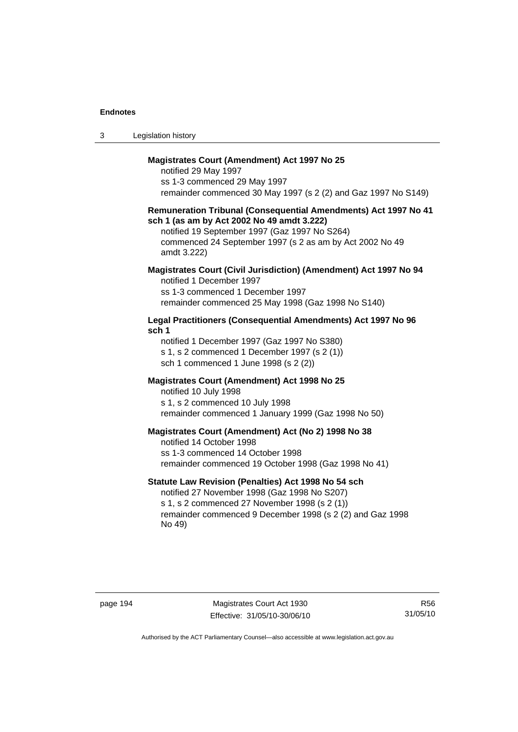| Legislation history<br>-3 |  |
|---------------------------|--|
|---------------------------|--|

## **Magistrates Court (Amendment) Act 1997 No 25**

notified 29 May 1997 ss 1-3 commenced 29 May 1997 remainder commenced 30 May 1997 (s 2 (2) and Gaz 1997 No S149)

#### **Remuneration Tribunal (Consequential Amendments) Act 1997 No 41 sch 1 (as am by Act 2002 No 49 amdt 3.222)**

notified 19 September 1997 (Gaz 1997 No S264) commenced 24 September 1997 (s 2 as am by Act 2002 No 49 amdt 3.222)

# **Magistrates Court (Civil Jurisdiction) (Amendment) Act 1997 No 94**

notified 1 December 1997 ss 1-3 commenced 1 December 1997 remainder commenced 25 May 1998 (Gaz 1998 No S140)

# **Legal Practitioners (Consequential Amendments) Act 1997 No 96 sch 1**

notified 1 December 1997 (Gaz 1997 No S380) s 1, s 2 commenced 1 December 1997 (s 2 (1)) sch 1 commenced 1 June 1998 (s 2 (2))

# **Magistrates Court (Amendment) Act 1998 No 25**

notified 10 July 1998 s 1, s 2 commenced 10 July 1998 remainder commenced 1 January 1999 (Gaz 1998 No 50)

#### **Magistrates Court (Amendment) Act (No 2) 1998 No 38**

notified 14 October 1998 ss 1-3 commenced 14 October 1998 remainder commenced 19 October 1998 (Gaz 1998 No 41)

## **Statute Law Revision (Penalties) Act 1998 No 54 sch**

notified 27 November 1998 (Gaz 1998 No S207) s 1, s 2 commenced 27 November 1998 (s 2 (1)) remainder commenced 9 December 1998 (s 2 (2) and Gaz 1998 No 49)

page 194 Magistrates Court Act 1930 Effective: 31/05/10-30/06/10

R56 31/05/10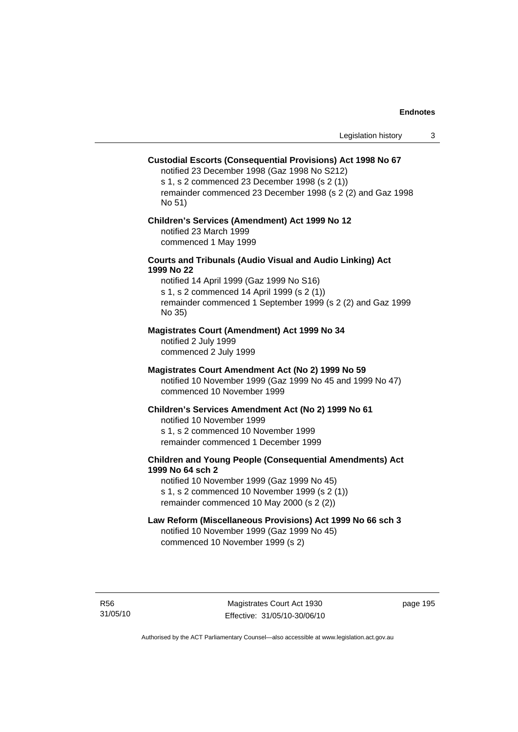## **Custodial Escorts (Consequential Provisions) Act 1998 No 67**

notified 23 December 1998 (Gaz 1998 No S212) s 1, s 2 commenced 23 December 1998 (s 2 (1)) remainder commenced 23 December 1998 (s 2 (2) and Gaz 1998 No 51)

# **Children's Services (Amendment) Act 1999 No 12**  notified 23 March 1999

commenced 1 May 1999

# **Courts and Tribunals (Audio Visual and Audio Linking) Act 1999 No 22**

notified 14 April 1999 (Gaz 1999 No S16) s 1, s 2 commenced 14 April 1999 (s 2 (1)) remainder commenced 1 September 1999 (s 2 (2) and Gaz 1999 No 35)

## **Magistrates Court (Amendment) Act 1999 No 34**

notified 2 July 1999 commenced 2 July 1999

## **Magistrates Court Amendment Act (No 2) 1999 No 59**

notified 10 November 1999 (Gaz 1999 No 45 and 1999 No 47) commenced 10 November 1999

#### **Children's Services Amendment Act (No 2) 1999 No 61**

notified 10 November 1999 s 1, s 2 commenced 10 November 1999 remainder commenced 1 December 1999

# **Children and Young People (Consequential Amendments) Act 1999 No 64 sch 2**

notified 10 November 1999 (Gaz 1999 No 45) s 1, s 2 commenced 10 November 1999 (s 2 (1)) remainder commenced 10 May 2000 (s 2 (2))

## **Law Reform (Miscellaneous Provisions) Act 1999 No 66 sch 3**

notified 10 November 1999 (Gaz 1999 No 45) commenced 10 November 1999 (s 2)

R56 31/05/10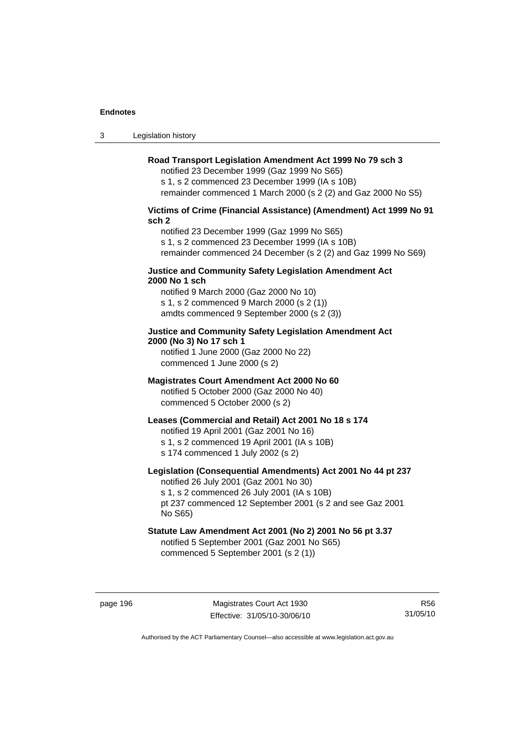3 Legislation history

# **Road Transport Legislation Amendment Act 1999 No 79 sch 3**

notified 23 December 1999 (Gaz 1999 No S65) s 1, s 2 commenced 23 December 1999 (IA s 10B) remainder commenced 1 March 2000 (s 2 (2) and Gaz 2000 No S5)

# **Victims of Crime (Financial Assistance) (Amendment) Act 1999 No 91 sch 2**

notified 23 December 1999 (Gaz 1999 No S65) s 1, s 2 commenced 23 December 1999 (IA s 10B) remainder commenced 24 December (s 2 (2) and Gaz 1999 No S69)

## **Justice and Community Safety Legislation Amendment Act 2000 No 1 sch**

notified 9 March 2000 (Gaz 2000 No 10) s 1, s 2 commenced 9 March 2000 (s 2 (1)) amdts commenced 9 September 2000 (s 2 (3))

# **Justice and Community Safety Legislation Amendment Act 2000 (No 3) No 17 sch 1**

notified 1 June 2000 (Gaz 2000 No 22) commenced 1 June 2000 (s 2)

# **Magistrates Court Amendment Act 2000 No 60**

notified 5 October 2000 (Gaz 2000 No 40) commenced 5 October 2000 (s 2)

# **Leases (Commercial and Retail) Act 2001 No 18 s 174**

notified 19 April 2001 (Gaz 2001 No 16)

s 1, s 2 commenced 19 April 2001 (IA s 10B)

s 174 commenced 1 July 2002 (s 2)

No S65)

# **Legislation (Consequential Amendments) Act 2001 No 44 pt 237**

notified 26 July 2001 (Gaz 2001 No 30) s 1, s 2 commenced 26 July 2001 (IA s 10B) pt 237 commenced 12 September 2001 (s 2 and see Gaz 2001

# **Statute Law Amendment Act 2001 (No 2) 2001 No 56 pt 3.37**  notified 5 September 2001 (Gaz 2001 No S65)

commenced 5 September 2001 (s 2 (1))

R56 31/05/10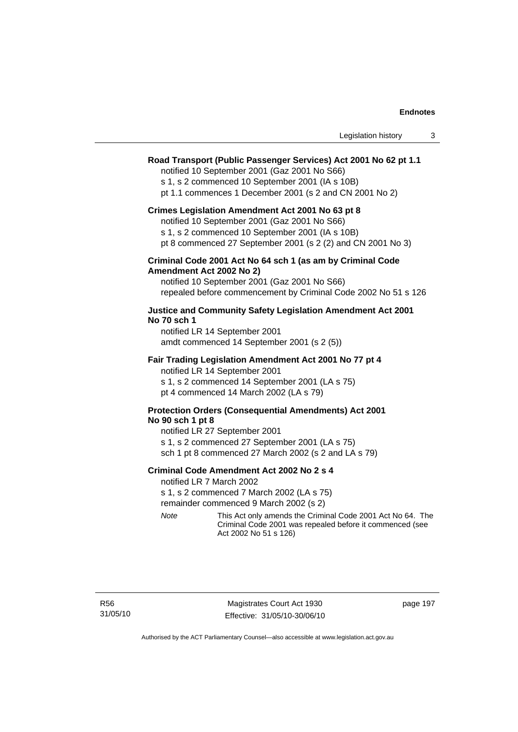| Legislation history |  |
|---------------------|--|
|---------------------|--|

## **Road Transport (Public Passenger Services) Act 2001 No 62 pt 1.1**

notified 10 September 2001 (Gaz 2001 No S66)

s 1, s 2 commenced 10 September 2001 (IA s 10B)

pt 1.1 commences 1 December 2001 (s 2 and CN 2001 No 2)

#### **Crimes Legislation Amendment Act 2001 No 63 pt 8**

notified 10 September 2001 (Gaz 2001 No S66)

s 1, s 2 commenced 10 September 2001 (IA s 10B)

pt 8 commenced 27 September 2001 (s 2 (2) and CN 2001 No 3)

## **Criminal Code 2001 Act No 64 sch 1 (as am by Criminal Code Amendment Act 2002 No 2)**

notified 10 September 2001 (Gaz 2001 No S66) repealed before commencement by Criminal Code 2002 No 51 s 126

## **Justice and Community Safety Legislation Amendment Act 2001 No 70 sch 1**

notified LR 14 September 2001 amdt commenced 14 September 2001 (s 2 (5))

#### **Fair Trading Legislation Amendment Act 2001 No 77 pt 4**

notified LR 14 September 2001 s 1, s 2 commenced 14 September 2001 (LA s 75) pt 4 commenced 14 March 2002 (LA s 79)

# **Protection Orders (Consequential Amendments) Act 2001 No 90 sch 1 pt 8**

notified LR 27 September 2001 s 1, s 2 commenced 27 September 2001 (LA s 75) sch 1 pt 8 commenced 27 March 2002 (s 2 and LA s 79)

## **Criminal Code Amendment Act 2002 No 2 s 4**

notified LR 7 March 2002

s 1, s 2 commenced 7 March 2002 (LA s 75)

remainder commenced 9 March 2002 (s 2)

*Note* This Act only amends the Criminal Code 2001 Act No 64. The Criminal Code 2001 was repealed before it commenced (see Act 2002 No 51 s 126)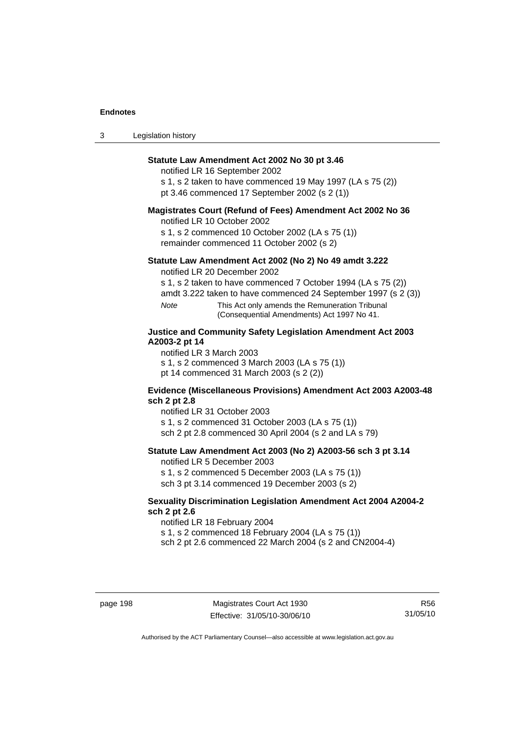| $\sqrt{2}$<br>- 3 | Legislation history |  |
|-------------------|---------------------|--|
|-------------------|---------------------|--|

# **Statute Law Amendment Act 2002 No 30 pt 3.46**

notified LR 16 September 2002

s 1, s 2 taken to have commenced 19 May 1997 (LA s 75 (2)) pt 3.46 commenced 17 September 2002 (s 2 (1))

## **Magistrates Court (Refund of Fees) Amendment Act 2002 No 36**

notified LR 10 October 2002

s 1, s 2 commenced 10 October 2002 (LA s 75 (1)) remainder commenced 11 October 2002 (s 2)

## **Statute Law Amendment Act 2002 (No 2) No 49 amdt 3.222**

notified LR 20 December 2002

s 1, s 2 taken to have commenced 7 October 1994 (LA s 75 (2))

amdt 3.222 taken to have commenced 24 September 1997 (s 2 (3))

*Note* This Act only amends the Remuneration Tribunal (Consequential Amendments) Act 1997 No 41.

# **Justice and Community Safety Legislation Amendment Act 2003 A2003-2 pt 14**

notified LR 3 March 2003

s 1, s 2 commenced 3 March 2003 (LA s 75 (1))

pt 14 commenced 31 March 2003 (s 2 (2))

#### **Evidence (Miscellaneous Provisions) Amendment Act 2003 A2003-48 sch 2 pt 2.8**

notified LR 31 October 2003

s 1, s 2 commenced 31 October 2003 (LA s 75 (1))

sch 2 pt 2.8 commenced 30 April 2004 (s 2 and LA s 79)

# **Statute Law Amendment Act 2003 (No 2) A2003-56 sch 3 pt 3.14**

notified LR 5 December 2003

s 1, s 2 commenced 5 December 2003 (LA s 75 (1)) sch 3 pt 3.14 commenced 19 December 2003 (s 2)

## **Sexuality Discrimination Legislation Amendment Act 2004 A2004-2 sch 2 pt 2.6**

notified LR 18 February 2004 s 1, s 2 commenced 18 February 2004 (LA s 75 (1))

sch 2 pt 2.6 commenced 22 March 2004 (s 2 and CN2004-4)

R56 31/05/10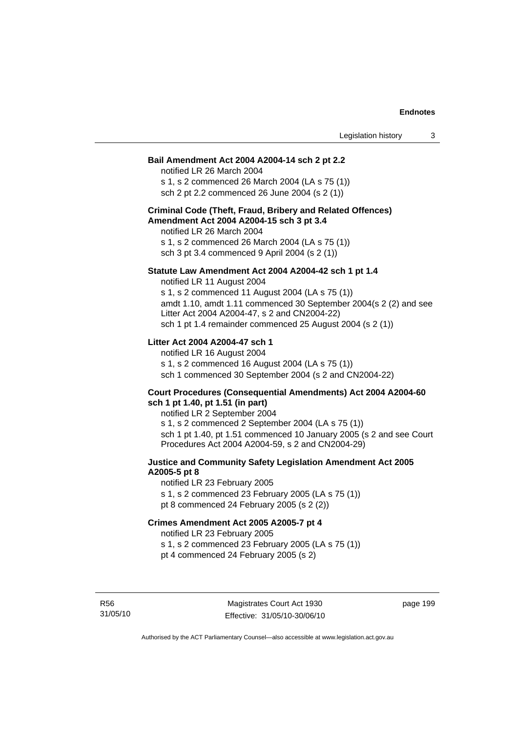#### **Bail Amendment Act 2004 A2004-14 sch 2 pt 2.2**

notified LR 26 March 2004 s 1, s 2 commenced 26 March 2004 (LA s 75 (1)) sch 2 pt 2.2 commenced 26 June 2004 (s 2 (1))

#### **Criminal Code (Theft, Fraud, Bribery and Related Offences) Amendment Act 2004 A2004-15 sch 3 pt 3.4**

notified LR 26 March 2004 s 1, s 2 commenced 26 March 2004 (LA s 75 (1)) sch 3 pt 3.4 commenced 9 April 2004 (s 2 (1))

#### **Statute Law Amendment Act 2004 A2004-42 sch 1 pt 1.4**

notified LR 11 August 2004 s 1, s 2 commenced 11 August 2004 (LA s 75 (1)) amdt 1.10, amdt 1.11 commenced 30 September 2004(s 2 (2) and see Litter Act 2004 A2004-47, s 2 and CN2004-22) sch 1 pt 1.4 remainder commenced 25 August 2004 (s 2 (1))

# **Litter Act 2004 A2004-47 sch 1**

notified LR 16 August 2004 s 1, s 2 commenced 16 August 2004 (LA s 75 (1)) sch 1 commenced 30 September 2004 (s 2 and CN2004-22)

#### **Court Procedures (Consequential Amendments) Act 2004 A2004-60 sch 1 pt 1.40, pt 1.51 (in part)**

notified LR 2 September 2004 s 1, s 2 commenced 2 September 2004 (LA s 75 (1)) sch 1 pt 1.40, pt 1.51 commenced 10 January 2005 (s 2 and see Court Procedures Act 2004 A2004-59, s 2 and CN2004-29)

# **Justice and Community Safety Legislation Amendment Act 2005 A2005-5 pt 8**

notified LR 23 February 2005 s 1, s 2 commenced 23 February 2005 (LA s 75 (1)) pt 8 commenced 24 February 2005 (s 2 (2))

#### **Crimes Amendment Act 2005 A2005-7 pt 4**

notified LR 23 February 2005

s 1, s 2 commenced 23 February 2005 (LA s 75 (1))

pt 4 commenced 24 February 2005 (s 2)

R56 31/05/10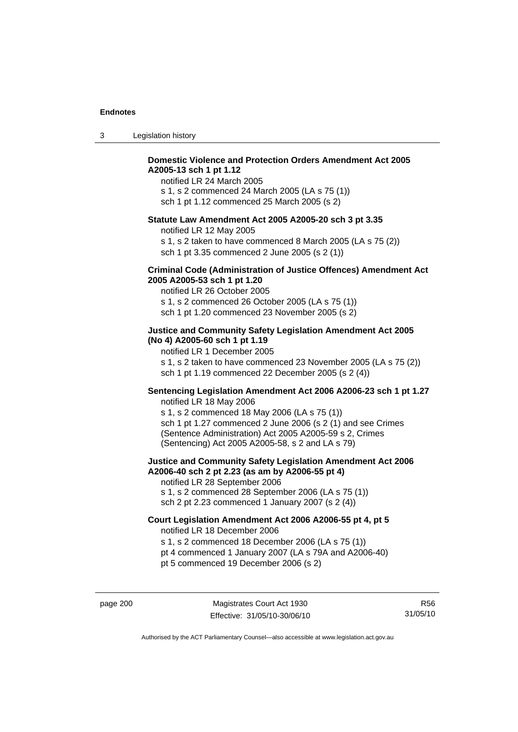| -3 | Legislation history |  |
|----|---------------------|--|
|----|---------------------|--|

# **Domestic Violence and Protection Orders Amendment Act 2005 A2005-13 sch 1 pt 1.12**

notified LR 24 March 2005 s 1, s 2 commenced 24 March 2005 (LA s 75 (1)) sch 1 pt 1.12 commenced 25 March 2005 (s 2)

#### **Statute Law Amendment Act 2005 A2005-20 sch 3 pt 3.35**

notified LR 12 May 2005

s 1, s 2 taken to have commenced 8 March 2005 (LA s 75 (2)) sch 1 pt 3.35 commenced 2 June 2005 (s 2 (1))

#### **Criminal Code (Administration of Justice Offences) Amendment Act 2005 A2005-53 sch 1 pt 1.20**

notified LR 26 October 2005 s 1, s 2 commenced 26 October 2005 (LA s 75 (1)) sch 1 pt 1.20 commenced 23 November 2005 (s 2)

# **Justice and Community Safety Legislation Amendment Act 2005 (No 4) A2005-60 sch 1 pt 1.19**

notified LR 1 December 2005 s 1, s 2 taken to have commenced 23 November 2005 (LA s 75 (2)) sch 1 pt 1.19 commenced 22 December 2005 (s 2 (4))

# **Sentencing Legislation Amendment Act 2006 A2006-23 sch 1 pt 1.27**

notified LR 18 May 2006 s 1, s 2 commenced 18 May 2006 (LA s 75 (1)) sch 1 pt 1.27 commenced 2 June 2006 (s 2 (1) and see Crimes (Sentence Administration) Act 2005 A2005-59 s 2, Crimes (Sentencing) Act 2005 A2005-58, s 2 and LA s 79)

### **Justice and Community Safety Legislation Amendment Act 2006 A2006-40 sch 2 pt 2.23 (as am by A2006-55 pt 4)**  notified LR 28 September 2006

s 1, s 2 commenced 28 September 2006 (LA s 75 (1)) sch 2 pt 2.23 commenced 1 January 2007 (s 2 (4))

# **Court Legislation Amendment Act 2006 A2006-55 pt 4, pt 5**  notified LR 18 December 2006

s 1, s 2 commenced 18 December 2006 (LA s 75 (1))

- pt 4 commenced 1 January 2007 (LA s 79A and A2006-40)
- pt 5 commenced 19 December 2006 (s 2)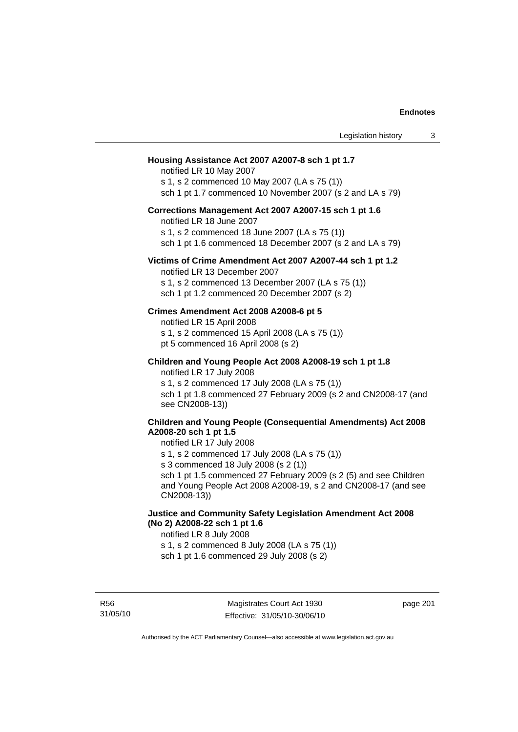| Legislation history                                                                                                                                                                                                                                                                                                                                                      | 3 |
|--------------------------------------------------------------------------------------------------------------------------------------------------------------------------------------------------------------------------------------------------------------------------------------------------------------------------------------------------------------------------|---|
| Housing Assistance Act 2007 A2007-8 sch 1 pt 1.7<br>notified LR 10 May 2007<br>s 1, s 2 commenced 10 May 2007 (LA s 75 (1))<br>sch 1 pt 1.7 commenced 10 November 2007 (s 2 and LA s 79)                                                                                                                                                                                 |   |
| Corrections Management Act 2007 A2007-15 sch 1 pt 1.6<br>notified LR 18 June 2007<br>s 1, s 2 commenced 18 June 2007 (LA s 75 (1))<br>sch 1 pt 1.6 commenced 18 December 2007 (s 2 and LA s 79)                                                                                                                                                                          |   |
| Victims of Crime Amendment Act 2007 A2007-44 sch 1 pt 1.2<br>notified LR 13 December 2007<br>s 1, s 2 commenced 13 December 2007 (LA s 75 (1))<br>sch 1 pt 1.2 commenced 20 December 2007 (s 2)                                                                                                                                                                          |   |
| Crimes Amendment Act 2008 A2008-6 pt 5<br>notified LR 15 April 2008<br>s 1, s 2 commenced 15 April 2008 (LA s 75 (1))<br>pt 5 commenced 16 April 2008 (s 2)                                                                                                                                                                                                              |   |
| Children and Young People Act 2008 A2008-19 sch 1 pt 1.8<br>notified LR 17 July 2008<br>s 1, s 2 commenced 17 July 2008 (LA s 75 (1))<br>sch 1 pt 1.8 commenced 27 February 2009 (s 2 and CN2008-17 (and<br>see CN2008-13))                                                                                                                                              |   |
| <b>Children and Young People (Consequential Amendments) Act 2008</b><br>A2008-20 sch 1 pt 1.5<br>notified LR 17 July 2008<br>s 1, s 2 commenced 17 July 2008 (LA s 75 (1))<br>s 3 commenced 18 July 2008 (s 2 (1))<br>sch 1 pt 1.5 commenced 27 February 2009 (s 2 (5) and see Children<br>and Young People Act 2008 A2008-19, s 2 and CN2008-17 (and see<br>CN2008-13)) |   |
| Justice and Community Safety Legislation Amendment Act 2008<br>(No 2) A2008-22 sch 1 pt 1.6<br>notified LR 8 July 2008<br>s 1, s 2 commenced 8 July 2008 (LA s 75 (1))<br>sch 1 pt 1.6 commenced 29 July 2008 (s 2)                                                                                                                                                      |   |

R56 31/05/10 page 201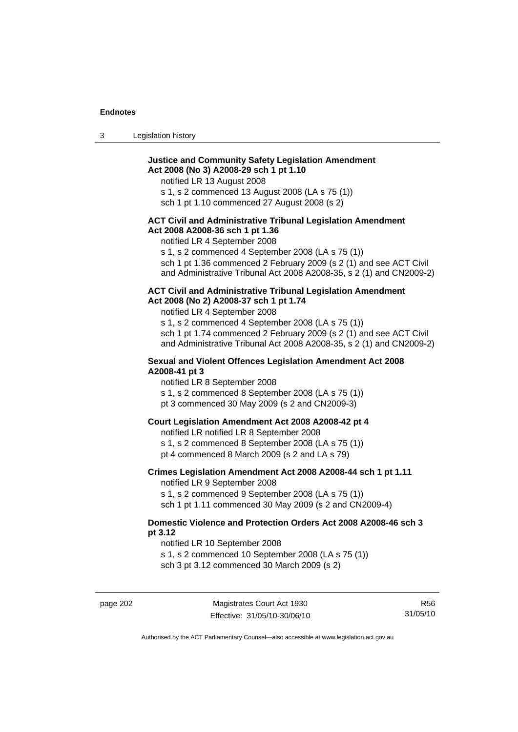| Legislation history<br>$\sim$<br>- 3 |  |
|--------------------------------------|--|
|--------------------------------------|--|

## **Justice and Community Safety Legislation Amendment Act 2008 (No 3) A2008-29 sch 1 pt 1.10**

notified LR 13 August 2008

s 1, s 2 commenced 13 August 2008 (LA s 75 (1))

sch 1 pt 1.10 commenced 27 August 2008 (s 2)

### **ACT Civil and Administrative Tribunal Legislation Amendment Act 2008 A2008-36 sch 1 pt 1.36**

notified LR 4 September 2008

s 1, s 2 commenced 4 September 2008 (LA s 75 (1))

sch 1 pt 1.36 commenced 2 February 2009 (s 2 (1) and see ACT Civil and Administrative Tribunal Act 2008 A2008-35, s 2 (1) and CN2009-2)

#### **ACT Civil and Administrative Tribunal Legislation Amendment Act 2008 (No 2) A2008-37 sch 1 pt 1.74**

notified LR 4 September 2008

s 1, s 2 commenced 4 September 2008 (LA s 75 (1)) sch 1 pt 1.74 commenced 2 February 2009 (s 2 (1) and see ACT Civil and Administrative Tribunal Act 2008 A2008-35, s 2 (1) and CN2009-2)

### **Sexual and Violent Offences Legislation Amendment Act 2008 A2008-41 pt 3**

notified LR 8 September 2008

- s 1, s 2 commenced 8 September 2008 (LA s 75 (1))
- pt 3 commenced 30 May 2009 (s 2 and CN2009-3)

## **Court Legislation Amendment Act 2008 A2008-42 pt 4**

notified LR notified LR 8 September 2008

- s 1, s 2 commenced 8 September 2008 (LA s 75 (1))
- pt 4 commenced 8 March 2009 (s 2 and LA s 79)

## **Crimes Legislation Amendment Act 2008 A2008-44 sch 1 pt 1.11**

notified LR 9 September 2008

s 1, s 2 commenced 9 September 2008 (LA s 75 (1))

sch 1 pt 1.11 commenced 30 May 2009 (s 2 and CN2009-4)

### **Domestic Violence and Protection Orders Act 2008 A2008-46 sch 3 pt 3.12**

notified LR 10 September 2008

s 1, s 2 commenced 10 September 2008 (LA s 75 (1))

sch 3 pt 3.12 commenced 30 March 2009 (s 2)

R56 31/05/10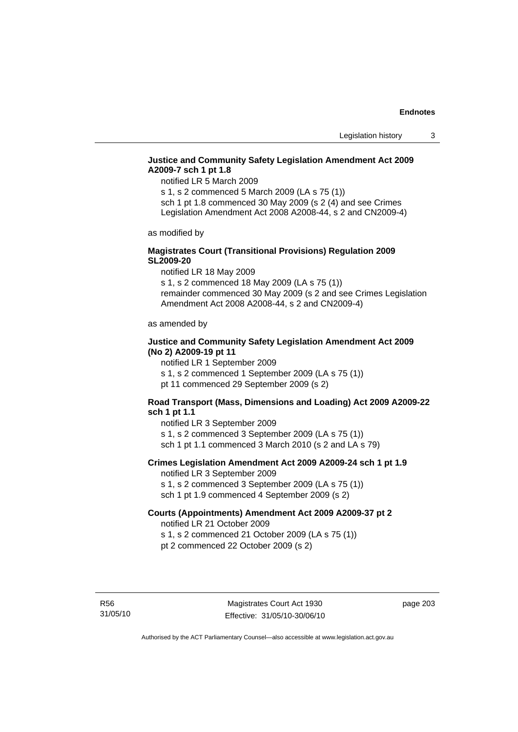## **Justice and Community Safety Legislation Amendment Act 2009 A2009-7 sch 1 pt 1.8**

notified LR 5 March 2009

s 1, s 2 commenced 5 March 2009 (LA s 75 (1)) sch 1 pt 1.8 commenced 30 May 2009 (s 2 (4) and see Crimes

Legislation Amendment Act 2008 A2008-44, s 2 and CN2009-4)

as modified by

### **Magistrates Court (Transitional Provisions) Regulation 2009 SL2009-20**

notified LR 18 May 2009

s 1, s 2 commenced 18 May 2009 (LA s 75 (1)) remainder commenced 30 May 2009 (s 2 and see Crimes Legislation Amendment Act 2008 A2008-44, s 2 and CN2009-4)

as amended by

### **Justice and Community Safety Legislation Amendment Act 2009 (No 2) A2009-19 pt 11**

notified LR 1 September 2009 s 1, s 2 commenced 1 September 2009 (LA s 75 (1))

pt 11 commenced 29 September 2009 (s 2)

## **Road Transport (Mass, Dimensions and Loading) Act 2009 A2009-22 sch 1 pt 1.1**

notified LR 3 September 2009 s 1, s 2 commenced 3 September 2009 (LA s 75 (1)) sch 1 pt 1.1 commenced 3 March 2010 (s 2 and LA s 79)

## **Crimes Legislation Amendment Act 2009 A2009-24 sch 1 pt 1.9**

notified LR 3 September 2009

s 1, s 2 commenced 3 September 2009 (LA s 75 (1))

sch 1 pt 1.9 commenced 4 September 2009 (s 2)

#### **Courts (Appointments) Amendment Act 2009 A2009-37 pt 2**  notified LR 21 October 2009

s 1, s 2 commenced 21 October 2009 (LA s 75 (1)) pt 2 commenced 22 October 2009 (s 2)

R56 31/05/10 page 203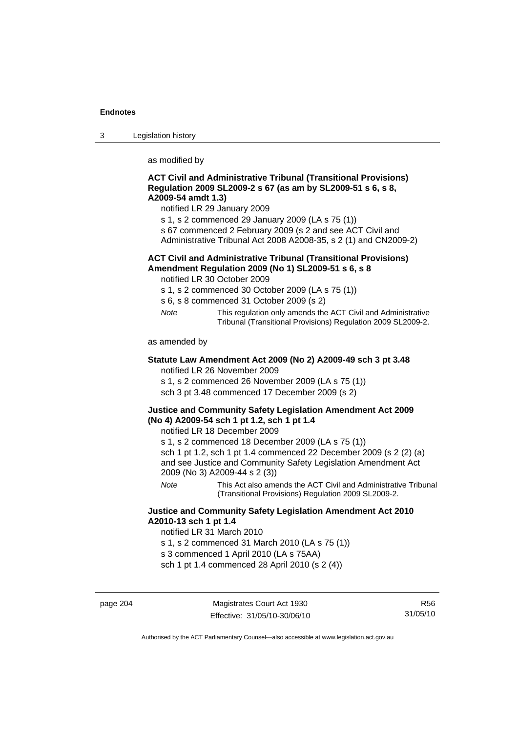3 Legislation history

as modified by

### **ACT Civil and Administrative Tribunal (Transitional Provisions) Regulation 2009 SL2009-2 s 67 (as am by SL2009-51 s 6, s 8, A2009-54 amdt 1.3)**

notified LR 29 January 2009

- s 1, s 2 commenced 29 January 2009 (LA s 75 (1))
- s 67 commenced 2 February 2009 (s 2 and see ACT Civil and
- Administrative Tribunal Act 2008 A2008-35, s 2 (1) and CN2009-2)

## **ACT Civil and Administrative Tribunal (Transitional Provisions) Amendment Regulation 2009 (No 1) SL2009-51 s 6, s 8**

notified LR 30 October 2009

- s 1, s 2 commenced 30 October 2009 (LA s 75 (1))
- s 6, s 8 commenced 31 October 2009 (s 2)
- *Note* This regulation only amends the ACT Civil and Administrative Tribunal (Transitional Provisions) Regulation 2009 SL2009-2.

as amended by

### **Statute Law Amendment Act 2009 (No 2) A2009-49 sch 3 pt 3.48**  notified LR 26 November 2009

s 1, s 2 commenced 26 November 2009 (LA s 75 (1))

sch 3 pt 3.48 commenced 17 December 2009 (s 2)

## **Justice and Community Safety Legislation Amendment Act 2009 (No 4) A2009-54 sch 1 pt 1.2, sch 1 pt 1.4**

notified LR 18 December 2009

s 1, s 2 commenced 18 December 2009 (LA s 75 (1))

sch 1 pt 1.2, sch 1 pt 1.4 commenced 22 December 2009 (s 2 (2) (a) and see Justice and Community Safety Legislation Amendment Act 2009 (No 3) A2009-44 s 2 (3))

*Note* This Act also amends the ACT Civil and Administrative Tribunal (Transitional Provisions) Regulation 2009 SL2009-2.

## **Justice and Community Safety Legislation Amendment Act 2010 A2010-13 sch 1 pt 1.4**

notified LR 31 March 2010

s 1, s 2 commenced 31 March 2010 (LA s 75 (1))

s 3 commenced 1 April 2010 (LA s 75AA)

sch 1 pt 1.4 commenced 28 April 2010 (s 2 (4))

page 204 Magistrates Court Act 1930 Effective: 31/05/10-30/06/10

R56 31/05/10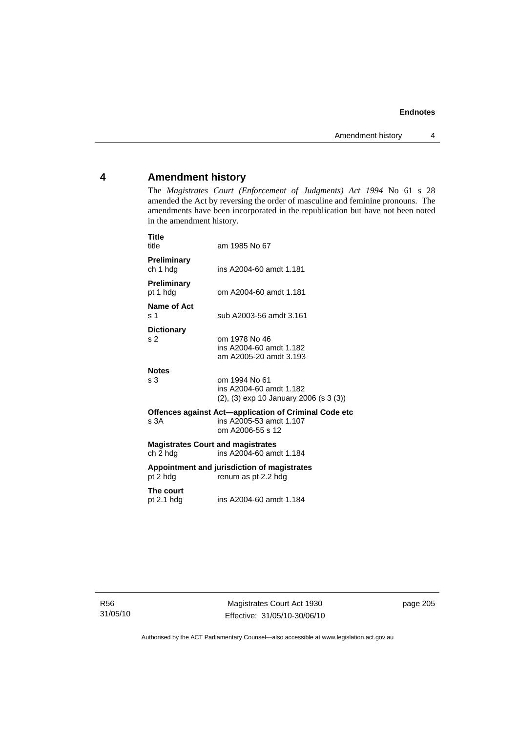## **4 Amendment history**

The *Magistrates Court (Enforcement of Judgments) Act 1994* No 61 s 28 amended the Act by reversing the order of masculine and feminine pronouns. The amendments have been incorporated in the republication but have not been noted in the amendment history.

| Title<br>title                                                                                               | am 1985 No 67                                                                              |  |  |
|--------------------------------------------------------------------------------------------------------------|--------------------------------------------------------------------------------------------|--|--|
| Preliminary<br>ch 1 hdg                                                                                      | ins A2004-60 amdt 1.181                                                                    |  |  |
| <b>Preliminary</b><br>pt 1 hdg                                                                               | om A2004-60 amdt 1.181                                                                     |  |  |
| Name of Act<br>s 1                                                                                           | sub A2003-56 amdt 3.161                                                                    |  |  |
| <b>Dictionary</b><br>s <sub>2</sub>                                                                          | om 1978 No 46<br>ins A2004-60 amdt 1.182<br>am A2005-20 amdt 3.193                         |  |  |
| <b>Notes</b><br>s <sub>3</sub>                                                                               | om 1994 No 61<br>ins A2004-60 amdt 1.182<br>$(2)$ , $(3)$ exp 10 January 2006 (s 3 $(3)$ ) |  |  |
| Offences against Act—application of Criminal Code etc<br>ins A2005-53 amdt 1.107<br>s.3A<br>om A2006-55 s 12 |                                                                                            |  |  |
| <b>Magistrates Court and magistrates</b><br>ch 2 hdg<br>ins A2004-60 amdt 1.184                              |                                                                                            |  |  |
| Appointment and jurisdiction of magistrates<br>pt 2 hdg<br>renum as pt 2.2 hdg                               |                                                                                            |  |  |
| The court<br>pt $2.1$ hdg                                                                                    | ins A2004-60 amdt 1.184                                                                    |  |  |

R56 31/05/10

Magistrates Court Act 1930 Effective: 31/05/10-30/06/10 page 205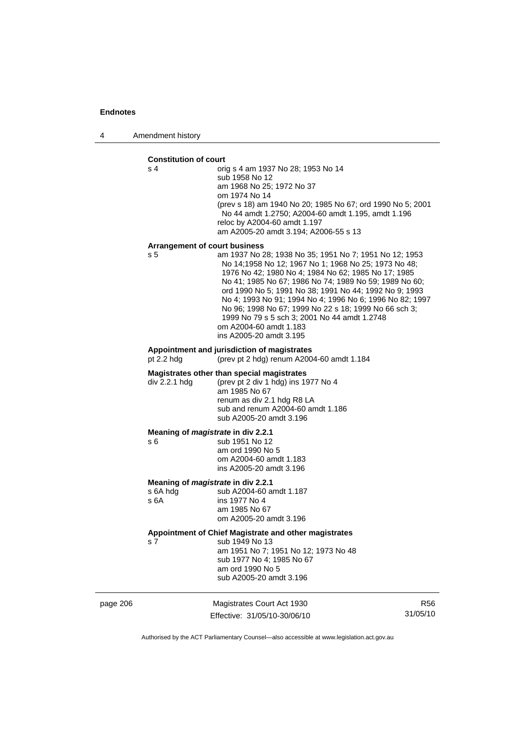4 Amendment history

#### **Constitution of court**

s 4 orig s 4 am 1937 No 28; 1953 No 14 sub 1958 No 12 am 1968 No 25; 1972 No 37 om 1974 No 14 (prev s 18) am 1940 No 20; 1985 No 67; ord 1990 No 5; 2001 No 44 amdt 1.2750; A2004-60 amdt 1.195, amdt 1.196 reloc by A2004-60 amdt 1.197 am A2005-20 amdt 3.194; A2006-55 s 13

#### **Arrangement of court business**

s 5 am 1937 No 28; 1938 No 35; 1951 No 7; 1951 No 12; 1953 No 14;1958 No 12; 1967 No 1; 1968 No 25; 1973 No 48; 1976 No 42; 1980 No 4; 1984 No 62; 1985 No 17; 1985 No 41; 1985 No 67; 1986 No 74; 1989 No 59; 1989 No 60; ord 1990 No 5; 1991 No 38; 1991 No 44; 1992 No 9; 1993 No 4; 1993 No 91; 1994 No 4; 1996 No 6; 1996 No 82; 1997 No 96; 1998 No 67; 1999 No 22 s 18; 1999 No 66 sch 3; 1999 No 79 s 5 sch 3; 2001 No 44 amdt 1.2748 om A2004-60 amdt 1.183 ins A2005-20 amdt 3.195

## **Appointment and jurisdiction of magistrates**

(prev pt 2 hdg) renum A2004-60 amdt  $1.184$ 

#### **Magistrates other than special magistrates**

div 2.2.1 hdg (prev pt 2 div 1 hdg) ins 1977 No 4 am 1985 No 67 renum as div 2.1 hdg R8 LA sub and renum A2004-60 amdt 1.186 sub A2005-20 amdt 3.196

#### **Meaning of** *magistrate* **in div 2.2.1**

s 6 sub 1951 No 12 am ord 1990 No 5 om A2004-60 amdt 1.183 ins A2005-20 amdt 3.196

## **Meaning of** *magistrate* **in div 2.2.1 s** 6A hdg sub A2004-60 a

s 6A hdg sub A2004-60 amdt 1.187<br>s 6A ins 1977 No 4 ins 1977 No 4 am 1985 No 67 om A2005-20 amdt 3.196

## **Appointment of Chief Magistrate and other magistrates**

s 7 sub 1949 No 13 am 1951 No 7; 1951 No 12; 1973 No 48 sub 1977 No 4; 1985 No 67 am ord 1990 No 5 sub A2005-20 amdt 3.196

page 206 Magistrates Court Act 1930 Effective: 31/05/10-30/06/10

R56 31/05/10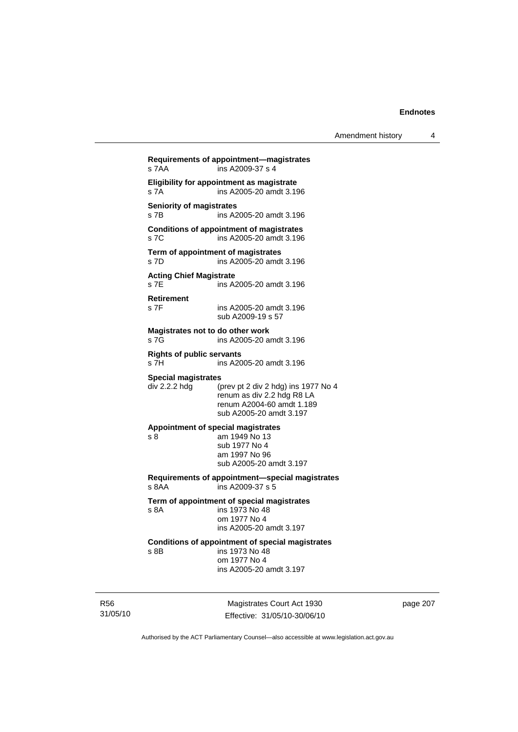| Amendment history |  |
|-------------------|--|
|-------------------|--|

**Requirements of appointment—magistrates**  s 7AA ins A2009-37 s 4 **Eligibility for appointment as magistrate**  s 7A ins A2005-20 amdt 3.196 **Seniority of magistrates**  s 7B ins A2005-20 amdt 3.196 **Conditions of appointment of magistrates**  s 7C ins A2005-20 amdt 3.196 **Term of appointment of magistrates**  s 7D ins A2005-20 amdt 3.196 **Acting Chief Magistrate**  s 7E ins A2005-20 amdt 3.196 **Retirement**  s 7F ins A2005-20 amdt 3.196 sub A2009-19 s 57 **Magistrates not to do other work**  s 7G **ins A2005-20** amdt 3.196 **Rights of public servants**  s 7H ins A2005-20 amdt 3.196 **Special magistrates**<br>div 2.2.2 hdg (p (prev pt 2 div 2 hdg) ins 1977 No 4 renum as div 2.2 hdg R8 LA renum A2004-60 amdt 1.189 sub A2005-20 amdt 3.197 **Appointment of special magistrates**  s 8 am 1949 No 13 sub 1977 No 4 am 1997 No 96 sub A2005-20 amdt 3.197 **Requirements of appointment—special magistrates**  s 8AA ins A2009-37 s 5 **Term of appointment of special magistrates**  ins 1973 No 48 om 1977 No 4 ins A2005-20 amdt 3.197 **Conditions of appointment of special magistrates**  s 8B ins 1973 No 48 om 1977 No 4 ins A2005-20 amdt 3.197

R56 31/05/10

Magistrates Court Act 1930 Effective: 31/05/10-30/06/10 page 207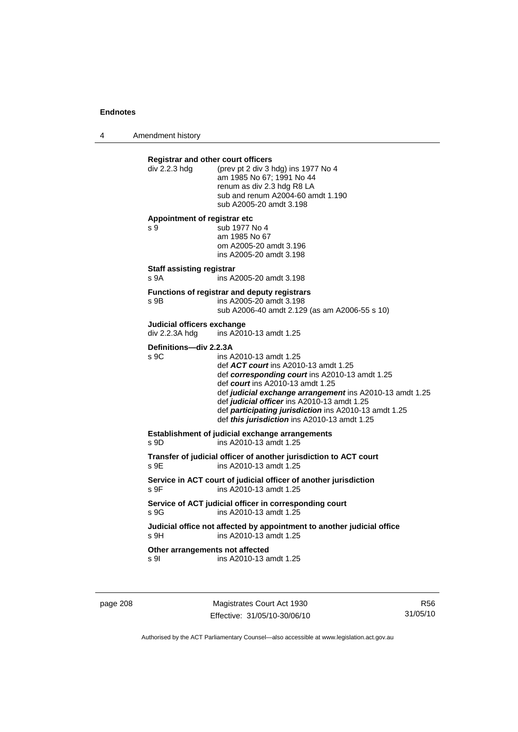4 Amendment history

| div 2.2.3 hdg                                | <b>Registrar and other court officers</b><br>(prev pt 2 div 3 hdg) ins 1977 No 4<br>am 1985 No 67; 1991 No 44<br>renum as div 2.3 hdg R8 LA<br>sub and renum A2004-60 amdt 1.190<br>sub A2005-20 amdt 3.198                                                                                                                                                              |
|----------------------------------------------|--------------------------------------------------------------------------------------------------------------------------------------------------------------------------------------------------------------------------------------------------------------------------------------------------------------------------------------------------------------------------|
| Appointment of registrar etc<br>s 9          | sub 1977 No 4<br>am 1985 No 67<br>om A2005-20 amdt 3.196<br>ins A2005-20 amdt 3.198                                                                                                                                                                                                                                                                                      |
| <b>Staff assisting registrar</b><br>s 9A     | ins A2005-20 amdt 3.198                                                                                                                                                                                                                                                                                                                                                  |
| s 9B                                         | Functions of registrar and deputy registrars<br>ins A2005-20 amdt 3.198<br>sub A2006-40 amdt 2.129 (as am A2006-55 s 10)                                                                                                                                                                                                                                                 |
| Judicial officers exchange<br>div 2.2.3A hdg | ins A2010-13 amdt 1.25                                                                                                                                                                                                                                                                                                                                                   |
| Definitions-div 2.2.3A<br>S <sub>9C</sub>    | ins A2010-13 amdt 1.25<br>def ACT court ins A2010-13 amdt 1.25<br>def corresponding court ins A2010-13 amdt 1.25<br>def court ins A2010-13 amdt 1.25<br>def judicial exchange arrangement ins A2010-13 amdt 1.25<br>def judicial officer ins A2010-13 amdt 1.25<br>def participating jurisdiction ins A2010-13 amdt 1.25<br>def this jurisdiction ins A2010-13 amdt 1.25 |
| s 9D                                         | Establishment of judicial exchange arrangements<br>ins A2010-13 amdt 1.25                                                                                                                                                                                                                                                                                                |
| s 9E                                         | Transfer of judicial officer of another jurisdiction to ACT court<br>ins A2010-13 amdt 1.25                                                                                                                                                                                                                                                                              |
| s 9F                                         | Service in ACT court of judicial officer of another jurisdiction<br>ins A2010-13 amdt 1.25                                                                                                                                                                                                                                                                               |
| s 9G                                         | Service of ACT judicial officer in corresponding court<br>ins A2010-13 amdt 1.25                                                                                                                                                                                                                                                                                         |
| s 9H                                         | Judicial office not affected by appointment to another judicial office<br>ins A2010-13 amdt 1.25                                                                                                                                                                                                                                                                         |
|                                              | Other arrangements not affected<br>ins A2010-13 amdt 1.25                                                                                                                                                                                                                                                                                                                |

page 208 Magistrates Court Act 1930 Effective: 31/05/10-30/06/10

R56 31/05/10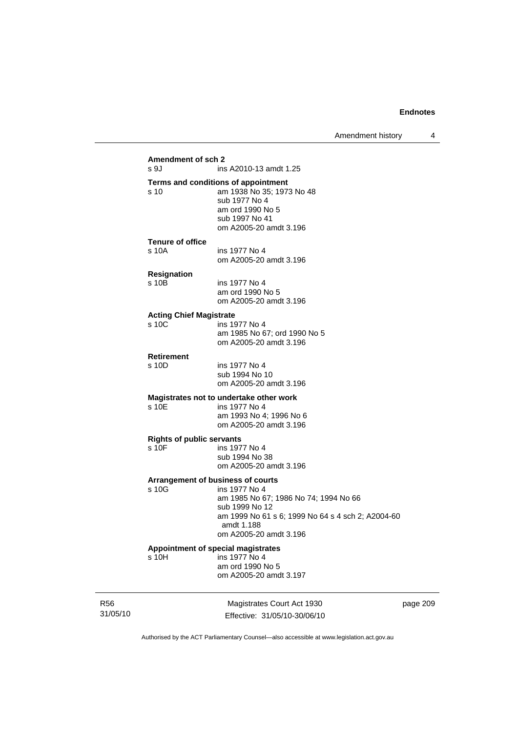| s 9J                                      | ins A2010-13 amdt 1.25                                  |
|-------------------------------------------|---------------------------------------------------------|
|                                           | Terms and conditions of appointment                     |
| s 10                                      | am 1938 No 35; 1973 No 48                               |
|                                           | sub 1977 No 4                                           |
|                                           | am ord 1990 No 5                                        |
|                                           | sub 1997 No 41                                          |
|                                           | om A2005-20 amdt 3.196                                  |
| <b>Tenure of office</b>                   |                                                         |
| s 10A                                     | ins 1977 No 4                                           |
|                                           | om A2005-20 amdt 3.196                                  |
| <b>Resignation</b>                        |                                                         |
| s 10B                                     | ins 1977 No 4                                           |
|                                           | am ord 1990 No 5                                        |
|                                           | om A2005-20 amdt 3.196                                  |
| <b>Acting Chief Magistrate</b>            |                                                         |
| s 10C                                     | ins 1977 No 4                                           |
|                                           | am 1985 No 67; ord 1990 No 5                            |
|                                           | om A2005-20 amdt 3.196                                  |
| <b>Retirement</b>                         |                                                         |
| s 10D                                     | ins 1977 No 4                                           |
|                                           | sub 1994 No 10                                          |
|                                           | om A2005-20 amdt 3.196                                  |
|                                           | Magistrates not to undertake other work                 |
| s 10E                                     | ins 1977 No 4                                           |
|                                           | am 1993 No 4; 1996 No 6                                 |
|                                           | om A2005-20 amdt 3.196                                  |
|                                           |                                                         |
| <b>Rights of public servants</b><br>s 10F | ins 1977 No 4                                           |
|                                           | sub 1994 No 38                                          |
|                                           | om A2005-20 amdt 3.196                                  |
|                                           |                                                         |
|                                           | Arrangement of business of courts<br>ins 1977 No 4      |
| s 10G                                     |                                                         |
|                                           | am 1985 No 67; 1986 No 74; 1994 No 66<br>sub 1999 No 12 |
|                                           | am 1999 No 61 s 6; 1999 No 64 s 4 sch 2; A2004-60       |
|                                           | amdt 1.188                                              |
|                                           | om A2005-20 amdt 3.196                                  |
|                                           | Appointment of special magistrates                      |
| s 10H                                     | ins 1977 No 4                                           |
|                                           | am ord 1990 No 5                                        |
|                                           | om A2005-20 amdt 3.197                                  |

R56 31/05/10

Magistrates Court Act 1930 Effective: 31/05/10-30/06/10 page 209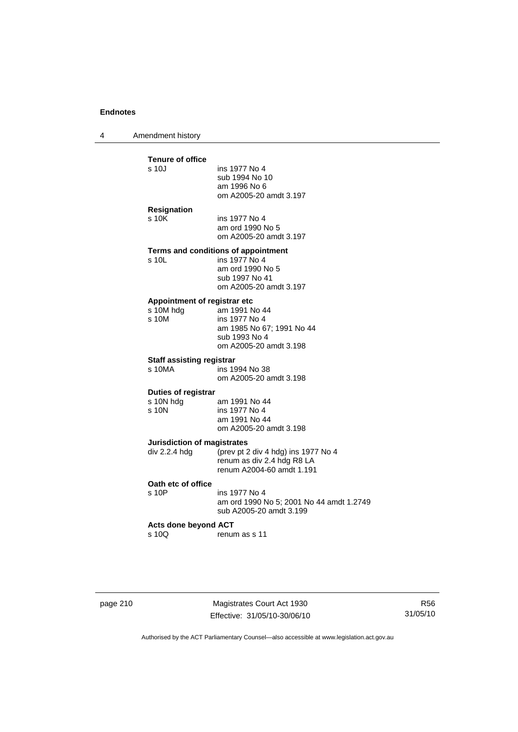4 Amendment history

| Resignation<br>s <sub>10K</sub><br>ins 1977 No 4<br>am ord 1990 No 5<br>om A2005-20 amdt 3.197<br>Terms and conditions of appointment<br>ins 1977 No 4<br>$s$ 10L<br>am ord 1990 No 5<br>sub 1997 No 41<br>om A2005-20 amdt 3.197<br>Appointment of registrar etc<br>s 10M hdg<br>am 1991 No 44<br>s <sub>10M</sub><br>ins 1977 No 4<br>am 1985 No 67; 1991 No 44<br>sub 1993 No 4<br>om A2005-20 amdt 3.198<br><b>Staff assisting registrar</b><br>s 10MA<br>ins 1994 No 38<br>om A2005-20 amdt 3.198<br><b>Duties of registrar</b><br>s 10N hdg<br>am 1991 No 44<br>s 10N<br>ins 1977 No 4<br>am 1991 No 44<br>om A2005-20 amdt 3.198<br>Jurisdiction of magistrates<br>div $2.2.4$ hdg<br>(prev pt 2 div 4 hdg) ins 1977 No 4<br>renum as div 2.4 hdg R8 LA<br>renum A2004-60 amdt 1.191<br>Oath etc of office<br>s 10P<br>ins 1977 No 4<br>sub A2005-20 amdt 3.199<br><b>Acts done beyond ACT</b><br>s 10Q<br>renum as s 11 | <b>Tenure of office</b><br>s 10J | ins 1977 No 4<br>sub 1994 No 10<br>am 1996 No 6<br>om A2005-20 amdt 3.197 |
|---------------------------------------------------------------------------------------------------------------------------------------------------------------------------------------------------------------------------------------------------------------------------------------------------------------------------------------------------------------------------------------------------------------------------------------------------------------------------------------------------------------------------------------------------------------------------------------------------------------------------------------------------------------------------------------------------------------------------------------------------------------------------------------------------------------------------------------------------------------------------------------------------------------------------------|----------------------------------|---------------------------------------------------------------------------|
|                                                                                                                                                                                                                                                                                                                                                                                                                                                                                                                                                                                                                                                                                                                                                                                                                                                                                                                                 |                                  |                                                                           |
|                                                                                                                                                                                                                                                                                                                                                                                                                                                                                                                                                                                                                                                                                                                                                                                                                                                                                                                                 |                                  |                                                                           |
|                                                                                                                                                                                                                                                                                                                                                                                                                                                                                                                                                                                                                                                                                                                                                                                                                                                                                                                                 |                                  |                                                                           |
|                                                                                                                                                                                                                                                                                                                                                                                                                                                                                                                                                                                                                                                                                                                                                                                                                                                                                                                                 |                                  |                                                                           |
|                                                                                                                                                                                                                                                                                                                                                                                                                                                                                                                                                                                                                                                                                                                                                                                                                                                                                                                                 |                                  |                                                                           |
|                                                                                                                                                                                                                                                                                                                                                                                                                                                                                                                                                                                                                                                                                                                                                                                                                                                                                                                                 |                                  |                                                                           |
|                                                                                                                                                                                                                                                                                                                                                                                                                                                                                                                                                                                                                                                                                                                                                                                                                                                                                                                                 |                                  | am ord 1990 No 5; 2001 No 44 amdt 1.2749                                  |
|                                                                                                                                                                                                                                                                                                                                                                                                                                                                                                                                                                                                                                                                                                                                                                                                                                                                                                                                 |                                  |                                                                           |

|  | page 210 |  |  |
|--|----------|--|--|
|--|----------|--|--|

page 210 Magistrates Court Act 1930 Effective: 31/05/10-30/06/10

R56 31/05/10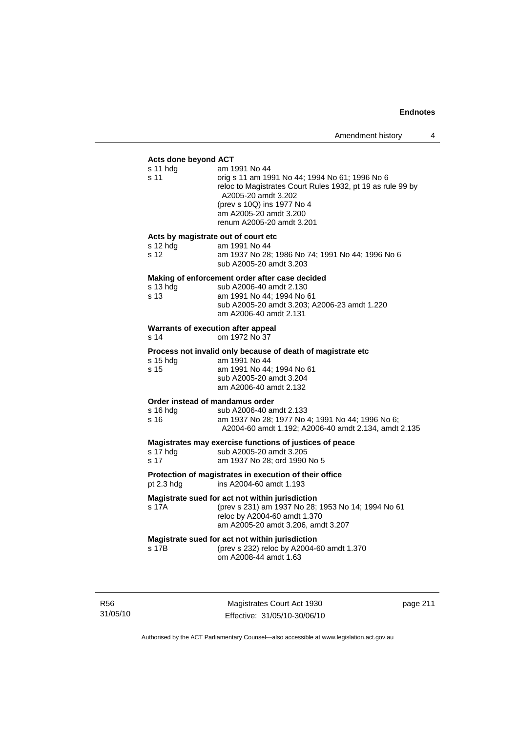#### **Acts done beyond ACT**

| am 1991 No 44<br>orig s 11 am 1991 No 44; 1994 No 61; 1996 No 6<br>reloc to Magistrates Court Rules 1932, pt 19 as rule 99 by<br>A2005-20 amdt 3.202<br>(prev s 10Q) ins 1977 No 4<br>am A2005-20 amdt 3.200<br>renum A2005-20 amdt 3.201 |
|-------------------------------------------------------------------------------------------------------------------------------------------------------------------------------------------------------------------------------------------|
| Acts by magistrate out of court etc<br>am 1991 No 44<br>am 1937 No 28; 1986 No 74; 1991 No 44; 1996 No 6<br>sub A2005-20 amdt 3.203                                                                                                       |
| Making of enforcement order after case decided<br>sub A2006-40 amdt 2.130<br>am 1991 No 44; 1994 No 61<br>sub A2005-20 amdt 3.203; A2006-23 amdt 1.220<br>am A2006-40 amdt 2.131                                                          |
| Warrants of execution after appeal<br>om 1972 No 37                                                                                                                                                                                       |
| Process not invalid only because of death of magistrate etc<br>am 1991 No 44<br>am 1991 No 44; 1994 No 61<br>sub A2005-20 amdt 3.204<br>am A2006-40 amdt 2.132                                                                            |
| Order instead of mandamus order<br>sub A2006-40 amdt 2.133<br>am 1937 No 28; 1977 No 4; 1991 No 44; 1996 No 6;<br>A2004-60 amdt 1.192; A2006-40 amdt 2.134, amdt 2.135                                                                    |
| Magistrates may exercise functions of justices of peace<br>sub A2005-20 amdt 3.205<br>am 1937 No 28; ord 1990 No 5                                                                                                                        |
| Protection of magistrates in execution of their office<br>ins A2004-60 amdt 1.193                                                                                                                                                         |
| Magistrate sued for act not within jurisdiction<br>(prev s 231) am 1937 No 28; 1953 No 14; 1994 No 61<br>reloc by A2004-60 amdt 1.370<br>am A2005-20 amdt 3.206, amdt 3.207                                                               |
| Magistrate sued for act not within jurisdiction<br>(prev s 232) reloc by A2004-60 amdt 1.370<br>om A2008-44 amdt 1.63                                                                                                                     |
|                                                                                                                                                                                                                                           |

R56 31/05/10

Magistrates Court Act 1930 Effective: 31/05/10-30/06/10 page 211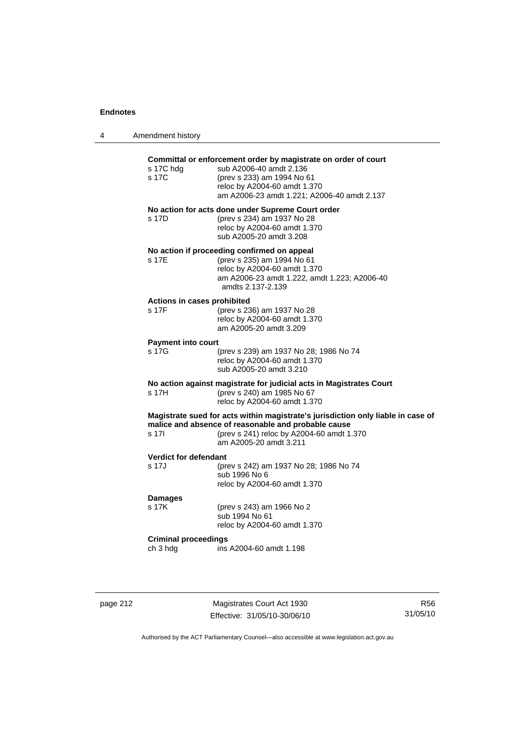| 4 | Amendment history                       |                                                                                                                                                                                                                |
|---|-----------------------------------------|----------------------------------------------------------------------------------------------------------------------------------------------------------------------------------------------------------------|
|   | s 17C hdg<br>s 17C                      | Committal or enforcement order by magistrate on order of court<br>sub A2006-40 amdt 2.136<br>(prev s 233) am 1994 No 61<br>reloc by A2004-60 amdt 1.370<br>am A2006-23 amdt 1.221; A2006-40 amdt 2.137         |
|   | s 17D                                   | No action for acts done under Supreme Court order<br>(prev s 234) am 1937 No 28<br>reloc by A2004-60 amdt 1.370<br>sub A2005-20 amdt 3.208                                                                     |
|   | s 17E                                   | No action if proceeding confirmed on appeal<br>(prev s 235) am 1994 No 61<br>reloc by A2004-60 amdt 1.370<br>am A2006-23 amdt 1.222, amdt 1.223; A2006-40<br>amdts 2.137-2.139                                 |
|   | Actions in cases prohibited<br>s 17F    | (prev s 236) am 1937 No 28<br>reloc by A2004-60 amdt 1.370<br>am A2005-20 amdt 3.209                                                                                                                           |
|   | Payment into court<br>s 17G             | (prev s 239) am 1937 No 28; 1986 No 74<br>reloc by A2004-60 amdt 1.370<br>sub A2005-20 amdt 3.210                                                                                                              |
|   | s 17H                                   | No action against magistrate for judicial acts in Magistrates Court<br>(prev s 240) am 1985 No 67<br>reloc by A2004-60 amdt 1.370                                                                              |
|   | s 17l                                   | Magistrate sued for acts within magistrate's jurisdiction only liable in case of<br>malice and absence of reasonable and probable cause<br>(prev s 241) reloc by A2004-60 amdt 1.370<br>am A2005-20 amdt 3.211 |
|   | <b>Verdict for defendant</b><br>s 17J   | (prev s 242) am 1937 No 28; 1986 No 74<br>sub 1996 No 6<br>reloc by A2004-60 amdt 1.370                                                                                                                        |
|   | <b>Damages</b><br>s 17K                 | (prev s 243) am 1966 No 2<br>sub 1994 No 61<br>reloc by A2004-60 amdt 1.370                                                                                                                                    |
|   | <b>Criminal proceedings</b><br>ch 3 hdg | ins A2004-60 amdt 1.198                                                                                                                                                                                        |

page 212 Magistrates Court Act 1930 Effective: 31/05/10-30/06/10

R56 31/05/10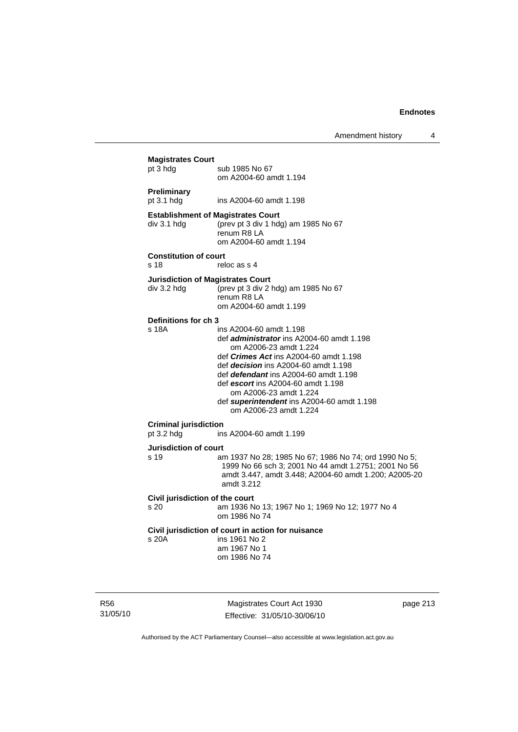Amendment history 4

| <b>Magistrates Court</b><br>pt 3 hdg       | sub 1985 No 67<br>om A2004-60 amdt 1.194                                                                                                                                                                                                                                                                                                                                               |
|--------------------------------------------|----------------------------------------------------------------------------------------------------------------------------------------------------------------------------------------------------------------------------------------------------------------------------------------------------------------------------------------------------------------------------------------|
| Preliminary<br>pt 3.1 hdg                  | ins A2004-60 amdt 1.198                                                                                                                                                                                                                                                                                                                                                                |
| div 3.1 hdg                                | <b>Establishment of Magistrates Court</b><br>(prev pt 3 div 1 hdg) am 1985 No 67<br>renum R8 LA<br>om A2004-60 amdt 1.194                                                                                                                                                                                                                                                              |
| <b>Constitution of court</b><br>s 18       | reloc as s 4                                                                                                                                                                                                                                                                                                                                                                           |
| div 3.2 hdg                                | <b>Jurisdiction of Magistrates Court</b><br>(prev pt 3 div 2 hdg) am 1985 No 67<br>renum R8 LA<br>om A2004-60 amdt 1.199                                                                                                                                                                                                                                                               |
| Definitions for ch 3<br>s 18A              | ins A2004-60 amdt 1.198<br>def administrator ins A2004-60 amdt 1.198<br>om A2006-23 amdt 1.224<br>def <i>Crimes Act</i> ins A2004-60 amdt 1.198<br>def <i>decision</i> ins A2004-60 amdt 1.198<br>def <i>defendant</i> ins A2004-60 amdt 1.198<br>def escort ins A2004-60 amdt 1.198<br>om A2006-23 amdt 1.224<br>def superintendent ins A2004-60 amdt 1.198<br>om A2006-23 amdt 1.224 |
| <b>Criminal jurisdiction</b><br>pt 3.2 hdg | ins A2004-60 amdt 1.199                                                                                                                                                                                                                                                                                                                                                                |
| Jurisdiction of court<br>s <sub>19</sub>   | am 1937 No 28; 1985 No 67; 1986 No 74; ord 1990 No 5;<br>1999 No 66 sch 3; 2001 No 44 amdt 1.2751; 2001 No 56<br>amdt 3.447, amdt 3.448; A2004-60 amdt 1.200; A2005-20<br>amdt 3.212                                                                                                                                                                                                   |
| Civil jurisdiction of the court<br>s 20    | am 1936 No 13; 1967 No 1; 1969 No 12; 1977 No 4<br>om 1986 No 74                                                                                                                                                                                                                                                                                                                       |
| s 20A                                      | Civil jurisdiction of court in action for nuisance<br>ins 1961 No 2<br>am 1967 No 1<br>om 1986 No 74                                                                                                                                                                                                                                                                                   |

R56 31/05/10

Magistrates Court Act 1930 Effective: 31/05/10-30/06/10 page 213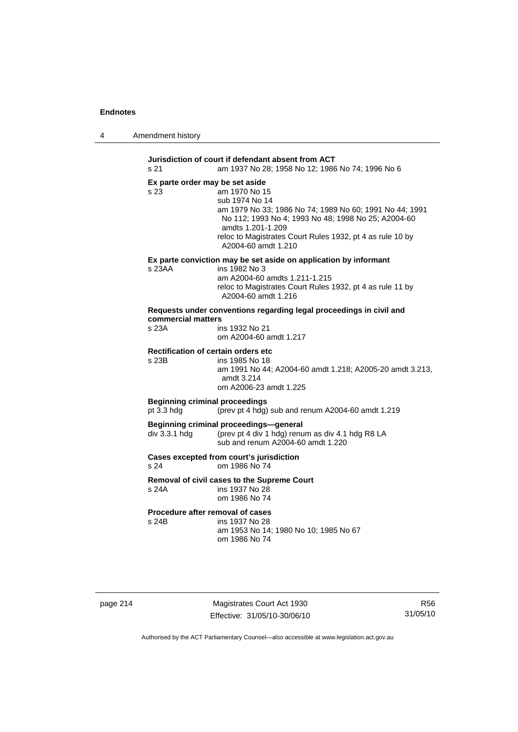| 4 | Amendment history |
|---|-------------------|
|---|-------------------|

**Jurisdiction of court if defendant absent from ACT**  s 21 am 1937 No 28; 1958 No 12; 1986 No 74; 1996 No 6 **Ex parte order may be set aside**  s 23 am 1970 No 15 sub 1974 No 14 am 1979 No 33; 1986 No 74; 1989 No 60; 1991 No 44; 1991 No 112; 1993 No 4; 1993 No 48; 1998 No 25; A2004-60 amdts 1.201-1.209 reloc to Magistrates Court Rules 1932, pt 4 as rule 10 by A2004-60 amdt 1.210 **Ex parte conviction may be set aside on application by informant**  s 23AA ins 1982 No 3 am A2004-60 amdts 1.211-1.215 reloc to Magistrates Court Rules 1932, pt 4 as rule 11 by A2004-60 amdt 1.216 **Requests under conventions regarding legal proceedings in civil and commercial matters**  s 23A ins 1932 No 21 om A2004-60 amdt 1.217 **Rectification of certain orders etc**  s 23B ins 1985 No 18 am 1991 No 44; A2004-60 amdt 1.218; A2005-20 amdt 3.213, amdt 3.214 om A2006-23 amdt 1.225 **Beginning criminal proceedings**  pt 3.3 hdg (prev pt 4 hdg) sub and renum A2004-60 amdt 1.219 **Beginning criminal proceedings—general**  div 3.3.1 hdg (prev pt 4 div 1 hdg) renum as div 4.1 hdg R8 LA sub and renum A2004-60 amdt 1.220 **Cases excepted from court's jurisdiction**  s 24 om 1986 No 74 **Removal of civil cases to the Supreme Court**  s 24A ins 1937 No 28 om 1986 No 74 **Procedure after removal of cases**  s 24B ins 1937 No 28 am 1953 No 14; 1980 No 10; 1985 No 67 om 1986 No 74

page 214 Magistrates Court Act 1930 Effective: 31/05/10-30/06/10

R56 31/05/10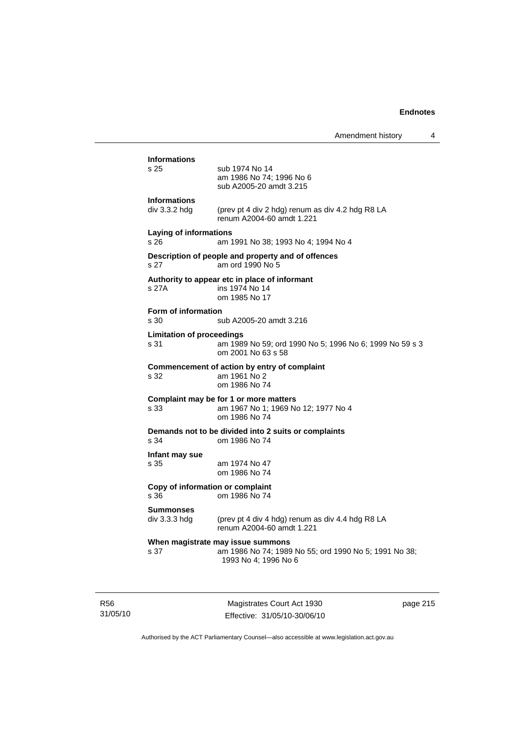|                                          | Amendment history                                                                                                  | 4 |
|------------------------------------------|--------------------------------------------------------------------------------------------------------------------|---|
| <b>Informations</b><br>s 25              | sub 1974 No 14<br>am 1986 No 74; 1996 No 6<br>sub A2005-20 amdt 3.215                                              |   |
| <b>Informations</b><br>div 3.3.2 hdg     | (prev pt 4 div 2 hdg) renum as div 4.2 hdg R8 LA<br>renum A2004-60 amdt 1.221                                      |   |
| Laying of informations<br>s 26           | am 1991 No 38; 1993 No 4; 1994 No 4                                                                                |   |
| s 27                                     | Description of people and property and of offences<br>am ord 1990 No 5                                             |   |
| s 27A                                    | Authority to appear etc in place of informant<br>ins 1974 No 14<br>om 1985 No 17                                   |   |
| <b>Form of information</b><br>s 30       | sub A2005-20 amdt 3.216                                                                                            |   |
| <b>Limitation of proceedings</b><br>s 31 | am 1989 No 59; ord 1990 No 5; 1996 No 6; 1999 No 59 s 3<br>om 2001 No 63 s 58                                      |   |
| s 32                                     | Commencement of action by entry of complaint<br>am 1961 No 2<br>om 1986 No 74                                      |   |
| s 33                                     | Complaint may be for 1 or more matters<br>am 1967 No 1; 1969 No 12; 1977 No 4<br>om 1986 No 74                     |   |
| s 34                                     | Demands not to be divided into 2 suits or complaints<br>om 1986 No 74                                              |   |
| Infant may sue<br>s 35                   | am 1974 No 47<br>om 1986 No 74                                                                                     |   |
| Copy of information or complaint<br>s 36 | om 1986 No 74                                                                                                      |   |
| <b>Summonses</b><br>$div$ 3.3.3 hdg      | (prev pt 4 div 4 hdg) renum as div 4.4 hdg R8 LA<br>renum A2004-60 amdt 1.221                                      |   |
| s 37                                     | When magistrate may issue summons<br>am 1986 No 74; 1989 No 55; ord 1990 No 5; 1991 No 38;<br>1993 No 4; 1996 No 6 |   |

R56 31/05/10

Magistrates Court Act 1930 Effective: 31/05/10-30/06/10 page 215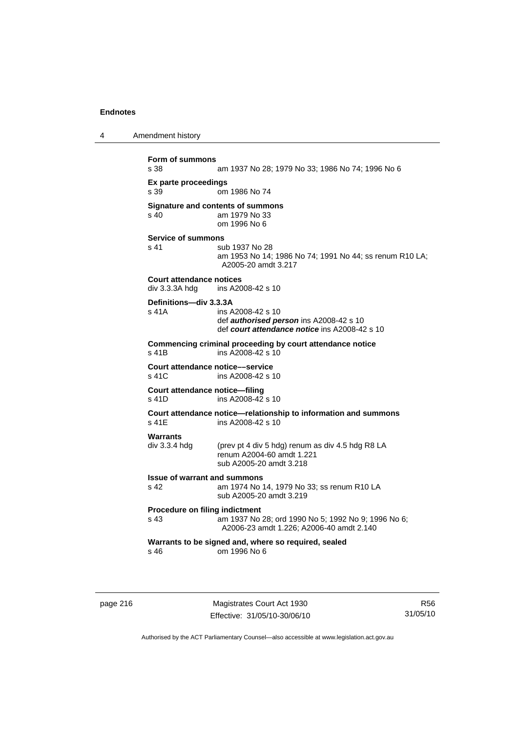4 Amendment history

```
Form of summons 
                  am 1937 No 28; 1979 No 33; 1986 No 74; 1996 No 6
Ex parte proceedings 
                 om 1986 No 74
Signature and contents of summons<br>s 40 am 1979 No 33
                 am 1979 No 33
                   om 1996 No 6 
Service of summons 
s 41 sub 1937 No 28
                   am 1953 No 14; 1986 No 74; 1991 No 44; ss renum R10 LA; 
                  A2005-20 amdt 3.217 
Court attendance notices 
div 3.3.3A hdg ins A2008-42 s 10 
Definitions—div 3.3.3A 
s 41A ins A2008-42 s 10 
                  def authorised person ins A2008-42 s 10 
                   def court attendance notice ins A2008-42 s 10 
Commencing criminal proceeding by court attendance notice 
s 41B ins A2008-42 s 10
Court attendance notice—service<br>s 41C ins A2008-42 s
                  ins A2008-42 s 10
Court attendance notice—filing 
s 41D ins A2008-42 s 10 
Court attendance notice—relationship to information and summons 
                  ins A2008-42 s 10
Warrants 
div 3.3.4 hdg (prev pt 4 div 5 hdg) renum as div 4.5 hdg R8 LA 
                   renum A2004-60 amdt 1.221 
                   sub A2005-20 amdt 3.218 
Issue of warrant and summons 
s 42 am 1974 No 14, 1979 No 33; ss renum R10 LA 
                  sub A2005-20 amdt 3.219 
Procedure on filing indictment 
s 43 am 1937 No 28; ord 1990 No 5; 1992 No 9; 1996 No 6; 
                  A2006-23 amdt 1.226; A2006-40 amdt 2.140 
Warrants to be signed and, where so required, sealed 
s 46 om 1996 No 6
```
page 216 Magistrates Court Act 1930 Effective: 31/05/10-30/06/10

R56 31/05/10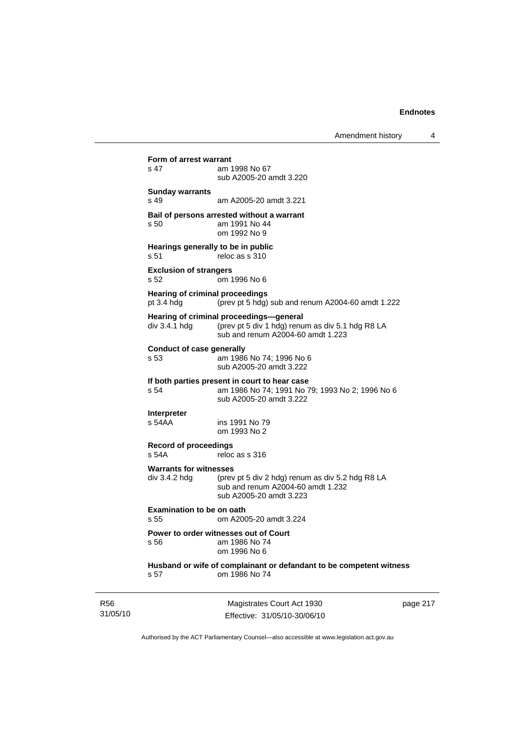| <b>R56</b><br>31/05/10 |                                                        | Magistrates Court Act 1930<br>Effective: 31/05/10-30/06/10                                                                       | рa |
|------------------------|--------------------------------------------------------|----------------------------------------------------------------------------------------------------------------------------------|----|
|                        | s 57                                                   | Husband or wife of complainant or defandant to be competent witness<br>om 1986 No 74                                             |    |
|                        | s 56                                                   | Power to order witnesses out of Court<br>am 1986 No 74<br>om 1996 No 6                                                           |    |
|                        | <b>Examination to be on oath</b><br>s.55               | om A2005-20 amdt 3.224                                                                                                           |    |
|                        | <b>Warrants for witnesses</b><br>div 3.4.2 hdg         | (prev pt 5 div 2 hdg) renum as div 5.2 hdg R8 LA<br>sub and renum A2004-60 amdt 1.232<br>sub A2005-20 amdt 3.223                 |    |
|                        | <b>Record of proceedings</b><br>s 54A                  | reloc as s 316                                                                                                                   |    |
|                        | <b>Interpreter</b><br>s 54AA                           | ins 1991 No 79<br>om 1993 No 2                                                                                                   |    |
|                        | s 54                                                   | If both parties present in court to hear case<br>am 1986 No 74; 1991 No 79; 1993 No 2; 1996 No 6<br>sub A2005-20 amdt 3.222      |    |
|                        | <b>Conduct of case generally</b><br>s 53               | am 1986 No 74; 1996 No 6<br>sub A2005-20 amdt 3.222                                                                              |    |
|                        | div 3.4.1 hdg                                          | Hearing of criminal proceedings-general<br>(prev pt 5 div 1 hdg) renum as div 5.1 hdg R8 LA<br>sub and renum A2004-60 amdt 1.223 |    |
|                        | <b>Hearing of criminal proceedings</b><br>pt $3.4$ hdg | (prev pt 5 hdg) sub and renum A2004-60 amdt 1.222                                                                                |    |
|                        | <b>Exclusion of strangers</b><br>s 52                  | om 1996 No 6                                                                                                                     |    |
|                        | Hearings generally to be in public<br>s 51             | reloc as s 310                                                                                                                   |    |
|                        | s 50                                                   | Bail of persons arrested without a warrant<br>am 1991 No 44<br>om 1992 No 9                                                      |    |
|                        | <b>Sunday warrants</b><br>$s$ 49                       | am A2005-20 amdt 3.221                                                                                                           |    |
|                        | $s$ 47                                                 | am 1998 No 67<br>sub A2005-20 amdt 3.220                                                                                         |    |
|                        | Form of arrest warrant                                 |                                                                                                                                  |    |

page 217

Authorised by the ACT Parliamentary Counsel—also accessible at www.legislation.act.gov.au

Effective: 31/05/10-30/06/10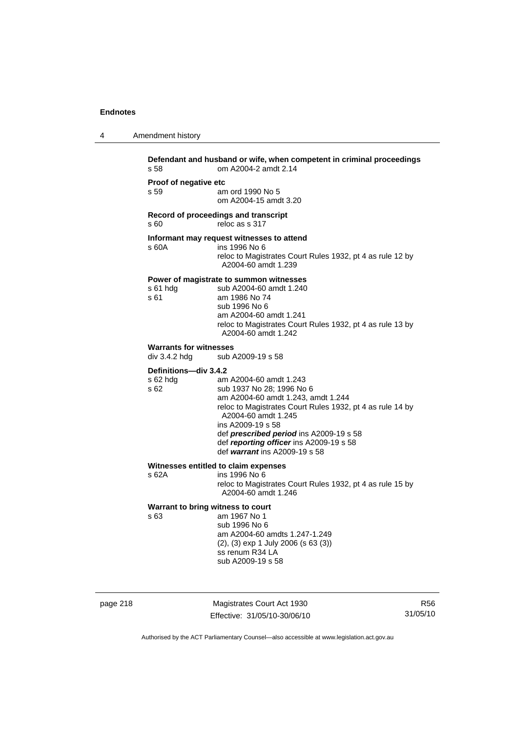4 Amendment history

| s 58                                           | om A2004-2 amdt 2.14                                                                              |
|------------------------------------------------|---------------------------------------------------------------------------------------------------|
| Proof of negative etc                          |                                                                                                   |
| s 59                                           | am ord 1990 No 5<br>om A2004-15 amdt 3.20                                                         |
| s60                                            | Record of proceedings and transcript<br>reloc as s 317                                            |
|                                                | Informant may request witnesses to attend                                                         |
| s 60A                                          | ins 1996 No 6<br>reloc to Magistrates Court Rules 1932, pt 4 as rule 12 by<br>A2004-60 amdt 1.239 |
|                                                | Power of magistrate to summon witnesses                                                           |
| s 61 hdg<br>s 61                               | sub A2004-60 amdt 1.240<br>am 1986 No 74                                                          |
|                                                | sub 1996 No 6                                                                                     |
|                                                | am A2004-60 amdt 1.241                                                                            |
|                                                | reloc to Magistrates Court Rules 1932, pt 4 as rule 13 by<br>A2004-60 amdt 1.242                  |
| <b>Warrants for witnesses</b><br>div 3.4.2 hdg | sub A2009-19 s 58                                                                                 |
| Definitions-div 3.4.2                          |                                                                                                   |
| s 62 hda                                       | am A2004-60 amdt 1.243                                                                            |
| s 62                                           | sub 1937 No 28; 1996 No 6                                                                         |
|                                                | am A2004-60 amdt 1.243, amdt 1.244<br>reloc to Magistrates Court Rules 1932, pt 4 as rule 14 by   |
|                                                | A2004-60 amdt 1.245                                                                               |
|                                                | ins A2009-19 s 58                                                                                 |
|                                                | def prescribed period ins A2009-19 s 58<br>def reporting officer ins A2009-19 s 58                |
|                                                | def warrant ins A2009-19 s 58                                                                     |
|                                                | Witnesses entitled to claim expenses                                                              |
| s 62A                                          | ins 1996 No 6<br>reloc to Magistrates Court Rules 1932, pt 4 as rule 15 by                        |
|                                                | A2004-60 amdt 1.246                                                                               |
| Warrant to bring witness to court              |                                                                                                   |
| s 63                                           | am 1967 No 1<br>sub 1996 No 6                                                                     |
|                                                | am A2004-60 amdts 1.247-1.249                                                                     |
|                                                | $(2)$ , $(3)$ exp 1 July 2006 (s 63 $(3)$ )                                                       |
|                                                | ss renum R34 LA<br>sub A2009-19 s 58                                                              |

page 218 Magistrates Court Act 1930 Effective: 31/05/10-30/06/10

R56 31/05/10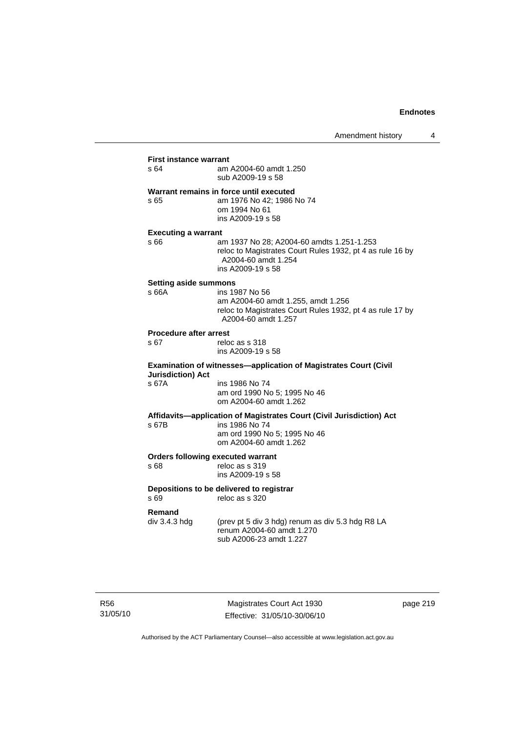## **First instance warrant**<br>s 64 am am A2004-60 amdt 1.250 sub A2009-19 s 58 **Warrant remains in force until executed**  s 65 am 1976 No 42; 1986 No 74 om 1994 No 61 ins A2009-19 s 58 **Executing a warrant**  s 66 am 1937 No 28; A2004-60 amdts 1.251-1.253 reloc to Magistrates Court Rules 1932, pt 4 as rule 16 by A2004-60 amdt 1.254 ins A2009-19 s 58 **Setting aside summons**  ins 1987 No 56 am A2004-60 amdt 1.255, amdt 1.256 reloc to Magistrates Court Rules 1932, pt 4 as rule 17 by A2004-60 amdt 1.257 **Procedure after arrest**  s 67 reloc as s 318 ins A2009-19 s 58 **Examination of witnesses—application of Magistrates Court (Civil Jurisdiction) Act**  s 67A ins 1986 No 74 am ord 1990 No 5; 1995 No 46 om A2004-60 amdt 1.262 **Affidavits—application of Magistrates Court (Civil Jurisdiction) Act**  ins 1986 No 74 am ord 1990 No 5; 1995 No 46 om A2004-60 amdt 1.262 **Orders following executed warrant**  s 68 reloc as s 319 ins A2009-19 s 58 **Depositions to be delivered to registrar**  s 69 reloc as s 320 **Remand**<br>div 3.4.3 hdg (prev pt 5 div 3 hdg) renum as div 5.3 hdg R8 LA renum A2004-60 amdt 1.270 sub A2006-23 amdt 1.227

R56 31/05/10

Magistrates Court Act 1930 Effective: 31/05/10-30/06/10 page 219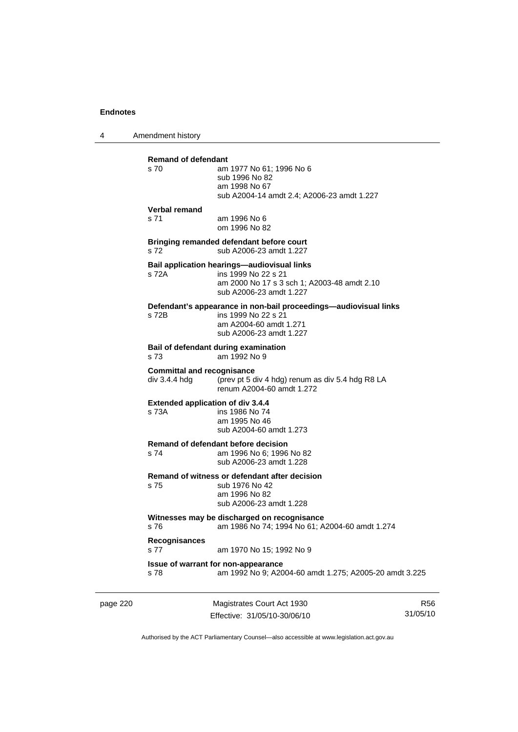4 Amendment history

| page 220 |                                                    | Magistrates Court Act 1930                                                                                                                   | R5 |
|----------|----------------------------------------------------|----------------------------------------------------------------------------------------------------------------------------------------------|----|
|          | s 78                                               | Issue of warrant for non-appearance<br>am 1992 No 9; A2004-60 amdt 1.275; A2005-20 amdt 3.225                                                |    |
|          | Recognisances<br>s 77                              | am 1970 No 15; 1992 No 9                                                                                                                     |    |
|          | s 76                                               | Witnesses may be discharged on recognisance<br>am 1986 No 74; 1994 No 61; A2004-60 amdt 1.274                                                |    |
|          | s 75                                               | Remand of witness or defendant after decision<br>sub 1976 No 42<br>am 1996 No 82<br>sub A2006-23 amdt 1.228                                  |    |
|          | s 74                                               | Remand of defendant before decision<br>am 1996 No 6; 1996 No 82<br>sub A2006-23 amdt 1.228                                                   |    |
|          | <b>Extended application of div 3.4.4</b><br>s 73A  | ins 1986 No 74<br>am 1995 No 46<br>sub A2004-60 amdt 1.273                                                                                   |    |
|          | <b>Committal and recognisance</b><br>div 3.4.4 hdq | (prev pt 5 div 4 hdg) renum as div 5.4 hdg R8 LA<br>renum A2004-60 amdt 1.272                                                                |    |
|          | s 73                                               | Bail of defendant during examination<br>am 1992 No 9                                                                                         |    |
|          | s 72B                                              | Defendant's appearance in non-bail proceedings—audiovisual links<br>ins 1999 No 22 s 21<br>am A2004-60 amdt 1.271<br>sub A2006-23 amdt 1.227 |    |
|          | s 72A                                              | Bail application hearings-audiovisual links<br>ins 1999 No 22 s 21<br>am 2000 No 17 s 3 sch 1; A2003-48 amdt 2.10<br>sub A2006-23 amdt 1.227 |    |
|          | s 72                                               | Bringing remanded defendant before court<br>sub A2006-23 amdt 1.227                                                                          |    |
|          | Verbal remand<br>s 71                              | am 1996 No 6<br>om 1996 No 82                                                                                                                |    |
|          | <b>Remand of defendant</b><br>s 70                 | am 1977 No 61; 1996 No 6<br>sub 1996 No 82<br>am 1998 No 67<br>sub A2004-14 amdt 2.4; A2006-23 amdt 1.227                                    |    |
|          |                                                    |                                                                                                                                              |    |

Effective: 31/05/10-30/06/10

R56 31/05/10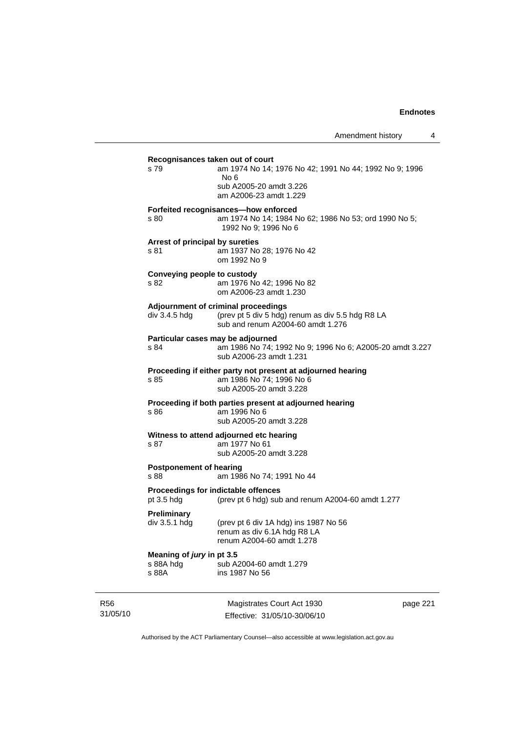| s 79               |                                     | Recognisances taken out of court<br>am 1974 No 14; 1976 No 42; 1991 No 44; 1992 No 9; 1996<br>No 6<br>sub A2005-20 amdt 3.226<br>am A2006-23 amdt 1.229 |
|--------------------|-------------------------------------|---------------------------------------------------------------------------------------------------------------------------------------------------------|
| s 80               |                                     | Forfeited recognisances-how enforced<br>am 1974 No 14; 1984 No 62; 1986 No 53; ord 1990 No 5;<br>1992 No 9; 1996 No 6                                   |
| s 81               |                                     | Arrest of principal by sureties<br>am 1937 No 28; 1976 No 42<br>om 1992 No 9                                                                            |
| s 82               | Conveying people to custody         | am 1976 No 42; 1996 No 82<br>om A2006-23 amdt 1.230                                                                                                     |
|                    | div 3.4.5 hdg                       | Adjournment of criminal proceedings<br>(prev pt 5 div 5 hdg) renum as div 5.5 hdg R8 LA<br>sub and renum A2004-60 amdt 1.276                            |
| s 84               |                                     | Particular cases may be adjourned<br>am 1986 No 74; 1992 No 9; 1996 No 6; A2005-20 amdt 3.227<br>sub A2006-23 amdt 1.231                                |
| s 85               |                                     | Proceeding if either party not present at adjourned hearing<br>am 1986 No 74; 1996 No 6<br>sub A2005-20 amdt 3.228                                      |
| s 86               |                                     | Proceeding if both parties present at adjourned hearing<br>am 1996 No 6<br>sub A2005-20 amdt 3.228                                                      |
| s 87               |                                     | Witness to attend adjourned etc hearing<br>am 1977 No 61<br>sub A2005-20 amdt 3.228                                                                     |
| s.88               | <b>Postponement of hearing</b>      | am 1986 No 74; 1991 No 44                                                                                                                               |
| pt $3.5$ hdg       |                                     | Proceedings for indictable offences<br>(prev pt 6 hdg) sub and renum A2004-60 amdt 1.277                                                                |
|                    | <b>Preliminary</b><br>div 3.5.1 hdg | (prev pt 6 div 1A hdg) ins 1987 No 56<br>renum as div 6.1A hdg R8 LA<br>renum A2004-60 amdt 1.278                                                       |
| s 88A hdg<br>s 88A | Meaning of <i>jury</i> in pt 3.5    | sub A2004-60 amdt 1.279<br>ins 1987 No 56                                                                                                               |

R56 31/05/10

Magistrates Court Act 1930 Effective: 31/05/10-30/06/10 page 221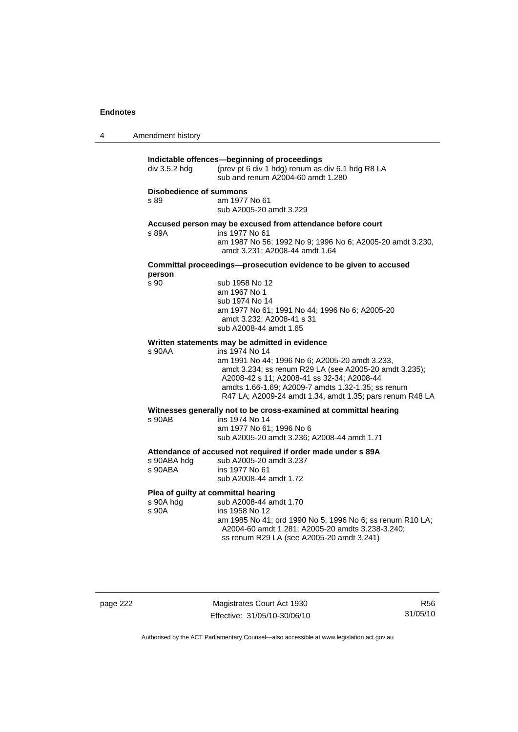| 4 | Amendment history |
|---|-------------------|
|---|-------------------|

| Indictable offences-beginning of proceedings |                                                                                                               |  |  |  |
|----------------------------------------------|---------------------------------------------------------------------------------------------------------------|--|--|--|
| div 3.5.2 hdg                                | (prev pt 6 div 1 hdg) renum as div 6.1 hdg R8 LA<br>sub and renum A2004-60 amdt 1.280                         |  |  |  |
| Disobedience of summons                      |                                                                                                               |  |  |  |
| s 89                                         | am 1977 No 61<br>sub A2005-20 amdt 3.229                                                                      |  |  |  |
|                                              |                                                                                                               |  |  |  |
| s 89A                                        | Accused person may be excused from attendance before court<br>ins 1977 No 61                                  |  |  |  |
|                                              | am 1987 No 56; 1992 No 9; 1996 No 6; A2005-20 amdt 3.230,<br>amdt 3.231; A2008-44 amdt 1.64                   |  |  |  |
| person                                       | Committal proceedings-prosecution evidence to be given to accused                                             |  |  |  |
| s 90                                         | sub 1958 No 12                                                                                                |  |  |  |
|                                              | am 1967 No 1<br>sub 1974 No 14                                                                                |  |  |  |
|                                              | am 1977 No 61; 1991 No 44; 1996 No 6; A2005-20                                                                |  |  |  |
|                                              | amdt 3.232; A2008-41 s 31                                                                                     |  |  |  |
|                                              | sub A2008-44 amdt 1.65                                                                                        |  |  |  |
|                                              | Written statements may be admitted in evidence                                                                |  |  |  |
| s 90AA                                       | ins 1974 No 14<br>am 1991 No 44; 1996 No 6; A2005-20 amdt 3.233,                                              |  |  |  |
|                                              | amdt 3.234; ss renum R29 LA (see A2005-20 amdt 3.235);                                                        |  |  |  |
|                                              | A2008-42 s 11; A2008-41 ss 32-34; A2008-44<br>amdts 1.66-1.69; A2009-7 amdts 1.32-1.35; ss renum              |  |  |  |
|                                              | R47 LA; A2009-24 amdt 1.34, amdt 1.35; pars renum R48 LA                                                      |  |  |  |
|                                              | Witnesses generally not to be cross-examined at committal hearing                                             |  |  |  |
| s 90AB                                       | ins 1974 No 14                                                                                                |  |  |  |
|                                              | am 1977 No 61; 1996 No 6<br>sub A2005-20 amdt 3.236; A2008-44 amdt 1.71                                       |  |  |  |
|                                              | Attendance of accused not required if order made under s 89A                                                  |  |  |  |
| s 90ABA hdg                                  | sub A2005-20 amdt 3.237                                                                                       |  |  |  |
| s 90ABA                                      | ins 1977 No 61<br>sub A2008-44 amdt 1.72                                                                      |  |  |  |
|                                              |                                                                                                               |  |  |  |
| s 90A hdg                                    | Plea of guilty at committal hearing<br>sub A2008-44 amdt 1.70                                                 |  |  |  |
| s 90A                                        | ins 1958 No 12                                                                                                |  |  |  |
|                                              | am 1985 No 41; ord 1990 No 5; 1996 No 6; ss renum R10 LA;<br>A2004-60 amdt 1.281; A2005-20 amdts 3.238-3.240; |  |  |  |
|                                              | ss renum R29 LA (see A2005-20 amdt 3.241)                                                                     |  |  |  |
|                                              |                                                                                                               |  |  |  |
|                                              |                                                                                                               |  |  |  |
|                                              |                                                                                                               |  |  |  |

page 222 Magistrates Court Act 1930 Effective: 31/05/10-30/06/10

R56 31/05/10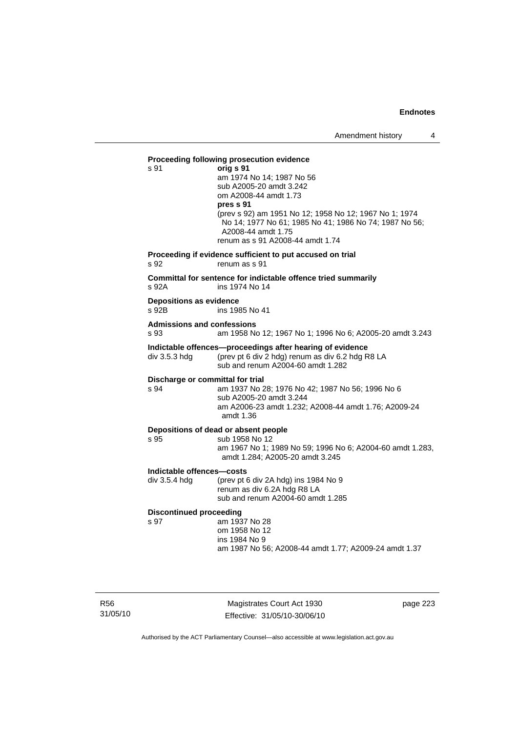#### **Proceeding following prosecution evidence**  s 91 **orig s 91**

 am 1974 No 14; 1987 No 56 sub A2005-20 amdt 3.242 om A2008-44 amdt 1.73 **pres s 91** (prev s 92) am 1951 No 12; 1958 No 12; 1967 No 1; 1974 No 14; 1977 No 61; 1985 No 41; 1986 No 74; 1987 No 56; A2008-44 amdt 1.75 renum as s 91 A2008-44 amdt 1.74

## **Proceeding if evidence sufficient to put accused on trial**

s 92 renum as s 91

**Committal for sentence for indictable offence tried summarily**  s 92A ins 1974 No 14

## **Depositions as evidence**

ins 1985 No 41

#### **Admissions and confessions**

s 93 am 1958 No 12; 1967 No 1; 1996 No 6; A2005-20 amdt 3.243

# **Indictable offences—proceedings after hearing of evidence**<br>div 3.5.3 hdg (prev pt 6 div 2 hdg) renum as div 6.2 hdg R

(prev pt 6 div 2 hdg) renum as div 6.2 hdg R8 LA sub and renum A2004-60 amdt 1.282

#### **Discharge or committal for trial**

s 94 am 1937 No 28; 1976 No 42; 1987 No 56; 1996 No 6 sub A2005-20 amdt 3.244 am A2006-23 amdt 1.232; A2008-44 amdt 1.76; A2009-24 amdt 1.36

#### **Depositions of dead or absent people**

s 95 sub 1958 No 12 am 1967 No 1; 1989 No 59; 1996 No 6; A2004-60 amdt 1.283, amdt 1.284; A2005-20 amdt 3.245

#### **Indictable offences—costs**

div 3.5.4 hdg (prev pt 6 div 2A hdg) ins 1984 No 9 renum as div 6.2A hdg R8 LA sub and renum A2004-60 amdt 1.285

#### **Discontinued proceeding**

s 97 **am 1937** No 28 om 1958 No 12 ins 1984 No 9

am 1987 No 56; A2008-44 amdt 1.77; A2009-24 amdt 1.37

R56 31/05/10

Magistrates Court Act 1930 Effective: 31/05/10-30/06/10 page 223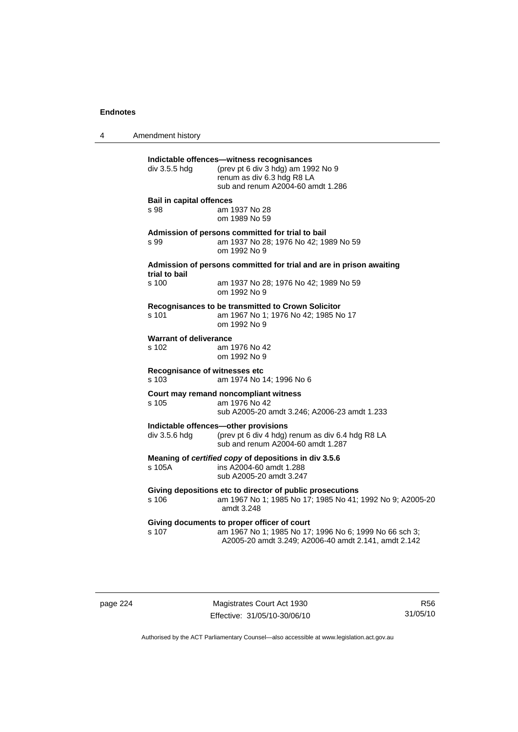4 Amendment history **Indictable offences—witness recognisances**  div 3.5.5 hdg (prev pt 6 div 3 hdg) am 1992 No 9 renum as div 6.3 hdg R8 LA sub and renum A2004-60 amdt 1.286 **Bail in capital offences**  s 98 am 1937 No 28 om 1989 No 59 **Admission of persons committed for trial to bail**  s 99 am 1937 No 28; 1976 No 42; 1989 No 59 om 1992 No 9 **Admission of persons committed for trial and are in prison awaiting trial to bail**  am 1937 No 28; 1976 No 42; 1989 No 59 om 1992 No 9 **Recognisances to be transmitted to Crown Solicitor**  s 101 am 1967 No 1; 1976 No 42; 1985 No 17 om 1992 No 9 **Warrant of deliverance**<br>**s** 102 **am** 1 am 1976 No 42 om 1992 No 9 **Recognisance of witnesses etc**  s 103 am 1974 No 14; 1996 No 6 **Court may remand noncompliant witness**  s 105 am 1976 No 42 sub A2005-20 amdt 3.246; A2006-23 amdt 1.233 **Indictable offences—other provisions**<br>div 3.5.6 hdg (prev pt 6 div 4 hdg) (prev pt 6 div 4 hdg) renum as div 6.4 hdg R8 LA sub and renum A2004-60 amdt 1.287 **Meaning of** *certified copy* **of depositions in div 3.5.6**  s 105A ins A2004-60 amdt 1.288 sub A2005-20 amdt 3.247 **Giving depositions etc to director of public prosecutions**  s 106 am 1967 No 1; 1985 No 17; 1985 No 41; 1992 No 9; A2005-20 amdt 3.248 **Giving documents to proper officer of court**  s 107 am 1967 No 1; 1985 No 17; 1996 No 6; 1999 No 66 sch 3; A2005-20 amdt 3.249; A2006-40 amdt 2.141, amdt 2.142

page 224 Magistrates Court Act 1930 Effective: 31/05/10-30/06/10

R56 31/05/10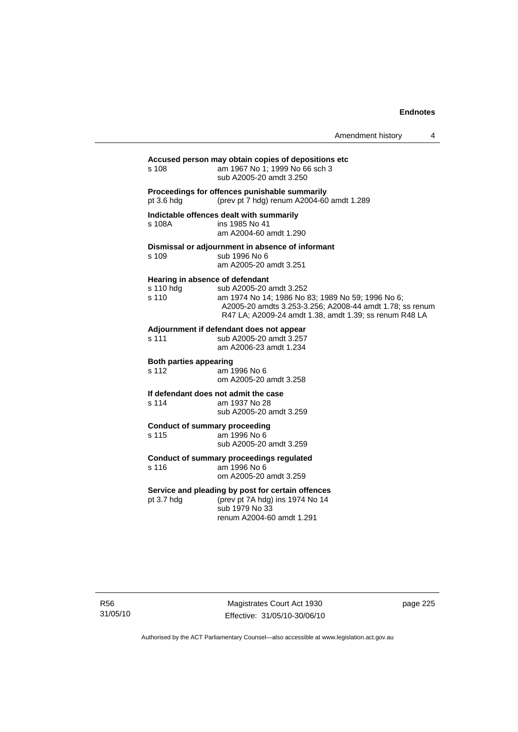## **Accused person may obtain copies of depositions etc**

am 1967 No 1; 1999 No 66 sch 3 sub A2005-20 amdt 3.250

#### **Proceedings for offences punishable summarily**

pt 3.6 hdg (prev pt 7 hdg) renum A2004-60 amdt 1.289

#### **Indictable offences dealt with summarily**

s 108A ins 1985 No 41 am A2004-60 amdt 1.290

### **Dismissal or adjournment in absence of informant**

s 109 sub 1996 No 6 am A2005-20 amdt 3.251

### **Hearing in absence of defendant**

| s 110 hdq | sub A2005-20 amdt 3.252                                  |
|-----------|----------------------------------------------------------|
| s 110     | am 1974 No 14; 1986 No 83; 1989 No 59; 1996 No 6;        |
|           | A2005-20 amdts 3.253-3.256; A2008-44 amdt 1.78; ss renum |
|           | R47 LA: A2009-24 amdt 1.38, amdt 1.39; ss renum R48 LA   |
|           |                                                          |

#### **Adjournment if defendant does not appear**

| s 111 | sub A2005-20 amdt 3.257 |
|-------|-------------------------|
|       | am A2006-23 amdt 1.234  |

#### **Both parties appearing**

s 112 am 1996 No 6 om A2005-20 amdt 3.258

## **If defendant does not admit the case**  s 114 am 1937 No 28

sub A2005-20 amdt 3.259

## **Conduct of summary proceeding**

am 1996 No 6 sub A2005-20 amdt 3.259

#### **Conduct of summary proceedings regulated**

s 116 am 1996 No 6 om A2005-20 amdt 3.259

#### **Service and pleading by post for certain offences**

pt 3.7 hdg (prev pt 7A hdg) ins 1974 No 14 sub 1979 No 33 renum A2004-60 amdt 1.291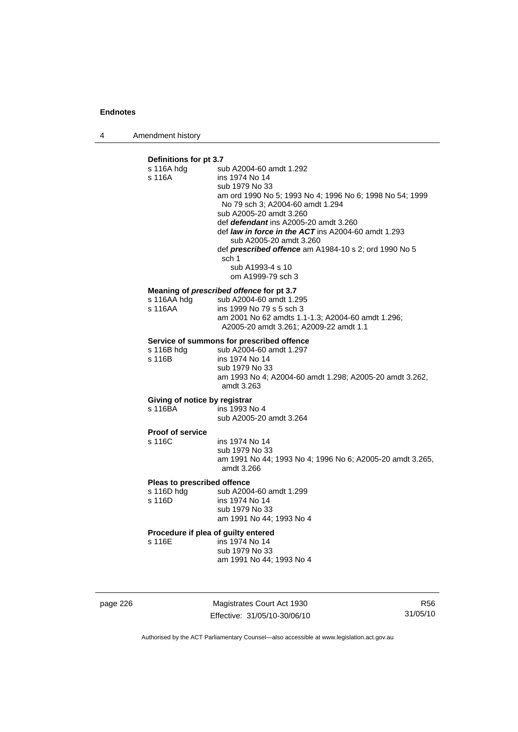4 Amendment history

## **Definitions for pt 3.7**

| s 116A hdg<br>s 116A                                | sub A2004-60 amdt 1.292<br>ins 1974 No 14<br>sub 1979 No 33<br>am ord 1990 No 5; 1993 No 4; 1996 No 6; 1998 No 54; 1999<br>No 79 sch 3; A2004-60 amdt 1.294<br>sub A2005-20 amdt 3.260<br>def <i>defendant</i> ins A2005-20 amdt 3.260<br>def law in force in the ACT ins A2004-60 amdt 1.293<br>sub A2005-20 amdt 3.260<br>def prescribed offence am A1984-10 s 2; ord 1990 No 5<br>sch 1<br>sub A1993-4 s 10<br>om A1999-79 sch 3 |
|-----------------------------------------------------|-------------------------------------------------------------------------------------------------------------------------------------------------------------------------------------------------------------------------------------------------------------------------------------------------------------------------------------------------------------------------------------------------------------------------------------|
| s 116AA hdg<br>s 116AA                              | Meaning of prescribed offence for pt 3.7<br>sub A2004-60 amdt 1.295<br>ins 1999 No 79 s 5 sch 3<br>am 2001 No 62 amdts 1.1-1.3; A2004-60 amdt 1.296;<br>A2005-20 amdt 3.261; A2009-22 amdt 1.1                                                                                                                                                                                                                                      |
| s 116B hdg<br>s 116B                                | Service of summons for prescribed offence<br>sub A2004-60 amdt 1.297<br>ins 1974 No 14<br>sub 1979 No 33<br>am 1993 No 4; A2004-60 amdt 1.298; A2005-20 amdt 3.262,<br>amdt 3.263                                                                                                                                                                                                                                                   |
| Giving of notice by registrar<br>s 116BA            | ins 1993 No 4<br>sub A2005-20 amdt 3.264                                                                                                                                                                                                                                                                                                                                                                                            |
| Proof of service<br>s 116C                          | ins 1974 No 14<br>sub 1979 No 33<br>am 1991 No 44; 1993 No 4; 1996 No 6; A2005-20 amdt 3.265,<br>amdt 3.266                                                                                                                                                                                                                                                                                                                         |
| Pleas to prescribed offence<br>s 116D hdg<br>s 116D | sub A2004-60 amdt 1.299<br>ins 1974 No 14<br>sub 1979 No 33<br>am 1991 No 44; 1993 No 4                                                                                                                                                                                                                                                                                                                                             |
| Procedure if plea of guilty entered<br>s 116E       | ins 1974 No 14<br>sub 1979 No 33<br>am 1991 No 44; 1993 No 4                                                                                                                                                                                                                                                                                                                                                                        |

page 226 Magistrates Court Act 1930 Effective: 31/05/10-30/06/10

R56 31/05/10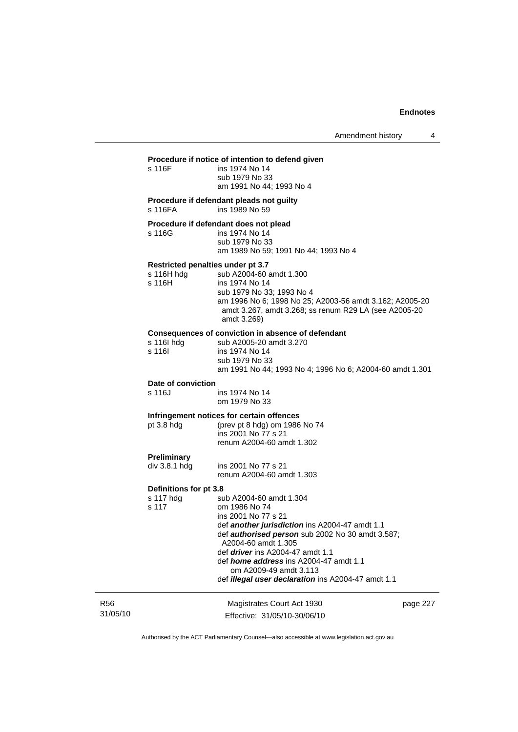## **Procedure if notice of intention to defend given**

| Proceaure if notice of intention to defend given<br>ins 1974 No 14<br>sub 1979 No 33<br>am 1991 No 44: 1993 No 4                                                                                                                                                                                                                                                         |
|--------------------------------------------------------------------------------------------------------------------------------------------------------------------------------------------------------------------------------------------------------------------------------------------------------------------------------------------------------------------------|
| Procedure if defendant pleads not guilty<br>ins 1989 No 59                                                                                                                                                                                                                                                                                                               |
| Procedure if defendant does not plead<br>ins 1974 No 14<br>sub 1979 No 33<br>am 1989 No 59; 1991 No 44; 1993 No 4                                                                                                                                                                                                                                                        |
| Restricted penalties under pt 3.7<br>sub A2004-60 amdt 1.300<br>ins 1974 No 14<br>sub 1979 No 33; 1993 No 4<br>am 1996 No 6; 1998 No 25; A2003-56 amdt 3.162; A2005-20<br>amdt 3.267, amdt 3.268; ss renum R29 LA (see A2005-20<br>amdt 3.269)                                                                                                                           |
| Consequences of conviction in absence of defendant<br>sub A2005-20 amdt 3.270<br>ins 1974 No 14<br>sub 1979 No 33<br>am 1991 No 44; 1993 No 4; 1996 No 6; A2004-60 amdt 1.301                                                                                                                                                                                            |
| Date of conviction<br>ins 1974 No 14<br>om 1979 No 33                                                                                                                                                                                                                                                                                                                    |
| Infringement notices for certain offences<br>(prev pt 8 hdg) om 1986 No 74<br>ins 2001 No 77 s 21<br>renum A2004-60 amdt 1.302                                                                                                                                                                                                                                           |
| ins 2001 No 77 s 21<br>renum A2004-60 amdt 1.303                                                                                                                                                                                                                                                                                                                         |
| Definitions for pt 3.8                                                                                                                                                                                                                                                                                                                                                   |
| sub A2004-60 amdt 1.304<br>om 1986 No 74<br>ins 2001 No 77 s 21<br>def another jurisdiction ins A2004-47 amdt 1.1<br>def <i>authorised person</i> sub 2002 No 30 amdt 3.587;<br>A2004-60 amdt 1.305<br>def <i>driver</i> ins A2004-47 amdt 1.1<br>def home address ins A2004-47 amdt 1.1<br>om A2009-49 amdt 3.113<br>def illegal user declaration ins A2004-47 amdt 1.1 |
|                                                                                                                                                                                                                                                                                                                                                                          |

R56 31/05/10

Magistrates Court Act 1930 Effective: 31/05/10-30/06/10 page 227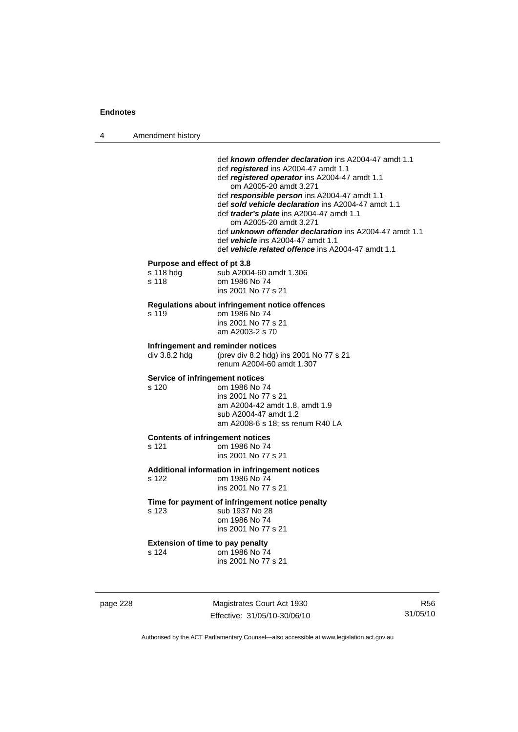4 Amendment history

|          |                                                    | def known offender declaration ins A2004-47 amdt 1.1<br>def registered ins A2004-47 amdt 1.1<br>def registered operator ins A2004-47 amdt 1.1<br>om A2005-20 amdt 3.271<br>def responsible person ins A2004-47 amdt 1.1<br>def sold vehicle declaration ins A2004-47 amdt 1.1<br>def <i>trader's plate</i> ins A2004-47 amdt 1.1<br>om A2005-20 amdt 3.271<br>def <b>unknown offender declaration</b> ins A2004-47 amdt 1.1<br>def <b>vehicle</b> ins A2004-47 amdt 1.1<br>def vehicle related offence ins A2004-47 amdt 1.1 |                        |
|----------|----------------------------------------------------|------------------------------------------------------------------------------------------------------------------------------------------------------------------------------------------------------------------------------------------------------------------------------------------------------------------------------------------------------------------------------------------------------------------------------------------------------------------------------------------------------------------------------|------------------------|
|          | Purpose and effect of pt 3.8<br>s 118 hdg<br>s 118 | sub A2004-60 amdt 1.306<br>om 1986 No 74<br>ins 2001 No 77 s 21                                                                                                                                                                                                                                                                                                                                                                                                                                                              |                        |
|          | s 119                                              | Regulations about infringement notice offences<br>om 1986 No 74<br>ins 2001 No 77 s 21<br>am A2003-2 s 70                                                                                                                                                                                                                                                                                                                                                                                                                    |                        |
|          | div 3.8.2 hdg                                      | Infringement and reminder notices<br>(prev div 8.2 hdg) ins 2001 No 77 s 21<br>renum A2004-60 amdt 1.307                                                                                                                                                                                                                                                                                                                                                                                                                     |                        |
|          | Service of infringement notices<br>s 120           | om 1986 No 74<br>ins 2001 No 77 s 21<br>am A2004-42 amdt 1.8, amdt 1.9<br>sub A2004-47 amdt 1.2<br>am A2008-6 s 18; ss renum R40 LA                                                                                                                                                                                                                                                                                                                                                                                          |                        |
|          | s 121                                              | <b>Contents of infringement notices</b><br>om 1986 No 74<br>ins 2001 No 77 s 21                                                                                                                                                                                                                                                                                                                                                                                                                                              |                        |
|          | s 122                                              | Additional information in infringement notices<br>om 1986 No 74<br>ins 2001 No 77 s 21                                                                                                                                                                                                                                                                                                                                                                                                                                       |                        |
|          | s 123                                              | Time for payment of infringement notice penalty<br>sub 1937 No 28<br>om 1986 No 74<br>ins 2001 No 77 s 21                                                                                                                                                                                                                                                                                                                                                                                                                    |                        |
|          | s 124                                              | <b>Extension of time to pay penalty</b><br>om 1986 No 74<br>ins 2001 No 77 s 21                                                                                                                                                                                                                                                                                                                                                                                                                                              |                        |
| page 228 |                                                    | Magistrates Court Act 1930<br>Effective: 31/05/10-30/06/10                                                                                                                                                                                                                                                                                                                                                                                                                                                                   | <b>R56</b><br>31/05/10 |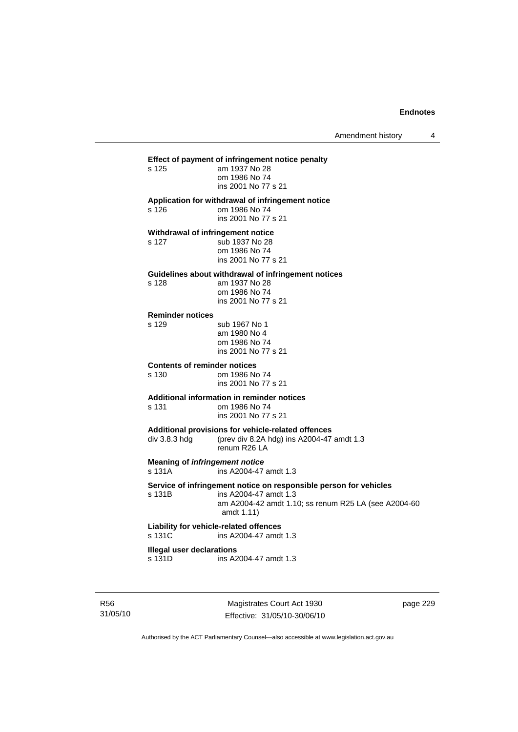## **Effect of payment of infringement notice penalty**  am 1937 No 28 om 1986 No 74 ins 2001 No 77 s 21 **Application for withdrawal of infringement notice**  s 126 om 1986 No 74 ins 2001 No 77 s 21 **Withdrawal of infringement notice**  s 127 sub 1937 No 28 om 1986 No 74 ins 2001 No 77 s 21 **Guidelines about withdrawal of infringement notices**  s 128 am 1937 No 28 om 1986 No 74 ins 2001 No 77 s 21 **Reminder notices**  s 129 sub 1967 No 1 am 1980 No 4 om 1986 No 74 ins 2001 No 77 s 21 **Contents of reminder notices**  om 1986 No 74 ins 2001 No 77 s 21 **Additional information in reminder notices**  s 131 om 1986 No 74 ins 2001 No 77 s 21 **Additional provisions for vehicle-related offences**  div 3.8.3 hdg (prev div 8.2A hdg) ins A2004-47 amdt 1.3 renum R26 LA **Meaning of** *infringement notice*<br>s 131A ins A2004-47 ins A2004-47 amdt 1.3 **Service of infringement notice on responsible person for vehicles**  s 131B ins A2004-47 amdt 1.3 am A2004-42 amdt 1.10; ss renum R25 LA (see A2004-60 amdt 1.11) **Liability for vehicle-related offences**  s 131C ins A2004-47 amdt 1.3 **Illegal user declarations**  s 131D ins A2004-47 amdt 1.3

R56 31/05/10

Magistrates Court Act 1930 Effective: 31/05/10-30/06/10 page 229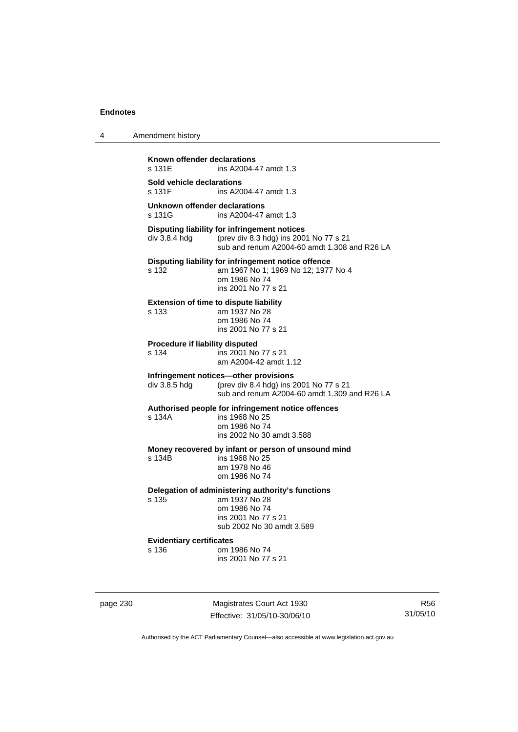| 4 | Amendment history |  |
|---|-------------------|--|
|   |                   |  |

**Known offender declarations**<br>s 131E **ins A2004-4** ins A2004-47 amdt 1.3 **Sold vehicle declarations**  ins A2004-47 amdt 1.3 **Unknown offender declarations**  s 131G ins A2004-47 amdt 1.3 **Disputing liability for infringement notices**  div 3.8.4 hdg (prev div 8.3 hdg) ins 2001 No 77 s 21 sub and renum A2004-60 amdt 1.308 and R26 LA **Disputing liability for infringement notice offence**  s 132 am 1967 No 1; 1969 No 12; 1977 No 4 om 1986 No 74 ins 2001 No 77 s 21 **Extension of time to dispute liability**  s 133 am 1937 No 28 om 1986 No 74 ins 2001 No 77 s 21 **Procedure if liability disputed**  s 134 ins 2001 No 77 s 21 am A2004-42 amdt 1.12 **Infringement notices—other provisions**  div 3.8.5 hdg (prev div 8.4 hdg) ins 2001 No 77 s 21 sub and renum A2004-60 amdt 1.309 and R26 LA **Authorised people for infringement notice offences**  s 134A ins 1968 No 25 om 1986 No 74 ins 2002 No 30 amdt 3.588 **Money recovered by infant or person of unsound mind**  s 134B ins 1968 No 25 am 1978 No 46 om 1986 No 74 **Delegation of administering authority's functions**  s 135 am 1937 No 28 om 1986 No 74 ins 2001 No 77 s 21 sub 2002 No 30 amdt 3.589 **Evidentiary certificates**  om 1986 No 74 ins 2001 No 77 s 21

page 230 Magistrates Court Act 1930 Effective: 31/05/10-30/06/10

R56 31/05/10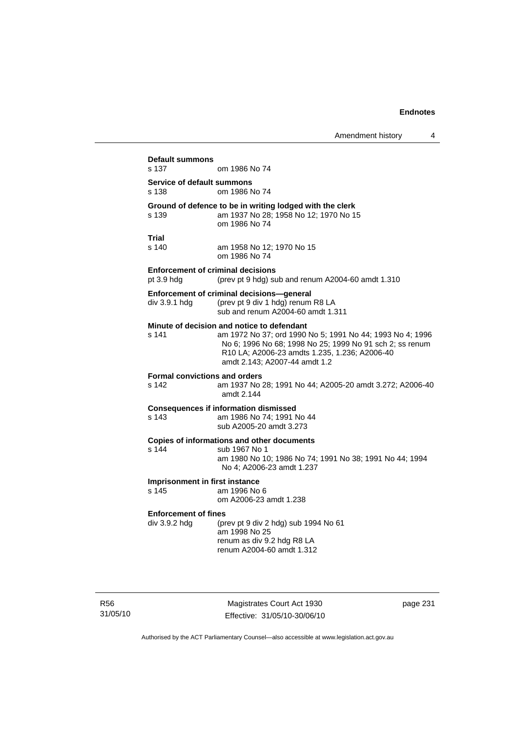**Default summons**  om 1986 No 74 **Service of default summons**  s 138 om 1986 No 74 **Ground of defence to be in writing lodged with the clerk s 139 am 1937 No 28; 1958 No 12; 1970 No 1** am 1937 No 28; 1958 No 12; 1970 No 15 om 1986 No 74 **Trial**  s 140 am 1958 No 12; 1970 No 15 om 1986 No 74 **Enforcement of criminal decisions**  pt 3.9 hdg (prev pt 9 hdg) sub and renum A2004-60 amdt 1.310 **Enforcement of criminal decisions—general**  div 3.9.1 hdg (prev pt 9 div 1 hdg) renum R8 LA sub and renum A2004-60 amdt 1.311 **Minute of decision and notice to defendant**  s 141 am 1972 No 37; ord 1990 No 5; 1991 No 44; 1993 No 4; 1996 No 6; 1996 No 68; 1998 No 25; 1999 No 91 sch 2; ss renum R10 LA; A2006-23 amdts 1.235, 1.236; A2006-40 amdt 2.143; A2007-44 amdt 1.2 **Formal convictions and orders**  s 142 am 1937 No 28; 1991 No 44; A2005-20 amdt 3.272; A2006-40 amdt 2.144 **Consequences if information dismissed**  s 143 am 1986 No 74; 1991 No 44 sub A2005-20 amdt 3.273 **Copies of informations and other documents**  s 144 sub 1967 No 1 am 1980 No 10; 1986 No 74; 1991 No 38; 1991 No 44; 1994 No 4; A2006-23 amdt 1.237 **Imprisonment in first instance**<br>s 145 am 1996 No am 1996 No 6 om A2006-23 amdt 1.238 **Enforcement of fines**  div 3.9.2 hdg (prev pt 9 div 2 hdg) sub 1994 No 61 am 1998 No 25 renum as div 9.2 hdg R8 LA renum A2004-60 amdt 1.312

R56 31/05/10

Magistrates Court Act 1930 Effective: 31/05/10-30/06/10 page 231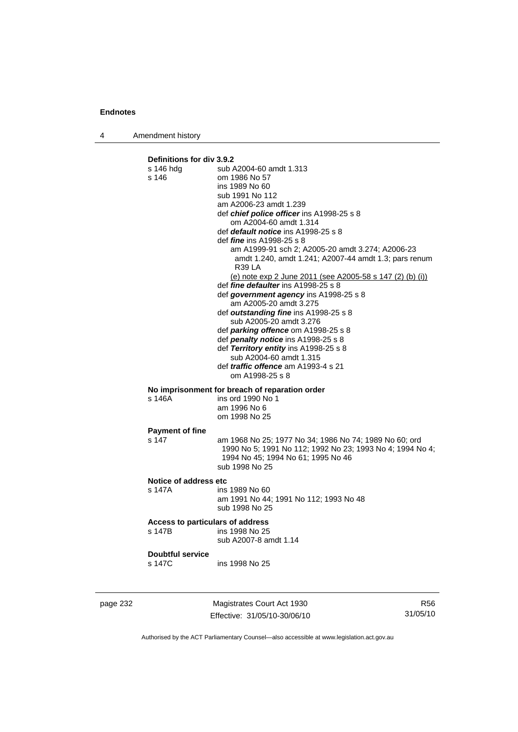4 Amendment history

```
Definitions for div 3.9.2 
                  sub A2004-60 amdt 1.313
s 146 om 1986 No 57 
                   ins 1989 No 60 
                   sub 1991 No 112 
                   am A2006-23 amdt 1.239 
                   def chief police officer ins A1998-25 s 8 
                       om A2004-60 amdt 1.314 
                   def default notice ins A1998-25 s 8 
                   def fine ins A1998-25 s 8 
                       am A1999-91 sch 2; A2005-20 amdt 3.274; A2006-23 
                       amdt 1.240, amdt 1.241; A2007-44 amdt 1.3; pars renum 
                       R39 LA 
                       (e) note exp 2 June 2011 (see A2005-58 s 147 (2) (b) (i))
                   def fine defaulter ins A1998-25 s 8 
                   def government agency ins A1998-25 s 8 
                       am A2005-20 amdt 3.275 
                   def outstanding fine ins A1998-25 s 8 
                       sub A2005-20 amdt 3.276 
                   def parking offence om A1998-25 s 8 
                   def penalty notice ins A1998-25 s 8 
                   def Territory entity ins A1998-25 s 8 
                       sub A2004-60 amdt 1.315 
                   def traffic offence am A1993-4 s 21 
                       om A1998-25 s 8 
No imprisonment for breach of reparation order 
s 146A ins ord 1990 No 1 
                   am 1996 No 6 
                   om 1998 No 25 
Payment of fine 
s 147 am 1968 No 25; 1977 No 34; 1986 No 74; 1989 No 60; ord 
                   1990 No 5; 1991 No 112; 1992 No 23; 1993 No 4; 1994 No 4; 
                   1994 No 45; 1994 No 61; 1995 No 46 
                   sub 1998 No 25 
Notice of address etc 
s 147A ins 1989 No 60 
                   am 1991 No 44; 1991 No 112; 1993 No 48 
                   sub 1998 No 25 
Access to particulars of address 
s 147B ins 1998 No 25 
                   sub A2007-8 amdt 1.14 
Doubtful service 
s 147C ins 1998 No 25
```
page 232 Magistrates Court Act 1930 Effective: 31/05/10-30/06/10

R56 31/05/10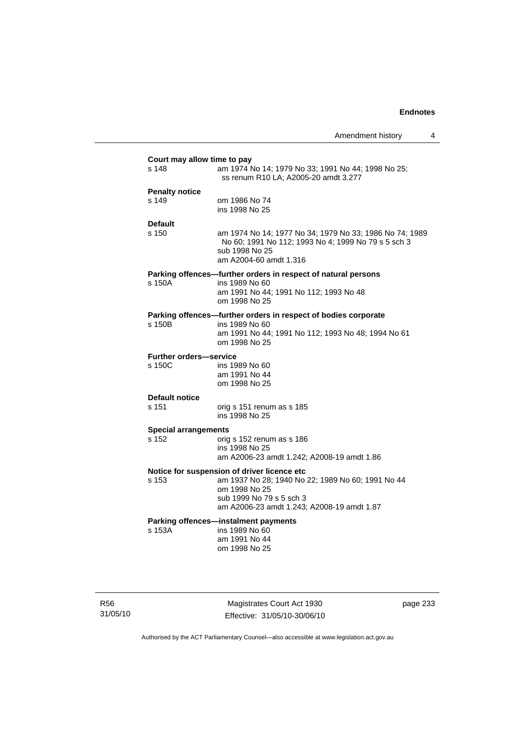| Court may allow time to pay                 |                                                                                                                                                            |  |  |  |  |
|---------------------------------------------|------------------------------------------------------------------------------------------------------------------------------------------------------------|--|--|--|--|
| s 148                                       | am 1974 No 14; 1979 No 33; 1991 No 44; 1998 No 25;<br>ss renum R10 LA; A2005-20 amdt 3.277                                                                 |  |  |  |  |
| <b>Penalty notice</b>                       |                                                                                                                                                            |  |  |  |  |
| s 149                                       | om 1986 No 74<br>ins 1998 No 25                                                                                                                            |  |  |  |  |
| <b>Default</b>                              |                                                                                                                                                            |  |  |  |  |
| s 150                                       | am 1974 No 14; 1977 No 34; 1979 No 33; 1986 No 74; 1989<br>No 60; 1991 No 112; 1993 No 4; 1999 No 79 s 5 sch 3<br>sub 1998 No 25<br>am A2004-60 amdt 1.316 |  |  |  |  |
|                                             | Parking offences-further orders in respect of natural persons                                                                                              |  |  |  |  |
| s 150A                                      | ins 1989 No 60<br>am 1991 No 44; 1991 No 112; 1993 No 48<br>om 1998 No 25                                                                                  |  |  |  |  |
|                                             | Parking offences-further orders in respect of bodies corporate                                                                                             |  |  |  |  |
| s 150B                                      | ins 1989 No 60<br>am 1991 No 44; 1991 No 112; 1993 No 48; 1994 No 61<br>om 1998 No 25                                                                      |  |  |  |  |
| <b>Further orders-service</b>               |                                                                                                                                                            |  |  |  |  |
| s 150C                                      | ins 1989 No 60<br>am 1991 No 44<br>om 1998 No 25                                                                                                           |  |  |  |  |
| <b>Default notice</b>                       |                                                                                                                                                            |  |  |  |  |
| s 151                                       | orig s 151 renum as s 185<br>ins 1998 No 25                                                                                                                |  |  |  |  |
| <b>Special arrangements</b>                 |                                                                                                                                                            |  |  |  |  |
| s 152                                       | orig s 152 renum as s 186<br>ins 1998 No 25                                                                                                                |  |  |  |  |
|                                             | am A2006-23 amdt 1.242; A2008-19 amdt 1.86                                                                                                                 |  |  |  |  |
| Notice for suspension of driver licence etc |                                                                                                                                                            |  |  |  |  |
| s 153                                       | am 1937 No 28; 1940 No 22; 1989 No 60; 1991 No 44<br>om 1998 No 25<br>sub 1999 No 79 s 5 sch 3                                                             |  |  |  |  |
|                                             | am A2006-23 amdt 1.243; A2008-19 amdt 1.87                                                                                                                 |  |  |  |  |
| s 153A                                      | Parking offences-instalment payments<br>ins 1989 No 60<br>am 1991 No 44<br>om 1998 No 25                                                                   |  |  |  |  |

R56 31/05/10

Magistrates Court Act 1930 Effective: 31/05/10-30/06/10 page 233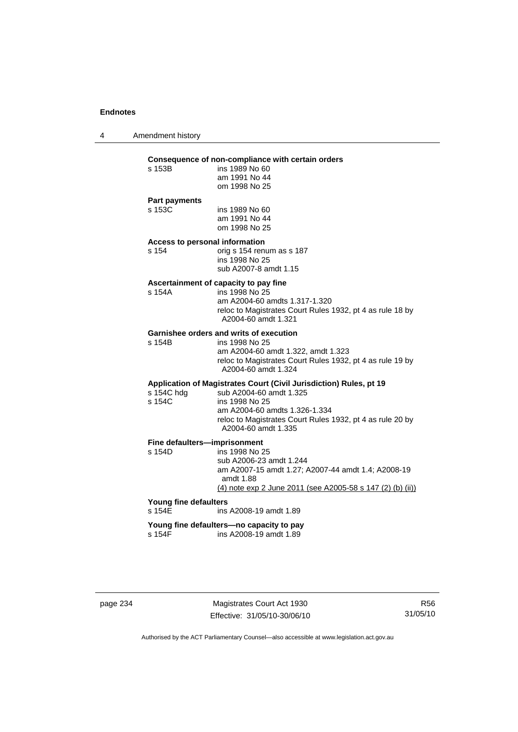4 Amendment history

#### **Consequence of non-compliance with certain orders**

| s 153B                                            | ins 1989 No 60 |
|---------------------------------------------------|----------------|
|                                                   | am 1991 No 44  |
|                                                   | om 1998 No 25  |
| <b>Professor and the Property of the Property</b> |                |

#### **Part payments**

s 153C ins 1989 No 60 am 1991 No 44 om 1998 No 25

#### **Access to personal information**

s 154 orig s 154 renum as s 187 ins 1998 No 25 sub A2007-8 amdt 1.15

#### **Ascertainment of capacity to pay fine**

s 154A ins 1998 No 25 am A2004-60 amdts 1.317-1.320 reloc to Magistrates Court Rules 1932, pt 4 as rule 18 by A2004-60 amdt 1.321

## **Garnishee orders and writs of execution**<br>s 154B<br>ins 1998 No 25

ins 1998 No 25

 am A2004-60 amdt 1.322, amdt 1.323 reloc to Magistrates Court Rules 1932, pt 4 as rule 19 by A2004-60 amdt 1.324

### **Application of Magistrates Court (Civil Jurisdiction) Rules, pt 19**

| sub A2004-60 amdt 1.325                                                          |
|----------------------------------------------------------------------------------|
| ins 1998 No 25                                                                   |
| am A2004-60 amdts 1.326-1.334                                                    |
| reloc to Magistrates Court Rules 1932, pt 4 as rule 20 by<br>A2004-60 amdt 1.335 |
|                                                                                  |

## **Fine defaulters—imprisonment**<br>s 154D ins 1998 No 2

ins 1998 No 25 sub A2006-23 amdt 1.244 am A2007-15 amdt 1.27; A2007-44 amdt 1.4; A2008-19 amdt 1.88 (4) note exp 2 June 2011 (see A2005-58 s 147 (2) (b) (ii))

## **Young fine defaulters**

ins A2008-19 amdt 1.89

## **Young fine defaulters—no capacity to pay**

s 154F ins A2008-19 amdt 1.89

page 234 Magistrates Court Act 1930 Effective: 31/05/10-30/06/10

R56 31/05/10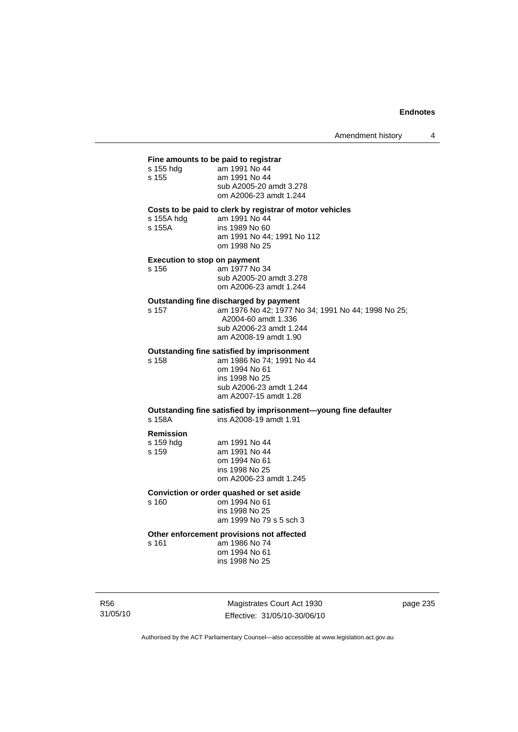#### **Fine amounts to be paid to registrar**

| s 155 hdg | am 1991 No 44           |
|-----------|-------------------------|
| s 155     | am 1991 No 44           |
|           | sub A2005-20 amdt 3.278 |
|           | om A2006-23 amdt 1.244  |
|           |                         |

#### **Costs to be paid to clerk by registrar of motor vehicles**  am 1991 No 44

| s 155A hdg |  |
|------------|--|
| s 155A     |  |
|            |  |

| s 155A | ins 1989 No 60 |  |                            |  |
|--------|----------------|--|----------------------------|--|
|        |                |  | am 1991 No 44; 1991 No 112 |  |
|        | om 1998 No 25  |  |                            |  |

#### **Execution to stop on payment**

s 156 am 1977 No 34 sub A2005-20 amdt 3.278 om A2006-23 amdt 1.244

# **Outstanding fine discharged by payment**<br>s 157 cm 1976 No 42; 1977 No

s 157 am 1976 No 42; 1977 No 34; 1991 No 44; 1998 No 25; A2004-60 amdt 1.336 sub A2006-23 amdt 1.244 am A2008-19 amdt 1.90

#### **Outstanding fine satisfied by imprisonment**

s 158 am 1986 No 74; 1991 No 44 om 1994 No 61 ins 1998 No 25 sub A2006-23 amdt 1.244 am A2007-15 amdt 1.28

#### **Outstanding fine satisfied by imprisonment—young fine defaulter**  s 158A ins A2008-19 amdt 1.91

#### **Remission**

| am 1991 No 44          |
|------------------------|
| am 1991 No 44          |
| om 1994 No 61          |
| ins 1998 No 25         |
| om A2006-23 amdt 1.245 |
|                        |

#### **Conviction or order quashed or set aside**

s 160 om 1994 No 61 ins 1998 No 25 am 1999 No 79 s 5 sch 3

#### **Other enforcement provisions not affected**

s 161 am 1986 No 74 om 1994 No 61 ins 1998 No 25

R56 31/05/10

Magistrates Court Act 1930 Effective: 31/05/10-30/06/10 page 235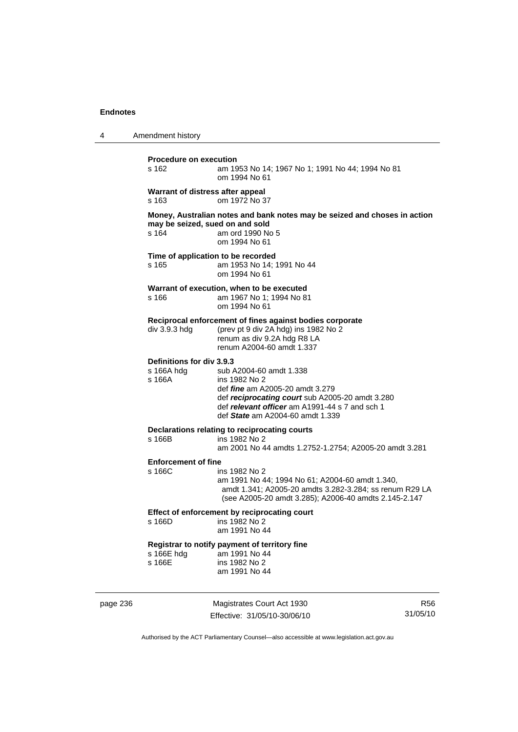| 4 | Amendment history                                 |                                                                                                                                                                                                                             |
|---|---------------------------------------------------|-----------------------------------------------------------------------------------------------------------------------------------------------------------------------------------------------------------------------------|
|   | <b>Procedure on execution</b><br>s 162            | am 1953 No 14; 1967 No 1; 1991 No 44; 1994 No 81<br>om 1994 No 61                                                                                                                                                           |
|   | Warrant of distress after appeal<br>s 163         | om 1972 No 37                                                                                                                                                                                                               |
|   | may be seized, sued on and sold<br>s 164          | Money, Australian notes and bank notes may be seized and choses in action<br>am ord 1990 No 5<br>om 1994 No 61                                                                                                              |
|   | Time of application to be recorded<br>s 165       | am 1953 No 14; 1991 No 44<br>om 1994 No 61                                                                                                                                                                                  |
|   | s 166                                             | Warrant of execution, when to be executed<br>am 1967 No 1; 1994 No 81<br>om 1994 No 61                                                                                                                                      |
|   | div 3.9.3 hdg                                     | Reciprocal enforcement of fines against bodies corporate<br>(prev pt 9 div 2A hdg) ins 1982 No 2<br>renum as div 9.2A hdg R8 LA<br>renum A2004-60 amdt 1.337                                                                |
|   | Definitions for div 3.9.3<br>s 166A hdg<br>s 166A | sub A2004-60 amdt 1.338<br>ins 1982 No 2<br>def <i>fine</i> am A2005-20 amdt 3.279<br>def reciprocating court sub A2005-20 amdt 3.280<br>def relevant officer am A1991-44 s 7 and sch 1<br>def State am A2004-60 amdt 1.339 |
|   | s 166B                                            | Declarations relating to reciprocating courts<br>ins 1982 No 2<br>am 2001 No 44 amdts 1.2752-1.2754; A2005-20 amdt 3.281                                                                                                    |
|   | <b>Enforcement of fine</b><br>s 166C              | ins 1982 No 2<br>am 1991 No 44; 1994 No 61; A2004-60 amdt 1.340,<br>amdt 1.341; A2005-20 amdts 3.282-3.284; ss renum R29 LA<br>(see A2005-20 amdt 3.285); A2006-40 amdts 2.145-2.147                                        |
|   | s 166D                                            | Effect of enforcement by reciprocating court<br>ins 1982 No 2<br>am 1991 No 44                                                                                                                                              |
|   | s 166E hdg<br>s 166E                              | Registrar to notify payment of territory fine<br>am 1991 No 44<br>ins 1982 No 2<br>am 1991 No 44                                                                                                                            |
|   |                                                   |                                                                                                                                                                                                                             |

page 236 Magistrates Court Act 1930 Effective: 31/05/10-30/06/10

R56 31/05/10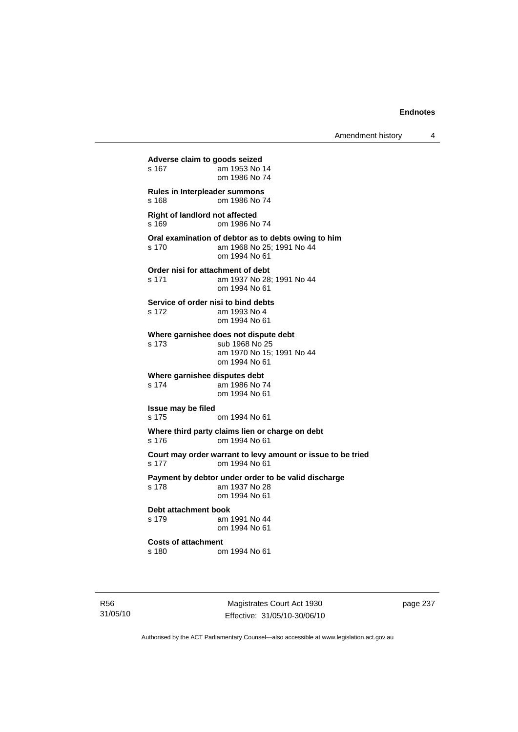**Adverse claim to goods seized**  am 1953 No 14 om 1986 No 74 **Rules in Interpleader summons**  s 168 om 1986 No 74 **Right of landlord not affected**  s 169 om 1986 No 74 **Oral examination of debtor as to debts owing to him**  s 170 am 1968 No 25; 1991 No 44 om 1994 No 61 **Order nisi for attachment of debt**  s 171 am 1937 No 28; 1991 No 44 om 1994 No 61 **Service of order nisi to bind debts**  s 172 am 1993 No 4 om 1994 No 61 **Where garnishee does not dispute debt**  s 173 sub 1968 No 25 am 1970 No 15; 1991 No 44 om 1994 No 61 **Where garnishee disputes debt**  s 174 am 1986 No 74 om 1994 No 61 **Issue may be filed**  s 175 om 1994 No 61 **Where third party claims lien or charge on debt**  s 176 om 1994 No 61 **Court may order warrant to levy amount or issue to be tried**  s 177 om 1994 No 61 **Payment by debtor under order to be valid discharge**  s 178 am 1937 No 28 om 1994 No 61 **Debt attachment book**  s 179 am 1991 No 44 om 1994 No 61 **Costs of attachment**  s 180 om 1994 No 61

R56 31/05/10

Magistrates Court Act 1930 Effective: 31/05/10-30/06/10 page 237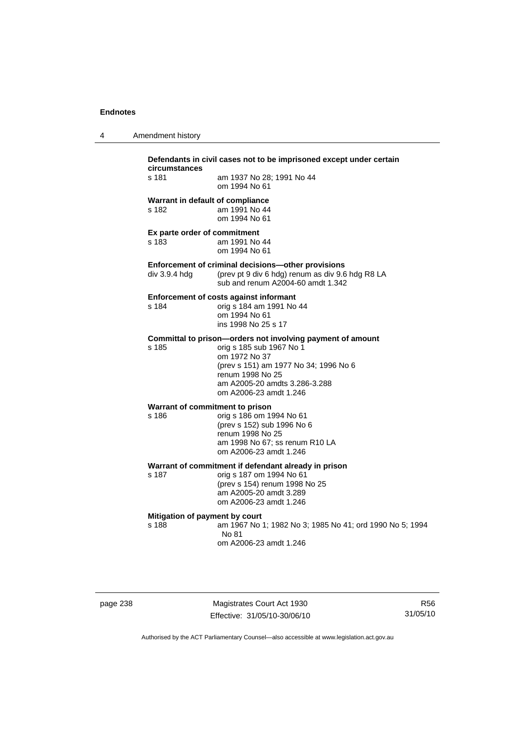| circumstances | Defendants in civil cases not to be imprisone |
|---------------|-----------------------------------------------|
| s 181         | am 1937 No 28: 1991 No 44<br>om 1994 No 61    |
|               | Warrant in default of compliance              |

4 Amendment history

s 182 am 1991 No 44 om 1994 No 61

#### **Ex parte order of commitment**  s 183 am 1991 No 44

om 1994 No 61

#### **Enforcement of criminal decisions—other provisions**

div 3.9.4 hdg (prev pt 9 div 6 hdg) renum as div 9.6 hdg R8 LA sub and renum A2004-60 amdt 1.342

not to be imprisoned except under certain

#### **Enforcement of costs against informant**

s 184 orig s 184 am 1991 No 44 om 1994 No 61 ins 1998 No 25 s 17

# **Committal to prison—orders not involving payment of amount**<br>s 185 corig s 185 sub 1967 No 1

s 185 orig s 185 sub 1967 No 1 om 1972 No 37 (prev s 151) am 1977 No 34; 1996 No 6 renum 1998 No 25 am A2005-20 amdts 3.286-3.288 om A2006-23 amdt 1.246

# **Warrant of commitment to prison<br>s 186 om 19**<br>**orig s 186 om 19**

s 186 orig s 186 om 1994 No 61 (prev s 152) sub 1996 No 6 renum 1998 No 25 am 1998 No 67; ss renum R10 LA om A2006-23 amdt 1.246

#### **Warrant of commitment if defendant already in prison**

s 187 orig s 187 om 1994 No 61 (prev s 154) renum 1998 No 25 am A2005-20 amdt 3.289 om A2006-23 amdt 1.246

#### **Mitigation of payment by court**

s 188 am 1967 No 1; 1982 No 3; 1985 No 41; ord 1990 No 5; 1994 No 81 om A2006-23 amdt 1.246

Magistrates Court Act 1930 Effective: 31/05/10-30/06/10

R56 31/05/10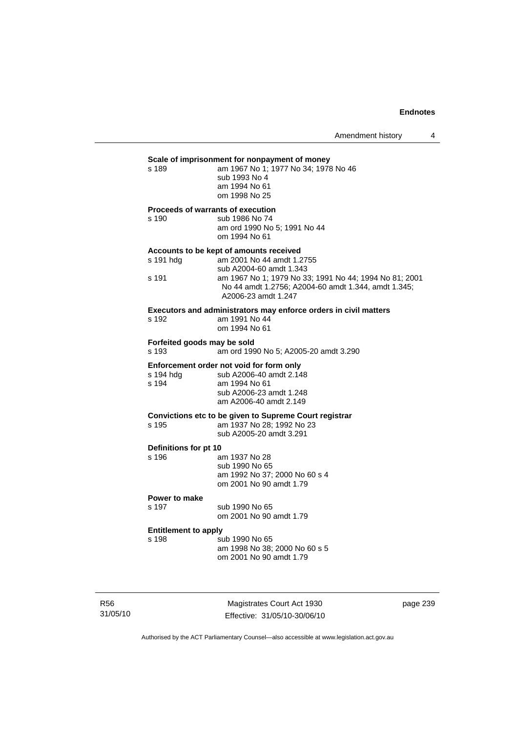# **Scale of imprisonment for nonpayment of money**<br>
s 189 am 1967 No 1: 1977 No 34: 1978

| s 189 | am 1967 No 1: 1977 No 34: 1978 No 46 |
|-------|--------------------------------------|
|       | sub 1993 No 4                        |
|       | am 1994 No 61                        |
|       | om 1998 No 25                        |

#### **Proceeds of warrants of execution**

s 190 sub 1986 No 74 am ord 1990 No 5; 1991 No 44 om 1994 No 61

#### **Accounts to be kept of amounts received**

| s 191 hdq | am 2001 No 44 amdt 1.2755                                                                                                            |
|-----------|--------------------------------------------------------------------------------------------------------------------------------------|
|           | sub A2004-60 amdt 1.343                                                                                                              |
| s 191     | am 1967 No 1; 1979 No 33; 1991 No 44; 1994 No 81; 2001<br>No 44 amdt 1.2756; A2004-60 amdt 1.344, amdt 1.345;<br>A2006-23 amdt 1.247 |
|           |                                                                                                                                      |

#### **Executors and administrators may enforce orders in civil matters**  s 192

| am 1991 No 44 |
|---------------|
| om 1994 No 61 |
|               |

### **Forfeited goods may be sold**

s 193 am ord 1990 No 5; A2005-20 amdt 3.290

# **Enforcement order not void for form only**<br>s 194 hdg sub A2006-40 amdt 2.148

| s 194 hda | sub A2006-40 amdt 2.148 |
|-----------|-------------------------|
| s 194     | am 1994 No 61           |
|           | sub A2006-23 amdt 1.248 |
|           | am A2006-40 amdt 2.149  |

#### **Convictions etc to be given to Supreme Court registrar**  am 1937 No 28: 1992 No 23

| ن ت ا | $\frac{1}{2}$ and $\frac{1}{2}$ and $\frac{1}{2}$ and $\frac{1}{2}$ and $\frac{1}{2}$ |
|-------|---------------------------------------------------------------------------------------|
|       | sub A2005-20 amdt 3.291                                                               |
|       |                                                                                       |

# **Definitions for pt 10**

| טו אן וטו פווטווויט |                               |
|---------------------|-------------------------------|
| s 196               | am 1937 No 28                 |
|                     | sub 1990 No 65                |
|                     | am 1992 No 37: 2000 No 60 s 4 |
|                     | om 2001 No 90 amdt 1.79       |
|                     |                               |

### **Power to make**

s 197 sub 1990 No 65 om 2001 No 90 amdt 1.79

### **Entitlement to apply**

| s 198 | sub 1990 No 65                |
|-------|-------------------------------|
|       | am 1998 No 38; 2000 No 60 s 5 |
|       | om 2001 No 90 amdt 1.79       |

R56 31/05/10

Magistrates Court Act 1930 Effective: 31/05/10-30/06/10 page 239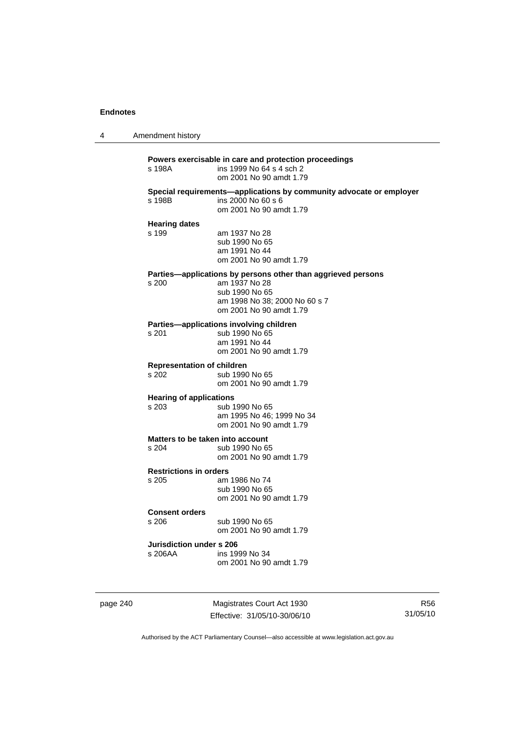4 Amendment history

**Powers exercisable in care and protection proceedings**  ins 1999 No 64 s 4 sch 2 om 2001 No 90 amdt 1.79 **Special requirements—applications by community advocate or employer**  s 198B ins 2000 No 60 s 6 om 2001 No 90 amdt 1.79 **Hearing dates**  s 199 am 1937 No 28 sub 1990 No 65 am 1991 No 44 om 2001 No 90 amdt 1.79 **Parties—applications by persons other than aggrieved persons s 200 am 1937 No 28** am 1937 No 28 sub 1990 No 65 am 1998 No 38; 2000 No 60 s 7 om 2001 No 90 amdt 1.79 **Parties—applications involving children**  s 201 sub 1990 No 65 am 1991 No 44 om 2001 No 90 amdt 1.79 **Representation of children**  sub 1990 No 65 om 2001 No 90 amdt 1.79 **Hearing of applications**<br>s 203 sub 1 sub 1990 No 65 am 1995 No 46; 1999 No 34 om 2001 No 90 amdt 1.79 **Matters to be taken into account**  s 204 sub 1990 No 65 om 2001 No 90 amdt 1.79 **Restrictions in orders**  s 205 am 1986 No 74 sub 1990 No 65 om 2001 No 90 amdt 1.79 **Consent orders**  s 206 sub 1990 No 65 om 2001 No 90 amdt 1.79 **Jurisdiction under s 206**  s 206AA ins 1999 No 34 om 2001 No 90 amdt 1.79

page 240 Magistrates Court Act 1930 Effective: 31/05/10-30/06/10

R56 31/05/10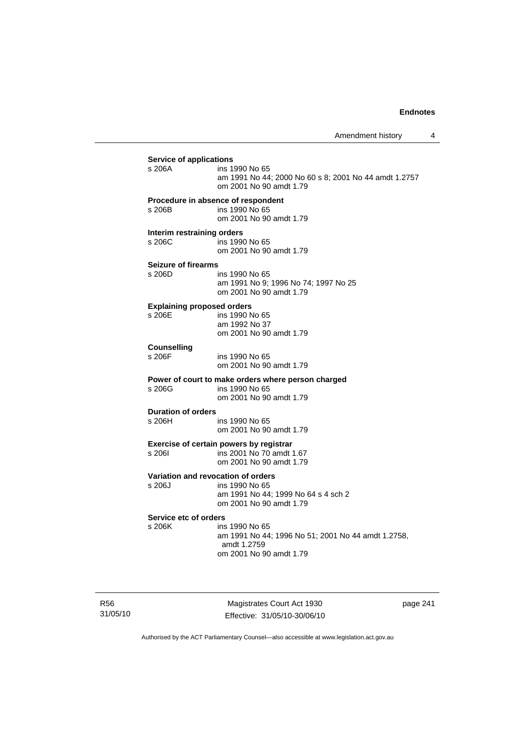| <b>Service of applications</b>              |                                                                                                                        |
|---------------------------------------------|------------------------------------------------------------------------------------------------------------------------|
| s 206A                                      | ins 1990 No 65<br>am 1991 No 44; 2000 No 60 s 8; 2001 No 44 amdt 1.2757<br>om 2001 No 90 amdt 1.79                     |
| s 206B                                      | Procedure in absence of respondent<br>ins 1990 No 65<br>om 2001 No 90 amdt 1.79                                        |
| Interim restraining orders<br>s 206C        | ins 1990 No 65<br>om 2001 No 90 amdt 1.79                                                                              |
| <b>Seizure of firearms</b><br>s 206D        | ins 1990 No 65<br>am 1991 No 9; 1996 No 74; 1997 No 25<br>om 2001 No 90 amdt 1.79                                      |
| <b>Explaining proposed orders</b><br>s 206E | ins 1990 No 65<br>am 1992 No 37<br>om 2001 No 90 amdt 1.79                                                             |
| <b>Counselling</b><br>s 206F                | ins 1990 No 65<br>om 2001 No 90 amdt 1.79                                                                              |
| s 206G                                      | Power of court to make orders where person charged<br>ins 1990 No 65<br>om 2001 No 90 amdt 1.79                        |
| <b>Duration of orders</b>                   |                                                                                                                        |
| s 206H                                      | ins 1990 No 65<br>om 2001 No 90 amdt 1.79                                                                              |
| s 2061                                      | Exercise of certain powers by registrar<br>ins 2001 No 70 amdt 1.67<br>om 2001 No 90 amdt 1.79                         |
| s 206J                                      | Variation and revocation of orders<br>ins 1990 No 65<br>am 1991 No 44; 1999 No 64 s 4 sch 2<br>om 2001 No 90 amdt 1.79 |
| Service etc of orders                       |                                                                                                                        |
| s 206K                                      | ins 1990 No 65<br>am 1991 No 44; 1996 No 51; 2001 No 44 amdt 1.2758,<br>amdt 1.2759<br>om 2001 No 90 amdt 1.79         |

R56 31/05/10

Magistrates Court Act 1930 Effective: 31/05/10-30/06/10 page 241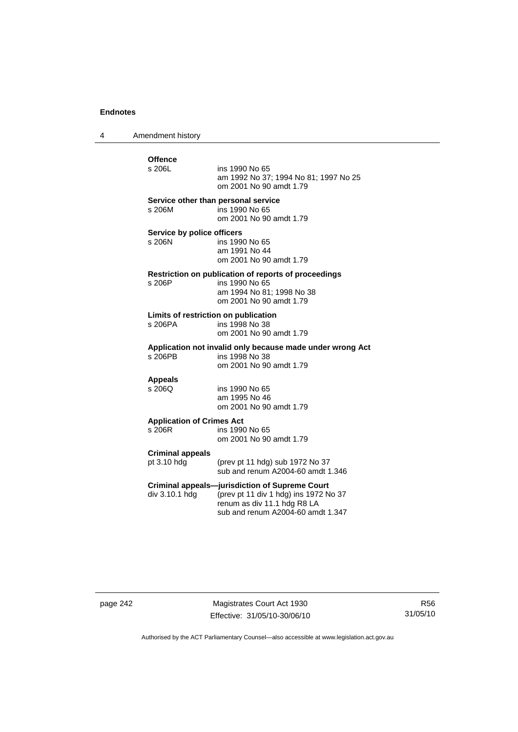4 Amendment history

# Offence<br>s 206L ins 1990 No 65 am 1992 No 37; 1994 No 81; 1997 No 25 om 2001 No 90 amdt 1.79 **Service other than personal service**  s 206M ins 1990 No 65 om 2001 No 90 amdt 1.79 **Service by police officers**<br>s 206N ins 199 ins 1990 No 65 am 1991 No 44 om 2001 No 90 amdt 1.79 **Restriction on publication of reports of proceedings**  ins 1990 No 65 am 1994 No 81; 1998 No 38 om 2001 No 90 amdt 1.79 **Limits of restriction on publication**  s 206PA ins 1998 No 38 om 2001 No 90 amdt 1.79 **Application not invalid only because made under wrong Act**  ins 1998 No 38 om 2001 No 90 amdt 1.79 **Appeals**  ins 1990 No 65 am 1995 No 46 om 2001 No 90 amdt 1.79 **Application of Crimes Act**  ins 1990 No 65 om 2001 No 90 amdt 1.79 **Criminal appeals**  (prev pt 11 hdg) sub 1972 No  $37$  sub and renum A2004-60 amdt 1.346 **Criminal appeals—jurisdiction of Supreme Court**  div 3.10.1 hdg (prev pt 11 div 1 hdg) ins 1972 No 37 renum as div 11.1 hdg R8 LA sub and renum A2004-60 amdt 1.347

page 242 Magistrates Court Act 1930 Effective: 31/05/10-30/06/10

R56 31/05/10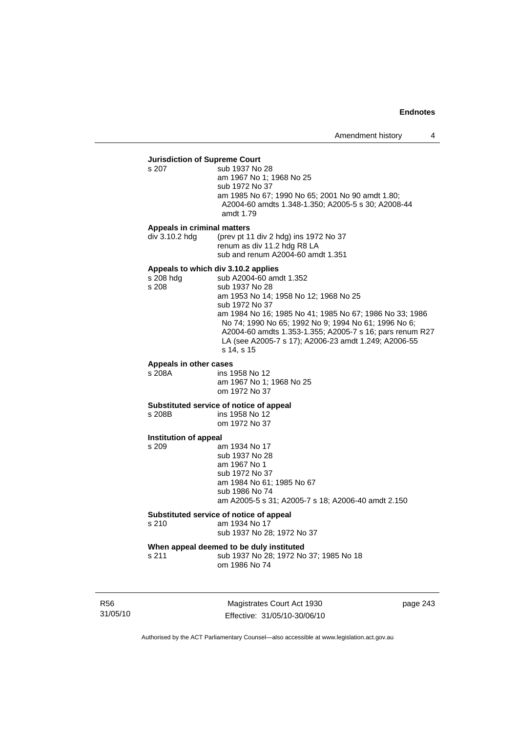# **Jurisdiction of Supreme Court**

sub 1937 No 28 am 1967 No 1; 1968 No 25 sub 1972 No 37 am 1985 No 67; 1990 No 65; 2001 No 90 amdt 1.80; A2004-60 amdts 1.348-1.350; A2005-5 s 30; A2008-44 amdt 1.79

#### **Appeals in criminal matters**

div 3.10.2 hdg (prev pt 11 div 2 hdg) ins 1972 No 37 renum as div 11.2 hdg R8 LA sub and renum A2004-60 amdt 1.351

**Appeals to which div 3.10.2 applies**  s 208 hdg sub A2004-60 amdt 1.352<br>s 208 sub 1937 No 28 sub 1937 No 28 am 1953 No 14; 1958 No 12; 1968 No 25 sub 1972 No 37 am 1984 No 16; 1985 No 41; 1985 No 67; 1986 No 33; 1986 No 74; 1990 No 65; 1992 No 9; 1994 No 61; 1996 No 6; A2004-60 amdts 1.353-1.355; A2005-7 s 16; pars renum R27 LA (see A2005-7 s 17); A2006-23 amdt 1.249; A2006-55 s 14, s 15

#### **Appeals in other cases**

s 208A ins 1958 No 12 am 1967 No 1; 1968 No 25 om 1972 No 37

#### **Substituted service of notice of appeal**

s 208B ins 1958 No 12 om 1972 No 37

#### **Institution of appeal**

s 209 am 1934 No 17 sub 1937 No 28 am 1967 No 1 sub 1972 No 37 am 1984 No 61; 1985 No 67 sub 1986 No 74 am A2005-5 s 31; A2005-7 s 18; A2006-40 amdt 2.150

#### **Substituted service of notice of appeal**

s 210 am 1934 No 17

#### sub 1937 No 28; 1972 No 37

### **When appeal deemed to be duly instituted**

s 211 sub 1937 No 28; 1972 No 37; 1985 No 18 om 1986 No 74

R56 31/05/10

Magistrates Court Act 1930 Effective: 31/05/10-30/06/10 page 243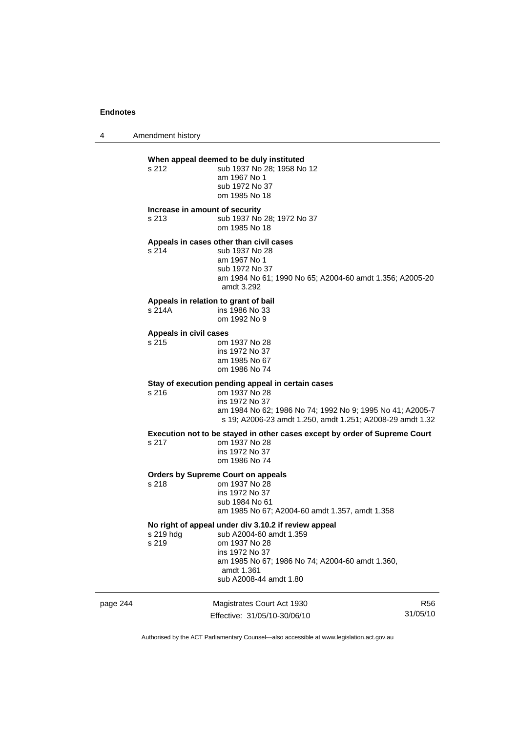4 Amendment history

#### **When appeal deemed to be duly instituted**

s 212 sub 1937 No 28: 1958 No 12 am 1967 No 1 sub 1972 No 37 om 1985 No 18

#### **Increase in amount of security**

s 213 sub 1937 No 28; 1972 No 37 om 1985 No 18

### **Appeals in cases other than civil cases**

s 214 sub 1937 No 28 am 1967 No 1 sub 1972 No 37 am 1984 No 61; 1990 No 65; A2004-60 amdt 1.356; A2005-20 amdt 3.292

# **Appeals in relation to grant of bail**

ins 1986 No 33 om 1992 No 9

#### **Appeals in civil cases**

s 215 om 1937 No 28 ins 1972 No 37 am 1985 No 67 om 1986 No 74

#### **Stay of execution pending appeal in certain cases**

s 216 om 1937 No 28 ins 1972 No 37 am 1984 No 62; 1986 No 74; 1992 No 9; 1995 No 41; A2005-7 s 19; A2006-23 amdt 1.250, amdt 1.251; A2008-29 amdt 1.32

**Execution not to be stayed in other cases except by order of Supreme Court** 

s 217 om 1937 No 28 ins 1972 No 37 om 1986 No 74

# **Orders by Supreme Court on appeals**

om 1937 No 28 ins 1972 No 37 sub 1984 No 61 am 1985 No 67; A2004-60 amdt 1.357, amdt 1.358

#### **No right of appeal under div 3.10.2 if review appeal**

| s 219 hdg | sub A2004-60 amdt 1.359                         |
|-----------|-------------------------------------------------|
| s 219     | om 1937 No 28                                   |
|           | ins 1972 No 37                                  |
|           | am 1985 No 67; 1986 No 74; A2004-60 amdt 1.360, |
|           | amdt 1.361                                      |
|           | sub A2008-44 amdt 1.80                          |
|           |                                                 |

page 244 Magistrates Court Act 1930 Effective: 31/05/10-30/06/10

R56 31/05/10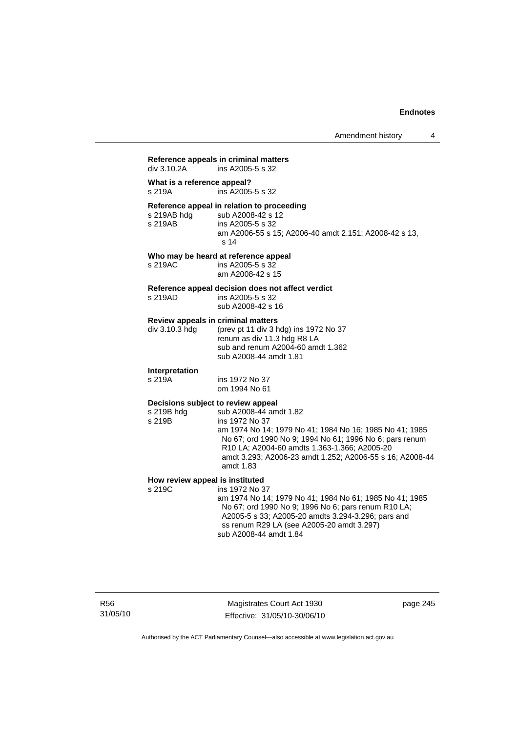# **Reference appeals in criminal matters**  ins A2005-5 s 32 **What is a reference appeal?**  s 219A ins A2005-5 s 32 **Reference appeal in relation to proceeding**  sub A2008-42 s 12 s 219AB ins A2005-5 s 32 am A2006-55 s 15; A2006-40 amdt 2.151; A2008-42 s 13, s 14 **Who may be heard at reference appeal**  s 219AC ins A2005-5 s 32 am A2008-42 s 15 **Reference appeal decision does not affect verdict**  s 219AD ins A2005-5 s 32 sub A2008-42 s 16 **Review appeals in criminal matters**<br>div 3.10.3 hdg (prev pt 11 div 3 h (prev pt 11 div 3 hdg) ins 1972 No 37 renum as div 11.3 hdg R8 LA sub and renum A2004-60 amdt 1.362 sub A2008-44 amdt 1.81 **Interpretation**  s 219A ins 1972 No 37 om 1994 No 61 **Decisions subject to review appeal**  s 219B hdg sub A2008-44 amdt 1.82 s 219B ins 1972 No 37 am 1974 No 14; 1979 No 41; 1984 No 16; 1985 No 41; 1985 No 67; ord 1990 No 9; 1994 No 61; 1996 No 6; pars renum R10 LA; A2004-60 amdts 1.363-1.366; A2005-20 amdt 3.293; A2006-23 amdt 1.252; A2006-55 s 16; A2008-44 amdt 1.83 **How review appeal is instituted**<br>s 219C **ins 1972** No 3 ins 1972 No 37 am 1974 No 14; 1979 No 41; 1984 No 61; 1985 No 41; 1985 No 67; ord 1990 No 9; 1996 No 6; pars renum R10 LA; A2005-5 s 33; A2005-20 amdts 3.294-3.296; pars and ss renum R29 LA (see A2005-20 amdt 3.297) sub A2008-44 amdt 1.84

Magistrates Court Act 1930 Effective: 31/05/10-30/06/10 page 245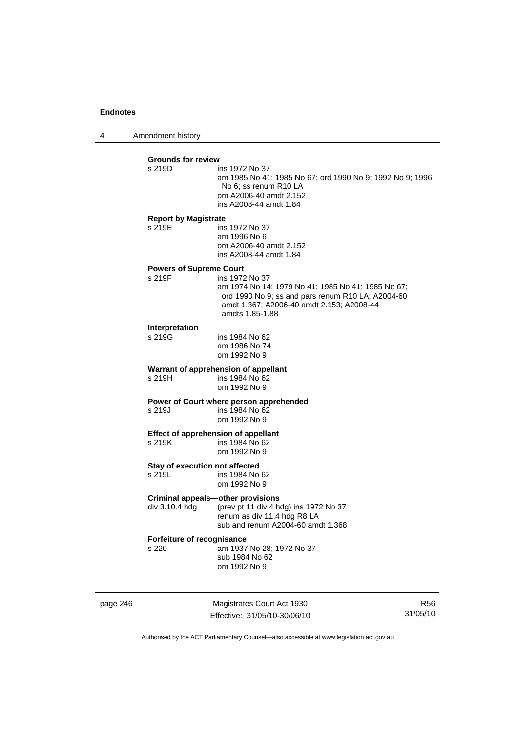4 Amendment history

|          | <b>Grounds for review</b><br>s 219D                        | ins 1972 No 37<br>am 1985 No 41; 1985 No 67; ord 1990 No 9; 1992 No 9; 1996<br>No 6; ss renum R10 LA<br>om A2006-40 amdt 2.152<br>ins A2008-44 amdt 1.84                                  |                 |
|----------|------------------------------------------------------------|-------------------------------------------------------------------------------------------------------------------------------------------------------------------------------------------|-----------------|
|          | <b>Report by Magistrate</b><br>s 219E                      | ins 1972 No 37<br>am 1996 No 6<br>om A2006-40 amdt 2.152<br>ins A2008-44 amdt 1.84                                                                                                        |                 |
|          | <b>Powers of Supreme Court</b><br>s 219F                   | ins 1972 No 37<br>am 1974 No 14; 1979 No 41; 1985 No 41; 1985 No 67;<br>ord 1990 No 9; ss and pars renum R10 LA; A2004-60<br>amdt 1.367; A2006-40 amdt 2.153; A2008-44<br>amdts 1.85-1.88 |                 |
|          | Interpretation<br>s 219G                                   | ins 1984 No 62<br>am 1986 No 74<br>om 1992 No 9                                                                                                                                           |                 |
|          | s 219H                                                     | Warrant of apprehension of appellant<br>ins 1984 No 62<br>om 1992 No 9                                                                                                                    |                 |
|          | s 219J                                                     | Power of Court where person apprehended<br>ins 1984 No 62<br>om 1992 No 9                                                                                                                 |                 |
|          | Effect of apprehension of appellant<br>s 219K              | ins 1984 No 62<br>om 1992 No 9                                                                                                                                                            |                 |
|          | Stay of execution not affected<br>s 219L                   | ins 1984 No 62<br>om 1992 No 9                                                                                                                                                            |                 |
|          | <b>Criminal appeals-other provisions</b><br>div 3.10.4 hdg | (prev pt 11 div 4 hdg) ins 1972 No 37<br>renum as div 11.4 hdg R8 LA<br>sub and renum A2004-60 amdt 1.368                                                                                 |                 |
|          | Forfeiture of recognisance<br>s 220                        | am 1937 No 28; 1972 No 37<br>sub 1984 No 62<br>om 1992 No 9                                                                                                                               |                 |
| page 246 |                                                            | Magistrates Court Act 1930<br>Effective: 31/05/10-30/06/10                                                                                                                                | R56<br>31/05/10 |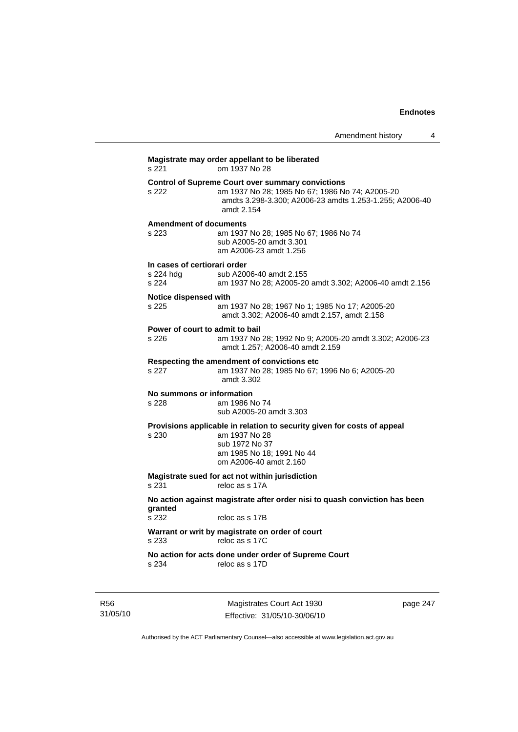|                                                    |                                                                                                                                                                                      | Amendment history | 4 |
|----------------------------------------------------|--------------------------------------------------------------------------------------------------------------------------------------------------------------------------------------|-------------------|---|
| s 221                                              | Magistrate may order appellant to be liberated<br>om 1937 No 28                                                                                                                      |                   |   |
| s 222                                              | <b>Control of Supreme Court over summary convictions</b><br>am 1937 No 28; 1985 No 67; 1986 No 74; A2005-20<br>amdts 3.298-3.300; A2006-23 amdts 1.253-1.255; A2006-40<br>amdt 2.154 |                   |   |
| <b>Amendment of documents</b><br>s 223             | am 1937 No 28; 1985 No 67; 1986 No 74<br>sub A2005-20 amdt 3.301<br>am A2006-23 amdt 1.256                                                                                           |                   |   |
| In cases of certiorari order<br>s 224 hdg<br>s 224 | sub A2006-40 amdt 2.155<br>am 1937 No 28; A2005-20 amdt 3.302; A2006-40 amdt 2.156                                                                                                   |                   |   |
| Notice dispensed with<br>s 225                     | am 1937 No 28; 1967 No 1; 1985 No 17; A2005-20<br>amdt 3.302; A2006-40 amdt 2.157, amdt 2.158                                                                                        |                   |   |
| Power of court to admit to bail<br>s 226           | am 1937 No 28; 1992 No 9; A2005-20 amdt 3.302; A2006-23<br>amdt 1.257; A2006-40 amdt 2.159                                                                                           |                   |   |
| s 227                                              | Respecting the amendment of convictions etc.<br>am 1937 No 28; 1985 No 67; 1996 No 6; A2005-20<br>amdt 3.302                                                                         |                   |   |
| No summons or information<br>s 228                 | am 1986 No 74<br>sub A2005-20 amdt 3.303                                                                                                                                             |                   |   |
| s 230                                              | Provisions applicable in relation to security given for costs of appeal<br>am 1937 No 28<br>sub 1972 No 37<br>am 1985 No 18; 1991 No 44<br>om A2006-40 amdt 2.160                    |                   |   |
| s 231                                              | Magistrate sued for act not within jurisdiction<br>reloc as s 17A                                                                                                                    |                   |   |
| granted<br>s 232                                   | No action against magistrate after order nisi to quash conviction has been<br>reloc as s 17B                                                                                         |                   |   |
| s 233                                              | Warrant or writ by magistrate on order of court<br>reloc as s 17C                                                                                                                    |                   |   |
| s 234                                              | No action for acts done under order of Supreme Court<br>reloc as s 17D                                                                                                               |                   |   |

R56 31/05/10

Magistrates Court Act 1930 Effective: 31/05/10-30/06/10 page 247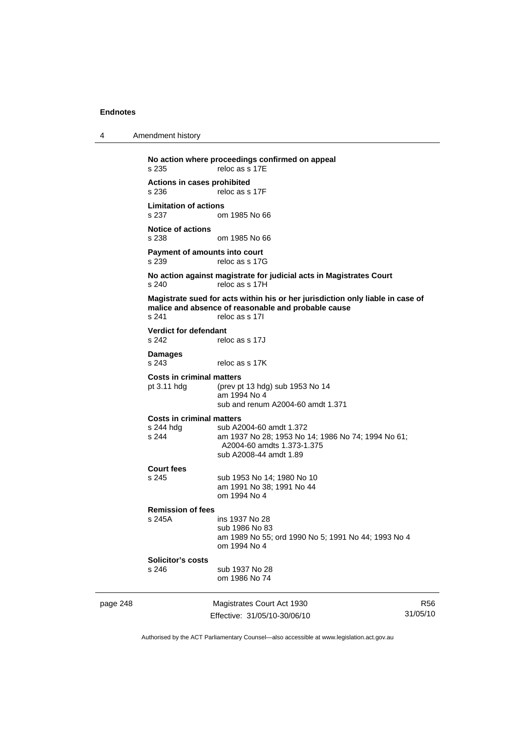4 Amendment history

page 248 Magistrates Court Act 1930 Effective: 31/05/10-30/06/10 R56 31/05/10 **No action where proceedings confirmed on appeal**  s 235 reloc as s 17E **Actions in cases prohibited**  reloc as s 17F **Limitation of actions**  om 1985 No 66 **Notice of actions**  s 238 om 1985 No 66 **Payment of amounts into court**<br>s 239 reloc as s 170 reloc as s 17G **No action against magistrate for judicial acts in Magistrates Court**  s 240 reloc as s 17H **Magistrate sued for acts within his or her jurisdiction only liable in case of malice and absence of reasonable and probable cause**  s 241 reloc as s 17I **Verdict for defendant**  s 242 reloc as s 17J **Damages**  s 243 reloc as s 17K **Costs in criminal matters**<br>pt 3.11 hdg (prev pt (prev pt 13 hdg) sub 1953 No 14 am 1994 No 4 sub and renum A2004-60 amdt 1.371 **Costs in criminal matters**  sub A2004-60 amdt 1.372 s 244 am 1937 No 28; 1953 No 14; 1986 No 74; 1994 No 61; A2004-60 amdts 1.373-1.375 sub A2008-44 amdt 1.89 **Court fees**  s 245 sub 1953 No 14; 1980 No 10 am 1991 No 38; 1991 No 44 om 1994 No 4 **Remission of fees**  s 245A ins 1937 No 28 sub 1986 No 83 am 1989 No 55; ord 1990 No 5; 1991 No 44; 1993 No 4 om 1994 No 4 **Solicitor's costs**  s 246 sub 1937 No 28 om 1986 No 74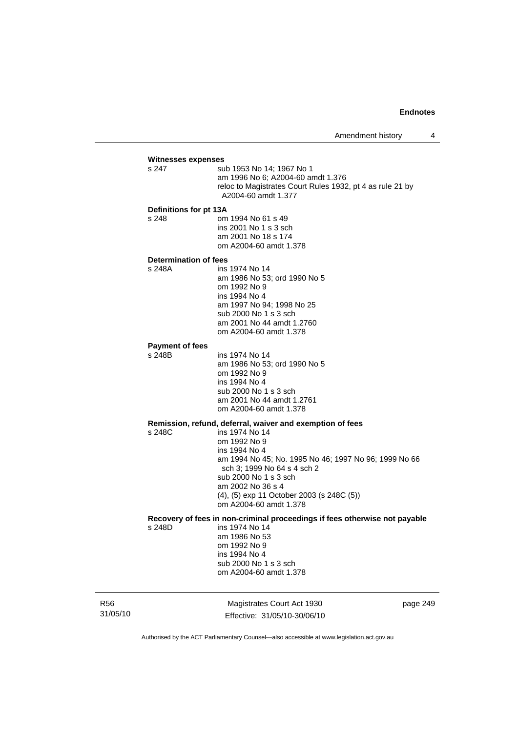# **Witnesses expenses**

sub 1953 No 14: 1967 No 1 am 1996 No 6; A2004-60 amdt 1.376 reloc to Magistrates Court Rules 1932, pt 4 as rule 21 by A2004-60 amdt 1.377

#### **Definitions for pt 13A**

s 248 om 1994 No 61 s 49 ins 2001 No 1 s 3 sch am 2001 No 18 s 174 om A2004-60 amdt 1.378

#### **Determination of fees**

s 248A ins 1974 No 14 am 1986 No 53; ord 1990 No 5 om 1992 No 9 ins 1994 No 4 am 1997 No 94; 1998 No 25 sub 2000 No 1 s 3 sch am 2001 No 44 amdt 1.2760 om A2004-60 amdt 1.378

#### **Payment of fees**

s 248B ins 1974 No 14

 am 1986 No 53; ord 1990 No 5 om 1992 No 9 ins 1994 No 4 sub 2000 No 1 s 3 sch am 2001 No 44 amdt 1.2761 om A2004-60 amdt 1.378

# **Remission, refund, deferral, waiver and exemption of fees**

 $ins 1974$  No 14 om 1992 No 9 ins 1994 No 4 am 1994 No 45; No. 1995 No 46; 1997 No 96; 1999 No 66 sch 3; 1999 No 64 s 4 sch 2 sub 2000 No 1 s 3 sch am 2002 No 36 s 4 (4), (5) exp 11 October 2003 (s 248C (5)) om A2004-60 amdt 1.378

# **Recovery of fees in non-criminal proceedings if fees otherwise not payable**

ins 1974 No 14 am 1986 No 53 om 1992 No 9 ins 1994 No 4 sub 2000 No 1 s 3 sch om A2004-60 amdt 1.378

R56 31/05/10

Magistrates Court Act 1930 Effective: 31/05/10-30/06/10 page 249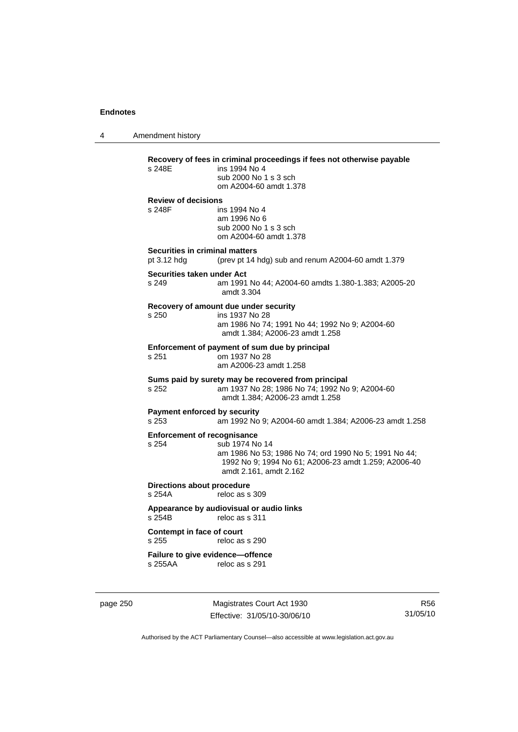4 Amendment history

**Recovery of fees in criminal proceedings if fees not otherwise payable**  ins 1994 No 4 sub 2000 No 1 s 3 sch om A2004-60 amdt 1.378 **Review of decisions**  s 248F ins 1994 No 4 am 1996 No 6 sub 2000 No 1 s 3 sch om A2004-60 amdt 1.378 **Securities in criminal matters**  pt 3.12 hdg (prev pt 14 hdg) sub and renum A2004-60 amdt 1.379 **Securities taken under Act**  s 249 am 1991 No 44; A2004-60 amdts 1.380-1.383; A2005-20 amdt 3.304 **Recovery of amount due under security**  s 250 ins 1937 No 28 am 1986 No 74; 1991 No 44; 1992 No 9; A2004-60 amdt 1.384; A2006-23 amdt 1.258 **Enforcement of payment of sum due by principal**<br>s 251 cm 1937 No 28 om 1937 No 28 am A2006-23 amdt 1.258 **Sums paid by surety may be recovered from principal**  s 252 am 1937 No 28; 1986 No 74; 1992 No 9; A2004-60 amdt 1.384; A2006-23 amdt 1.258 **Payment enforced by security**  s 253 am 1992 No 9; A2004-60 amdt 1.384; A2006-23 amdt 1.258 **Enforcement of recognisance**<br>s 254 sub 1974 No sub 1974 No 14 am 1986 No 53; 1986 No 74; ord 1990 No 5; 1991 No 44; 1992 No 9; 1994 No 61; A2006-23 amdt 1.259; A2006-40 amdt 2.161, amdt 2.162 **Directions about procedure**  s 254A reloc as s 309 **Appearance by audiovisual or audio links**  reloc as s 311 **Contempt in face of court**  reloc as s 290 **Failure to give evidence—offence**  s 255AA reloc as s 291

page 250 Magistrates Court Act 1930 Effective: 31/05/10-30/06/10

R56 31/05/10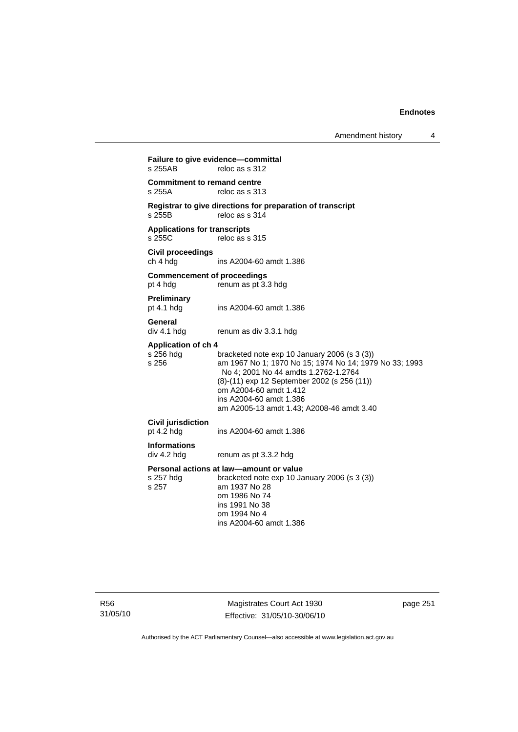Amendment history 4

**Failure to give evidence—committal**<br>s 255AB reloc as s 312 reloc as s 312 **Commitment to remand centre**  s 255A reloc as s 313 **Registrar to give directions for preparation of transcript**  reloc as s  $314$ **Applications for transcripts**  s 255C reloc as s 315 **Civil proceedings**  ins A2004-60 amdt 1.386 **Commencement of proceedings**  pt 4 hdg renum as pt 3.3 hdg **Preliminary**  pt 4.1 hdg ins A2004-60 amdt 1.386 **General**  div 4.1 hdg renum as div 3.3.1 hdg **Application of ch 4**  s 256 hdg bracketed note exp 10 January 2006 (s 3 (3))<br>s 256 bracketed note exp 10 January 2006 (s 3 (3)) am 1967 No 1; 1970 No 15; 1974 No 14; 1979 No 33: 1993 No 4; 2001 No 44 amdts 1.2762-1.2764 (8)-(11) exp 12 September 2002 (s 256 (11)) om A2004-60 amdt 1.412 ins A2004-60 amdt 1.386 am A2005-13 amdt 1.43; A2008-46 amdt 3.40 **Civil jurisdiction**  pt 4.2 hdg ins A2004-60 amdt 1.386 **Informations**  renum as pt 3.3.2 hdg **Personal actions at law—amount or value**  s 257 hdg bracketed note exp 10 January 2006 (s 3 (3)) s 257 am 1937 No 28 om 1986 No 74 ins 1991 No 38 om 1994 No 4 ins A2004-60 amdt 1.386

R56 31/05/10

Magistrates Court Act 1930 Effective: 31/05/10-30/06/10 page 251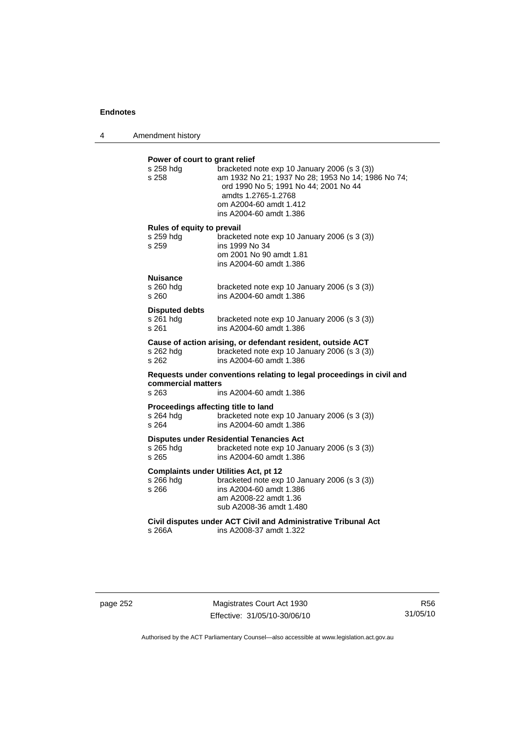4 Amendment history

| Power of court to grant relief<br>s 258 hdq<br>s 258                                                                            | bracketed note exp 10 January 2006 (s 3 (3))<br>am 1932 No 21; 1937 No 28; 1953 No 14; 1986 No 74;<br>ord 1990 No 5; 1991 No 44; 2001 No 44<br>amdts 1.2765-1.2768<br>om A2004-60 amdt 1.412<br>ins A2004-60 amdt 1.386 |  |
|---------------------------------------------------------------------------------------------------------------------------------|-------------------------------------------------------------------------------------------------------------------------------------------------------------------------------------------------------------------------|--|
| Rules of equity to prevail<br>s 259 hdg<br>s 259                                                                                | bracketed note exp 10 January 2006 (s 3 (3))<br>ins 1999 No 34<br>om 2001 No 90 amdt 1.81<br>ins A2004-60 amdt 1.386                                                                                                    |  |
| <b>Nuisance</b><br>s 260 hdg<br>s 260                                                                                           | bracketed note exp 10 January 2006 (s 3 (3))<br>ins A2004-60 amdt 1.386                                                                                                                                                 |  |
| <b>Disputed debts</b><br>s 261 hdg<br>s 261                                                                                     | bracketed note exp 10 January 2006 (s 3 (3))<br>ins A2004-60 amdt 1.386                                                                                                                                                 |  |
| s 262 hdg<br>s 262                                                                                                              | Cause of action arising, or defendant resident, outside ACT<br>bracketed note exp 10 January 2006 (s 3 (3))<br>ins A2004-60 amdt 1.386                                                                                  |  |
| Requests under conventions relating to legal proceedings in civil and<br>commercial matters<br>s 263<br>ins A2004-60 amdt 1.386 |                                                                                                                                                                                                                         |  |
| s 264 hdg<br>s 264                                                                                                              | Proceedings affecting title to land<br>bracketed note exp 10 January 2006 (s 3 (3))<br>ins A2004-60 amdt 1.386                                                                                                          |  |
| s 265 hdg<br>s 265                                                                                                              | <b>Disputes under Residential Tenancies Act</b><br>bracketed note exp 10 January 2006 (s 3 (3))<br>ins A2004-60 amdt 1.386                                                                                              |  |
| s 266 hdg<br>s 266                                                                                                              | <b>Complaints under Utilities Act, pt 12</b><br>bracketed note exp 10 January 2006 (s 3 (3))<br>ins A2004-60 amdt 1.386<br>am A2008-22 amdt 1.36<br>sub A2008-36 amdt 1.480                                             |  |
| s 266A                                                                                                                          | Civil disputes under ACT Civil and Administrative Tribunal Act<br>ins A2008-37 amdt 1.322                                                                                                                               |  |

page 252 Magistrates Court Act 1930 Effective: 31/05/10-30/06/10

R56 31/05/10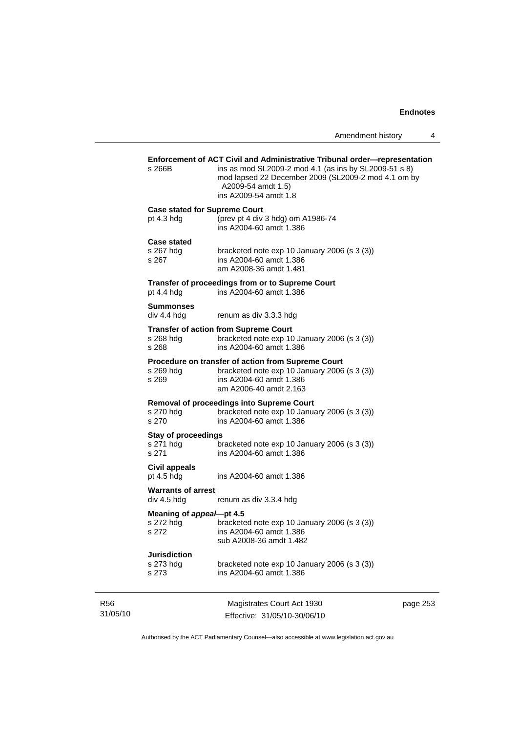|                             | s 266B                                               | Enforcement of ACT Civil and Administrative Tribunal order-representation<br>ins as mod SL2009-2 mod 4.1 (as ins by SL2009-51 s 8)<br>mod lapsed 22 December 2009 (SL2009-2 mod 4.1 om by<br>A2009-54 amdt 1.5)<br>ins A2009-54 amdt 1.8 |          |
|-----------------------------|------------------------------------------------------|------------------------------------------------------------------------------------------------------------------------------------------------------------------------------------------------------------------------------------------|----------|
|                             | <b>Case stated for Supreme Court</b><br>pt $4.3$ hdg | (prev pt 4 div 3 hdg) om A1986-74<br>ins A2004-60 amdt 1.386                                                                                                                                                                             |          |
|                             | <b>Case stated</b><br>s 267 hdg<br>s 267             | bracketed note exp 10 January 2006 (s 3 (3))<br>ins A2004-60 amdt 1.386<br>am A2008-36 amdt 1.481                                                                                                                                        |          |
|                             | pt $4.4$ hdg                                         | Transfer of proceedings from or to Supreme Court<br>ins A2004-60 amdt 1.386                                                                                                                                                              |          |
|                             | Summonses<br>div 4.4 hda                             | renum as div 3.3.3 hdg                                                                                                                                                                                                                   |          |
|                             | s 268 hdg<br>s 268                                   | <b>Transfer of action from Supreme Court</b><br>bracketed note exp 10 January 2006 (s 3 (3))<br>ins A2004-60 amdt 1.386                                                                                                                  |          |
|                             | s 269 hdg<br>s 269                                   | Procedure on transfer of action from Supreme Court<br>bracketed note exp 10 January 2006 (s 3 (3))<br>ins A2004-60 amdt 1.386<br>am A2006-40 amdt 2.163                                                                                  |          |
|                             | s 270 hdg<br>s 270                                   | <b>Removal of proceedings into Supreme Court</b><br>bracketed note exp 10 January 2006 (s 3 (3))<br>ins A2004-60 amdt 1.386                                                                                                              |          |
|                             | <b>Stay of proceedings</b><br>s 271 hdg<br>s 271     | bracketed note exp 10 January 2006 (s 3 (3))<br>ins A2004-60 amdt 1.386                                                                                                                                                                  |          |
|                             | Civil appeals<br>pt $4.5$ hdg                        | ins A2004-60 amdt 1.386                                                                                                                                                                                                                  |          |
|                             | <b>Warrants of arrest</b><br>div 4.5 hdg             | renum as div 3.3.4 hdg                                                                                                                                                                                                                   |          |
|                             | Meaning of appeal-pt 4.5<br>s 272 hdg<br>s 272       | bracketed note exp 10 January 2006 (s 3 (3))<br>ins A2004-60 amdt 1.386<br>sub A2008-36 amdt 1.482                                                                                                                                       |          |
|                             | <b>Jurisdiction</b><br>s 273 hdg<br>s 273            | bracketed note exp 10 January 2006 (s 3 (3))<br>ins A2004-60 amdt 1.386                                                                                                                                                                  |          |
| R <sub>56</sub><br>31/05/10 |                                                      | Magistrates Court Act 1930<br>Effective: 31/05/10-30/06/10                                                                                                                                                                               | page 253 |

Authorised by the ACT Parliamentary Counsel—also accessible at www.legislation.act.gov.au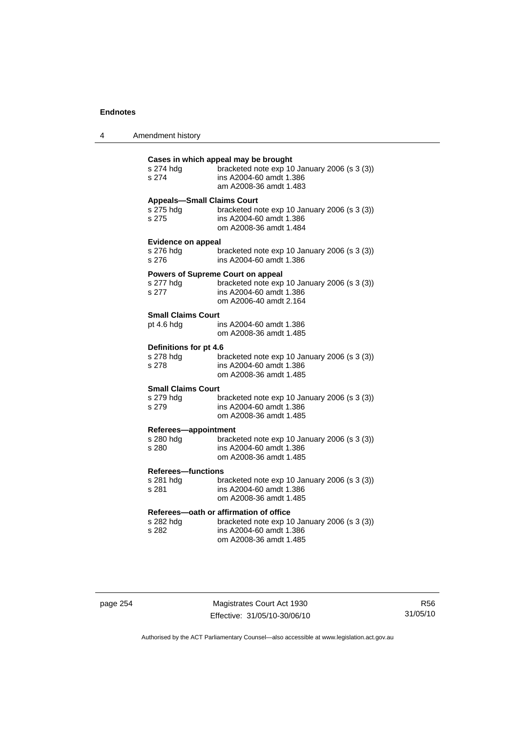4 Amendment history

| s 274 hdg<br>s 274                              | Cases in which appeal may be brought<br>bracketed note exp 10 January 2006 (s 3 (3))<br>ins A2004-60 amdt 1.386<br>am A2008-36 amdt 1.483     |
|-------------------------------------------------|-----------------------------------------------------------------------------------------------------------------------------------------------|
| <b>Appeals-Small Claims Court</b>               | bracketed note exp 10 January 2006 (s 3 (3))                                                                                                  |
| s 275 hdg                                       | ins A2004-60 amdt 1.386                                                                                                                       |
| s 275                                           | om A2008-36 amdt 1.484                                                                                                                        |
| <b>Evidence on appeal</b><br>s 276 hdg<br>s 276 | bracketed note exp 10 January 2006 (s 3 (3))<br>ins A2004-60 amdt 1.386                                                                       |
| s 277 hdg<br>s 277                              | <b>Powers of Supreme Court on appeal</b><br>bracketed note exp 10 January 2006 (s 3 (3))<br>ins A2004-60 amdt 1.386<br>om A2006-40 amdt 2.164 |
| <b>Small Claims Court</b>                       | ins A2004-60 amdt 1.386                                                                                                                       |
| pt 4.6 hdg                                      | om A2008-36 amdt 1.485                                                                                                                        |
| Definitions for pt 4.6                          | bracketed note exp 10 January 2006 (s 3 (3))                                                                                                  |
| s 278 hdg                                       | ins A2004-60 amdt 1.386                                                                                                                       |
| s 278                                           | om A2008-36 amdt 1.485                                                                                                                        |
| <b>Small Claims Court</b>                       | bracketed note exp 10 January 2006 (s 3 (3))                                                                                                  |
| s 279 hdg                                       | ins A2004-60 amdt 1.386                                                                                                                       |
| s 279                                           | om A2008-36 amdt 1.485                                                                                                                        |
| Referees-appointment                            | bracketed note exp 10 January 2006 (s 3 (3))                                                                                                  |
| s 280 hdg                                       | ins A2004-60 amdt 1.386                                                                                                                       |
| s 280                                           | om A2008-36 amdt 1.485                                                                                                                        |
| <b>Referees-functions</b>                       | bracketed note exp 10 January 2006 (s 3 (3))                                                                                                  |
| s 281 hdg                                       | ins A2004-60 amdt 1.386                                                                                                                       |
| s 281                                           | om A2008-36 amdt 1.485                                                                                                                        |
| s 282 hdg<br>s 282                              | Referees-oath or affirmation of office<br>bracketed note exp 10 January 2006 (s 3 (3))<br>ins A2004-60 amdt 1.386<br>om A2008-36 amdt 1.485   |

page 254 Magistrates Court Act 1930 Effective: 31/05/10-30/06/10

R56 31/05/10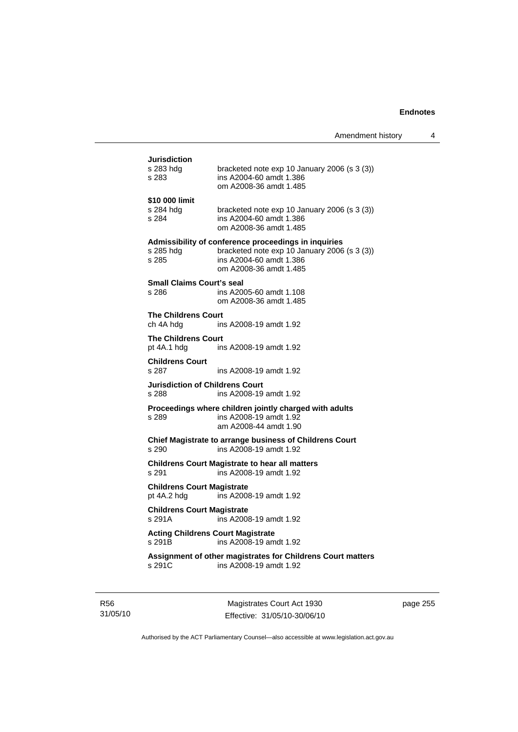**Jurisdiction**<br>s 283 hdg bracketed note exp 10 January 2006 (s 3 (3)) s 283 ins A2004-60 amdt 1.386 om A2008-36 amdt 1.485 **\$10 000 limit**  s 284 hdg bracketed note exp 10 January 2006 (s 3 (3)) s 284 ins A2004-60 amdt 1.386 om A2008-36 amdt 1.485 **Admissibility of conference proceedings in inquiries**  s 285 hdg bracketed note exp 10 January 2006 (s 3 (3)) s 285 ins A2004-60 amdt 1.386 om A2008-36 amdt 1.485 **Small Claims Court's seal**  s 286 ins A2005-60 amdt 1.108 om A2008-36 amdt 1.485 **The Childrens Court**  ch 4A hdg ins A2008-19 amdt 1.92 **The Childrens Court** pt 4A.1 hdg ins ins A2008-19 amdt 1.92 **Childrens Court**  s 287 ins A2008-19 amdt 1.92 **Jurisdiction of Childrens Court**  s 288 ins A2008-19 amdt 1.92 **Proceedings where children jointly charged with adults**  s 289 ins A2008-19 amdt 1.92 am A2008-44 amdt 1.90 **Chief Magistrate to arrange business of Childrens Court**  s 290 ins A2008-19 amdt 1.92 **Childrens Court Magistrate to hear all matters**  s 291 ins A2008-19 amdt 1.92 **Childrens Court Magistrate**  pt 4A.2 hdg ins A2008-19 amdt 1.92 **Childrens Court Magistrate**  s 291A ins A2008-19 amdt 1.92 **Acting Childrens Court Magistrate**  s 291B ins A2008-19 amdt 1.92 **Assignment of other magistrates for Childrens Court matters**  s 291C ins A2008-19 amdt 1.92

R56 31/05/10

Magistrates Court Act 1930 Effective: 31/05/10-30/06/10 page 255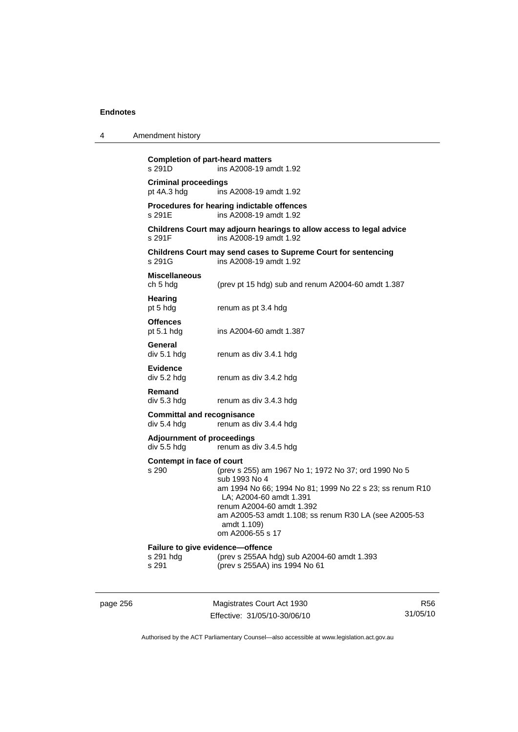| 4 | Amendment history                                      |                                                                                                                                                                                                                                                                                       |
|---|--------------------------------------------------------|---------------------------------------------------------------------------------------------------------------------------------------------------------------------------------------------------------------------------------------------------------------------------------------|
|   | <b>Completion of part-heard matters</b><br>s 291D      | ins A2008-19 amdt 1.92                                                                                                                                                                                                                                                                |
|   | <b>Criminal proceedings</b><br>pt 4A.3 hdg             | ins A2008-19 amdt 1.92                                                                                                                                                                                                                                                                |
|   | s 291E                                                 | Procedures for hearing indictable offences<br>ins A2008-19 amdt 1.92                                                                                                                                                                                                                  |
|   | s 291F                                                 | Childrens Court may adjourn hearings to allow access to legal advice<br>ins A2008-19 amdt 1.92                                                                                                                                                                                        |
|   | s 291G                                                 | Childrens Court may send cases to Supreme Court for sentencing<br>ins A2008-19 amdt 1.92                                                                                                                                                                                              |
|   | <b>Miscellaneous</b><br>ch 5 hdg                       | (prev pt 15 hdg) sub and renum A2004-60 amdt 1.387                                                                                                                                                                                                                                    |
|   | Hearing<br>pt 5 hdg                                    | renum as pt 3.4 hdg                                                                                                                                                                                                                                                                   |
|   | <b>Offences</b><br>pt $5.1$ hdg                        | ins A2004-60 amdt 1.387                                                                                                                                                                                                                                                               |
|   | General<br>div 5.1 hdg                                 | renum as div 3.4.1 hdg                                                                                                                                                                                                                                                                |
|   | Evidence<br>div 5.2 hdg                                | renum as div 3.4.2 hdg                                                                                                                                                                                                                                                                |
|   | Remand<br>div 5.3 hdg                                  | renum as div 3.4.3 hdg                                                                                                                                                                                                                                                                |
|   | <b>Committal and recognisance</b><br>div 5.4 hdg       | renum as div 3.4.4 hdg                                                                                                                                                                                                                                                                |
|   | <b>Adjournment of proceedings</b><br>div 5.5 hdg       | renum as div 3.4.5 hdg                                                                                                                                                                                                                                                                |
|   | Contempt in face of court<br>s 290                     | (prev s 255) am 1967 No 1; 1972 No 37; ord 1990 No 5<br>sub 1993 No 4<br>am 1994 No 66; 1994 No 81; 1999 No 22 s 23; ss renum R10<br>LA; A2004-60 amdt 1.391<br>renum A2004-60 amdt 1.392<br>am A2005-53 amdt 1.108; ss renum R30 LA (see A2005-53<br>amdt 1.109)<br>om A2006-55 s 17 |
|   | Failure to give evidence-offence<br>s 291 hdg<br>s 291 | (prev s 255AA hdg) sub A2004-60 amdt 1.393<br>(prev s 255AA) ins 1994 No 61                                                                                                                                                                                                           |

page 256 Magistrates Court Act 1930 Effective: 31/05/10-30/06/10

R56 31/05/10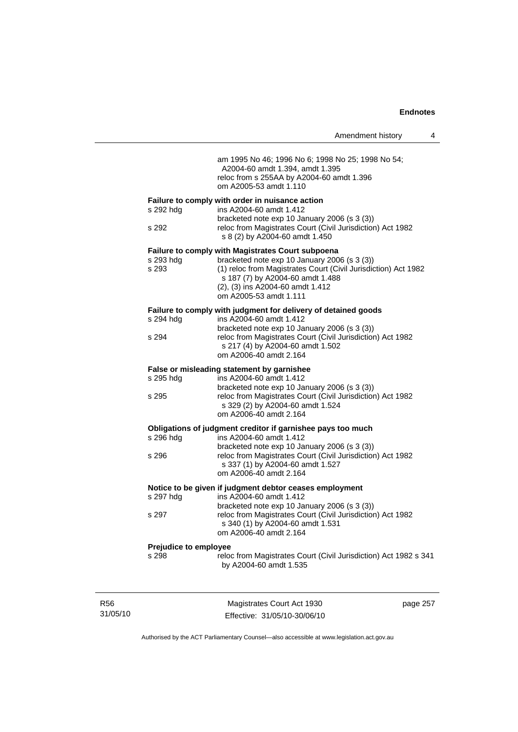|                       | Amendment history                                                                                                                                                                                                | 4 |
|-----------------------|------------------------------------------------------------------------------------------------------------------------------------------------------------------------------------------------------------------|---|
|                       | am 1995 No 46; 1996 No 6; 1998 No 25; 1998 No 54;<br>A2004-60 amdt 1.394, amdt 1.395<br>reloc from s 255AA by A2004-60 amdt 1.396<br>om A2005-53 amdt 1.110                                                      |   |
|                       | Failure to comply with order in nuisance action                                                                                                                                                                  |   |
| s 292 hdg             | ins A2004-60 amdt 1.412                                                                                                                                                                                          |   |
| s 292                 | bracketed note $exp 10$ January 2006 (s 3 (3))<br>reloc from Magistrates Court (Civil Jurisdiction) Act 1982<br>s 8 (2) by A2004-60 amdt 1.450                                                                   |   |
|                       | <b>Failure to comply with Magistrates Court subpoena</b>                                                                                                                                                         |   |
| s 293 hdg<br>s 293    | bracketed note exp 10 January 2006 (s 3 (3))<br>(1) reloc from Magistrates Court (Civil Jurisdiction) Act 1982<br>s 187 (7) by A2004-60 amdt 1.488<br>(2), (3) ins A2004-60 amdt 1.412<br>om A2005-53 amdt 1.111 |   |
|                       | Failure to comply with judgment for delivery of detained goods                                                                                                                                                   |   |
| s 294 hdg             | ins A2004-60 amdt 1.412                                                                                                                                                                                          |   |
|                       | bracketed note exp 10 January 2006 (s 3 (3))                                                                                                                                                                     |   |
| s 294                 | reloc from Magistrates Court (Civil Jurisdiction) Act 1982<br>s 217 (4) by A2004-60 amdt 1.502<br>om A2006-40 amdt 2.164                                                                                         |   |
|                       | False or misleading statement by garnishee                                                                                                                                                                       |   |
| s 295 hdg             | ins A2004-60 amdt 1.412                                                                                                                                                                                          |   |
|                       | bracketed note exp 10 January 2006 (s 3 (3))                                                                                                                                                                     |   |
| s 295                 | reloc from Magistrates Court (Civil Jurisdiction) Act 1982<br>s 329 (2) by A2004-60 amdt 1.524                                                                                                                   |   |
|                       | om A2006-40 amdt 2.164                                                                                                                                                                                           |   |
|                       | Obligations of judgment creditor if garnishee pays too much                                                                                                                                                      |   |
| s 296 hdg             | ins A2004-60 amdt 1.412                                                                                                                                                                                          |   |
|                       | bracketed note exp 10 January 2006 (s 3 (3))                                                                                                                                                                     |   |
| s 296                 | reloc from Magistrates Court (Civil Jurisdiction) Act 1982                                                                                                                                                       |   |
|                       | s 337 (1) by A2004-60 amdt 1.527<br>om A2006-40 amdt 2.164                                                                                                                                                       |   |
|                       |                                                                                                                                                                                                                  |   |
| s 297 hdg             | Notice to be given if judgment debtor ceases employment<br>ins A2004-60 amdt 1.412                                                                                                                               |   |
|                       | bracketed note exp 10 January 2006 (s 3 (3))                                                                                                                                                                     |   |
| s 297                 | reloc from Magistrates Court (Civil Jurisdiction) Act 1982                                                                                                                                                       |   |
|                       | s 340 (1) by A2004-60 amdt 1.531                                                                                                                                                                                 |   |
|                       | om A2006-40 amdt 2.164                                                                                                                                                                                           |   |
| Prejudice to employee |                                                                                                                                                                                                                  |   |
| s 298                 | reloc from Magistrates Court (Civil Jurisdiction) Act 1982 s 341<br>by A2004-60 amdt 1.535                                                                                                                       |   |
|                       |                                                                                                                                                                                                                  |   |
|                       |                                                                                                                                                                                                                  |   |

R56 31/05/10

Magistrates Court Act 1930 Effective: 31/05/10-30/06/10 page 257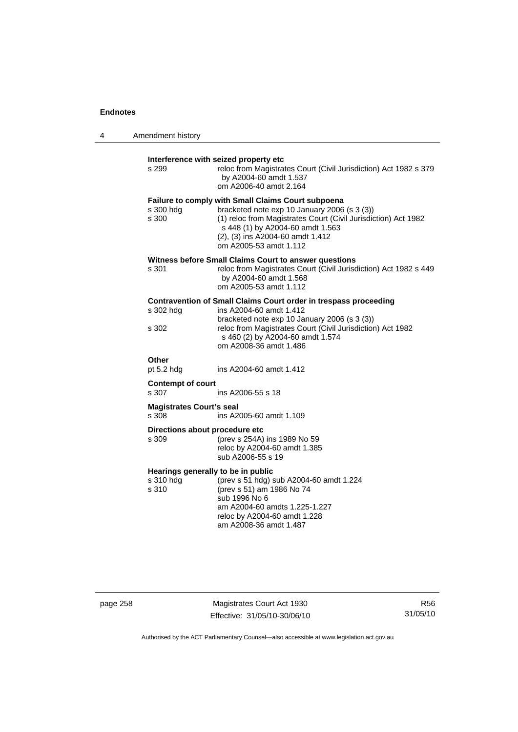| 4 | Amendment history                                          |                                                                                                                                                                                                                                                                               |
|---|------------------------------------------------------------|-------------------------------------------------------------------------------------------------------------------------------------------------------------------------------------------------------------------------------------------------------------------------------|
|   | s 299                                                      | Interference with seized property etc<br>reloc from Magistrates Court (Civil Jurisdiction) Act 1982 s 379<br>by A2004-60 amdt 1.537<br>om A2006-40 amdt 2.164                                                                                                                 |
|   | s 300 hdg<br>s 300                                         | <b>Failure to comply with Small Claims Court subpoena</b><br>bracketed note exp 10 January 2006 (s 3 (3))<br>(1) reloc from Magistrates Court (Civil Jurisdiction) Act 1982<br>s 448 (1) by A2004-60 amdt 1.563<br>(2), (3) ins A2004-60 amdt 1.412<br>om A2005-53 amdt 1.112 |
|   | s 301                                                      | Witness before Small Claims Court to answer questions<br>reloc from Magistrates Court (Civil Jurisdiction) Act 1982 s 449<br>by A2004-60 amdt 1.568<br>om A2005-53 amdt 1.112                                                                                                 |
|   | s 302 hdg<br>s 302                                         | Contravention of Small Claims Court order in trespass proceeding<br>ins A2004-60 amdt 1.412<br>bracketed note exp 10 January 2006 (s 3 (3))<br>reloc from Magistrates Court (Civil Jurisdiction) Act 1982<br>s 460 (2) by A2004-60 amdt 1.574                                 |
|   | Other<br>pt $5.2$ hdg<br><b>Contempt of court</b><br>s 307 | om A2008-36 amdt 1.486<br>ins A2004-60 amdt 1.412<br>ins A2006-55 s 18                                                                                                                                                                                                        |
|   | <b>Magistrates Court's seal</b><br>s 308                   | ins A2005-60 amdt 1.109                                                                                                                                                                                                                                                       |
|   | Directions about procedure etc<br>s 309                    | (prev s 254A) ins 1989 No 59<br>reloc by A2004-60 amdt 1.385<br>sub A2006-55 s 19                                                                                                                                                                                             |
|   | Hearings generally to be in public<br>s 310 hdg<br>s 310   | (prev s 51 hdg) sub A2004-60 amdt 1.224<br>(prev s 51) am 1986 No 74<br>sub 1996 No 6<br>am A2004-60 amdts 1.225-1.227<br>reloc by A2004-60 amdt 1.228<br>am A2008-36 amdt 1.487                                                                                              |

page 258 Magistrates Court Act 1930 Effective: 31/05/10-30/06/10

R56 31/05/10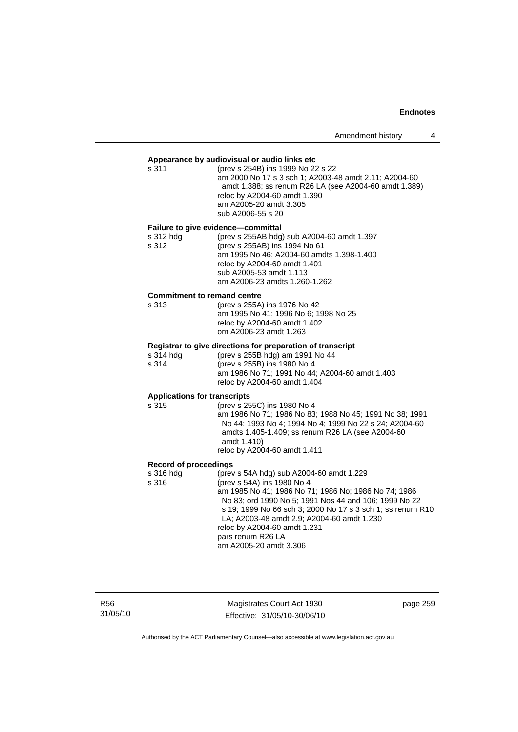# **Appearance by audiovisual or audio links etc**

| (prev s 254B) ins 1999 No 22 s 22                     |
|-------------------------------------------------------|
| am 2000 No 17 s 3 sch 1; A2003-48 amdt 2.11; A2004-60 |
| amdt 1.388; ss renum R26 LA (see A2004-60 amdt 1.389) |
| reloc by A2004-60 amdt 1.390                          |
| am A2005-20 amdt 3.305                                |
| sub A2006-55 s 20                                     |
|                                                       |

# **Failure to give evidence—committal**

| s 312 hdg | (prev s 255AB hdg) sub A2004-60 amdt 1.397 |
|-----------|--------------------------------------------|
| s 312     | (prev s 255AB) ins 1994 No 61              |
|           | am 1995 No 46: A2004-60 amdts 1.398-1.400  |
|           | reloc by A2004-60 amdt 1.401               |
|           | sub A2005-53 amdt 1.113                    |
|           | am A2006-23 amdts 1.260-1.262              |
|           |                                            |

#### **Commitment to remand centre**

| s 313 | (prev s 255A) ins 1976 No 42         |
|-------|--------------------------------------|
|       | am 1995 No 41: 1996 No 6: 1998 No 25 |
|       | reloc by A2004-60 amdt 1.402         |
|       | om A2006-23 amdt 1.263               |
|       |                                      |

# **Registrar to give directions for preparation of transcript**

| s 314 hdg | (prev s 255B hdg) am 1991 No 44                                                |
|-----------|--------------------------------------------------------------------------------|
| s 314     | (prev s 255B) ins 1980 No 4                                                    |
|           | am 1986 No 71: 1991 No 44: A2004-60 amdt 1.403<br>reloc by A2004-60 amdt 1.404 |

# **Applications for transcripts**

| (prev s 255C) ins 1980 No 4                             |
|---------------------------------------------------------|
| am 1986 No 71: 1986 No 83: 1988 No 45: 1991 No 38: 1991 |
| No 44: 1993 No 4: 1994 No 4: 1999 No 22 s 24: A2004-60  |
| amdts 1.405-1.409; ss renum R26 LA (see A2004-60)       |
| amdt 1.410)                                             |
| reloc by A2004-60 amdt 1.411                            |
|                                                         |

# **Record of proceedings**

| s 316 hdg | (prev s 54A hdg) sub A2004-60 amdt 1.229                   |
|-----------|------------------------------------------------------------|
| s 316     | (prev s 54A) ins 1980 No 4                                 |
|           | am 1985 No 41; 1986 No 71; 1986 No; 1986 No 74; 1986       |
|           | No 83; ord 1990 No 5; 1991 Nos 44 and 106; 1999 No 22      |
|           | s 19: 1999 No 66 sch 3: 2000 No 17 s 3 sch 1: ss renum R10 |
|           | LA; A2003-48 amdt 2.9; A2004-60 amdt 1.230                 |
|           | reloc by A2004-60 amdt 1.231                               |
|           | pars renum R26 LA                                          |
|           | am A2005-20 amdt 3.306                                     |
|           |                                                            |

R56 31/05/10

Magistrates Court Act 1930 Effective: 31/05/10-30/06/10 page 259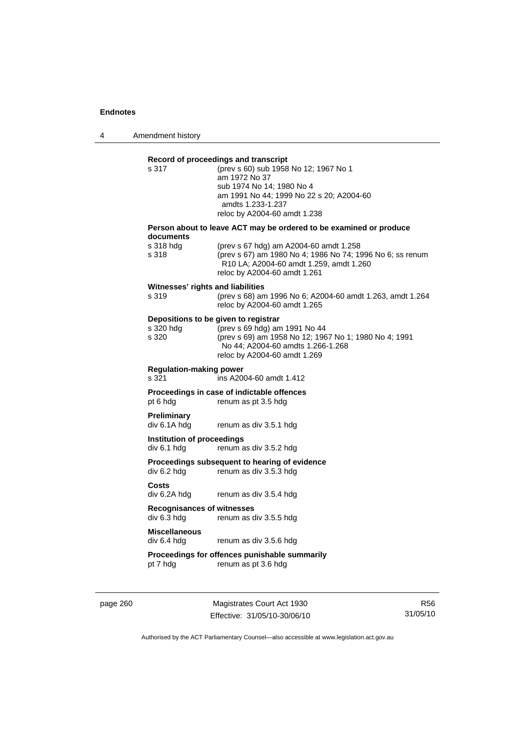4 Amendment history

| s.317                                            | (prev s 60) sub 1958 No 12; 1967 No 1<br>am 1972 No 37<br>sub 1974 No 14; 1980 No 4<br>am 1991 No 44; 1999 No 22 s 20; A2004-60<br>amdts 1.233-1.237<br>reloc by A2004-60 amdt 1.238                |
|--------------------------------------------------|-----------------------------------------------------------------------------------------------------------------------------------------------------------------------------------------------------|
|                                                  | Person about to leave ACT may be ordered to be examined or produce                                                                                                                                  |
| documents<br>s 318 hdg<br>s 318                  | (prev s 67 hdg) am A2004-60 amdt 1.258<br>(prev s 67) am 1980 No 4; 1986 No 74; 1996 No 6; ss renum<br>R10 LA; A2004-60 amdt 1.259, amdt 1.260<br>reloc by A2004-60 amdt 1.261                      |
| Witnesses' rights and liabilities<br>s 319       | (prev s 68) am 1996 No 6; A2004-60 amdt 1.263, amdt 1.264<br>reloc by A2004-60 amdt 1.265                                                                                                           |
| s 320 hda<br>s 320                               | Depositions to be given to registrar<br>(prev s 69 hdg) am 1991 No 44<br>(prev s 69) am 1958 No 12; 1967 No 1; 1980 No 4; 1991<br>No 44; A2004-60 amdts 1.266-1.268<br>reloc by A2004-60 amdt 1.269 |
| <b>Regulation-making power</b><br>s 321          | ins A2004-60 amdt 1.412                                                                                                                                                                             |
| pt 6 hdg                                         | Proceedings in case of indictable offences<br>renum as pt 3.5 hdg                                                                                                                                   |
| Preliminary<br>div 6.1A hdg                      | renum as div 3.5.1 hdg                                                                                                                                                                              |
| Institution of proceedings<br>div 6.1 hdg        | renum as div 3.5.2 hdg                                                                                                                                                                              |
| div 6.2 hdg                                      | Proceedings subsequent to hearing of evidence<br>renum as div 3.5.3 hdg                                                                                                                             |
| Costs<br>div 6.2A hdg                            | renum as div 3.5.4 hdg                                                                                                                                                                              |
| <b>Recognisances of witnesses</b><br>div 6.3 hdg | renum as div 3.5.5 hdg                                                                                                                                                                              |
| <b>Miscellaneous</b><br>div 6.4 hda              | renum as div 3.5.6 hdg                                                                                                                                                                              |
| pt 7 hdg                                         | Proceedings for offences punishable summarily<br>renum as pt 3.6 hdg                                                                                                                                |

page 260 Magistrates Court Act 1930 Effective: 31/05/10-30/06/10

R56 31/05/10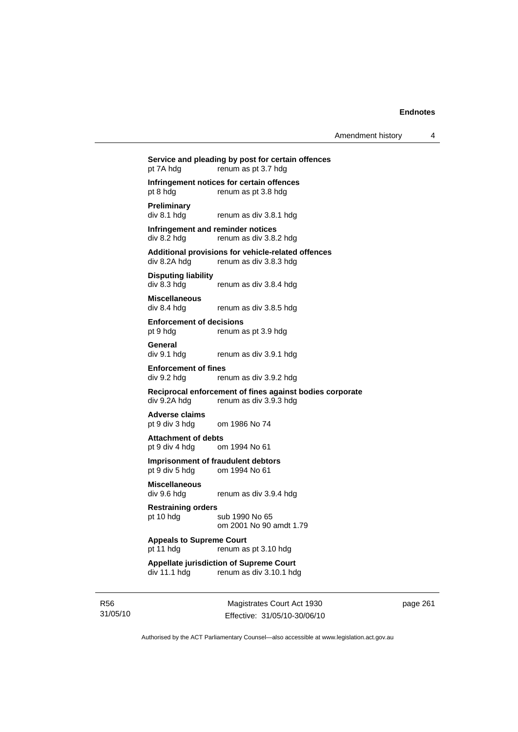# **Service and pleading by post for certain offences**  pt 7A hdg renum as pt 3.7 hdg **Infringement notices for certain offences**  pt 8 hdg renum as pt 3.8 hdg **Preliminary**  renum as div 3.8.1 hdg **Infringement and reminder notices**  div 8.2 hdg renum as div 3.8.2 hdg **Additional provisions for vehicle-related offences**  renum as div 3.8.3 hdg **Disputing liability**  div 8.3 hdg renum as div 3.8.4 hdg **Miscellaneous**  div 8.4 hdg renum as div 3.8.5 hdg **Enforcement of decisions**  pt 9 hdg renum as pt 3.9 hdg **General**  div 9.1 hdg renum as div 3.9.1 hdg **Enforcement of fines**  div 9.2 hdg renum as div 3.9.2 hdg **Reciprocal enforcement of fines against bodies corporate**  div 9.2A hdg renum as div 3.9.3 hdg **Adverse claims**  pt 9 div 3 hdg om 1986 No 74 **Attachment of debts**

pt 9 div 4 hdg om 1994 No 61

**Imprisonment of fraudulent debtors**  pt 9 div 5 hdg om 1994 No 61

**Miscellaneous** 

**Restraining orders** 

pt 10 hdg sub 1990 No 65 om 2001 No 90 amdt 1.79

renum as div 3.9.4 hdg

#### **Appeals to Supreme Court**  pt 11 hdg renum as pt 3.10 hdg

**Appellate jurisdiction of Supreme Court**  div 11.1 hdg renum as div 3.10.1 hdg

R56 31/05/10

Magistrates Court Act 1930 Effective: 31/05/10-30/06/10 page 261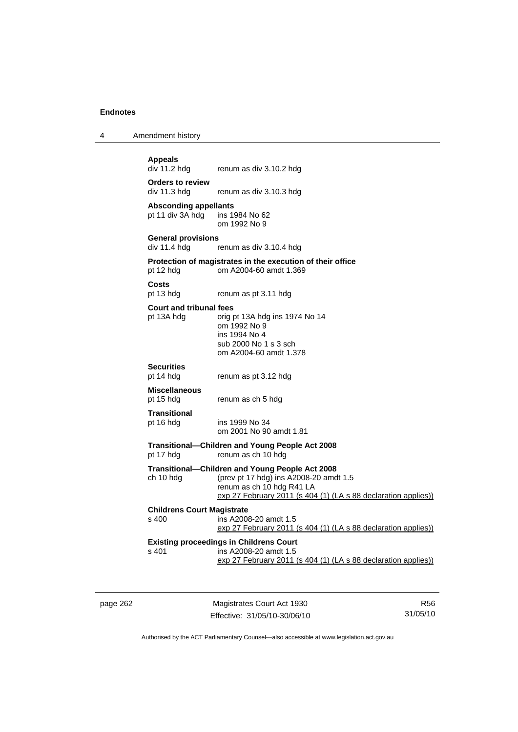4 Amendment history

**Appeals**  renum as div 3.10.2 hdg

**Orders to review**  div 11.3 hdg renum as div 3.10.3 hdg

**Absconding appellants**  pt 11 div  $3A$  hdg om 1992 No 9

**General provisions**  renum as div 3.10.4 hdg

#### **Protection of magistrates in the execution of their office**  pt 12 hdg om A2004-60 amdt 1.369

**Costs** 

pt 13 hdg renum as pt 3.11 hdg

#### **Court and tribunal fees**

pt 13A hdg orig pt 13A hdg ins 1974 No 14 om 1992 No 9 ins 1994 No 4 sub 2000 No 1 s 3 sch om A2004-60 amdt 1.378

# **Securities**

renum as pt 3.12 hdg

### **Miscellaneous**

pt 15 hdg renum as ch 5 hdg

#### **Transitional**  pt 16 hdg ins 1999 No 34

om 2001 No 90 amdt 1.81

#### **Transitional—Children and Young People Act 2008**  renum as ch 10 hdg

**Transitional—Children and Young People Act 2008** 

ch 10 hdg (prev pt 17 hdg) ins A2008-20 amdt 1.5 renum as ch 10 hdg R41 LA exp 27 February 2011 (s 404 (1) (LA s 88 declaration applies))

# **Childrens Court Magistrate**

s 400 ins A2008-20 amdt 1.5 exp 27 February 2011 (s 404 (1) (LA s 88 declaration applies))

#### **Existing proceedings in Childrens Court**  s 401 ins A2008-20 amdt 1.5 exp 27 February 2011 (s 404 (1) (LA s 88 declaration applies))

page 262 Magistrates Court Act 1930 Effective: 31/05/10-30/06/10

R56 31/05/10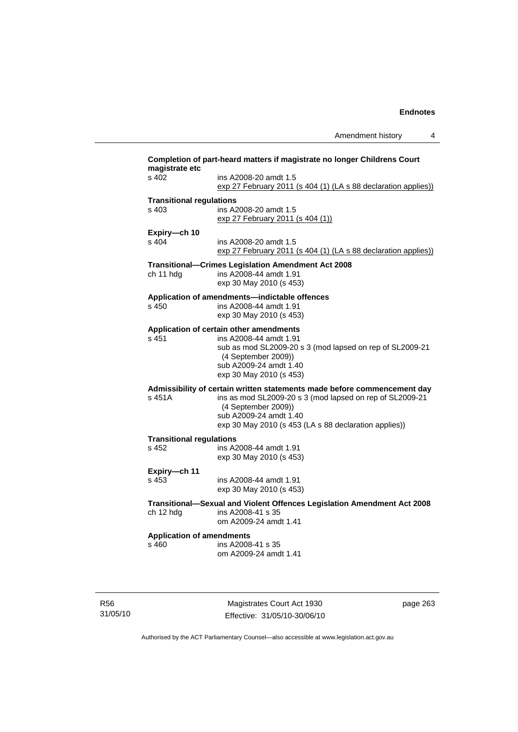Amendment history 4 **Completion of part-heard matters if magistrate no longer Childrens Court magistrate etc**  s 402 ins A2008-20 amdt 1.5 exp 27 February 2011 (s 404 (1) (LA s 88 declaration applies)) **Transitional regulations**  s 403 ins A2008-20 amdt 1.5 exp 27 February 2011 (s 404 (1)) **Expiry—ch 10**  ins A2008-20 amdt 1.5 exp 27 February 2011 (s 404 (1) (LA s 88 declaration applies)) **Transitional—Crimes Legislation Amendment Act 2008**  ch 11 hdg ins A2008-44 amdt 1.91 exp 30 May 2010 (s 453) **Application of amendments—indictable offences**  s 450 ins A2008-44 amdt 1.91 exp 30 May 2010 (s 453) **Application of certain other amendments**  s 451 ins A2008-44 amdt 1.91 sub as mod SL2009-20 s 3 (mod lapsed on rep of SL2009-21 (4 September 2009)) sub A2009-24 amdt 1.40 exp 30 May 2010 (s 453) **Admissibility of certain written statements made before commencement day**  s 451A ins as mod SL2009-20 s 3 (mod lapsed on rep of SL2009-21 (4 September 2009)) sub A2009-24 amdt 1.40 exp 30 May 2010 (s 453 (LA s 88 declaration applies)) **Transitional regulations**  s 452 ins A2008-44 amdt 1.91 exp 30 May 2010 (s 453) **Expiry—ch 11**  s 453 ins A2008-44 amdt 1.91 exp 30 May 2010 (s 453) **Transitional—Sexual and Violent Offences Legislation Amendment Act 2008**  ch 12 hdg ins A2008-41 s 35 om A2009-24 amdt 1.41 **Application of amendments**  s 460 ins A2008-41 s 35 om A2009-24 amdt 1.41

R56 31/05/10

Magistrates Court Act 1930 Effective: 31/05/10-30/06/10 page 263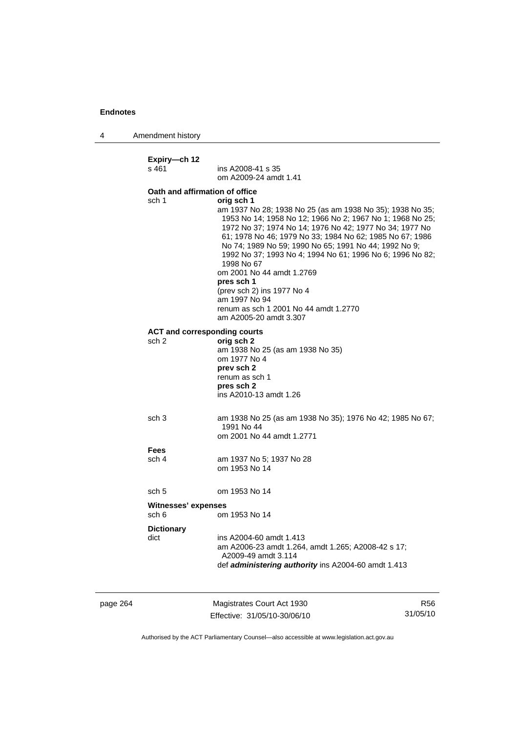4 Amendment history

page 264 Magistrates Court Act 1930 R56 **Expiry—ch 12**  ins A2008-41 s 35 om A2009-24 amdt 1.41 **Oath and affirmation of office**  sch 1 **orig sch 1**  am 1937 No 28; 1938 No 25 (as am 1938 No 35); 1938 No 35; 1953 No 14; 1958 No 12; 1966 No 2; 1967 No 1; 1968 No 25; 1972 No 37; 1974 No 14; 1976 No 42; 1977 No 34; 1977 No 61; 1978 No 46; 1979 No 33; 1984 No 62; 1985 No 67; 1986 No 74; 1989 No 59; 1990 No 65; 1991 No 44; 1992 No 9; 1992 No 37; 1993 No 4; 1994 No 61; 1996 No 6; 1996 No 82; 1998 No 67 om 2001 No 44 amdt 1.2769 **pres sch 1** (prev sch 2) ins 1977 No 4 am 1997 No 94 renum as sch 1 2001 No 44 amdt 1.2770 am A2005-20 amdt 3.307 **ACT and corresponding courts**  sch 2 **orig sch 2** am 1938 No 25 (as am 1938 No 35) om 1977 No 4 **prev sch 2**  renum as sch 1 **pres sch 2**  ins A2010-13 amdt 1.26 sch 3 am 1938 No 25 (as am 1938 No 35); 1976 No 42; 1985 No 67; 1991 No 44 om 2001 No 44 amdt 1.2771 **Fees**  sch 4 am 1937 No 5; 1937 No 28 om 1953 No 14 sch 5 om 1953 No 14 **Witnesses' expenses**  sch 6 om 1953 No 14 **Dictionary**  dict ins A2004-60 amdt 1.413 am A2006-23 amdt 1.264, amdt 1.265; A2008-42 s 17; A2009-49 amdt 3.114 def *administering authority* ins A2004-60 amdt 1.413

Authorised by the ACT Parliamentary Counsel—also accessible at www.legislation.act.gov.au

31/05/10

Effective: 31/05/10-30/06/10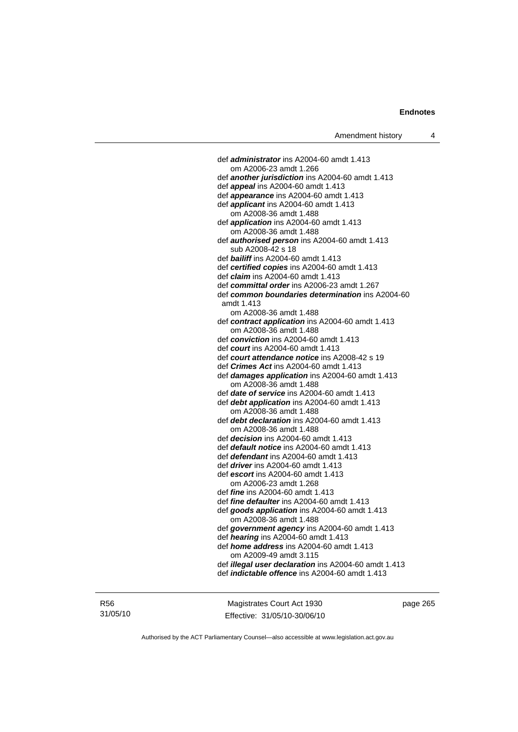def *administrator* ins A2004-60 amdt 1.413 om A2006-23 amdt 1.266 def *another jurisdiction* ins A2004-60 amdt 1.413 def *appeal* ins A2004-60 amdt 1.413 def *appearance* ins A2004-60 amdt 1.413 def *applicant* ins A2004-60 amdt 1.413 om A2008-36 amdt 1.488 def *application* ins A2004-60 amdt 1.413 om A2008-36 amdt 1.488 def *authorised person* ins A2004-60 amdt 1.413 sub A2008-42 s 18 def *bailiff* ins A2004-60 amdt 1.413 def *certified copies* ins A2004-60 amdt 1.413 def *claim* ins A2004-60 amdt 1.413 def *committal order* ins A2006-23 amdt 1.267 def *common boundaries determination* ins A2004-60 amdt 1.413 om A2008-36 amdt 1.488 def *contract application* ins A2004-60 amdt 1.413 om A2008-36 amdt 1.488 def *conviction* ins A2004-60 amdt 1.413 def *court* ins A2004-60 amdt 1.413 def *court attendance notice* ins A2008-42 s 19 def *Crimes Act* ins A2004-60 amdt 1.413 def *damages application* ins A2004-60 amdt 1.413 om A2008-36 amdt 1.488 def *date of service* ins A2004-60 amdt 1.413 def *debt application* ins A2004-60 amdt 1.413 om A2008-36 amdt 1.488 def *debt declaration* ins A2004-60 amdt 1.413 om A2008-36 amdt 1.488 def *decision* ins A2004-60 amdt 1.413 def *default notice* ins A2004-60 amdt 1.413 def *defendant* ins A2004-60 amdt 1.413 def *driver* ins A2004-60 amdt 1.413 def *escort* ins A2004-60 amdt 1.413 om A2006-23 amdt 1.268 def *fine* ins A2004-60 amdt 1.413 def *fine defaulter* ins A2004-60 amdt 1.413 def *goods application* ins A2004-60 amdt 1.413 om A2008-36 amdt 1.488 def *government agency* ins A2004-60 amdt 1.413 def *hearing* ins A2004-60 amdt 1.413 def *home address* ins A2004-60 amdt 1.413 om A2009-49 amdt 3.115 def *illegal user declaration* ins A2004-60 amdt 1.413 def *indictable offence* ins A2004-60 amdt 1.413

R56 31/05/10

Magistrates Court Act 1930 Effective: 31/05/10-30/06/10 page 265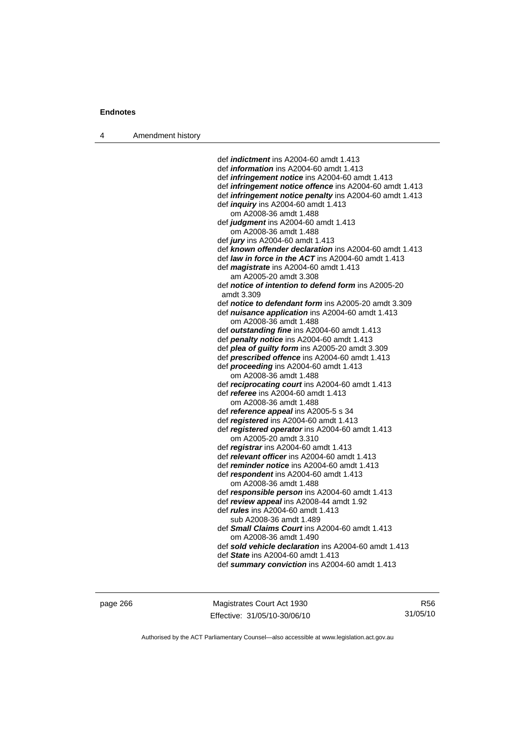4 Amendment history

 def *indictment* ins A2004-60 amdt 1.413 def *information* ins A2004-60 amdt 1.413 def *infringement notice* ins A2004-60 amdt 1.413 def *infringement notice offence* ins A2004-60 amdt 1.413 def *infringement notice penalty* ins A2004-60 amdt 1.413 def *inquiry* ins A2004-60 amdt 1.413 om A2008-36 amdt 1.488 def *judgment* ins A2004-60 amdt 1.413 om A2008-36 amdt 1.488 def *jury* ins A2004-60 amdt 1.413 def *known offender declaration* ins A2004-60 amdt 1.413 def *law in force in the ACT* ins A2004-60 amdt 1.413 def *magistrate* ins A2004-60 amdt 1.413 am A2005-20 amdt 3.308 def *notice of intention to defend form* ins A2005-20 amdt 3.309 def *notice to defendant form* ins A2005-20 amdt 3.309 def *nuisance application* ins A2004-60 amdt 1.413 om A2008-36 amdt 1.488 def *outstanding fine* ins A2004-60 amdt 1.413 def *penalty notice* ins A2004-60 amdt 1.413 def *plea of guilty form* ins A2005-20 amdt 3.309 def *prescribed offence* ins A2004-60 amdt 1.413 def *proceeding* ins A2004-60 amdt 1.413 om A2008-36 amdt 1.488 def *reciprocating court* ins A2004-60 amdt 1.413 def *referee* ins A2004-60 amdt 1.413 om A2008-36 amdt 1.488 def *reference appeal* ins A2005-5 s 34 def *registered* ins A2004-60 amdt 1.413 def *registered operator* ins A2004-60 amdt 1.413 om A2005-20 amdt 3.310 def *registrar* ins A2004-60 amdt 1.413 def *relevant officer* ins A2004-60 amdt 1.413 def *reminder notice* ins A2004-60 amdt 1.413 def *respondent* ins A2004-60 amdt 1.413 om A2008-36 amdt 1.488 def *responsible person* ins A2004-60 amdt 1.413 def *review appeal* ins A2008-44 amdt 1.92 def *rules* ins A2004-60 amdt 1.413 sub A2008-36 amdt 1.489 def *Small Claims Court* ins A2004-60 amdt 1.413 om A2008-36 amdt 1.490 def *sold vehicle declaration* ins A2004-60 amdt 1.413 def *State* ins A2004-60 amdt 1.413 def *summary conviction* ins A2004-60 amdt 1.413

page 266 Magistrates Court Act 1930 Effective: 31/05/10-30/06/10

R56 31/05/10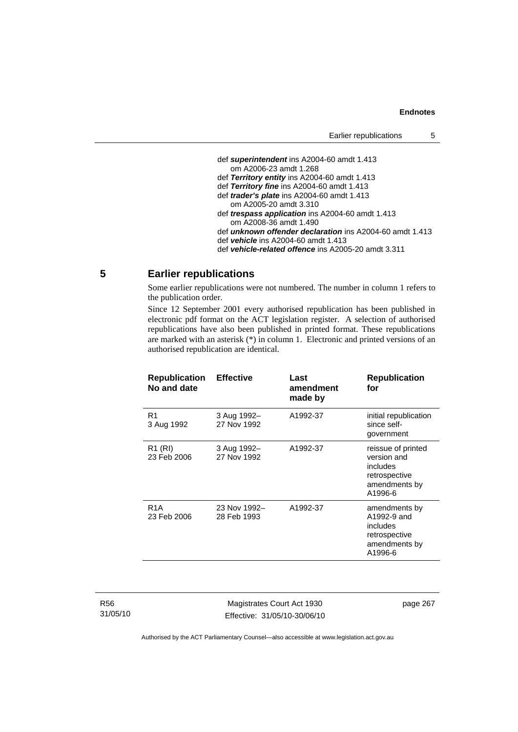| Earlier republications                                          | G |
|-----------------------------------------------------------------|---|
|                                                                 |   |
| def superintendent ins A2004-60 amdt 1.413                      |   |
| om A2006-23 amdt 1.268                                          |   |
| def Territory entity ins A2004-60 amdt 1.413                    |   |
| def Territory fine ins A2004-60 amdt 1.413                      |   |
| def <i>trader's plate</i> ins A2004-60 amdt 1.413               |   |
| om A2005-20 amdt 3.310                                          |   |
| def <i>trespass application</i> ins A2004-60 amdt 1.413         |   |
| om A2008-36 amdt 1.490                                          |   |
| def <i>unknown offender declaration</i> ins A2004-60 amdt 1.413 |   |
| def vehicle ins A2004-60 amdt 1.413                             |   |
| def vehicle-related offence ins A2005-20 amdt 3.311             |   |
|                                                                 |   |

Earlier republications 5

# **5 Earlier republications**

Some earlier republications were not numbered. The number in column 1 refers to the publication order.

Since 12 September 2001 every authorised republication has been published in electronic pdf format on the ACT legislation register. A selection of authorised republications have also been published in printed format. These republications are marked with an asterisk (\*) in column 1. Electronic and printed versions of an authorised republication are identical.

| <b>Republication</b><br>No and date | <b>Effective</b>            | Last<br>amendment<br>made by | <b>Republication</b><br>for                                                                |
|-------------------------------------|-----------------------------|------------------------------|--------------------------------------------------------------------------------------------|
| R <sub>1</sub><br>3 Aug 1992        | 3 Aug 1992-<br>27 Nov 1992  | A1992-37                     | initial republication<br>since self-<br>government                                         |
| R <sub>1</sub> (RI)<br>23 Feb 2006  | 3 Aug 1992-<br>27 Nov 1992  | A1992-37                     | reissue of printed<br>version and<br>includes<br>retrospective<br>amendments by<br>A1996-6 |
| R <sub>1</sub> A<br>23 Feb 2006     | 23 Nov 1992-<br>28 Feb 1993 | A1992-37                     | amendments by<br>A1992-9 and<br>includes<br>retrospective<br>amendments by<br>A1996-6      |

Magistrates Court Act 1930 Effective: 31/05/10-30/06/10 page 267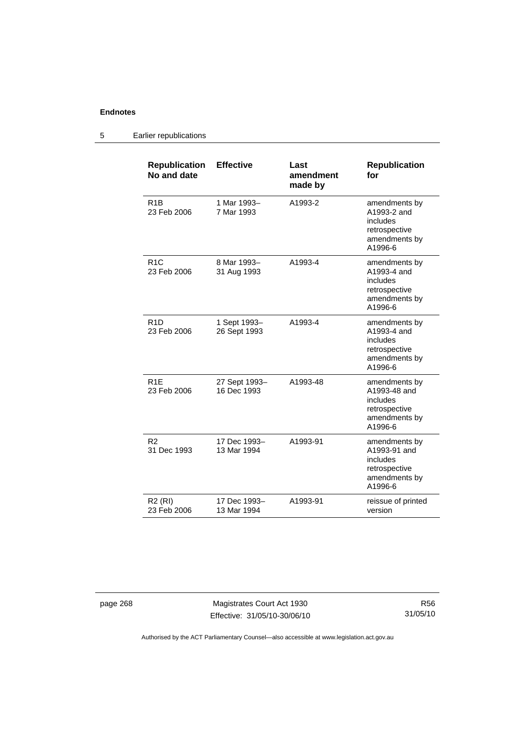| <b>Republication</b><br>No and date | <b>Effective</b>             | Last<br>amendment<br>made by | <b>Republication</b><br>for                                                            |
|-------------------------------------|------------------------------|------------------------------|----------------------------------------------------------------------------------------|
| R <sub>1</sub> B<br>23 Feb 2006     | 1 Mar 1993-<br>7 Mar 1993    | A1993-2                      | amendments by<br>A1993-2 and<br>includes<br>retrospective<br>amendments by<br>A1996-6  |
| R <sub>1</sub> C<br>23 Feb 2006     | 8 Mar 1993-<br>31 Aug 1993   | A1993-4                      | amendments by<br>A1993-4 and<br>includes<br>retrospective<br>amendments by<br>A1996-6  |
| R <sub>1</sub> D<br>23 Feb 2006     | 1 Sept 1993-<br>26 Sept 1993 | A1993-4                      | amendments by<br>A1993-4 and<br>includes<br>retrospective<br>amendments by<br>A1996-6  |
| R <sub>1</sub> E<br>23 Feb 2006     | 27 Sept 1993-<br>16 Dec 1993 | A1993-48                     | amendments by<br>A1993-48 and<br>includes<br>retrospective<br>amendments by<br>A1996-6 |
| R <sub>2</sub><br>31 Dec 1993       | 17 Dec 1993-<br>13 Mar 1994  | A1993-91                     | amendments by<br>A1993-91 and<br>includes<br>retrospective<br>amendments by<br>A1996-6 |
| <b>R2 (RI)</b><br>23 Feb 2006       | 17 Dec 1993-<br>13 Mar 1994  | A1993-91                     | reissue of printed<br>version                                                          |

# 5 Earlier republications

page 268 Magistrates Court Act 1930 Effective: 31/05/10-30/06/10

R56 31/05/10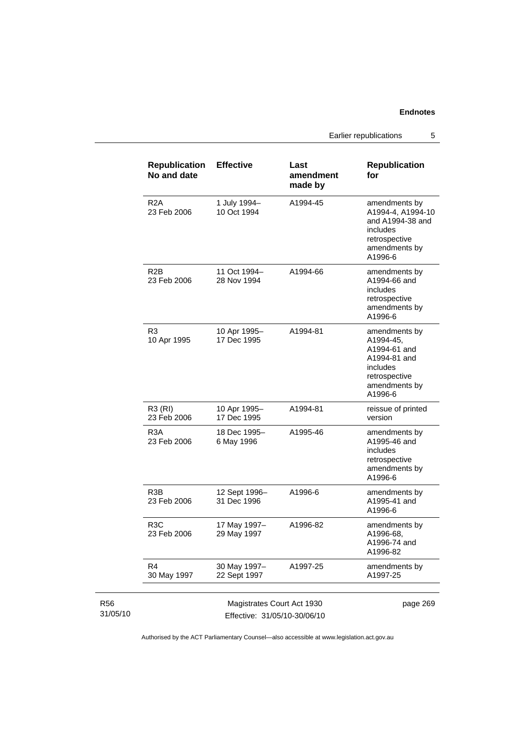Earlier republications 5

|                             | <b>Republication</b><br>No and date                        | <b>Effective</b>             | Last<br>amendment<br>made by | <b>Republication</b><br>for                                                                                         |
|-----------------------------|------------------------------------------------------------|------------------------------|------------------------------|---------------------------------------------------------------------------------------------------------------------|
|                             | R2A<br>23 Feb 2006                                         | 1 July 1994-<br>10 Oct 1994  | A1994-45                     | amendments by<br>A1994-4, A1994-10<br>and A1994-38 and<br>includes<br>retrospective<br>amendments by<br>A1996-6     |
|                             | R <sub>2</sub> B<br>23 Feb 2006                            | 11 Oct 1994-<br>28 Nov 1994  | A1994-66                     | amendments by<br>A1994-66 and<br>includes<br>retrospective<br>amendments by<br>A1996-6                              |
|                             | R <sub>3</sub><br>10 Apr 1995                              | 10 Apr 1995-<br>17 Dec 1995  | A1994-81                     | amendments by<br>A1994-45,<br>A1994-61 and<br>A1994-81 and<br>includes<br>retrospective<br>amendments by<br>A1996-6 |
|                             | R3 (RI)<br>23 Feb 2006                                     | 10 Apr 1995-<br>17 Dec 1995  | A1994-81                     | reissue of printed<br>version                                                                                       |
|                             | R <sub>3</sub> A<br>23 Feb 2006                            | 18 Dec 1995-<br>6 May 1996   | A1995-46                     | amendments by<br>A1995-46 and<br>includes<br>retrospective<br>amendments by<br>A1996-6                              |
|                             | R3B<br>23 Feb 2006                                         | 12 Sept 1996-<br>31 Dec 1996 | A1996-6                      | amendments by<br>A1995-41 and<br>A1996-6                                                                            |
|                             | R3C<br>23 Feb 2006                                         | 17 May 1997-<br>29 May 1997  | A1996-82                     | amendments by<br>A1996-68,<br>A1996-74 and<br>A1996-82                                                              |
|                             | R <sub>4</sub><br>30 May 1997                              | 30 May 1997-<br>22 Sept 1997 | A1997-25                     | amendments by<br>A1997-25                                                                                           |
| R <sub>56</sub><br>31/05/10 | Magistrates Court Act 1930<br>Effective: 31/05/10-30/06/10 |                              | page 269                     |                                                                                                                     |

Authorised by the ACT Parliamentary Counsel—also accessible at www.legislation.act.gov.au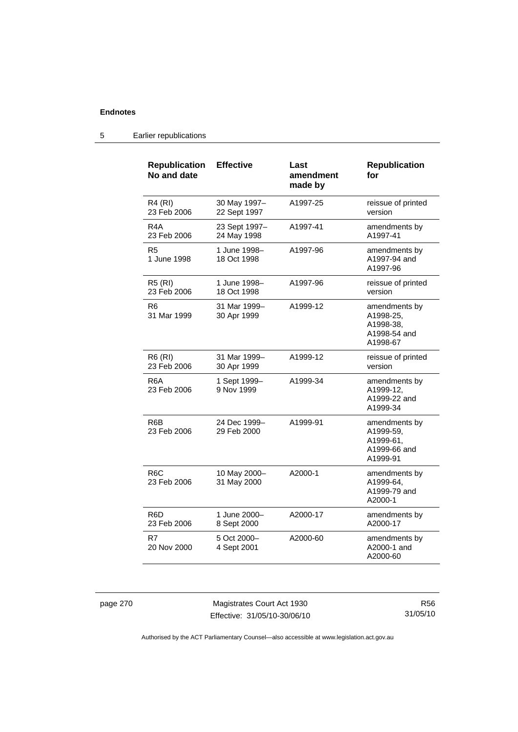| <b>Republication</b><br>No and date | <b>Effective</b>             | Last<br>amendment<br>made by | <b>Republication</b><br>for                                         |
|-------------------------------------|------------------------------|------------------------------|---------------------------------------------------------------------|
| <b>R4 (RI)</b><br>23 Feb 2006       | 30 May 1997-<br>22 Sept 1997 | A1997-25                     | reissue of printed<br>version                                       |
| R <sub>4</sub> A<br>23 Feb 2006     | 23 Sept 1997-<br>24 May 1998 | A1997-41                     | amendments by<br>A1997-41                                           |
| R5<br>1 June 1998                   | 1 June 1998-<br>18 Oct 1998  | A1997-96                     | amendments by<br>A1997-94 and<br>A1997-96                           |
| <b>R5 (RI)</b><br>23 Feb 2006       | 1 June 1998–<br>18 Oct 1998  | A1997-96                     | reissue of printed<br>version                                       |
| R6<br>31 Mar 1999                   | 31 Mar 1999-<br>30 Apr 1999  | A1999-12                     | amendments by<br>A1998-25,<br>A1998-38.<br>A1998-54 and<br>A1998-67 |
| <b>R6 (RI)</b><br>23 Feb 2006       | 31 Mar 1999-<br>30 Apr 1999  | A1999-12                     | reissue of printed<br>version                                       |
| R <sub>6</sub> A<br>23 Feb 2006     | 1 Sept 1999-<br>9 Nov 1999   | A1999-34                     | amendments by<br>A1999-12,<br>A1999-22 and<br>A1999-34              |
| R <sub>6</sub> B<br>23 Feb 2006     | 24 Dec 1999-<br>29 Feb 2000  | A1999-91                     | amendments by<br>A1999-59,<br>A1999-61.<br>A1999-66 and<br>A1999-91 |
| R <sub>6</sub> C<br>23 Feb 2006     | 10 May 2000-<br>31 May 2000  | A2000-1                      | amendments by<br>A1999-64,<br>A1999-79 and<br>A2000-1               |
| R <sub>6</sub> D<br>23 Feb 2006     | 1 June 2000-<br>8 Sept 2000  | A2000-17                     | amendments by<br>A2000-17                                           |
| R7<br>20 Nov 2000                   | 5 Oct 2000-<br>4 Sept 2001   | A2000-60                     | amendments by<br>A2000-1 and<br>A2000-60                            |

# 5 Earlier republications

page 270 Magistrates Court Act 1930 Effective: 31/05/10-30/06/10

R56 31/05/10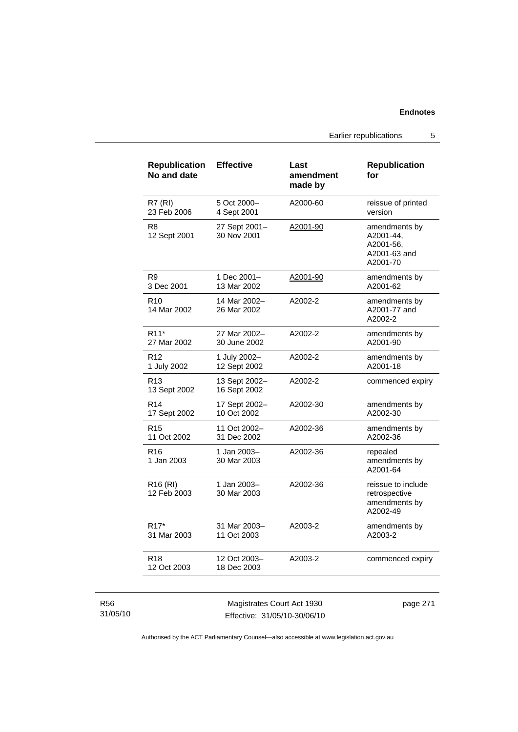Earlier republications 5

| <b>Republication</b><br>No and date | <b>Effective</b>              | Last<br>amendment<br>made by | <b>Republication</b><br>for                                         |
|-------------------------------------|-------------------------------|------------------------------|---------------------------------------------------------------------|
| <b>R7 (RI)</b>                      | 5 Oct 2000-                   | A2000-60                     | reissue of printed                                                  |
| 23 Feb 2006                         | 4 Sept 2001                   |                              | version                                                             |
| R8<br>12 Sept 2001                  | 27 Sept 2001–<br>30 Nov 2001  | <u>A2001-90</u>              | amendments by<br>A2001-44,<br>A2001-56,<br>A2001-63 and<br>A2001-70 |
| R9                                  | 1 Dec 2001-                   | A2001-90                     | amendments by                                                       |
| 3 Dec 2001                          | 13 Mar 2002                   |                              | A2001-62                                                            |
| R <sub>10</sub><br>14 Mar 2002      | 14 Mar 2002-<br>26 Mar 2002   | A2002-2                      | amendments by<br>A2001-77 and<br>A2002-2                            |
| R <sub>11</sub> *                   | 27 Mar 2002-                  | A2002-2                      | amendments by                                                       |
| 27 Mar 2002                         | 30 June 2002                  |                              | A2001-90                                                            |
| R <sub>12</sub>                     | 1 July 2002-                  | A2002-2                      | amendments by                                                       |
| 1 July 2002                         | 12 Sept 2002                  |                              | A2001-18                                                            |
| R <sub>13</sub><br>13 Sept 2002     | 13 Sept 2002-<br>16 Sept 2002 | A2002-2                      | commenced expiry                                                    |
| R <sub>14</sub>                     | 17 Sept 2002-                 | A2002-30                     | amendments by                                                       |
| 17 Sept 2002                        | 10 Oct 2002                   |                              | A2002-30                                                            |
| R <sub>15</sub>                     | 11 Oct 2002-                  | A2002-36                     | amendments by                                                       |
| 11 Oct 2002                         | 31 Dec 2002                   |                              | A2002-36                                                            |
| R <sub>16</sub><br>1 Jan 2003       | 1 Jan 2003-<br>30 Mar 2003    | A2002-36                     | repealed<br>amendments by<br>A2001-64                               |
| R <sub>16</sub> (RI)<br>12 Feb 2003 | 1 Jan 2003-<br>30 Mar 2003    | A2002-36                     | reissue to include<br>retrospective<br>amendments by<br>A2002-49    |
| R <sub>17</sub> *                   | 31 Mar 2003-                  | A2003-2                      | amendments by                                                       |
| 31 Mar 2003                         | 11 Oct 2003                   |                              | A2003-2                                                             |
| R18<br>12 Oct 2003                  | 12 Oct 2003-<br>18 Dec 2003   | A2003-2                      | commenced expiry                                                    |

R56 31/05/10

Magistrates Court Act 1930 Effective: 31/05/10-30/06/10 page 271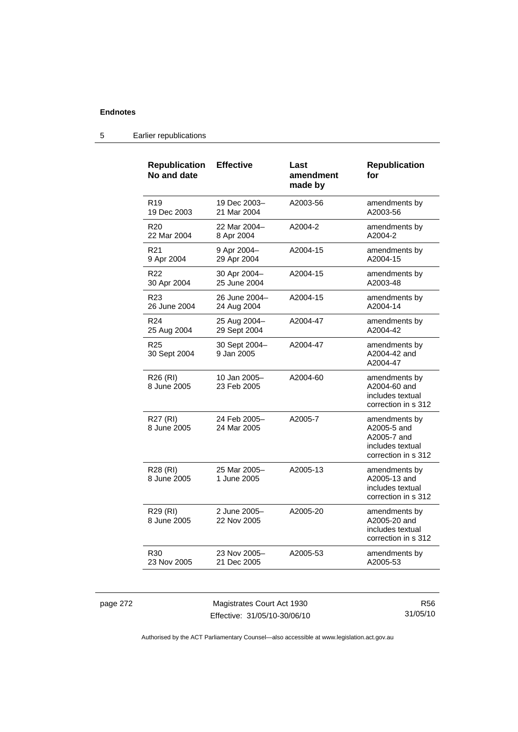| <b>Republication</b><br>No and date | <b>Effective</b>            | Last<br>amendment<br>made by | <b>Republication</b><br>for                                                            |
|-------------------------------------|-----------------------------|------------------------------|----------------------------------------------------------------------------------------|
| R <sub>19</sub>                     | 19 Dec 2003-                | A2003-56                     | amendments by                                                                          |
| 19 Dec 2003                         | 21 Mar 2004                 |                              | A2003-56                                                                               |
| R <sub>20</sub>                     | 22 Mar 2004-                | A2004-2                      | amendments by                                                                          |
| 22 Mar 2004                         | 8 Apr 2004                  |                              | A2004-2                                                                                |
| R <sub>21</sub>                     | 9 Apr 2004–                 | A2004-15                     | amendments by                                                                          |
| 9 Apr 2004                          | 29 Apr 2004                 |                              | A2004-15                                                                               |
| R <sub>22</sub>                     | 30 Apr 2004-                | A2004-15                     | amendments by                                                                          |
| 30 Apr 2004                         | 25 June 2004                |                              | A2003-48                                                                               |
| R <sub>23</sub>                     | 26 June 2004-               | A2004-15                     | amendments by                                                                          |
| 26 June 2004                        | 24 Aug 2004                 |                              | A2004-14                                                                               |
| R <sub>24</sub>                     | 25 Aug 2004-                | A2004-47                     | amendments by                                                                          |
| 25 Aug 2004                         | 29 Sept 2004                |                              | A2004-42                                                                               |
| R <sub>25</sub><br>30 Sept 2004     | 30 Sept 2004-<br>9 Jan 2005 | A2004-47                     | amendments by<br>A2004-42 and<br>A2004-47                                              |
| R26 (RI)<br>8 June 2005             | 10 Jan 2005-<br>23 Feb 2005 | A2004-60                     | amendments by<br>A2004-60 and<br>includes textual<br>correction in s 312               |
| R27 (RI)<br>8 June 2005             | 24 Feb 2005-<br>24 Mar 2005 | A2005-7                      | amendments by<br>A2005-5 and<br>A2005-7 and<br>includes textual<br>correction in s 312 |
| R28 (RI)<br>8 June 2005             | 25 Mar 2005-<br>1 June 2005 | A2005-13                     | amendments by<br>A2005-13 and<br>includes textual<br>correction in s 312               |
| R <sub>29</sub> (RI)<br>8 June 2005 | 2 June 2005-<br>22 Nov 2005 | A2005-20                     | amendments by<br>A2005-20 and<br>includes textual<br>correction in s 312               |
| R <sub>30</sub>                     | 23 Nov 2005-                | A2005-53                     | amendments by                                                                          |
| 23 Nov 2005                         | 21 Dec 2005                 |                              | A2005-53                                                                               |

# 5 Earlier republications

| page 272 |  |
|----------|--|
|----------|--|

page 272 Magistrates Court Act 1930 Effective: 31/05/10-30/06/10

R56 31/05/10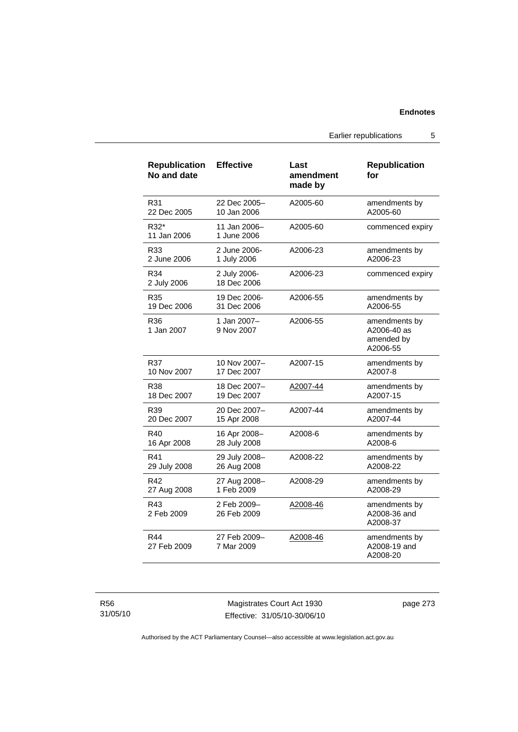### **Endnotes**

Earlier republications 5

| <b>Republication</b><br>No and date | <b>Effective</b>            | Last<br>amendment<br>made by | <b>Republication</b><br>for                            |
|-------------------------------------|-----------------------------|------------------------------|--------------------------------------------------------|
| R31                                 | 22 Dec 2005-                | A2005-60                     | amendments by                                          |
| 22 Dec 2005                         | 10 Jan 2006                 |                              | A2005-60                                               |
| R32*<br>11 Jan 2006                 | 11 Jan 2006-<br>1 June 2006 | A2005-60                     | commenced expiry                                       |
| R33                                 | 2 June 2006-                | A2006-23                     | amendments by                                          |
| 2 June 2006                         | 1 July 2006                 |                              | A2006-23                                               |
| R34<br>2 July 2006                  | 2 July 2006-<br>18 Dec 2006 | A2006-23                     | commenced expiry                                       |
| R35                                 | 19 Dec 2006-                | A2006-55                     | amendments by                                          |
| 19 Dec 2006                         | 31 Dec 2006                 |                              | A2006-55                                               |
| R36<br>1 Jan 2007                   | 1 Jan 2007-<br>9 Nov 2007   | A2006-55                     | amendments by<br>A2006-40 as<br>amended by<br>A2006-55 |
| R37                                 | 10 Nov 2007-                | A2007-15                     | amendments by                                          |
| 10 Nov 2007                         | 17 Dec 2007                 |                              | A2007-8                                                |
| R38                                 | 18 Dec 2007–                | A2007-44                     | amendments by                                          |
| 18 Dec 2007                         | 19 Dec 2007                 |                              | A2007-15                                               |
| R39                                 | 20 Dec 2007-                | A2007-44                     | amendments by                                          |
| 20 Dec 2007                         | 15 Apr 2008                 |                              | A2007-44                                               |
| R40                                 | 16 Apr 2008-                | A2008-6                      | amendments by                                          |
| 16 Apr 2008                         | 28 July 2008                |                              | A2008-6                                                |
| R41                                 | 29 July 2008-               | A2008-22                     | amendments by                                          |
| 29 July 2008                        | 26 Aug 2008                 |                              | A2008-22                                               |
| R42                                 | 27 Aug 2008-                | A2008-29                     | amendments by                                          |
| 27 Aug 2008                         | 1 Feb 2009                  |                              | A2008-29                                               |
| R43<br>2 Feb 2009                   | 2 Feb 2009-<br>26 Feb 2009  | A2008-46                     | amendments by<br>A2008-36 and<br>A2008-37              |
| R44<br>27 Feb 2009                  | 27 Feb 2009-<br>7 Mar 2009  | A2008-46                     | amendments by<br>A2008-19 and<br>A2008-20              |

R56 31/05/10

Magistrates Court Act 1930 Effective: 31/05/10-30/06/10 page 273

Authorised by the ACT Parliamentary Counsel—also accessible at www.legislation.act.gov.au